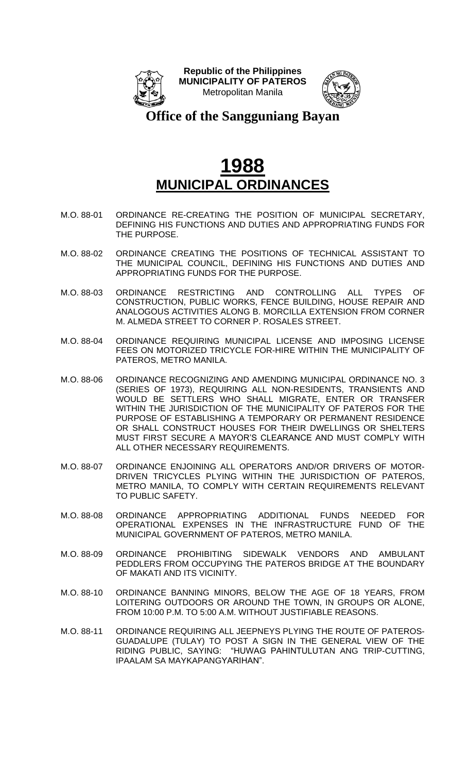



**Office of the Sangguniang Bayan**

- M.O. 88-01 ORDINANCE RE-CREATING THE POSITION OF MUNICIPAL SECRETARY, DEFINING HIS FUNCTIONS AND DUTIES AND APPROPRIATING FUNDS FOR THE PURPOSE.
- M.O. 88-02 ORDINANCE CREATING THE POSITIONS OF TECHNICAL ASSISTANT TO THE MUNICIPAL COUNCIL, DEFINING HIS FUNCTIONS AND DUTIES AND APPROPRIATING FUNDS FOR THE PURPOSE.
- M.O. 88-03 ORDINANCE RESTRICTING AND CONTROLLING ALL TYPES OF CONSTRUCTION, PUBLIC WORKS, FENCE BUILDING, HOUSE REPAIR AND ANALOGOUS ACTIVITIES ALONG B. MORCILLA EXTENSION FROM CORNER M. ALMEDA STREET TO CORNER P. ROSALES STREET.
- M.O. 88-04 ORDINANCE REQUIRING MUNICIPAL LICENSE AND IMPOSING LICENSE FEES ON MOTORIZED TRICYCLE FOR-HIRE WITHIN THE MUNICIPALITY OF PATEROS, METRO MANILA.
- M.O. 88-06 ORDINANCE RECOGNIZING AND AMENDING MUNICIPAL ORDINANCE NO. 3 (SERIES OF 1973), REQUIRING ALL NON-RESIDENTS, TRANSIENTS AND WOULD BE SETTLERS WHO SHALL MIGRATE, ENTER OR TRANSFER WITHIN THE JURISDICTION OF THE MUNICIPALITY OF PATEROS FOR THE PURPOSE OF ESTABLISHING A TEMPORARY OR PERMANENT RESIDENCE OR SHALL CONSTRUCT HOUSES FOR THEIR DWELLINGS OR SHELTERS MUST FIRST SECURE A MAYOR'S CLEARANCE AND MUST COMPLY WITH ALL OTHER NECESSARY REQUIREMENTS.
- M.O. 88-07 ORDINANCE ENJOINING ALL OPERATORS AND/OR DRIVERS OF MOTOR-DRIVEN TRICYCLES PLYING WITHIN THE JURISDICTION OF PATEROS, METRO MANILA, TO COMPLY WITH CERTAIN REQUIREMENTS RELEVANT TO PUBLIC SAFETY.
- M.O. 88-08 ORDINANCE APPROPRIATING ADDITIONAL FUNDS NEEDED FOR OPERATIONAL EXPENSES IN THE INFRASTRUCTURE FUND OF THE MUNICIPAL GOVERNMENT OF PATEROS, METRO MANILA.
- M.O. 88-09 ORDINANCE PROHIBITING SIDEWALK VENDORS AND AMBULANT PEDDLERS FROM OCCUPYING THE PATEROS BRIDGE AT THE BOUNDARY OF MAKATI AND ITS VICINITY.
- M.O. 88-10 ORDINANCE BANNING MINORS, BELOW THE AGE OF 18 YEARS, FROM LOITERING OUTDOORS OR AROUND THE TOWN, IN GROUPS OR ALONE, FROM 10:00 P.M. TO 5:00 A.M. WITHOUT JUSTIFIABLE REASONS.
- M.O. 88-11 ORDINANCE REQUIRING ALL JEEPNEYS PLYING THE ROUTE OF PATEROS-GUADALUPE (TULAY) TO POST A SIGN IN THE GENERAL VIEW OF THE RIDING PUBLIC, SAYING: "HUWAG PAHINTULUTAN ANG TRIP-CUTTING, IPAALAM SA MAYKAPANGYARIHAN".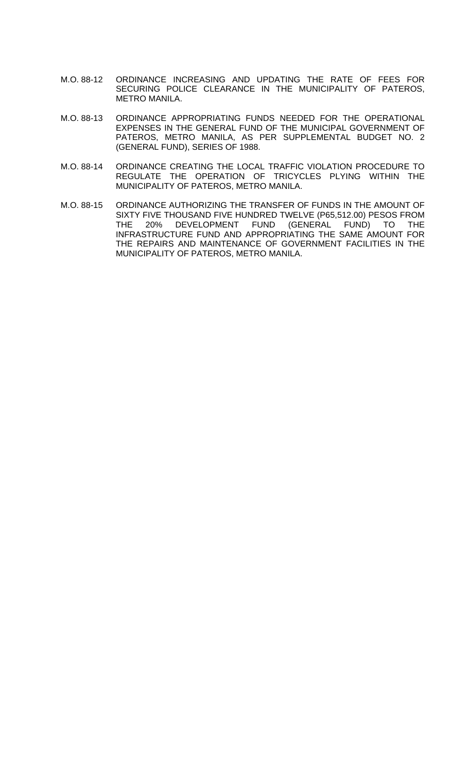- M.O. 88-12 ORDINANCE INCREASING AND UPDATING THE RATE OF FEES FOR SECURING POLICE CLEARANCE IN THE MUNICIPALITY OF PATEROS, METRO MANILA.
- M.O. 88-13 ORDINANCE APPROPRIATING FUNDS NEEDED FOR THE OPERATIONAL EXPENSES IN THE GENERAL FUND OF THE MUNICIPAL GOVERNMENT OF PATEROS, METRO MANILA, AS PER SUPPLEMENTAL BUDGET NO. 2 (GENERAL FUND), SERIES OF 1988.
- M.O. 88-14 ORDINANCE CREATING THE LOCAL TRAFFIC VIOLATION PROCEDURE TO REGULATE THE OPERATION OF TRICYCLES PLYING WITHIN THE MUNICIPALITY OF PATEROS, METRO MANILA.
- M.O. 88-15 ORDINANCE AUTHORIZING THE TRANSFER OF FUNDS IN THE AMOUNT OF SIXTY FIVE THOUSAND FIVE HUNDRED TWELVE (P65,512.00) PESOS FROM THE 20% DEVELOPMENT FUND (GENERAL FUND) TO THE INFRASTRUCTURE FUND AND APPROPRIATING THE SAME AMOUNT FOR THE REPAIRS AND MAINTENANCE OF GOVERNMENT FACILITIES IN THE MUNICIPALITY OF PATEROS, METRO MANILA.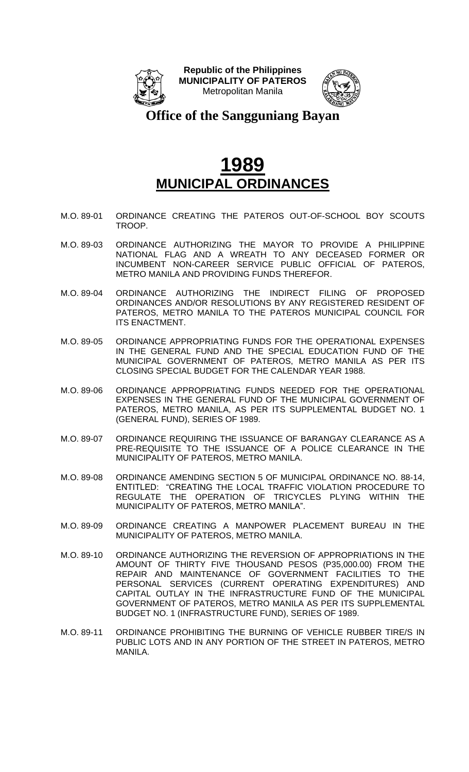



**Office of the Sangguniang Bayan**

- M.O. 89-01 ORDINANCE CREATING THE PATEROS OUT-OF-SCHOOL BOY SCOUTS TROOP.
- M.O. 89-03 ORDINANCE AUTHORIZING THE MAYOR TO PROVIDE A PHILIPPINE NATIONAL FLAG AND A WREATH TO ANY DECEASED FORMER OR INCUMBENT NON-CAREER SERVICE PUBLIC OFFICIAL OF PATEROS, METRO MANILA AND PROVIDING FUNDS THEREFOR.
- M.O. 89-04 ORDINANCE AUTHORIZING THE INDIRECT FILING OF PROPOSED ORDINANCES AND/OR RESOLUTIONS BY ANY REGISTERED RESIDENT OF PATEROS, METRO MANILA TO THE PATEROS MUNICIPAL COUNCIL FOR ITS ENACTMENT.
- M.O. 89-05 ORDINANCE APPROPRIATING FUNDS FOR THE OPERATIONAL EXPENSES IN THE GENERAL FUND AND THE SPECIAL EDUCATION FUND OF THE MUNICIPAL GOVERNMENT OF PATEROS, METRO MANILA AS PER ITS CLOSING SPECIAL BUDGET FOR THE CALENDAR YEAR 1988.
- M.O. 89-06 ORDINANCE APPROPRIATING FUNDS NEEDED FOR THE OPERATIONAL EXPENSES IN THE GENERAL FUND OF THE MUNICIPAL GOVERNMENT OF PATEROS, METRO MANILA, AS PER ITS SUPPLEMENTAL BUDGET NO. 1 (GENERAL FUND), SERIES OF 1989.
- M.O. 89-07 ORDINANCE REQUIRING THE ISSUANCE OF BARANGAY CLEARANCE AS A PRE-REQUISITE TO THE ISSUANCE OF A POLICE CLEARANCE IN THE MUNICIPALITY OF PATEROS, METRO MANILA.
- M.O. 89-08 ORDINANCE AMENDING SECTION 5 OF MUNICIPAL ORDINANCE NO. 88-14, ENTITLED: "CREATING THE LOCAL TRAFFIC VIOLATION PROCEDURE TO REGULATE THE OPERATION OF TRICYCLES PLYING WITHIN THE MUNICIPALITY OF PATEROS, METRO MANILA".
- M.O. 89-09 ORDINANCE CREATING A MANPOWER PLACEMENT BUREAU IN THE MUNICIPALITY OF PATEROS, METRO MANILA.
- M.O. 89-10 ORDINANCE AUTHORIZING THE REVERSION OF APPROPRIATIONS IN THE AMOUNT OF THIRTY FIVE THOUSAND PESOS (P35,000.00) FROM THE REPAIR AND MAINTENANCE OF GOVERNMENT FACILITIES TO THE PERSONAL SERVICES (CURRENT OPERATING EXPENDITURES) AND CAPITAL OUTLAY IN THE INFRASTRUCTURE FUND OF THE MUNICIPAL GOVERNMENT OF PATEROS, METRO MANILA AS PER ITS SUPPLEMENTAL BUDGET NO. 1 (INFRASTRUCTURE FUND), SERIES OF 1989.
- M.O. 89-11 ORDINANCE PROHIBITING THE BURNING OF VEHICLE RUBBER TIRE/S IN PUBLIC LOTS AND IN ANY PORTION OF THE STREET IN PATEROS, METRO MANILA.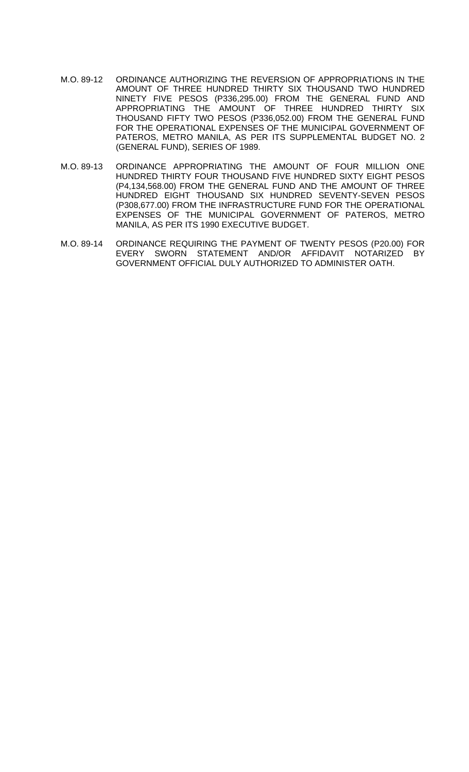- M.O. 89-12 ORDINANCE AUTHORIZING THE REVERSION OF APPROPRIATIONS IN THE AMOUNT OF THREE HUNDRED THIRTY SIX THOUSAND TWO HUNDRED NINETY FIVE PESOS (P336,295.00) FROM THE GENERAL FUND AND APPROPRIATING THE AMOUNT OF THREE HUNDRED THIRTY SIX THOUSAND FIFTY TWO PESOS (P336,052.00) FROM THE GENERAL FUND FOR THE OPERATIONAL EXPENSES OF THE MUNICIPAL GOVERNMENT OF PATEROS, METRO MANILA, AS PER ITS SUPPLEMENTAL BUDGET NO. 2 (GENERAL FUND), SERIES OF 1989.
- M.O. 89-13 ORDINANCE APPROPRIATING THE AMOUNT OF FOUR MILLION ONE HUNDRED THIRTY FOUR THOUSAND FIVE HUNDRED SIXTY EIGHT PESOS (P4,134,568.00) FROM THE GENERAL FUND AND THE AMOUNT OF THREE HUNDRED EIGHT THOUSAND SIX HUNDRED SEVENTY-SEVEN PESOS (P308,677.00) FROM THE INFRASTRUCTURE FUND FOR THE OPERATIONAL EXPENSES OF THE MUNICIPAL GOVERNMENT OF PATEROS, METRO MANILA, AS PER ITS 1990 EXECUTIVE BUDGET.
- M.O. 89-14 ORDINANCE REQUIRING THE PAYMENT OF TWENTY PESOS (P20.00) FOR EVERY SWORN STATEMENT AND/OR AFFIDAVIT NOTARIZED BY GOVERNMENT OFFICIAL DULY AUTHORIZED TO ADMINISTER OATH.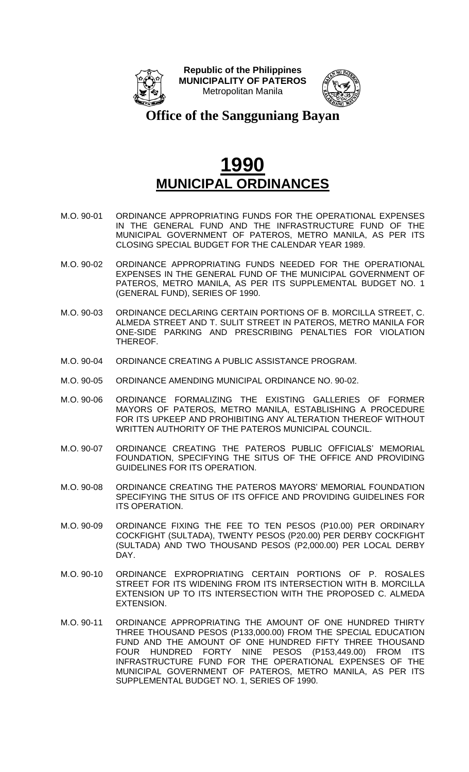



**Office of the Sangguniang Bayan**

- M.O. 90-01 ORDINANCE APPROPRIATING FUNDS FOR THE OPERATIONAL EXPENSES IN THE GENERAL FUND AND THE INFRASTRUCTURE FUND OF THE MUNICIPAL GOVERNMENT OF PATEROS, METRO MANILA, AS PER ITS CLOSING SPECIAL BUDGET FOR THE CALENDAR YEAR 1989.
- M.O. 90-02 ORDINANCE APPROPRIATING FUNDS NEEDED FOR THE OPERATIONAL EXPENSES IN THE GENERAL FUND OF THE MUNICIPAL GOVERNMENT OF PATEROS, METRO MANILA, AS PER ITS SUPPLEMENTAL BUDGET NO. 1 (GENERAL FUND), SERIES OF 1990.
- M.O. 90-03 ORDINANCE DECLARING CERTAIN PORTIONS OF B. MORCILLA STREET, C. ALMEDA STREET AND T. SULIT STREET IN PATEROS, METRO MANILA FOR ONE-SIDE PARKING AND PRESCRIBING PENALTIES FOR VIOLATION THEREOF.
- M.O. 90-04 ORDINANCE CREATING A PUBLIC ASSISTANCE PROGRAM.
- M.O. 90-05 ORDINANCE AMENDING MUNICIPAL ORDINANCE NO. 90-02.
- M.O. 90-06 ORDINANCE FORMALIZING THE EXISTING GALLERIES OF FORMER MAYORS OF PATEROS, METRO MANILA, ESTABLISHING A PROCEDURE FOR ITS UPKEEP AND PROHIBITING ANY ALTERATION THEREOF WITHOUT WRITTEN AUTHORITY OF THE PATEROS MUNICIPAL COUNCIL.
- M.O. 90-07 ORDINANCE CREATING THE PATEROS PUBLIC OFFICIALS' MEMORIAL FOUNDATION, SPECIFYING THE SITUS OF THE OFFICE AND PROVIDING GUIDELINES FOR ITS OPERATION.
- M.O. 90-08 ORDINANCE CREATING THE PATEROS MAYORS' MEMORIAL FOUNDATION SPECIFYING THE SITUS OF ITS OFFICE AND PROVIDING GUIDELINES FOR ITS OPERATION.
- M.O. 90-09 ORDINANCE FIXING THE FEE TO TEN PESOS (P10.00) PER ORDINARY COCKFIGHT (SULTADA), TWENTY PESOS (P20.00) PER DERBY COCKFIGHT (SULTADA) AND TWO THOUSAND PESOS (P2,000.00) PER LOCAL DERBY DAY.
- M.O. 90-10 ORDINANCE EXPROPRIATING CERTAIN PORTIONS OF P. ROSALES STREET FOR ITS WIDENING FROM ITS INTERSECTION WITH B. MORCILLA EXTENSION UP TO ITS INTERSECTION WITH THE PROPOSED C. ALMEDA EXTENSION.
- M.O. 90-11 ORDINANCE APPROPRIATING THE AMOUNT OF ONE HUNDRED THIRTY THREE THOUSAND PESOS (P133,000.00) FROM THE SPECIAL EDUCATION FUND AND THE AMOUNT OF ONE HUNDRED FIFTY THREE THOUSAND FOUR HUNDRED FORTY NINE PESOS (P153,449.00) FROM ITS INFRASTRUCTURE FUND FOR THE OPERATIONAL EXPENSES OF THE MUNICIPAL GOVERNMENT OF PATEROS, METRO MANILA, AS PER ITS SUPPLEMENTAL BUDGET NO. 1, SERIES OF 1990.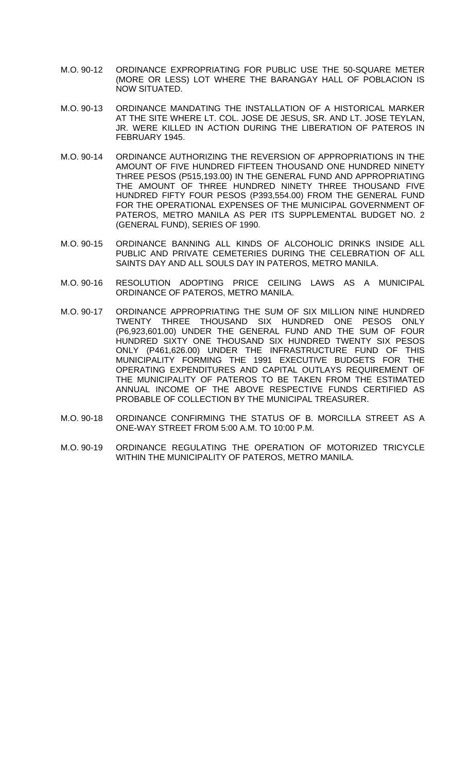- M.O. 90-12 ORDINANCE EXPROPRIATING FOR PUBLIC USE THE 50-SQUARE METER (MORE OR LESS) LOT WHERE THE BARANGAY HALL OF POBLACION IS NOW SITUATED.
- M.O. 90-13 ORDINANCE MANDATING THE INSTALLATION OF A HISTORICAL MARKER AT THE SITE WHERE LT. COL. JOSE DE JESUS, SR. AND LT. JOSE TEYLAN, JR. WERE KILLED IN ACTION DURING THE LIBERATION OF PATEROS IN FEBRUARY 1945.
- M.O. 90-14 ORDINANCE AUTHORIZING THE REVERSION OF APPROPRIATIONS IN THE AMOUNT OF FIVE HUNDRED FIFTEEN THOUSAND ONE HUNDRED NINETY THREE PESOS (P515,193.00) IN THE GENERAL FUND AND APPROPRIATING THE AMOUNT OF THREE HUNDRED NINETY THREE THOUSAND FIVE HUNDRED FIFTY FOUR PESOS (P393,554.00) FROM THE GENERAL FUND FOR THE OPERATIONAL EXPENSES OF THE MUNICIPAL GOVERNMENT OF PATEROS, METRO MANILA AS PER ITS SUPPLEMENTAL BUDGET NO. 2 (GENERAL FUND), SERIES OF 1990.
- M.O. 90-15 ORDINANCE BANNING ALL KINDS OF ALCOHOLIC DRINKS INSIDE ALL PUBLIC AND PRIVATE CEMETERIES DURING THE CELEBRATION OF ALL SAINTS DAY AND ALL SOULS DAY IN PATEROS, METRO MANILA.
- M.O. 90-16 RESOLUTION ADOPTING PRICE CEILING LAWS AS A MUNICIPAL ORDINANCE OF PATEROS, METRO MANILA.
- M.O. 90-17 ORDINANCE APPROPRIATING THE SUM OF SIX MILLION NINE HUNDRED TWENTY THREE THOUSAND SIX HUNDRED ONE PESOS ONLY (P6,923,601.00) UNDER THE GENERAL FUND AND THE SUM OF FOUR HUNDRED SIXTY ONE THOUSAND SIX HUNDRED TWENTY SIX PESOS ONLY (P461,626.00) UNDER THE INFRASTRUCTURE FUND OF THIS MUNICIPALITY FORMING THE 1991 EXECUTIVE BUDGETS FOR THE OPERATING EXPENDITURES AND CAPITAL OUTLAYS REQUIREMENT OF THE MUNICIPALITY OF PATEROS TO BE TAKEN FROM THE ESTIMATED ANNUAL INCOME OF THE ABOVE RESPECTIVE FUNDS CERTIFIED AS PROBABLE OF COLLECTION BY THE MUNICIPAL TREASURER.
- M.O. 90-18 ORDINANCE CONFIRMING THE STATUS OF B. MORCILLA STREET AS A ONE-WAY STREET FROM 5:00 A.M. TO 10:00 P.M.
- M.O. 90-19 ORDINANCE REGULATING THE OPERATION OF MOTORIZED TRICYCLE WITHIN THE MUNICIPALITY OF PATEROS, METRO MANILA.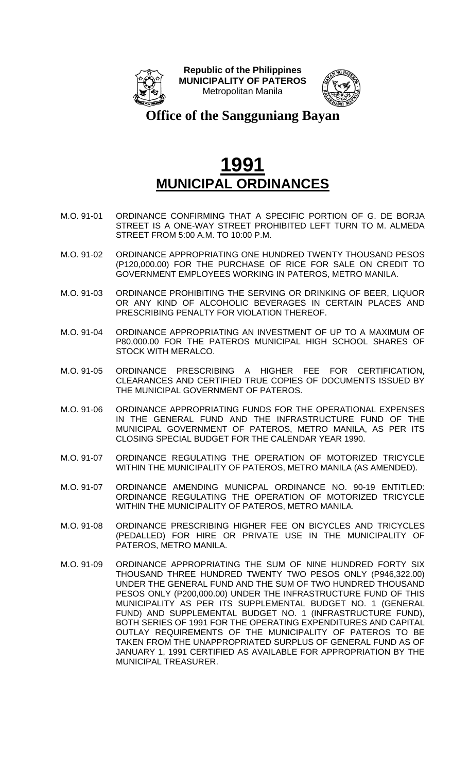



**Office of the Sangguniang Bayan**

- M.O. 91-01 ORDINANCE CONFIRMING THAT A SPECIFIC PORTION OF G. DE BORJA STREET IS A ONE-WAY STREET PROHIBITED LEFT TURN TO M. ALMEDA STREET FROM 5:00 A.M. TO 10:00 P.M.
- M.O. 91-02 ORDINANCE APPROPRIATING ONE HUNDRED TWENTY THOUSAND PESOS (P120,000.00) FOR THE PURCHASE OF RICE FOR SALE ON CREDIT TO GOVERNMENT EMPLOYEES WORKING IN PATEROS, METRO MANILA.
- M.O. 91-03 ORDINANCE PROHIBITING THE SERVING OR DRINKING OF BEER, LIQUOR OR ANY KIND OF ALCOHOLIC BEVERAGES IN CERTAIN PLACES AND PRESCRIBING PENALTY FOR VIOLATION THEREOF.
- M.O. 91-04 ORDINANCE APPROPRIATING AN INVESTMENT OF UP TO A MAXIMUM OF P80,000.00 FOR THE PATEROS MUNICIPAL HIGH SCHOOL SHARES OF STOCK WITH MERALCO.
- M.O. 91-05 ORDINANCE PRESCRIBING A HIGHER FEE FOR CERTIFICATION, CLEARANCES AND CERTIFIED TRUE COPIES OF DOCUMENTS ISSUED BY THE MUNICIPAL GOVERNMENT OF PATEROS.
- M.O. 91-06 ORDINANCE APPROPRIATING FUNDS FOR THE OPERATIONAL EXPENSES IN THE GENERAL FUND AND THE INFRASTRUCTURE FUND OF THE MUNICIPAL GOVERNMENT OF PATEROS, METRO MANILA, AS PER ITS CLOSING SPECIAL BUDGET FOR THE CALENDAR YEAR 1990.
- M.O. 91-07 ORDINANCE REGULATING THE OPERATION OF MOTORIZED TRICYCLE WITHIN THE MUNICIPALITY OF PATEROS, METRO MANILA (AS AMENDED).
- M.O. 91-07 ORDINANCE AMENDING MUNICPAL ORDINANCE NO. 90-19 ENTITLED: ORDINANCE REGULATING THE OPERATION OF MOTORIZED TRICYCLE WITHIN THE MUNICIPALITY OF PATEROS, METRO MANILA.
- M.O. 91-08 ORDINANCE PRESCRIBING HIGHER FEE ON BICYCLES AND TRICYCLES (PEDALLED) FOR HIRE OR PRIVATE USE IN THE MUNICIPALITY OF PATEROS, METRO MANILA.
- M.O. 91-09 ORDINANCE APPROPRIATING THE SUM OF NINE HUNDRED FORTY SIX THOUSAND THREE HUNDRED TWENTY TWO PESOS ONLY (P946,322.00) UNDER THE GENERAL FUND AND THE SUM OF TWO HUNDRED THOUSAND PESOS ONLY (P200,000.00) UNDER THE INFRASTRUCTURE FUND OF THIS MUNICIPALITY AS PER ITS SUPPLEMENTAL BUDGET NO. 1 (GENERAL FUND) AND SUPPLEMENTAL BUDGET NO. 1 (INFRASTRUCTURE FUND), BOTH SERIES OF 1991 FOR THE OPERATING EXPENDITURES AND CAPITAL OUTLAY REQUIREMENTS OF THE MUNICIPALITY OF PATEROS TO BE TAKEN FROM THE UNAPPROPRIATED SURPLUS OF GENERAL FUND AS OF JANUARY 1, 1991 CERTIFIED AS AVAILABLE FOR APPROPRIATION BY THE MUNICIPAL TREASURER.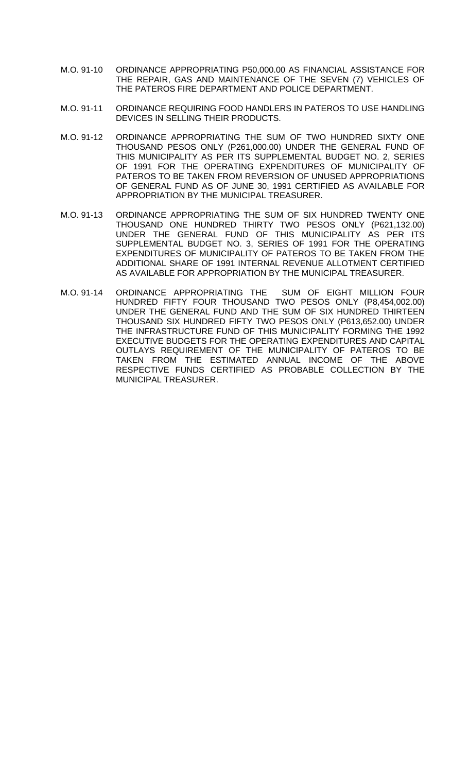- M.O. 91-10 ORDINANCE APPROPRIATING P50,000.00 AS FINANCIAL ASSISTANCE FOR THE REPAIR, GAS AND MAINTENANCE OF THE SEVEN (7) VEHICLES OF THE PATEROS FIRE DEPARTMENT AND POLICE DEPARTMENT.
- M.O. 91-11 ORDINANCE REQUIRING FOOD HANDLERS IN PATEROS TO USE HANDLING DEVICES IN SELLING THEIR PRODUCTS.
- M.O. 91-12 ORDINANCE APPROPRIATING THE SUM OF TWO HUNDRED SIXTY ONE THOUSAND PESOS ONLY (P261,000.00) UNDER THE GENERAL FUND OF THIS MUNICIPALITY AS PER ITS SUPPLEMENTAL BUDGET NO. 2, SERIES OF 1991 FOR THE OPERATING EXPENDITURES OF MUNICIPALITY OF PATEROS TO BE TAKEN FROM REVERSION OF UNUSED APPROPRIATIONS OF GENERAL FUND AS OF JUNE 30, 1991 CERTIFIED AS AVAILABLE FOR APPROPRIATION BY THE MUNICIPAL TREASURER.
- M.O. 91-13 ORDINANCE APPROPRIATING THE SUM OF SIX HUNDRED TWENTY ONE THOUSAND ONE HUNDRED THIRTY TWO PESOS ONLY (P621,132.00) UNDER THE GENERAL FUND OF THIS MUNICIPALITY AS PER ITS SUPPLEMENTAL BUDGET NO. 3, SERIES OF 1991 FOR THE OPERATING EXPENDITURES OF MUNICIPALITY OF PATEROS TO BE TAKEN FROM THE ADDITIONAL SHARE OF 1991 INTERNAL REVENUE ALLOTMENT CERTIFIED AS AVAILABLE FOR APPROPRIATION BY THE MUNICIPAL TREASURER.
- M.O. 91-14 ORDINANCE APPROPRIATING THE SUM OF EIGHT MILLION FOUR HUNDRED FIFTY FOUR THOUSAND TWO PESOS ONLY (P8,454,002.00) UNDER THE GENERAL FUND AND THE SUM OF SIX HUNDRED THIRTEEN THOUSAND SIX HUNDRED FIFTY TWO PESOS ONLY (P613,652.00) UNDER THE INFRASTRUCTURE FUND OF THIS MUNICIPALITY FORMING THE 1992 EXECUTIVE BUDGETS FOR THE OPERATING EXPENDITURES AND CAPITAL OUTLAYS REQUIREMENT OF THE MUNICIPALITY OF PATEROS TO BE TAKEN FROM THE ESTIMATED ANNUAL INCOME OF THE ABOVE RESPECTIVE FUNDS CERTIFIED AS PROBABLE COLLECTION BY THE MUNICIPAL TREASURER.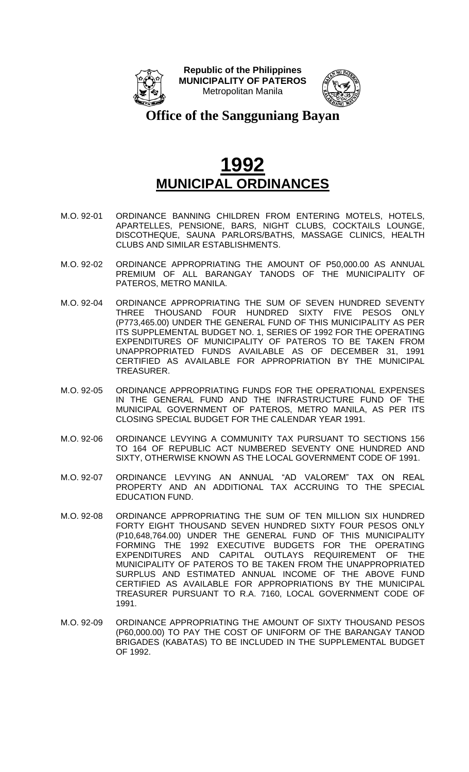



**Office of the Sangguniang Bayan**

- M.O. 92-01 ORDINANCE BANNING CHILDREN FROM ENTERING MOTELS, HOTELS, APARTELLES, PENSIONE, BARS, NIGHT CLUBS, COCKTAILS LOUNGE, DISCOTHEQUE, SAUNA PARLORS/BATHS, MASSAGE CLINICS, HEALTH CLUBS AND SIMILAR ESTABLISHMENTS.
- M.O. 92-02 ORDINANCE APPROPRIATING THE AMOUNT OF P50,000.00 AS ANNUAL PREMIUM OF ALL BARANGAY TANODS OF THE MUNICIPALITY OF PATEROS, METRO MANILA.
- M.O. 92-04 ORDINANCE APPROPRIATING THE SUM OF SEVEN HUNDRED SEVENTY THREE THOUSAND FOUR HUNDRED SIXTY FIVE PESOS ONLY (P773,465.00) UNDER THE GENERAL FUND OF THIS MUNICIPALITY AS PER ITS SUPPLEMENTAL BUDGET NO. 1, SERIES OF 1992 FOR THE OPERATING EXPENDITURES OF MUNICIPALITY OF PATEROS TO BE TAKEN FROM UNAPPROPRIATED FUNDS AVAILABLE AS OF DECEMBER 31, 1991 CERTIFIED AS AVAILABLE FOR APPROPRIATION BY THE MUNICIPAL TREASURER.
- M.O. 92-05 ORDINANCE APPROPRIATING FUNDS FOR THE OPERATIONAL EXPENSES IN THE GENERAL FUND AND THE INFRASTRUCTURE FUND OF THE MUNICIPAL GOVERNMENT OF PATEROS, METRO MANILA, AS PER ITS CLOSING SPECIAL BUDGET FOR THE CALENDAR YEAR 1991.
- M.O. 92-06 ORDINANCE LEVYING A COMMUNITY TAX PURSUANT TO SECTIONS 156 TO 164 OF REPUBLIC ACT NUMBERED SEVENTY ONE HUNDRED AND SIXTY, OTHERWISE KNOWN AS THE LOCAL GOVERNMENT CODE OF 1991.
- M.O. 92-07 ORDINANCE LEVYING AN ANNUAL "AD VALOREM" TAX ON REAL PROPERTY AND AN ADDITIONAL TAX ACCRUING TO THE SPECIAL EDUCATION FUND.
- M.O. 92-08 ORDINANCE APPROPRIATING THE SUM OF TEN MILLION SIX HUNDRED FORTY EIGHT THOUSAND SEVEN HUNDRED SIXTY FOUR PESOS ONLY (P10,648,764.00) UNDER THE GENERAL FUND OF THIS MUNICIPALITY FORMING THE 1992 EXECUTIVE BUDGETS FOR THE OPERATING EXPENDITURES AND CAPITAL OUTLAYS REQUIREMENT OF THE MUNICIPALITY OF PATEROS TO BE TAKEN FROM THE UNAPPROPRIATED SURPLUS AND ESTIMATED ANNUAL INCOME OF THE ABOVE FUND CERTIFIED AS AVAILABLE FOR APPROPRIATIONS BY THE MUNICIPAL TREASURER PURSUANT TO R.A. 7160, LOCAL GOVERNMENT CODE OF 1991.
- M.O. 92-09 ORDINANCE APPROPRIATING THE AMOUNT OF SIXTY THOUSAND PESOS (P60,000.00) TO PAY THE COST OF UNIFORM OF THE BARANGAY TANOD BRIGADES (KABATAS) TO BE INCLUDED IN THE SUPPLEMENTAL BUDGET OF 1992.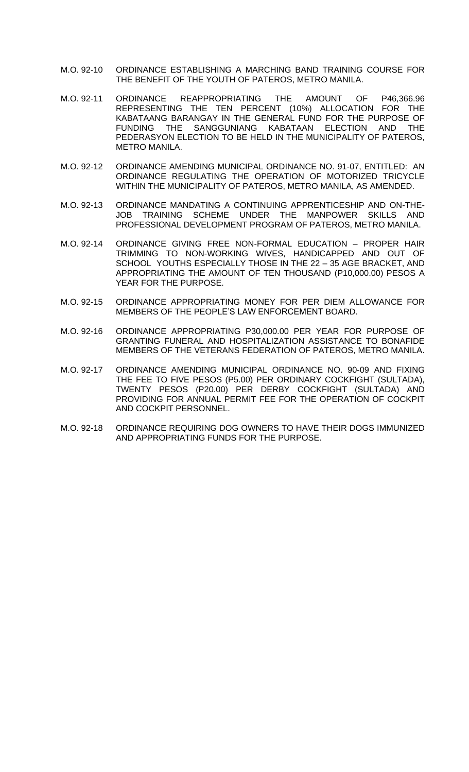- M.O. 92-10 ORDINANCE ESTABLISHING A MARCHING BAND TRAINING COURSE FOR THE BENEFIT OF THE YOUTH OF PATEROS, METRO MANILA.
- M.O. 92-11 ORDINANCE REAPPROPRIATING THE AMOUNT OF P46,366.96 REPRESENTING THE TEN PERCENT (10%) ALLOCATION FOR THE KABATAANG BARANGAY IN THE GENERAL FUND FOR THE PURPOSE OF FUNDING THE SANGGUNIANG KABATAAN ELECTION AND THE PEDERASYON ELECTION TO BE HELD IN THE MUNICIPALITY OF PATEROS, METRO MANILA.
- M.O. 92-12 ORDINANCE AMENDING MUNICIPAL ORDINANCE NO. 91-07, ENTITLED: AN ORDINANCE REGULATING THE OPERATION OF MOTORIZED TRICYCLE WITHIN THE MUNICIPALITY OF PATEROS, METRO MANILA, AS AMENDED.
- M.O. 92-13 ORDINANCE MANDATING A CONTINUING APPRENTICESHIP AND ON-THE-JOB TRAINING SCHEME UNDER THE MANPOWER SKILLS AND PROFESSIONAL DEVELOPMENT PROGRAM OF PATEROS, METRO MANILA.
- M.O. 92-14 ORDINANCE GIVING FREE NON-FORMAL EDUCATION PROPER HAIR TRIMMING TO NON-WORKING WIVES, HANDICAPPED AND OUT OF SCHOOL YOUTHS ESPECIALLY THOSE IN THE 22 – 35 AGE BRACKET, AND APPROPRIATING THE AMOUNT OF TEN THOUSAND (P10,000.00) PESOS A YEAR FOR THE PURPOSE.
- M.O. 92-15 ORDINANCE APPROPRIATING MONEY FOR PER DIEM ALLOWANCE FOR MEMBERS OF THE PEOPLE'S LAW ENFORCEMENT BOARD.
- M.O. 92-16 ORDINANCE APPROPRIATING P30,000.00 PER YEAR FOR PURPOSE OF GRANTING FUNERAL AND HOSPITALIZATION ASSISTANCE TO BONAFIDE MEMBERS OF THE VETERANS FEDERATION OF PATEROS, METRO MANILA.
- M.O. 92-17 ORDINANCE AMENDING MUNICIPAL ORDINANCE NO. 90-09 AND FIXING THE FEE TO FIVE PESOS (P5.00) PER ORDINARY COCKFIGHT (SULTADA), TWENTY PESOS (P20.00) PER DERBY COCKFIGHT (SULTADA) AND PROVIDING FOR ANNUAL PERMIT FEE FOR THE OPERATION OF COCKPIT AND COCKPIT PERSONNEL.
- M.O. 92-18 ORDINANCE REQUIRING DOG OWNERS TO HAVE THEIR DOGS IMMUNIZED AND APPROPRIATING FUNDS FOR THE PURPOSE.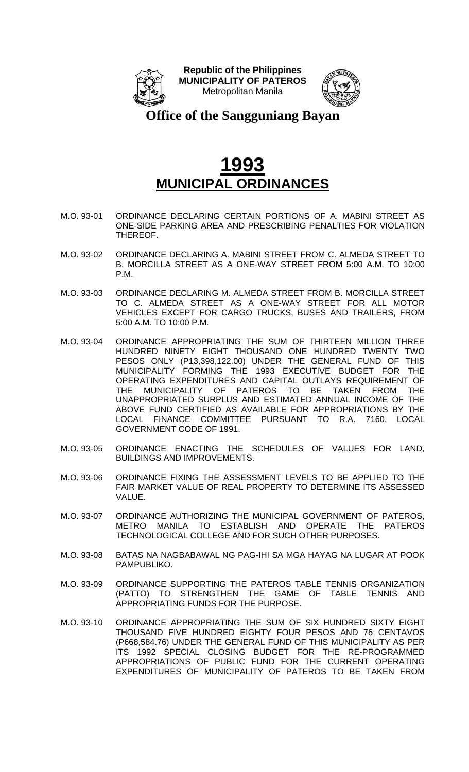



**Office of the Sangguniang Bayan**

- M.O. 93-01 ORDINANCE DECLARING CERTAIN PORTIONS OF A. MABINI STREET AS ONE-SIDE PARKING AREA AND PRESCRIBING PENALTIES FOR VIOLATION THEREOF.
- M.O. 93-02 ORDINANCE DECLARING A. MABINI STREET FROM C. ALMEDA STREET TO B. MORCILLA STREET AS A ONE-WAY STREET FROM 5:00 A.M. TO 10:00 P.M.
- M.O. 93-03 ORDINANCE DECLARING M. ALMEDA STREET FROM B. MORCILLA STREET TO C. ALMEDA STREET AS A ONE-WAY STREET FOR ALL MOTOR VEHICLES EXCEPT FOR CARGO TRUCKS, BUSES AND TRAILERS, FROM 5:00 A.M. TO 10:00 P.M.
- M.O. 93-04 ORDINANCE APPROPRIATING THE SUM OF THIRTEEN MILLION THREE HUNDRED NINETY EIGHT THOUSAND ONE HUNDRED TWENTY TWO PESOS ONLY (P13,398,122.00) UNDER THE GENERAL FUND OF THIS MUNICIPALITY FORMING THE 1993 EXECUTIVE BUDGET FOR THE OPERATING EXPENDITURES AND CAPITAL OUTLAYS REQUIREMENT OF THE MUNICIPALITY OF PATEROS TO BE TAKEN FROM THE UNAPPROPRIATED SURPLUS AND ESTIMATED ANNUAL INCOME OF THE ABOVE FUND CERTIFIED AS AVAILABLE FOR APPROPRIATIONS BY THE LOCAL FINANCE COMMITTEE PURSUANT TO R.A. 7160, LOCAL GOVERNMENT CODE OF 1991.
- M.O. 93-05 ORDINANCE ENACTING THE SCHEDULES OF VALUES FOR LAND, BUILDINGS AND IMPROVEMENTS.
- M.O. 93-06 ORDINANCE FIXING THE ASSESSMENT LEVELS TO BE APPLIED TO THE FAIR MARKET VALUE OF REAL PROPERTY TO DETERMINE ITS ASSESSED VALUE.
- M.O. 93-07 ORDINANCE AUTHORIZING THE MUNICIPAL GOVERNMENT OF PATEROS, METRO MANILA TO ESTABLISH AND OPERATE THE PATEROS TECHNOLOGICAL COLLEGE AND FOR SUCH OTHER PURPOSES.
- M.O. 93-08 BATAS NA NAGBABAWAL NG PAG-IHI SA MGA HAYAG NA LUGAR AT POOK PAMPUBLIKO.
- M.O. 93-09 ORDINANCE SUPPORTING THE PATEROS TABLE TENNIS ORGANIZATION (PATTO) TO STRENGTHEN THE GAME OF TABLE TENNIS AND APPROPRIATING FUNDS FOR THE PURPOSE.
- M.O. 93-10 ORDINANCE APPROPRIATING THE SUM OF SIX HUNDRED SIXTY EIGHT THOUSAND FIVE HUNDRED EIGHTY FOUR PESOS AND 76 CENTAVOS (P668,584.76) UNDER THE GENERAL FUND OF THIS MUNICIPALITY AS PER ITS 1992 SPECIAL CLOSING BUDGET FOR THE RE-PROGRAMMED APPROPRIATIONS OF PUBLIC FUND FOR THE CURRENT OPERATING EXPENDITURES OF MUNICIPALITY OF PATEROS TO BE TAKEN FROM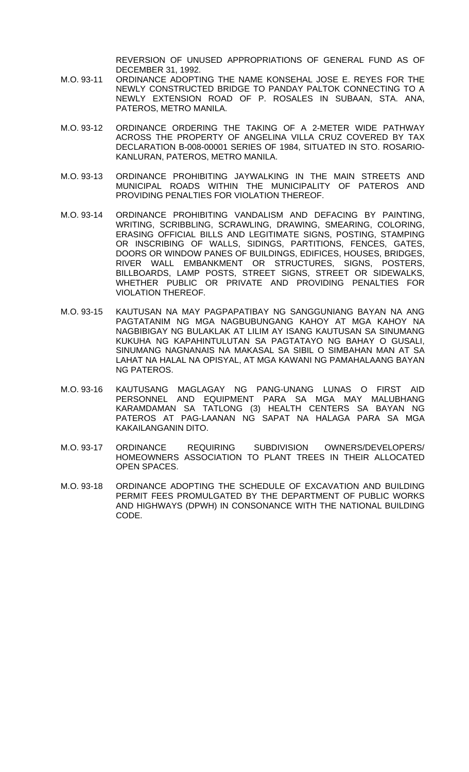REVERSION OF UNUSED APPROPRIATIONS OF GENERAL FUND AS OF DECEMBER 31, 1992.

- M.O. 93-11 ORDINANCE ADOPTING THE NAME KONSEHAL JOSE E. REYES FOR THE NEWLY CONSTRUCTED BRIDGE TO PANDAY PALTOK CONNECTING TO A NEWLY EXTENSION ROAD OF P. ROSALES IN SUBAAN, STA. ANA, PATEROS, METRO MANILA.
- M.O. 93-12 ORDINANCE ORDERING THE TAKING OF A 2-METER WIDE PATHWAY ACROSS THE PROPERTY OF ANGELINA VILLA CRUZ COVERED BY TAX DECLARATION B-008-00001 SERIES OF 1984, SITUATED IN STO. ROSARIO-KANLURAN, PATEROS, METRO MANILA.
- M.O. 93-13 ORDINANCE PROHIBITING JAYWALKING IN THE MAIN STREETS AND MUNICIPAL ROADS WITHIN THE MUNICIPALITY OF PATEROS AND PROVIDING PENALTIES FOR VIOLATION THEREOF.
- M.O. 93-14 ORDINANCE PROHIBITING VANDALISM AND DEFACING BY PAINTING, WRITING, SCRIBBLING, SCRAWLING, DRAWING, SMEARING, COLORING, ERASING OFFICIAL BILLS AND LEGITIMATE SIGNS, POSTING, STAMPING OR INSCRIBING OF WALLS, SIDINGS, PARTITIONS, FENCES, GATES, DOORS OR WINDOW PANES OF BUILDINGS, EDIFICES, HOUSES, BRIDGES, RIVER WALL EMBANKMENT OR STRUCTURES, SIGNS, POSTERS, BILLBOARDS, LAMP POSTS, STREET SIGNS, STREET OR SIDEWALKS, WHETHER PUBLIC OR PRIVATE AND PROVIDING PENALTIES FOR VIOLATION THEREOF.
- M.O. 93-15 KAUTUSAN NA MAY PAGPAPATIBAY NG SANGGUNIANG BAYAN NA ANG PAGTATANIM NG MGA NAGBUBUNGANG KAHOY AT MGA KAHOY NA NAGBIBIGAY NG BULAKLAK AT LILIM AY ISANG KAUTUSAN SA SINUMANG KUKUHA NG KAPAHINTULUTAN SA PAGTATAYO NG BAHAY O GUSALI, SINUMANG NAGNANAIS NA MAKASAL SA SIBIL O SIMBAHAN MAN AT SA LAHAT NA HALAL NA OPISYAL, AT MGA KAWANI NG PAMAHALAANG BAYAN NG PATEROS.
- M.O. 93-16 KAUTUSANG MAGLAGAY NG PANG-UNANG LUNAS O FIRST AID PERSONNEL AND EQUIPMENT PARA SA MGA MAY MALUBHANG KARAMDAMAN SA TATLONG (3) HEALTH CENTERS SA BAYAN NG PATEROS AT PAG-LAANAN NG SAPAT NA HALAGA PARA SA MGA KAKAILANGANIN DITO.
- M.O. 93-17 ORDINANCE REQUIRING SUBDIVISION OWNERS/DEVELOPERS/ HOMEOWNERS ASSOCIATION TO PLANT TREES IN THEIR ALLOCATED OPEN SPACES.
- M.O. 93-18 ORDINANCE ADOPTING THE SCHEDULE OF EXCAVATION AND BUILDING PERMIT FEES PROMULGATED BY THE DEPARTMENT OF PUBLIC WORKS AND HIGHWAYS (DPWH) IN CONSONANCE WITH THE NATIONAL BUILDING CODE.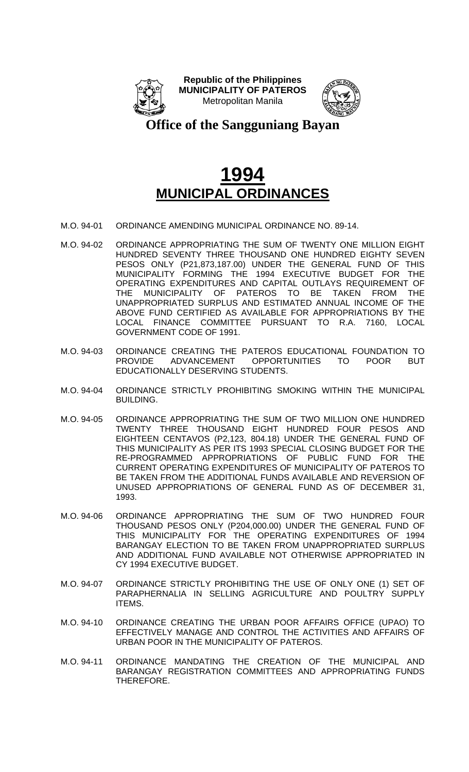



#### **Office of the Sangguniang Bayan**

- M.O. 94-01 ORDINANCE AMENDING MUNICIPAL ORDINANCE NO. 89-14.
- M.O. 94-02 ORDINANCE APPROPRIATING THE SUM OF TWENTY ONE MILLION EIGHT HUNDRED SEVENTY THREE THOUSAND ONE HUNDRED EIGHTY SEVEN PESOS ONLY (P21,873,187.00) UNDER THE GENERAL FUND OF THIS MUNICIPALITY FORMING THE 1994 EXECUTIVE BUDGET FOR THE OPERATING EXPENDITURES AND CAPITAL OUTLAYS REQUIREMENT OF THE MUNICIPALITY OF PATEROS TO BE TAKEN FROM THE UNAPPROPRIATED SURPLUS AND ESTIMATED ANNUAL INCOME OF THE ABOVE FUND CERTIFIED AS AVAILABLE FOR APPROPRIATIONS BY THE LOCAL FINANCE COMMITTEE PURSUANT TO R.A. 7160, LOCAL GOVERNMENT CODE OF 1991.
- M.O. 94-03 ORDINANCE CREATING THE PATEROS EDUCATIONAL FOUNDATION TO PROVIDE ADVANCEMENT OPPORTUNITIES TO POOR BUT EDUCATIONALLY DESERVING STUDENTS.
- M.O. 94-04 ORDINANCE STRICTLY PROHIBITING SMOKING WITHIN THE MUNICIPAL BUILDING.
- M.O. 94-05 ORDINANCE APPROPRIATING THE SUM OF TWO MILLION ONE HUNDRED TWENTY THREE THOUSAND EIGHT HUNDRED FOUR PESOS AND EIGHTEEN CENTAVOS (P2,123, 804.18) UNDER THE GENERAL FUND OF THIS MUNICIPALITY AS PER ITS 1993 SPECIAL CLOSING BUDGET FOR THE RE-PROGRAMMED APPROPRIATIONS OF PUBLIC FUND FOR THE CURRENT OPERATING EXPENDITURES OF MUNICIPALITY OF PATEROS TO BE TAKEN FROM THE ADDITIONAL FUNDS AVAILABLE AND REVERSION OF UNUSED APPROPRIATIONS OF GENERAL FUND AS OF DECEMBER 31, 1993.
- M.O. 94-06 ORDINANCE APPROPRIATING THE SUM OF TWO HUNDRED FOUR THOUSAND PESOS ONLY (P204,000.00) UNDER THE GENERAL FUND OF THIS MUNICIPALITY FOR THE OPERATING EXPENDITURES OF 1994 BARANGAY ELECTION TO BE TAKEN FROM UNAPPROPRIATED SURPLUS AND ADDITIONAL FUND AVAILABLE NOT OTHERWISE APPROPRIATED IN CY 1994 EXECUTIVE BUDGET.
- M.O. 94-07 ORDINANCE STRICTLY PROHIBITING THE USE OF ONLY ONE (1) SET OF PARAPHERNALIA IN SELLING AGRICULTURE AND POULTRY SUPPLY ITEMS.
- M.O. 94-10 ORDINANCE CREATING THE URBAN POOR AFFAIRS OFFICE (UPAO) TO EFFECTIVELY MANAGE AND CONTROL THE ACTIVITIES AND AFFAIRS OF URBAN POOR IN THE MUNICIPALITY OF PATEROS.
- M.O. 94-11 ORDINANCE MANDATING THE CREATION OF THE MUNICIPAL AND BARANGAY REGISTRATION COMMITTEES AND APPROPRIATING FUNDS THEREFORE.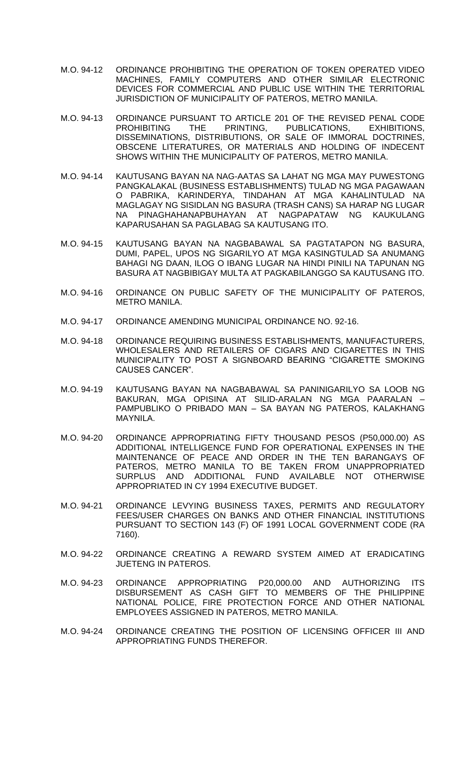- M.O. 94-12 ORDINANCE PROHIBITING THE OPERATION OF TOKEN OPERATED VIDEO MACHINES, FAMILY COMPUTERS AND OTHER SIMILAR ELECTRONIC DEVICES FOR COMMERCIAL AND PUBLIC USE WITHIN THE TERRITORIAL JURISDICTION OF MUNICIPALITY OF PATEROS, METRO MANILA.
- M.O. 94-13 ORDINANCE PURSUANT TO ARTICLE 201 OF THE REVISED PENAL CODE PROHIBITING THE PRINTING, PUBLICATIONS, EXHIBITIONS, DISSEMINATIONS, DISTRIBUTIONS, OR SALE OF IMMORAL DOCTRINES, OBSCENE LITERATURES, OR MATERIALS AND HOLDING OF INDECENT SHOWS WITHIN THE MUNICIPALITY OF PATEROS, METRO MANILA.
- M.O. 94-14 KAUTUSANG BAYAN NA NAG-AATAS SA LAHAT NG MGA MAY PUWESTONG PANGKALAKAL (BUSINESS ESTABLISHMENTS) TULAD NG MGA PAGAWAAN O PABRIKA, KARINDERYA, TINDAHAN AT MGA KAHALINTULAD NA MAGLAGAY NG SISIDLAN NG BASURA (TRASH CANS) SA HARAP NG LUGAR NA PINAGHAHANAPBUHAYAN AT NAGPAPATAW NG KAUKULANG KAPARUSAHAN SA PAGLABAG SA KAUTUSANG ITO.
- M.O. 94-15 KAUTUSANG BAYAN NA NAGBABAWAL SA PAGTATAPON NG BASURA, DUMI, PAPEL, UPOS NG SIGARILYO AT MGA KASINGTULAD SA ANUMANG BAHAGI NG DAAN, ILOG O IBANG LUGAR NA HINDI PINILI NA TAPUNAN NG BASURA AT NAGBIBIGAY MULTA AT PAGKABILANGGO SA KAUTUSANG ITO.
- M.O. 94-16 ORDINANCE ON PUBLIC SAFETY OF THE MUNICIPALITY OF PATEROS, METRO MANILA.
- M.O. 94-17 ORDINANCE AMENDING MUNICIPAL ORDINANCE NO. 92-16.
- M.O. 94-18 ORDINANCE REQUIRING BUSINESS ESTABLISHMENTS, MANUFACTURERS, WHOLESALERS AND RETAILERS OF CIGARS AND CIGARETTES IN THIS MUNICIPALITY TO POST A SIGNBOARD BEARING "CIGARETTE SMOKING CAUSES CANCER".
- M.O. 94-19 KAUTUSANG BAYAN NA NAGBABAWAL SA PANINIGARILYO SA LOOB NG BAKURAN, MGA OPISINA AT SILID-ARALAN NG MGA PAARALAN – PAMPUBLIKO O PRIBADO MAN – SA BAYAN NG PATEROS, KALAKHANG MAYNILA.
- M.O. 94-20 ORDINANCE APPROPRIATING FIFTY THOUSAND PESOS (P50,000.00) AS ADDITIONAL INTELLIGENCE FUND FOR OPERATIONAL EXPENSES IN THE MAINTENANCE OF PEACE AND ORDER IN THE TEN BARANGAYS OF PATEROS, METRO MANILA TO BE TAKEN FROM UNAPPROPRIATED SURPLUS AND ADDITIONAL FUND AVAILABLE NOT OTHERWISE APPROPRIATED IN CY 1994 EXECUTIVE BUDGET.
- M.O. 94-21 ORDINANCE LEVYING BUSINESS TAXES, PERMITS AND REGULATORY FEES/USER CHARGES ON BANKS AND OTHER FINANCIAL INSTITUTIONS PURSUANT TO SECTION 143 (F) OF 1991 LOCAL GOVERNMENT CODE (RA 7160).
- M.O. 94-22 ORDINANCE CREATING A REWARD SYSTEM AIMED AT ERADICATING JUETENG IN PATEROS.
- M.O. 94-23 ORDINANCE APPROPRIATING P20,000.00 AND AUTHORIZING ITS DISBURSEMENT AS CASH GIFT TO MEMBERS OF THE PHILIPPINE NATIONAL POLICE, FIRE PROTECTION FORCE AND OTHER NATIONAL EMPLOYEES ASSIGNED IN PATEROS, METRO MANILA.
- M.O. 94-24 ORDINANCE CREATING THE POSITION OF LICENSING OFFICER III AND APPROPRIATING FUNDS THEREFOR.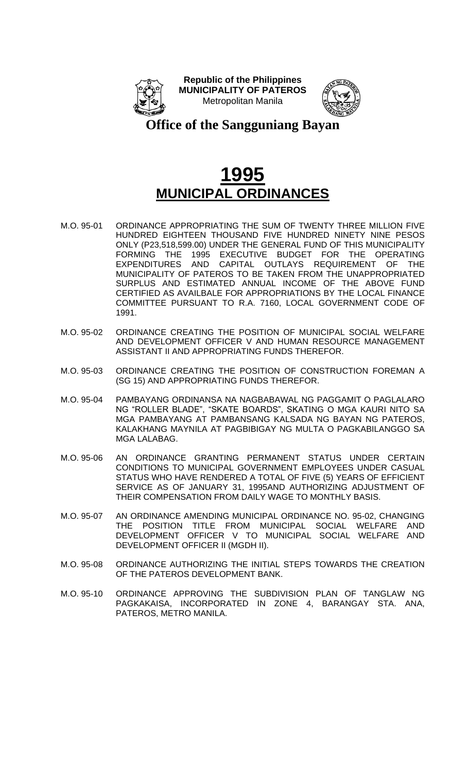



#### **Office of the Sangguniang Bayan**

- M.O. 95-01 ORDINANCE APPROPRIATING THE SUM OF TWENTY THREE MILLION FIVE HUNDRED EIGHTEEN THOUSAND FIVE HUNDRED NINETY NINE PESOS ONLY (P23,518,599.00) UNDER THE GENERAL FUND OF THIS MUNICIPALITY FORMING THE 1995 EXECUTIVE BUDGET FOR THE OPERATING EXPENDITURES AND CAPITAL OUTLAYS REQUIREMENT OF THE MUNICIPALITY OF PATEROS TO BE TAKEN FROM THE UNAPPROPRIATED SURPLUS AND ESTIMATED ANNUAL INCOME OF THE ABOVE FUND CERTIFIED AS AVAILBALE FOR APPROPRIATIONS BY THE LOCAL FINANCE COMMITTEE PURSUANT TO R.A. 7160, LOCAL GOVERNMENT CODE OF 1991.
- M.O. 95-02 ORDINANCE CREATING THE POSITION OF MUNICIPAL SOCIAL WELFARE AND DEVELOPMENT OFFICER V AND HUMAN RESOURCE MANAGEMENT ASSISTANT II AND APPROPRIATING FUNDS THEREFOR.
- M.O. 95-03 ORDINANCE CREATING THE POSITION OF CONSTRUCTION FOREMAN A (SG 15) AND APPROPRIATING FUNDS THEREFOR.
- M.O. 95-04 PAMBAYANG ORDINANSA NA NAGBABAWAL NG PAGGAMIT O PAGLALARO NG "ROLLER BLADE", "SKATE BOARDS", SKATING O MGA KAURI NITO SA MGA PAMBAYANG AT PAMBANSANG KALSADA NG BAYAN NG PATEROS, KALAKHANG MAYNILA AT PAGBIBIGAY NG MULTA O PAGKABILANGGO SA MGA LALABAG.
- M.O. 95-06 AN ORDINANCE GRANTING PERMANENT STATUS UNDER CERTAIN CONDITIONS TO MUNICIPAL GOVERNMENT EMPLOYEES UNDER CASUAL STATUS WHO HAVE RENDERED A TOTAL OF FIVE (5) YEARS OF EFFICIENT SERVICE AS OF JANUARY 31, 1995AND AUTHORIZING ADJUSTMENT OF THEIR COMPENSATION FROM DAILY WAGE TO MONTHLY BASIS.
- M.O. 95-07 AN ORDINANCE AMENDING MUNICIPAL ORDINANCE NO. 95-02, CHANGING THE POSITION TITLE FROM MUNICIPAL SOCIAL WELFARE AND DEVELOPMENT OFFICER V TO MUNICIPAL SOCIAL WELFARE AND DEVELOPMENT OFFICER II (MGDH II).
- M.O. 95-08 ORDINANCE AUTHORIZING THE INITIAL STEPS TOWARDS THE CREATION OF THE PATEROS DEVELOPMENT BANK.
- M.O. 95-10 ORDINANCE APPROVING THE SUBDIVISION PLAN OF TANGLAW NG PAGKAKAISA, INCORPORATED IN ZONE 4, BARANGAY STA. ANA, PATEROS, METRO MANILA.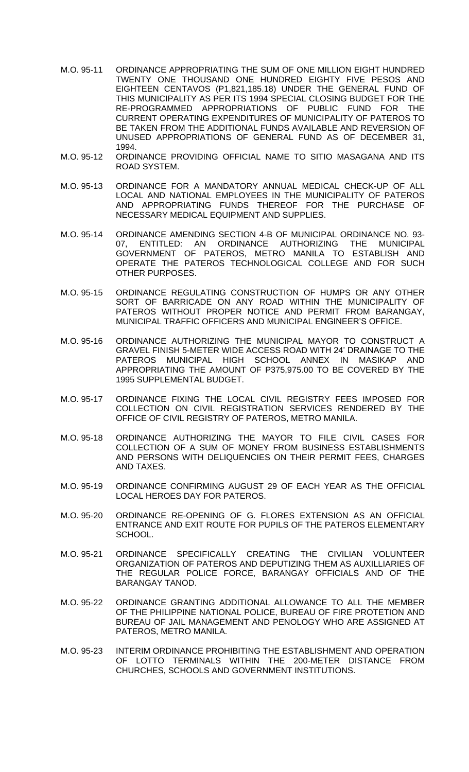- M.O. 95-11 ORDINANCE APPROPRIATING THE SUM OF ONE MILLION EIGHT HUNDRED TWENTY ONE THOUSAND ONE HUNDRED EIGHTY FIVE PESOS AND EIGHTEEN CENTAVOS (P1,821,185.18) UNDER THE GENERAL FUND OF THIS MUNICIPALITY AS PER ITS 1994 SPECIAL CLOSING BUDGET FOR THE RE-PROGRAMMED APPROPRIATIONS OF PUBLIC FUND FOR THE CURRENT OPERATING EXPENDITURES OF MUNICIPALITY OF PATEROS TO BE TAKEN FROM THE ADDITIONAL FUNDS AVAILABLE AND REVERSION OF UNUSED APPROPRIATIONS OF GENERAL FUND AS OF DECEMBER 31, 1994.
- M.O. 95-12 ORDINANCE PROVIDING OFFICIAL NAME TO SITIO MASAGANA AND ITS ROAD SYSTEM.
- M.O. 95-13 ORDINANCE FOR A MANDATORY ANNUAL MEDICAL CHECK-UP OF ALL LOCAL AND NATIONAL EMPLOYEES IN THE MUNICIPALITY OF PATEROS AND APPROPRIATING FUNDS THEREOF FOR THE PURCHASE OF NECESSARY MEDICAL EQUIPMENT AND SUPPLIES.
- M.O. 95-14 ORDINANCE AMENDING SECTION 4-B OF MUNICIPAL ORDINANCE NO. 93- 07, ENTITLED: AN ORDINANCE AUTHORIZING THE MUNICIPAL GOVERNMENT OF PATEROS, METRO MANILA TO ESTABLISH AND OPERATE THE PATEROS TECHNOLOGICAL COLLEGE AND FOR SUCH OTHER PURPOSES.
- M.O. 95-15 ORDINANCE REGULATING CONSTRUCTION OF HUMPS OR ANY OTHER SORT OF BARRICADE ON ANY ROAD WITHIN THE MUNICIPALITY OF PATEROS WITHOUT PROPER NOTICE AND PERMIT FROM BARANGAY, MUNICIPAL TRAFFIC OFFICERS AND MUNICIPAL ENGINEER'S OFFICE.
- M.O. 95-16 ORDINANCE AUTHORIZING THE MUNICIPAL MAYOR TO CONSTRUCT A GRAVEL FINISH 5-METER WIDE ACCESS ROAD WITH 24' DRAINAGE TO THE PATEROS MUNICIPAL HIGH SCHOOL ANNEX IN MASIKAP AND APPROPRIATING THE AMOUNT OF P375,975.00 TO BE COVERED BY THE 1995 SUPPLEMENTAL BUDGET.
- M.O. 95-17 ORDINANCE FIXING THE LOCAL CIVIL REGISTRY FEES IMPOSED FOR COLLECTION ON CIVIL REGISTRATION SERVICES RENDERED BY THE OFFICE OF CIVIL REGISTRY OF PATEROS, METRO MANILA.
- M.O. 95-18 ORDINANCE AUTHORIZING THE MAYOR TO FILE CIVIL CASES FOR COLLECTION OF A SUM OF MONEY FROM BUSINESS ESTABLISHMENTS AND PERSONS WITH DELIQUENCIES ON THEIR PERMIT FEES, CHARGES AND TAXES.
- M.O. 95-19 ORDINANCE CONFIRMING AUGUST 29 OF EACH YEAR AS THE OFFICIAL LOCAL HEROES DAY FOR PATEROS.
- M.O. 95-20 ORDINANCE RE-OPENING OF G. FLORES EXTENSION AS AN OFFICIAL ENTRANCE AND EXIT ROUTE FOR PUPILS OF THE PATEROS ELEMENTARY SCHOOL.
- M.O. 95-21 ORDINANCE SPECIFICALLY CREATING THE CIVILIAN VOLUNTEER ORGANIZATION OF PATEROS AND DEPUTIZING THEM AS AUXILLIARIES OF THE REGULAR POLICE FORCE, BARANGAY OFFICIALS AND OF THE BARANGAY TANOD.
- M.O. 95-22 ORDINANCE GRANTING ADDITIONAL ALLOWANCE TO ALL THE MEMBER OF THE PHILIPPINE NATIONAL POLICE, BUREAU OF FIRE PROTETION AND BUREAU OF JAIL MANAGEMENT AND PENOLOGY WHO ARE ASSIGNED AT PATEROS, METRO MANILA.
- M.O. 95-23 INTERIM ORDINANCE PROHIBITING THE ESTABLISHMENT AND OPERATION OF LOTTO TERMINALS WITHIN THE 200-METER DISTANCE FROM CHURCHES, SCHOOLS AND GOVERNMENT INSTITUTIONS.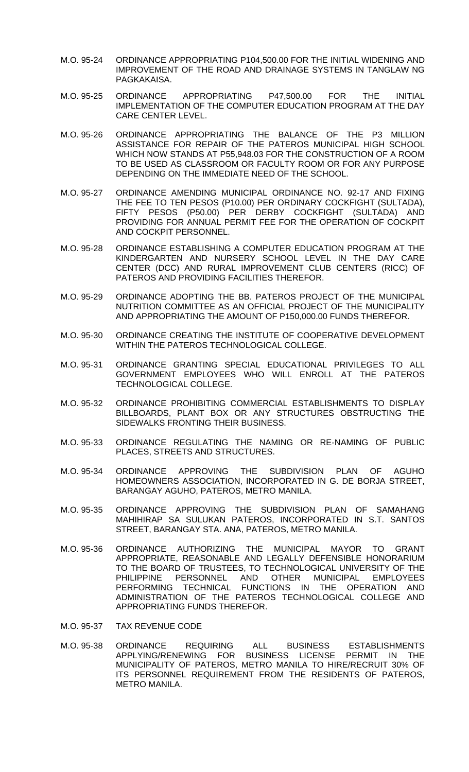- M.O. 95-24 ORDINANCE APPROPRIATING P104,500.00 FOR THE INITIAL WIDENING AND IMPROVEMENT OF THE ROAD AND DRAINAGE SYSTEMS IN TANGLAW NG PAGKAKAISA.
- M.O. 95-25 ORDINANCE APPROPRIATING P47,500.00 FOR THE INITIAL IMPLEMENTATION OF THE COMPUTER EDUCATION PROGRAM AT THE DAY CARE CENTER LEVEL.
- M.O. 95-26 ORDINANCE APPROPRIATING THE BALANCE OF THE P3 MILLION ASSISTANCE FOR REPAIR OF THE PATEROS MUNICIPAL HIGH SCHOOL WHICH NOW STANDS AT P55,948.03 FOR THE CONSTRUCTION OF A ROOM TO BE USED AS CLASSROOM OR FACULTY ROOM OR FOR ANY PURPOSE DEPENDING ON THE IMMEDIATE NEED OF THE SCHOOL.
- M.O. 95-27 ORDINANCE AMENDING MUNICIPAL ORDINANCE NO. 92-17 AND FIXING THE FEE TO TEN PESOS (P10.00) PER ORDINARY COCKFIGHT (SULTADA), FIFTY PESOS (P50.00) PER DERBY COCKFIGHT (SULTADA) AND PROVIDING FOR ANNUAL PERMIT FEE FOR THE OPERATION OF COCKPIT AND COCKPIT PERSONNEL.
- M.O. 95-28 ORDINANCE ESTABLISHING A COMPUTER EDUCATION PROGRAM AT THE KINDERGARTEN AND NURSERY SCHOOL LEVEL IN THE DAY CARE CENTER (DCC) AND RURAL IMPROVEMENT CLUB CENTERS (RICC) OF PATEROS AND PROVIDING FACILITIES THEREFOR.
- M.O. 95-29 ORDINANCE ADOPTING THE BB. PATEROS PROJECT OF THE MUNICIPAL NUTRITION COMMITTEE AS AN OFFICIAL PROJECT OF THE MUNICIPALITY AND APPROPRIATING THE AMOUNT OF P150,000.00 FUNDS THEREFOR.
- M.O. 95-30 ORDINANCE CREATING THE INSTITUTE OF COOPERATIVE DEVELOPMENT WITHIN THE PATEROS TECHNOLOGICAL COLLEGE.
- M.O. 95-31 ORDINANCE GRANTING SPECIAL EDUCATIONAL PRIVILEGES TO ALL GOVERNMENT EMPLOYEES WHO WILL ENROLL AT THE PATEROS TECHNOLOGICAL COLLEGE.
- M.O. 95-32 ORDINANCE PROHIBITING COMMERCIAL ESTABLISHMENTS TO DISPLAY BILLBOARDS, PLANT BOX OR ANY STRUCTURES OBSTRUCTING THE SIDEWALKS FRONTING THEIR BUSINESS.
- M.O. 95-33 ORDINANCE REGULATING THE NAMING OR RE-NAMING OF PUBLIC PLACES, STREETS AND STRUCTURES.
- M.O. 95-34 ORDINANCE APPROVING THE SUBDIVISION PLAN OF AGUHO HOMEOWNERS ASSOCIATION, INCORPORATED IN G. DE BORJA STREET, BARANGAY AGUHO, PATEROS, METRO MANILA.
- M.O. 95-35 ORDINANCE APPROVING THE SUBDIVISION PLAN OF SAMAHANG MAHIHIRAP SA SULUKAN PATEROS, INCORPORATED IN S.T. SANTOS STREET, BARANGAY STA. ANA, PATEROS, METRO MANILA.
- M.O. 95-36 ORDINANCE AUTHORIZING THE MUNICIPAL MAYOR TO GRANT APPROPRIATE, REASONABLE AND LEGALLY DEFENSIBLE HONORARIUM TO THE BOARD OF TRUSTEES, TO TECHNOLOGICAL UNIVERSITY OF THE PHILIPPINE PERSONNEL AND OTHER MUNICIPAL EMPLOYEES PERFORMING TECHNICAL FUNCTIONS IN THE OPERATION AND ADMINISTRATION OF THE PATEROS TECHNOLOGICAL COLLEGE AND APPROPRIATING FUNDS THEREFOR.
- M.O. 95-37 TAX REVENUE CODE
- M.O. 95-38 ORDINANCE REQUIRING ALL BUSINESS ESTABLISHMENTS APPLYING/RENEWING FOR BUSINESS LICENSE PERMIT IN THE MUNICIPALITY OF PATEROS, METRO MANILA TO HIRE/RECRUIT 30% OF ITS PERSONNEL REQUIREMENT FROM THE RESIDENTS OF PATEROS, METRO MANILA.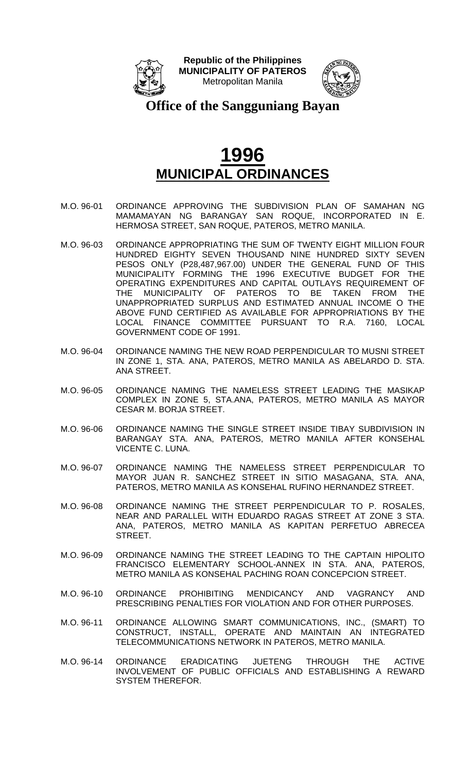



**Office of the Sangguniang Bayan**

- M.O. 96-01 ORDINANCE APPROVING THE SUBDIVISION PLAN OF SAMAHAN NG MAMAMAYAN NG BARANGAY SAN ROQUE, INCORPORATED IN E. HERMOSA STREET, SAN ROQUE, PATEROS, METRO MANILA.
- M.O. 96-03 ORDINANCE APPROPRIATING THE SUM OF TWENTY EIGHT MILLION FOUR HUNDRED EIGHTY SEVEN THOUSAND NINE HUNDRED SIXTY SEVEN PESOS ONLY (P28,487,967.00) UNDER THE GENERAL FUND OF THIS MUNICIPALITY FORMING THE 1996 EXECUTIVE BUDGET FOR THE OPERATING EXPENDITURES AND CAPITAL OUTLAYS REQUIREMENT OF THE MUNICIPALITY OF PATEROS TO BE TAKEN FROM THE UNAPPROPRIATED SURPLUS AND ESTIMATED ANNUAL INCOME O THE ABOVE FUND CERTIFIED AS AVAILABLE FOR APPROPRIATIONS BY THE LOCAL FINANCE COMMITTEE PURSUANT TO R.A. 7160, LOCAL GOVERNMENT CODE OF 1991.
- M.O. 96-04 ORDINANCE NAMING THE NEW ROAD PERPENDICULAR TO MUSNI STREET IN ZONE 1, STA. ANA, PATEROS, METRO MANILA AS ABELARDO D. STA. ANA STREET.
- M.O. 96-05 ORDINANCE NAMING THE NAMELESS STREET LEADING THE MASIKAP COMPLEX IN ZONE 5, STA.ANA, PATEROS, METRO MANILA AS MAYOR CESAR M. BORJA STREET.
- M.O. 96-06 ORDINANCE NAMING THE SINGLE STREET INSIDE TIBAY SUBDIVISION IN BARANGAY STA. ANA, PATEROS, METRO MANILA AFTER KONSEHAL VICENTE C. LUNA.
- M.O. 96-07 ORDINANCE NAMING THE NAMELESS STREET PERPENDICULAR TO MAYOR JUAN R. SANCHEZ STREET IN SITIO MASAGANA, STA. ANA, PATEROS, METRO MANILA AS KONSEHAL RUFINO HERNANDEZ STREET.
- M.O. 96-08 ORDINANCE NAMING THE STREET PERPENDICULAR TO P. ROSALES, NEAR AND PARALLEL WITH EDUARDO RAGAS STREET AT ZONE 3 STA. ANA, PATEROS, METRO MANILA AS KAPITAN PERFETUO ABRECEA STREET.
- M.O. 96-09 ORDINANCE NAMING THE STREET LEADING TO THE CAPTAIN HIPOLITO FRANCISCO ELEMENTARY SCHOOL-ANNEX IN STA. ANA, PATEROS, METRO MANILA AS KONSEHAL PACHING ROAN CONCEPCION STREET.
- M.O. 96-10 ORDINANCE PROHIBITING MENDICANCY AND VAGRANCY AND PRESCRIBING PENALTIES FOR VIOLATION AND FOR OTHER PURPOSES.
- M.O. 96-11 ORDINANCE ALLOWING SMART COMMUNICATIONS, INC., (SMART) TO CONSTRUCT, INSTALL, OPERATE AND MAINTAIN AN INTEGRATED TELECOMMUNICATIONS NETWORK IN PATEROS, METRO MANILA.
- M.O. 96-14 ORDINANCE ERADICATING JUETENG THROUGH THE ACTIVE INVOLVEMENT OF PUBLIC OFFICIALS AND ESTABLISHING A REWARD SYSTEM THEREFOR.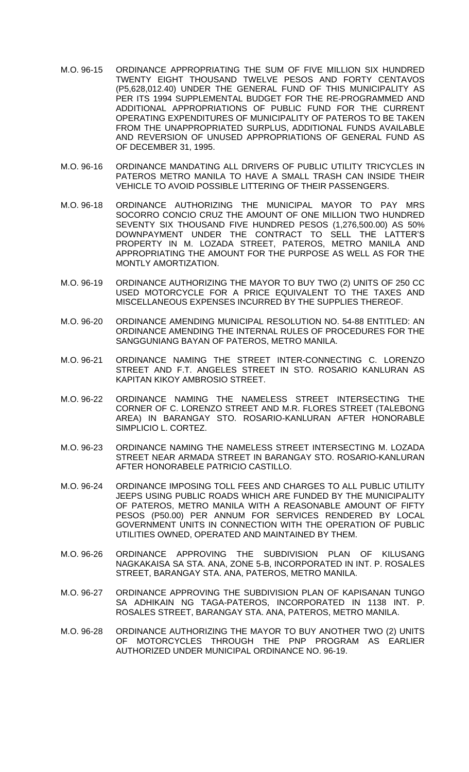- M.O. 96-15 ORDINANCE APPROPRIATING THE SUM OF FIVE MILLION SIX HUNDRED TWENTY EIGHT THOUSAND TWELVE PESOS AND FORTY CENTAVOS (P5,628,012.40) UNDER THE GENERAL FUND OF THIS MUNICIPALITY AS PER ITS 1994 SUPPLEMENTAL BUDGET FOR THE RE-PROGRAMMED AND ADDITIONAL APPROPRIATIONS OF PUBLIC FUND FOR THE CURRENT OPERATING EXPENDITURES OF MUNICIPALITY OF PATEROS TO BE TAKEN FROM THE UNAPPROPRIATED SURPLUS, ADDITIONAL FUNDS AVAILABLE AND REVERSION OF UNUSED APPROPRIATIONS OF GENERAL FUND AS OF DECEMBER 31, 1995.
- M.O. 96-16 ORDINANCE MANDATING ALL DRIVERS OF PUBLIC UTILITY TRICYCLES IN PATEROS METRO MANILA TO HAVE A SMALL TRASH CAN INSIDE THEIR VEHICLE TO AVOID POSSIBLE LITTERING OF THEIR PASSENGERS.
- M.O. 96-18 ORDINANCE AUTHORIZING THE MUNICIPAL MAYOR TO PAY MRS SOCORRO CONCIO CRUZ THE AMOUNT OF ONE MILLION TWO HUNDRED SEVENTY SIX THOUSAND FIVE HUNDRED PESOS (1,276,500.00) AS 50% DOWNPAYMENT UNDER THE CONTRACT TO SELL THE LATTER'S PROPERTY IN M. LOZADA STREET, PATEROS, METRO MANILA AND APPROPRIATING THE AMOUNT FOR THE PURPOSE AS WELL AS FOR THE MONTLY AMORTIZATION.
- M.O. 96-19 ORDINANCE AUTHORIZING THE MAYOR TO BUY TWO (2) UNITS OF 250 CC USED MOTORCYCLE FOR A PRICE EQUIVALENT TO THE TAXES AND MISCELLANEOUS EXPENSES INCURRED BY THE SUPPLIES THEREOF.
- M.O. 96-20 ORDINANCE AMENDING MUNICIPAL RESOLUTION NO. 54-88 ENTITLED: AN ORDINANCE AMENDING THE INTERNAL RULES OF PROCEDURES FOR THE SANGGUNIANG BAYAN OF PATEROS, METRO MANILA.
- M.O. 96-21 ORDINANCE NAMING THE STREET INTER-CONNECTING C. LORENZO STREET AND F.T. ANGELES STREET IN STO. ROSARIO KANLURAN AS KAPITAN KIKOY AMBROSIO STREET.
- M.O. 96-22 ORDINANCE NAMING THE NAMELESS STREET INTERSECTING THE CORNER OF C. LORENZO STREET AND M.R. FLORES STREET (TALEBONG AREA) IN BARANGAY STO. ROSARIO-KANLURAN AFTER HONORABLE SIMPLICIO L. CORTEZ.
- M.O. 96-23 ORDINANCE NAMING THE NAMELESS STREET INTERSECTING M. LOZADA STREET NEAR ARMADA STREET IN BARANGAY STO. ROSARIO-KANLURAN AFTER HONORABELE PATRICIO CASTILLO.
- M.O. 96-24 ORDINANCE IMPOSING TOLL FEES AND CHARGES TO ALL PUBLIC UTILITY JEEPS USING PUBLIC ROADS WHICH ARE FUNDED BY THE MUNICIPALITY OF PATEROS, METRO MANILA WITH A REASONABLE AMOUNT OF FIFTY PESOS (P50.00) PER ANNUM FOR SERVICES RENDERED BY LOCAL GOVERNMENT UNITS IN CONNECTION WITH THE OPERATION OF PUBLIC UTILITIES OWNED, OPERATED AND MAINTAINED BY THEM.
- M.O. 96-26 ORDINANCE APPROVING THE SUBDIVISION PLAN OF KILUSANG NAGKAKAISA SA STA. ANA, ZONE 5-B, INCORPORATED IN INT. P. ROSALES STREET, BARANGAY STA. ANA, PATEROS, METRO MANILA.
- M.O. 96-27 ORDINANCE APPROVING THE SUBDIVISION PLAN OF KAPISANAN TUNGO SA ADHIKAIN NG TAGA-PATEROS, INCORPORATED IN 1138 INT. P. ROSALES STREET, BARANGAY STA. ANA, PATEROS, METRO MANILA.
- M.O. 96-28 ORDINANCE AUTHORIZING THE MAYOR TO BUY ANOTHER TWO (2) UNITS OF MOTORCYCLES THROUGH THE PNP PROGRAM AS EARLIER AUTHORIZED UNDER MUNICIPAL ORDINANCE NO. 96-19.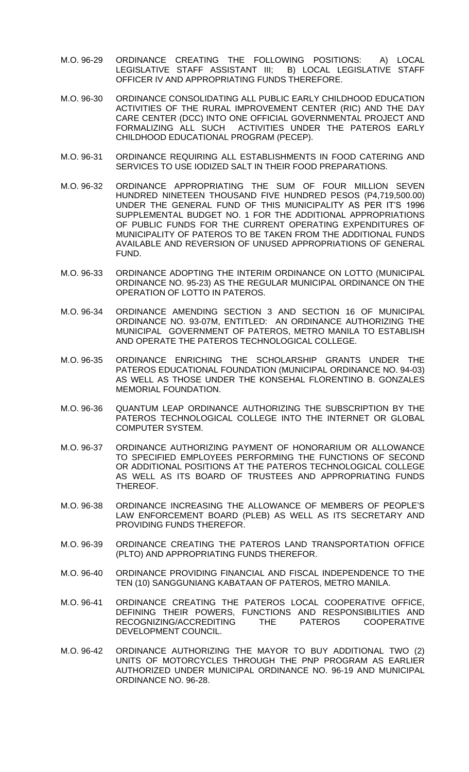- M.O. 96-29 ORDINANCE CREATING THE FOLLOWING POSITIONS: A) LOCAL LEGISLATIVE STAFF ASSISTANT III; B) LOCAL LEGISLATIVE STAFF OFFICER IV AND APPROPRIATING FUNDS THEREFORE.
- M.O. 96-30 ORDINANCE CONSOLIDATING ALL PUBLIC EARLY CHILDHOOD EDUCATION ACTIVITIES OF THE RURAL IMPROVEMENT CENTER (RIC) AND THE DAY CARE CENTER (DCC) INTO ONE OFFICIAL GOVERNMENTAL PROJECT AND FORMALIZING ALL SUCH ACTIVITIES UNDER THE PATEROS EARLY CHILDHOOD EDUCATIONAL PROGRAM (PECEP).
- M.O. 96-31 ORDINANCE REQUIRING ALL ESTABLISHMENTS IN FOOD CATERING AND SERVICES TO USE IODIZED SALT IN THEIR FOOD PREPARATIONS.
- M.O. 96-32 ORDINANCE APPROPRIATING THE SUM OF FOUR MILLION SEVEN HUNDRED NINETEEN THOUSAND FIVE HUNDRED PESOS (P4,719,500.00) UNDER THE GENERAL FUND OF THIS MUNICIPALITY AS PER IT'S 1996 SUPPLEMENTAL BUDGET NO. 1 FOR THE ADDITIONAL APPROPRIATIONS OF PUBLIC FUNDS FOR THE CURRENT OPERATING EXPENDITURES OF MUNICIPALITY OF PATEROS TO BE TAKEN FROM THE ADDITIONAL FUNDS AVAILABLE AND REVERSION OF UNUSED APPROPRIATIONS OF GENERAL FUND.
- M.O. 96-33 ORDINANCE ADOPTING THE INTERIM ORDINANCE ON LOTTO (MUNICIPAL ORDINANCE NO. 95-23) AS THE REGULAR MUNICIPAL ORDINANCE ON THE OPERATION OF LOTTO IN PATEROS.
- M.O. 96-34 ORDINANCE AMENDING SECTION 3 AND SECTION 16 OF MUNICIPAL ORDINANCE NO. 93-07M, ENTITLED: AN ORDINANCE AUTHORIZING THE MUNICIPAL GOVERNMENT OF PATEROS, METRO MANILA TO ESTABLISH AND OPERATE THE PATEROS TECHNOLOGICAL COLLEGE.
- M.O. 96-35 ORDINANCE ENRICHING THE SCHOLARSHIP GRANTS UNDER THE PATEROS EDUCATIONAL FOUNDATION (MUNICIPAL ORDINANCE NO. 94-03) AS WELL AS THOSE UNDER THE KONSEHAL FLORENTINO B. GONZALES MEMORIAL FOUNDATION.
- M.O. 96-36 QUANTUM LEAP ORDINANCE AUTHORIZING THE SUBSCRIPTION BY THE PATEROS TECHNOLOGICAL COLLEGE INTO THE INTERNET OR GLOBAL COMPUTER SYSTEM.
- M.O. 96-37 ORDINANCE AUTHORIZING PAYMENT OF HONORARIUM OR ALLOWANCE TO SPECIFIED EMPLOYEES PERFORMING THE FUNCTIONS OF SECOND OR ADDITIONAL POSITIONS AT THE PATEROS TECHNOLOGICAL COLLEGE AS WELL AS ITS BOARD OF TRUSTEES AND APPROPRIATING FUNDS THEREOF.
- M.O. 96-38 ORDINANCE INCREASING THE ALLOWANCE OF MEMBERS OF PEOPLE'S LAW ENFORCEMENT BOARD (PLEB) AS WELL AS ITS SECRETARY AND PROVIDING FUNDS THEREFOR.
- M.O. 96-39 ORDINANCE CREATING THE PATEROS LAND TRANSPORTATION OFFICE (PLTO) AND APPROPRIATING FUNDS THEREFOR.
- M.O. 96-40 ORDINANCE PROVIDING FINANCIAL AND FISCAL INDEPENDENCE TO THE TEN (10) SANGGUNIANG KABATAAN OF PATEROS, METRO MANILA.
- M.O. 96-41 ORDINANCE CREATING THE PATEROS LOCAL COOPERATIVE OFFICE, DEFINING THEIR POWERS, FUNCTIONS AND RESPONSIBILITIES AND RECOGNIZING/ACCREDITING THE PATEROS COOPERATIVE DEVELOPMENT COUNCIL.
- M.O. 96-42 ORDINANCE AUTHORIZING THE MAYOR TO BUY ADDITIONAL TWO (2) UNITS OF MOTORCYCLES THROUGH THE PNP PROGRAM AS EARLIER AUTHORIZED UNDER MUNICIPAL ORDINANCE NO. 96-19 AND MUNICIPAL ORDINANCE NO. 96-28.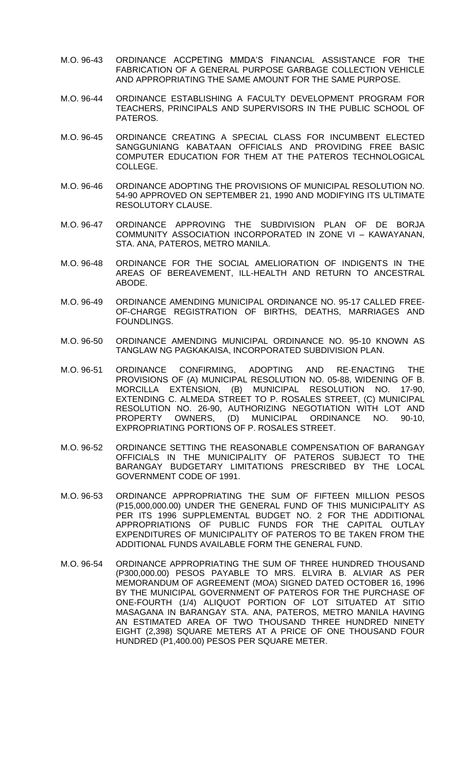- M.O. 96-43 ORDINANCE ACCPETING MMDA'S FINANCIAL ASSISTANCE FOR THE FABRICATION OF A GENERAL PURPOSE GARBAGE COLLECTION VEHICLE AND APPROPRIATING THE SAME AMOUNT FOR THE SAME PURPOSE.
- M.O. 96-44 ORDINANCE ESTABLISHING A FACULTY DEVELOPMENT PROGRAM FOR TEACHERS, PRINCIPALS AND SUPERVISORS IN THE PUBLIC SCHOOL OF PATEROS.
- M.O. 96-45 ORDINANCE CREATING A SPECIAL CLASS FOR INCUMBENT ELECTED SANGGUNIANG KABATAAN OFFICIALS AND PROVIDING FREE BASIC COMPUTER EDUCATION FOR THEM AT THE PATEROS TECHNOLOGICAL COLLEGE.
- M.O. 96-46 ORDINANCE ADOPTING THE PROVISIONS OF MUNICIPAL RESOLUTION NO. 54-90 APPROVED ON SEPTEMBER 21, 1990 AND MODIFYING ITS ULTIMATE RESOLUTORY CLAUSE.
- M.O. 96-47 ORDINANCE APPROVING THE SUBDIVISION PLAN OF DE BORJA COMMUNITY ASSOCIATION INCORPORATED IN ZONE VI – KAWAYANAN, STA. ANA, PATEROS, METRO MANILA.
- M.O. 96-48 ORDINANCE FOR THE SOCIAL AMELIORATION OF INDIGENTS IN THE AREAS OF BEREAVEMENT, ILL-HEALTH AND RETURN TO ANCESTRAL ABODE.
- M.O. 96-49 ORDINANCE AMENDING MUNICIPAL ORDINANCE NO. 95-17 CALLED FREE-OF-CHARGE REGISTRATION OF BIRTHS, DEATHS, MARRIAGES AND FOUNDLINGS.
- M.O. 96-50 ORDINANCE AMENDING MUNICIPAL ORDINANCE NO. 95-10 KNOWN AS TANGLAW NG PAGKAKAISA, INCORPORATED SUBDIVISION PLAN.
- M.O. 96-51 ORDINANCE CONFIRMING, ADOPTING AND RE-ENACTING THE PROVISIONS OF (A) MUNICIPAL RESOLUTION NO. 05-88, WIDENING OF B. MORCILLA EXTENSION, (B) MUNICIPAL RESOLUTION NO. 17-90, EXTENDING C. ALMEDA STREET TO P. ROSALES STREET, (C) MUNICIPAL RESOLUTION NO. 26-90, AUTHORIZING NEGOTIATION WITH LOT AND PROPERTY OWNERS, (D) MUNICIPAL ORDINANCE NO. 90-10, EXPROPRIATING PORTIONS OF P. ROSALES STREET.
- M.O. 96-52 ORDINANCE SETTING THE REASONABLE COMPENSATION OF BARANGAY OFFICIALS IN THE MUNICIPALITY OF PATEROS SUBJECT TO THE BARANGAY BUDGETARY LIMITATIONS PRESCRIBED BY THE LOCAL GOVERNMENT CODE OF 1991.
- M.O. 96-53 ORDINANCE APPROPRIATING THE SUM OF FIFTEEN MILLION PESOS (P15,000,000.00) UNDER THE GENERAL FUND OF THIS MUNICIPALITY AS PER ITS 1996 SUPPLEMENTAL BUDGET NO. 2 FOR THE ADDITIONAL APPROPRIATIONS OF PUBLIC FUNDS FOR THE CAPITAL OUTLAY EXPENDITURES OF MUNICIPALITY OF PATEROS TO BE TAKEN FROM THE ADDITIONAL FUNDS AVAILABLE FORM THE GENERAL FUND.
- M.O. 96-54 ORDINANCE APPROPRIATING THE SUM OF THREE HUNDRED THOUSAND (P300,000.00) PESOS PAYABLE TO MRS. ELVIRA B. ALVIAR AS PER MEMORANDUM OF AGREEMENT (MOA) SIGNED DATED OCTOBER 16, 1996 BY THE MUNICIPAL GOVERNMENT OF PATEROS FOR THE PURCHASE OF ONE-FOURTH (1/4) ALIQUOT PORTION OF LOT SITUATED AT SITIO MASAGANA IN BARANGAY STA. ANA, PATEROS, METRO MANILA HAVING AN ESTIMATED AREA OF TWO THOUSAND THREE HUNDRED NINETY EIGHT (2,398) SQUARE METERS AT A PRICE OF ONE THOUSAND FOUR HUNDRED (P1,400.00) PESOS PER SQUARE METER.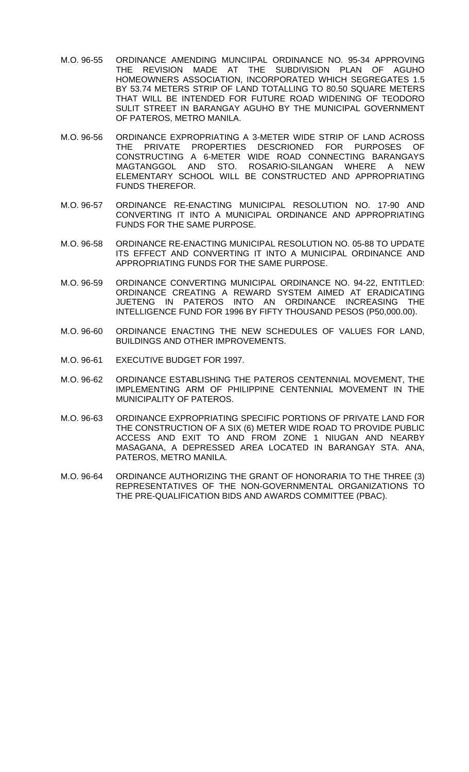- M.O. 96-55 ORDINANCE AMENDING MUNCIIPAL ORDINANCE NO. 95-34 APPROVING THE REVISION MADE AT THE SUBDIVISION PLAN OF AGUHO HOMEOWNERS ASSOCIATION, INCORPORATED WHICH SEGREGATES 1.5 BY 53.74 METERS STRIP OF LAND TOTALLING TO 80.50 SQUARE METERS THAT WILL BE INTENDED FOR FUTURE ROAD WIDENING OF TEODORO SULIT STREET IN BARANGAY AGUHO BY THE MUNICIPAL GOVERNMENT OF PATEROS, METRO MANILA.
- M.O. 96-56 ORDINANCE EXPROPRIATING A 3-METER WIDE STRIP OF LAND ACROSS THE PRIVATE PROPERTIES DESCRIONED FOR PURPOSES OF CONSTRUCTING A 6-METER WIDE ROAD CONNECTING BARANGAYS MAGTANGGOL AND STO. ROSARIO-SILANGAN WHERE A NEW ELEMENTARY SCHOOL WILL BE CONSTRUCTED AND APPROPRIATING FUNDS THEREFOR.
- M.O. 96-57 ORDINANCE RE-ENACTING MUNICIPAL RESOLUTION NO. 17-90 AND CONVERTING IT INTO A MUNICIPAL ORDINANCE AND APPROPRIATING FUNDS FOR THE SAME PURPOSE.
- M.O. 96-58 ORDINANCE RE-ENACTING MUNICIPAL RESOLUTION NO. 05-88 TO UPDATE ITS EFFECT AND CONVERTING IT INTO A MUNICIPAL ORDINANCE AND APPROPRIATING FUNDS FOR THE SAME PURPOSE.
- M.O. 96-59 ORDINANCE CONVERTING MUNICIPAL ORDINANCE NO. 94-22, ENTITLED: ORDINANCE CREATING A REWARD SYSTEM AIMED AT ERADICATING JUETENG IN PATEROS INTO AN ORDINANCE INCREASING THE INTELLIGENCE FUND FOR 1996 BY FIFTY THOUSAND PESOS (P50,000.00).
- M.O. 96-60 ORDINANCE ENACTING THE NEW SCHEDULES OF VALUES FOR LAND, BUILDINGS AND OTHER IMPROVEMENTS.
- M.O. 96-61 EXECUTIVE BUDGET FOR 1997.
- M.O. 96-62 ORDINANCE ESTABLISHING THE PATEROS CENTENNIAL MOVEMENT, THE IMPLEMENTING ARM OF PHILIPPINE CENTENNIAL MOVEMENT IN THE MUNICIPALITY OF PATEROS.
- M.O. 96-63 ORDINANCE EXPROPRIATING SPECIFIC PORTIONS OF PRIVATE LAND FOR THE CONSTRUCTION OF A SIX (6) METER WIDE ROAD TO PROVIDE PUBLIC ACCESS AND EXIT TO AND FROM ZONE 1 NIUGAN AND NEARBY MASAGANA, A DEPRESSED AREA LOCATED IN BARANGAY STA. ANA, PATEROS, METRO MANILA.
- M.O. 96-64 ORDINANCE AUTHORIZING THE GRANT OF HONORARIA TO THE THREE (3) REPRESENTATIVES OF THE NON-GOVERNMENTAL ORGANIZATIONS TO THE PRE-QUALIFICATION BIDS AND AWARDS COMMITTEE (PBAC).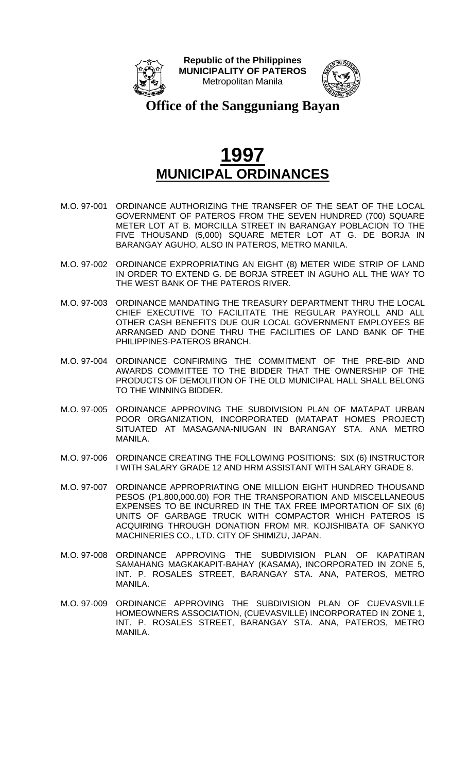



**Office of the Sangguniang Bayan**

- M.O. 97-001 ORDINANCE AUTHORIZING THE TRANSFER OF THE SEAT OF THE LOCAL GOVERNMENT OF PATEROS FROM THE SEVEN HUNDRED (700) SQUARE METER LOT AT B. MORCILLA STREET IN BARANGAY POBLACION TO THE FIVE THOUSAND (5,000) SQUARE METER LOT AT G. DE BORJA IN BARANGAY AGUHO, ALSO IN PATEROS, METRO MANILA.
- M.O. 97-002 ORDINANCE EXPROPRIATING AN EIGHT (8) METER WIDE STRIP OF LAND IN ORDER TO EXTEND G. DE BORJA STREET IN AGUHO ALL THE WAY TO THE WEST BANK OF THE PATEROS RIVER.
- M.O. 97-003 ORDINANCE MANDATING THE TREASURY DEPARTMENT THRU THE LOCAL CHIEF EXECUTIVE TO FACILITATE THE REGULAR PAYROLL AND ALL OTHER CASH BENEFITS DUE OUR LOCAL GOVERNMENT EMPLOYEES BE ARRANGED AND DONE THRU THE FACILITIES OF LAND BANK OF THE PHILIPPINES-PATEROS BRANCH.
- M.O. 97-004 ORDINANCE CONFIRMING THE COMMITMENT OF THE PRE-BID AND AWARDS COMMITTEE TO THE BIDDER THAT THE OWNERSHIP OF THE PRODUCTS OF DEMOLITION OF THE OLD MUNICIPAL HALL SHALL BELONG TO THE WINNING BIDDER.
- M.O. 97-005 ORDINANCE APPROVING THE SUBDIVISION PLAN OF MATAPAT URBAN POOR ORGANIZATION, INCORPORATED (MATAPAT HOMES PROJECT) SITUATED AT MASAGANA-NIUGAN IN BARANGAY STA. ANA METRO MANILA.
- M.O. 97-006 ORDINANCE CREATING THE FOLLOWING POSITIONS: SIX (6) INSTRUCTOR I WITH SALARY GRADE 12 AND HRM ASSISTANT WITH SALARY GRADE 8.
- M.O. 97-007 ORDINANCE APPROPRIATING ONE MILLION EIGHT HUNDRED THOUSAND PESOS (P1,800,000.00) FOR THE TRANSPORATION AND MISCELLANEOUS EXPENSES TO BE INCURRED IN THE TAX FREE IMPORTATION OF SIX (6) UNITS OF GARBAGE TRUCK WITH COMPACTOR WHICH PATEROS IS ACQUIRING THROUGH DONATION FROM MR. KOJISHIBATA OF SANKYO MACHINERIES CO., LTD. CITY OF SHIMIZU, JAPAN.
- M.O. 97-008 ORDINANCE APPROVING THE SUBDIVISION PLAN OF KAPATIRAN SAMAHANG MAGKAKAPIT-BAHAY (KASAMA), INCORPORATED IN ZONE 5, INT. P. ROSALES STREET, BARANGAY STA. ANA, PATEROS, METRO MANILA.
- M.O. 97-009 ORDINANCE APPROVING THE SUBDIVISION PLAN OF CUEVASVILLE HOMEOWNERS ASSOCIATION, (CUEVASVILLE) INCORPORATED IN ZONE 1, INT. P. ROSALES STREET, BARANGAY STA. ANA, PATEROS, METRO MANILA.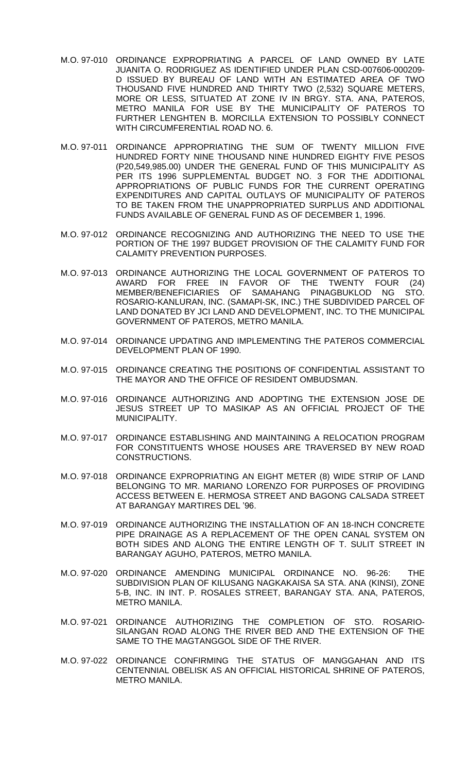- M.O. 97-010 ORDINANCE EXPROPRIATING A PARCEL OF LAND OWNED BY LATE JUANITA O. RODRIGUEZ AS IDENTIFIED UNDER PLAN CSD-007606-000209- D ISSUED BY BUREAU OF LAND WITH AN ESTIMATED AREA OF TWO THOUSAND FIVE HUNDRED AND THIRTY TWO (2,532) SQUARE METERS, MORE OR LESS, SITUATED AT ZONE IV IN BRGY. STA. ANA, PATEROS, METRO MANILA FOR USE BY THE MUNICIPALITY OF PATEROS TO FURTHER LENGHTEN B. MORCILLA EXTENSION TO POSSIBLY CONNECT WITH CIRCUMFERENTIAL ROAD NO. 6.
- M.O. 97-011 ORDINANCE APPROPRIATING THE SUM OF TWENTY MILLION FIVE HUNDRED FORTY NINE THOUSAND NINE HUNDRED EIGHTY FIVE PESOS (P20,549,985.00) UNDER THE GENERAL FUND OF THIS MUNICIPALITY AS PER ITS 1996 SUPPLEMENTAL BUDGET NO. 3 FOR THE ADDITIONAL APPROPRIATIONS OF PUBLIC FUNDS FOR THE CURRENT OPERATING EXPENDITURES AND CAPITAL OUTLAYS OF MUNICIPALITY OF PATEROS TO BE TAKEN FROM THE UNAPPROPRIATED SURPLUS AND ADDITIONAL FUNDS AVAILABLE OF GENERAL FUND AS OF DECEMBER 1, 1996.
- M.O. 97-012 ORDINANCE RECOGNIZING AND AUTHORIZING THE NEED TO USE THE PORTION OF THE 1997 BUDGET PROVISION OF THE CALAMITY FUND FOR CALAMITY PREVENTION PURPOSES.
- M.O. 97-013 ORDINANCE AUTHORIZING THE LOCAL GOVERNMENT OF PATEROS TO AWARD FOR FREE IN FAVOR OF THE TWENTY FOUR (24) MEMBER/BENEFICIARIES OF SAMAHANG PINAGBUKLOD NG STO. ROSARIO-KANLURAN, INC. (SAMAPI-SK, INC.) THE SUBDIVIDED PARCEL OF LAND DONATED BY JCI LAND AND DEVELOPMENT, INC. TO THE MUNICIPAL GOVERNMENT OF PATEROS, METRO MANILA.
- M.O. 97-014 ORDINANCE UPDATING AND IMPLEMENTING THE PATEROS COMMERCIAL DEVELOPMENT PLAN OF 1990.
- M.O. 97-015 ORDINANCE CREATING THE POSITIONS OF CONFIDENTIAL ASSISTANT TO THE MAYOR AND THE OFFICE OF RESIDENT OMBUDSMAN.
- M.O. 97-016 ORDINANCE AUTHORIZING AND ADOPTING THE EXTENSION JOSE DE JESUS STREET UP TO MASIKAP AS AN OFFICIAL PROJECT OF THE MUNICIPALITY.
- M.O. 97-017 ORDINANCE ESTABLISHING AND MAINTAINING A RELOCATION PROGRAM FOR CONSTITUENTS WHOSE HOUSES ARE TRAVERSED BY NEW ROAD CONSTRUCTIONS.
- M.O. 97-018 ORDINANCE EXPROPRIATING AN EIGHT METER (8) WIDE STRIP OF LAND BELONGING TO MR. MARIANO LORENZO FOR PURPOSES OF PROVIDING ACCESS BETWEEN E. HERMOSA STREET AND BAGONG CALSADA STREET AT BARANGAY MARTIRES DEL '96.
- M.O. 97-019 ORDINANCE AUTHORIZING THE INSTALLATION OF AN 18-INCH CONCRETE PIPE DRAINAGE AS A REPLACEMENT OF THE OPEN CANAL SYSTEM ON BOTH SIDES AND ALONG THE ENTIRE LENGTH OF T. SULIT STREET IN BARANGAY AGUHO, PATEROS, METRO MANILA.
- M.O. 97-020 ORDINANCE AMENDING MUNICIPAL ORDINANCE NO. 96-26: THE SUBDIVISION PLAN OF KILUSANG NAGKAKAISA SA STA. ANA (KINSI), ZONE 5-B, INC. IN INT. P. ROSALES STREET, BARANGAY STA. ANA, PATEROS, METRO MANILA.
- M.O. 97-021 ORDINANCE AUTHORIZING THE COMPLETION OF STO. ROSARIO-SILANGAN ROAD ALONG THE RIVER BED AND THE EXTENSION OF THE SAME TO THE MAGTANGGOL SIDE OF THE RIVER.
- M.O. 97-022 ORDINANCE CONFIRMING THE STATUS OF MANGGAHAN AND ITS CENTENNIAL OBELISK AS AN OFFICIAL HISTORICAL SHRINE OF PATEROS, METRO MANILA.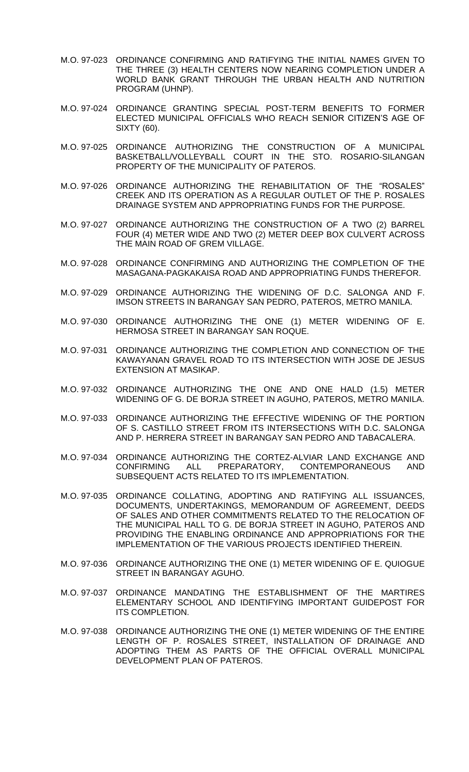- M.O. 97-023 ORDINANCE CONFIRMING AND RATIFYING THE INITIAL NAMES GIVEN TO THE THREE (3) HEALTH CENTERS NOW NEARING COMPLETION UNDER A WORLD BANK GRANT THROUGH THE URBAN HEALTH AND NUTRITION PROGRAM (UHNP).
- M.O. 97-024 ORDINANCE GRANTING SPECIAL POST-TERM BENEFITS TO FORMER ELECTED MUNICIPAL OFFICIALS WHO REACH SENIOR CITIZEN'S AGE OF SIXTY (60).
- M.O. 97-025 ORDINANCE AUTHORIZING THE CONSTRUCTION OF A MUNICIPAL BASKETBALL/VOLLEYBALL COURT IN THE STO. ROSARIO-SILANGAN PROPERTY OF THE MUNICIPALITY OF PATEROS.
- M.O. 97-026 ORDINANCE AUTHORIZING THE REHABILITATION OF THE "ROSALES" CREEK AND ITS OPERATION AS A REGULAR OUTLET OF THE P. ROSALES DRAINAGE SYSTEM AND APPROPRIATING FUNDS FOR THE PURPOSE.
- M.O. 97-027 ORDINANCE AUTHORIZING THE CONSTRUCTION OF A TWO (2) BARREL FOUR (4) METER WIDE AND TWO (2) METER DEEP BOX CULVERT ACROSS THE MAIN ROAD OF GREM VILLAGE.
- M.O. 97-028 ORDINANCE CONFIRMING AND AUTHORIZING THE COMPLETION OF THE MASAGANA-PAGKAKAISA ROAD AND APPROPRIATING FUNDS THEREFOR.
- M.O. 97-029 ORDINANCE AUTHORIZING THE WIDENING OF D.C. SALONGA AND F. IMSON STREETS IN BARANGAY SAN PEDRO, PATEROS, METRO MANILA.
- M.O. 97-030 ORDINANCE AUTHORIZING THE ONE (1) METER WIDENING OF E. HERMOSA STREET IN BARANGAY SAN ROQUE.
- M.O. 97-031 ORDINANCE AUTHORIZING THE COMPLETION AND CONNECTION OF THE KAWAYANAN GRAVEL ROAD TO ITS INTERSECTION WITH JOSE DE JESUS EXTENSION AT MASIKAP.
- M.O. 97-032 ORDINANCE AUTHORIZING THE ONE AND ONE HALD (1.5) METER WIDENING OF G. DE BORJA STREET IN AGUHO, PATEROS, METRO MANILA.
- M.O. 97-033 ORDINANCE AUTHORIZING THE EFFECTIVE WIDENING OF THE PORTION OF S. CASTILLO STREET FROM ITS INTERSECTIONS WITH D.C. SALONGA AND P. HERRERA STREET IN BARANGAY SAN PEDRO AND TABACALERA.
- M.O. 97-034 ORDINANCE AUTHORIZING THE CORTEZ-ALVIAR LAND EXCHANGE AND CONFIRMING ALL PREPARATORY, CONTEMPORANEOUS AND SUBSEQUENT ACTS RELATED TO ITS IMPLEMENTATION.
- M.O. 97-035 ORDINANCE COLLATING, ADOPTING AND RATIFYING ALL ISSUANCES, DOCUMENTS, UNDERTAKINGS, MEMORANDUM OF AGREEMENT, DEEDS OF SALES AND OTHER COMMITMENTS RELATED TO THE RELOCATION OF THE MUNICIPAL HALL TO G. DE BORJA STREET IN AGUHO, PATEROS AND PROVIDING THE ENABLING ORDINANCE AND APPROPRIATIONS FOR THE IMPLEMENTATION OF THE VARIOUS PROJECTS IDENTIFIED THEREIN.
- M.O. 97-036 ORDINANCE AUTHORIZING THE ONE (1) METER WIDENING OF E. QUIOGUE STREET IN BARANGAY AGUHO.
- M.O. 97-037 ORDINANCE MANDATING THE ESTABLISHMENT OF THE MARTIRES ELEMENTARY SCHOOL AND IDENTIFYING IMPORTANT GUIDEPOST FOR ITS COMPLETION.
- M.O. 97-038 ORDINANCE AUTHORIZING THE ONE (1) METER WIDENING OF THE ENTIRE LENGTH OF P. ROSALES STREET, INSTALLATION OF DRAINAGE AND ADOPTING THEM AS PARTS OF THE OFFICIAL OVERALL MUNICIPAL DEVELOPMENT PLAN OF PATEROS.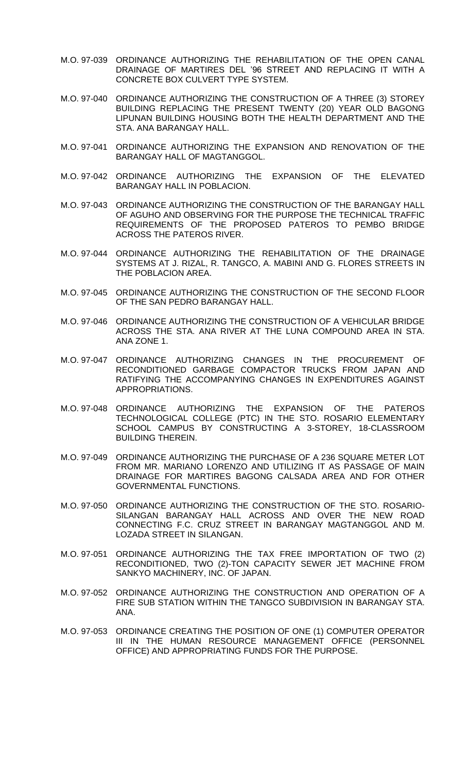- M.O. 97-039 ORDINANCE AUTHORIZING THE REHABILITATION OF THE OPEN CANAL DRAINAGE OF MARTIRES DEL '96 STREET AND REPLACING IT WITH A CONCRETE BOX CULVERT TYPE SYSTEM.
- M.O. 97-040 ORDINANCE AUTHORIZING THE CONSTRUCTION OF A THREE (3) STOREY BUILDING REPLACING THE PRESENT TWENTY (20) YEAR OLD BAGONG LIPUNAN BUILDING HOUSING BOTH THE HEALTH DEPARTMENT AND THE STA. ANA BARANGAY HALL.
- M.O. 97-041 ORDINANCE AUTHORIZING THE EXPANSION AND RENOVATION OF THE BARANGAY HALL OF MAGTANGGOL.
- M.O. 97-042 ORDINANCE AUTHORIZING THE EXPANSION OF THE ELEVATED BARANGAY HALL IN POBLACION.
- M.O. 97-043 ORDINANCE AUTHORIZING THE CONSTRUCTION OF THE BARANGAY HALL OF AGUHO AND OBSERVING FOR THE PURPOSE THE TECHNICAL TRAFFIC REQUIREMENTS OF THE PROPOSED PATEROS TO PEMBO BRIDGE ACROSS THE PATEROS RIVER.
- M.O. 97-044 ORDINANCE AUTHORIZING THE REHABILITATION OF THE DRAINAGE SYSTEMS AT J. RIZAL, R. TANGCO, A. MABINI AND G. FLORES STREETS IN THE POBLACION AREA.
- M.O. 97-045 ORDINANCE AUTHORIZING THE CONSTRUCTION OF THE SECOND FLOOR OF THE SAN PEDRO BARANGAY HALL.
- M.O. 97-046 ORDINANCE AUTHORIZING THE CONSTRUCTION OF A VEHICULAR BRIDGE ACROSS THE STA. ANA RIVER AT THE LUNA COMPOUND AREA IN STA. ANA ZONE 1.
- M.O. 97-047 ORDINANCE AUTHORIZING CHANGES IN THE PROCUREMENT OF RECONDITIONED GARBAGE COMPACTOR TRUCKS FROM JAPAN AND RATIFYING THE ACCOMPANYING CHANGES IN EXPENDITURES AGAINST APPROPRIATIONS.
- M.O. 97-048 ORDINANCE AUTHORIZING THE EXPANSION OF THE PATEROS TECHNOLOGICAL COLLEGE (PTC) IN THE STO. ROSARIO ELEMENTARY SCHOOL CAMPUS BY CONSTRUCTING A 3-STOREY, 18-CLASSROOM BUILDING THEREIN.
- M.O. 97-049 ORDINANCE AUTHORIZING THE PURCHASE OF A 236 SQUARE METER LOT FROM MR. MARIANO LORENZO AND UTILIZING IT AS PASSAGE OF MAIN DRAINAGE FOR MARTIRES BAGONG CALSADA AREA AND FOR OTHER GOVERNMENTAL FUNCTIONS.
- M.O. 97-050 ORDINANCE AUTHORIZING THE CONSTRUCTION OF THE STO. ROSARIO-SILANGAN BARANGAY HALL ACROSS AND OVER THE NEW ROAD CONNECTING F.C. CRUZ STREET IN BARANGAY MAGTANGGOL AND M. LOZADA STREET IN SILANGAN.
- M.O. 97-051 ORDINANCE AUTHORIZING THE TAX FREE IMPORTATION OF TWO (2) RECONDITIONED, TWO (2)-TON CAPACITY SEWER JET MACHINE FROM SANKYO MACHINERY, INC. OF JAPAN.
- M.O. 97-052 ORDINANCE AUTHORIZING THE CONSTRUCTION AND OPERATION OF A FIRE SUB STATION WITHIN THE TANGCO SUBDIVISION IN BARANGAY STA. ANA.
- M.O. 97-053 ORDINANCE CREATING THE POSITION OF ONE (1) COMPUTER OPERATOR III IN THE HUMAN RESOURCE MANAGEMENT OFFICE (PERSONNEL OFFICE) AND APPROPRIATING FUNDS FOR THE PURPOSE.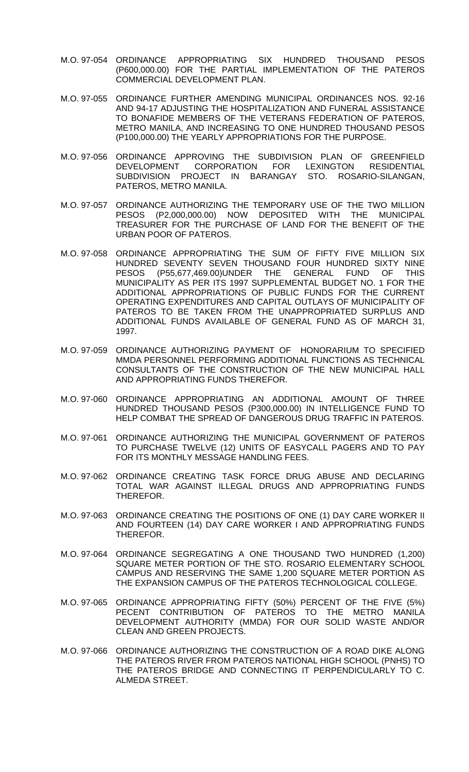- M.O. 97-054 ORDINANCE APPROPRIATING SIX HUNDRED THOUSAND PESOS (P600,000.00) FOR THE PARTIAL IMPLEMENTATION OF THE PATEROS COMMERCIAL DEVELOPMENT PLAN.
- M.O. 97-055 ORDINANCE FURTHER AMENDING MUNICIPAL ORDINANCES NOS. 92-16 AND 94-17 ADJUSTING THE HOSPITALIZATION AND FUNERAL ASSISTANCE TO BONAFIDE MEMBERS OF THE VETERANS FEDERATION OF PATEROS, METRO MANILA, AND INCREASING TO ONE HUNDRED THOUSAND PESOS (P100,000.00) THE YEARLY APPROPRIATIONS FOR THE PURPOSE.
- M.O. 97-056 ORDINANCE APPROVING THE SUBDIVISION PLAN OF GREENFIELD DEVELOPMENT CORPORATION FOR LEXINGTON RESIDENTIAL SUBDIVISION PROJECT IN BARANGAY STO. ROSARIO-SILANGAN, PATEROS, METRO MANILA.
- M.O. 97-057 ORDINANCE AUTHORIZING THE TEMPORARY USE OF THE TWO MILLION PESOS (P2,000,000.00) NOW DEPOSITED WITH THE MUNICIPAL TREASURER FOR THE PURCHASE OF LAND FOR THE BENEFIT OF THE URBAN POOR OF PATEROS.
- M.O. 97-058 ORDINANCE APPROPRIATING THE SUM OF FIFTY FIVE MILLION SIX HUNDRED SEVENTY SEVEN THOUSAND FOUR HUNDRED SIXTY NINE PESOS (P55,677,469.00)UNDER THE GENERAL FUND OF THIS MUNICIPALITY AS PER ITS 1997 SUPPLEMENTAL BUDGET NO. 1 FOR THE ADDITIONAL APPROPRIATIONS OF PUBLIC FUNDS FOR THE CURRENT OPERATING EXPENDITURES AND CAPITAL OUTLAYS OF MUNICIPALITY OF PATEROS TO BE TAKEN FROM THE UNAPPROPRIATED SURPLUS AND ADDITIONAL FUNDS AVAILABLE OF GENERAL FUND AS OF MARCH 31, 1997.
- M.O. 97-059 ORDINANCE AUTHORIZING PAYMENT OF HONORARIUM TO SPECIFIED MMDA PERSONNEL PERFORMING ADDITIONAL FUNCTIONS AS TECHNICAL CONSULTANTS OF THE CONSTRUCTION OF THE NEW MUNICIPAL HALL AND APPROPRIATING FUNDS THEREFOR.
- M.O. 97-060 ORDINANCE APPROPRIATING AN ADDITIONAL AMOUNT OF THREE HUNDRED THOUSAND PESOS (P300,000.00) IN INTELLIGENCE FUND TO HELP COMBAT THE SPREAD OF DANGEROUS DRUG TRAFFIC IN PATEROS.
- M.O. 97-061 ORDINANCE AUTHORIZING THE MUNICIPAL GOVERNMENT OF PATEROS TO PURCHASE TWELVE (12) UNITS OF EASYCALL PAGERS AND TO PAY FOR ITS MONTHLY MESSAGE HANDLING FEES.
- M.O. 97-062 ORDINANCE CREATING TASK FORCE DRUG ABUSE AND DECLARING TOTAL WAR AGAINST ILLEGAL DRUGS AND APPROPRIATING FUNDS THEREFOR.
- M.O. 97-063 ORDINANCE CREATING THE POSITIONS OF ONE (1) DAY CARE WORKER II AND FOURTEEN (14) DAY CARE WORKER I AND APPROPRIATING FUNDS THEREFOR.
- M.O. 97-064 ORDINANCE SEGREGATING A ONE THOUSAND TWO HUNDRED (1,200) SQUARE METER PORTION OF THE STO. ROSARIO ELEMENTARY SCHOOL CAMPUS AND RESERVING THE SAME 1,200 SQUARE METER PORTION AS THE EXPANSION CAMPUS OF THE PATEROS TECHNOLOGICAL COLLEGE.
- M.O. 97-065 ORDINANCE APPROPRIATING FIFTY (50%) PERCENT OF THE FIVE (5%) PECENT CONTRIBUTION OF PATEROS TO THE METRO MANILA DEVELOPMENT AUTHORITY (MMDA) FOR OUR SOLID WASTE AND/OR CLEAN AND GREEN PROJECTS.
- M.O. 97-066 ORDINANCE AUTHORIZING THE CONSTRUCTION OF A ROAD DIKE ALONG THE PATEROS RIVER FROM PATEROS NATIONAL HIGH SCHOOL (PNHS) TO THE PATEROS BRIDGE AND CONNECTING IT PERPENDICULARLY TO C. ALMEDA STREET.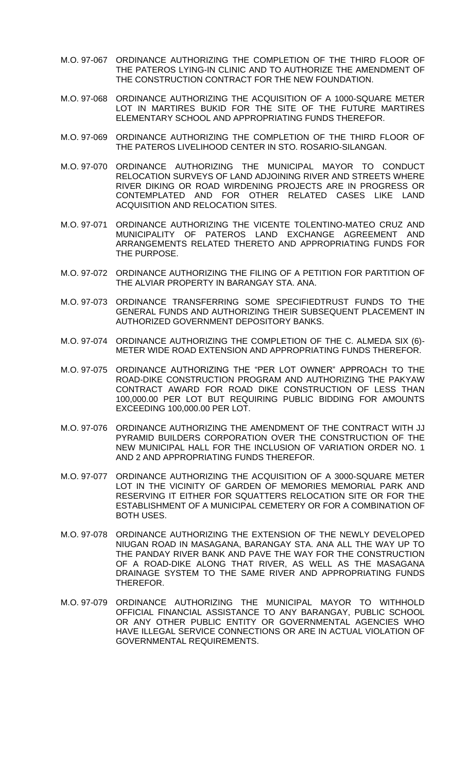- M.O. 97-067 ORDINANCE AUTHORIZING THE COMPLETION OF THE THIRD FLOOR OF THE PATEROS LYING-IN CLINIC AND TO AUTHORIZE THE AMENDMENT OF THE CONSTRUCTION CONTRACT FOR THE NEW FOUNDATION.
- M.O. 97-068 ORDINANCE AUTHORIZING THE ACQUISITION OF A 1000-SQUARE METER LOT IN MARTIRES BUKID FOR THE SITE OF THE FUTURE MARTIRES ELEMENTARY SCHOOL AND APPROPRIATING FUNDS THEREFOR.
- M.O. 97-069 ORDINANCE AUTHORIZING THE COMPLETION OF THE THIRD FLOOR OF THE PATEROS LIVELIHOOD CENTER IN STO. ROSARIO-SILANGAN.
- M.O. 97-070 ORDINANCE AUTHORIZING THE MUNICIPAL MAYOR TO CONDUCT RELOCATION SURVEYS OF LAND ADJOINING RIVER AND STREETS WHERE RIVER DIKING OR ROAD WIRDENING PROJECTS ARE IN PROGRESS OR CONTEMPLATED AND FOR OTHER RELATED CASES LIKE LAND ACQUISITION AND RELOCATION SITES.
- M.O. 97-071 ORDINANCE AUTHORIZING THE VICENTE TOLENTINO-MATEO CRUZ AND MUNICIPALITY OF PATEROS LAND EXCHANGE AGREEMENT AND ARRANGEMENTS RELATED THERETO AND APPROPRIATING FUNDS FOR THE PURPOSE.
- M.O. 97-072 ORDINANCE AUTHORIZING THE FILING OF A PETITION FOR PARTITION OF THE ALVIAR PROPERTY IN BARANGAY STA. ANA.
- M.O. 97-073 ORDINANCE TRANSFERRING SOME SPECIFIEDTRUST FUNDS TO THE GENERAL FUNDS AND AUTHORIZING THEIR SUBSEQUENT PLACEMENT IN AUTHORIZED GOVERNMENT DEPOSITORY BANKS.
- M.O. 97-074 ORDINANCE AUTHORIZING THE COMPLETION OF THE C. ALMEDA SIX (6)- METER WIDE ROAD EXTENSION AND APPROPRIATING FUNDS THEREFOR.
- M.O. 97-075 ORDINANCE AUTHORIZING THE "PER LOT OWNER" APPROACH TO THE ROAD-DIKE CONSTRUCTION PROGRAM AND AUTHORIZING THE PAKYAW CONTRACT AWARD FOR ROAD DIKE CONSTRUCTION OF LESS THAN 100,000.00 PER LOT BUT REQUIRING PUBLIC BIDDING FOR AMOUNTS EXCEEDING 100,000.00 PER LOT.
- M.O. 97-076 ORDINANCE AUTHORIZING THE AMENDMENT OF THE CONTRACT WITH JJ PYRAMID BUILDERS CORPORATION OVER THE CONSTRUCTION OF THE NEW MUNICIPAL HALL FOR THE INCLUSION OF VARIATION ORDER NO. 1 AND 2 AND APPROPRIATING FUNDS THEREFOR.
- M.O. 97-077 ORDINANCE AUTHORIZING THE ACQUISITION OF A 3000-SQUARE METER LOT IN THE VICINITY OF GARDEN OF MEMORIES MEMORIAL PARK AND RESERVING IT EITHER FOR SQUATTERS RELOCATION SITE OR FOR THE ESTABLISHMENT OF A MUNICIPAL CEMETERY OR FOR A COMBINATION OF BOTH USES.
- M.O. 97-078 ORDINANCE AUTHORIZING THE EXTENSION OF THE NEWLY DEVELOPED NIUGAN ROAD IN MASAGANA, BARANGAY STA. ANA ALL THE WAY UP TO THE PANDAY RIVER BANK AND PAVE THE WAY FOR THE CONSTRUCTION OF A ROAD-DIKE ALONG THAT RIVER, AS WELL AS THE MASAGANA DRAINAGE SYSTEM TO THE SAME RIVER AND APPROPRIATING FUNDS THEREFOR.
- M.O. 97-079 ORDINANCE AUTHORIZING THE MUNICIPAL MAYOR TO WITHHOLD OFFICIAL FINANCIAL ASSISTANCE TO ANY BARANGAY, PUBLIC SCHOOL OR ANY OTHER PUBLIC ENTITY OR GOVERNMENTAL AGENCIES WHO HAVE ILLEGAL SERVICE CONNECTIONS OR ARE IN ACTUAL VIOLATION OF GOVERNMENTAL REQUIREMENTS.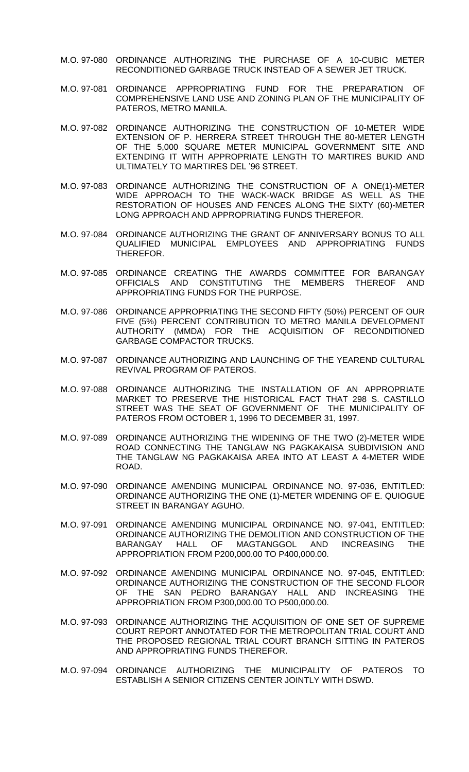- M.O. 97-080 ORDINANCE AUTHORIZING THE PURCHASE OF A 10-CUBIC METER RECONDITIONED GARBAGE TRUCK INSTEAD OF A SEWER JET TRUCK.
- M.O. 97-081 ORDINANCE APPROPRIATING FUND FOR THE PREPARATION OF COMPREHENSIVE LAND USE AND ZONING PLAN OF THE MUNICIPALITY OF PATEROS, METRO MANILA.
- M.O. 97-082 ORDINANCE AUTHORIZING THE CONSTRUCTION OF 10-METER WIDE EXTENSION OF P. HERRERA STREET THROUGH THE 80-METER LENGTH OF THE 5,000 SQUARE METER MUNICIPAL GOVERNMENT SITE AND EXTENDING IT WITH APPROPRIATE LENGTH TO MARTIRES BUKID AND ULTIMATELY TO MARTIRES DEL '96 STREET.
- M.O. 97-083 ORDINANCE AUTHORIZING THE CONSTRUCTION OF A ONE(1)-METER WIDE APPROACH TO THE WACK-WACK BRIDGE AS WELL AS THE RESTORATION OF HOUSES AND FENCES ALONG THE SIXTY (60)-METER LONG APPROACH AND APPROPRIATING FUNDS THEREFOR.
- M.O. 97-084 ORDINANCE AUTHORIZING THE GRANT OF ANNIVERSARY BONUS TO ALL QUALIFIED MUNICIPAL EMPLOYEES AND APPROPRIATING FUNDS THEREFOR.
- M.O. 97-085 ORDINANCE CREATING THE AWARDS COMMITTEE FOR BARANGAY OFFICIALS AND CONSTITUTING THE MEMBERS THEREOF AND APPROPRIATING FUNDS FOR THE PURPOSE.
- M.O. 97-086 ORDINANCE APPROPRIATING THE SECOND FIFTY (50%) PERCENT OF OUR FIVE (5%) PERCENT CONTRIBUTION TO METRO MANILA DEVELOPMENT AUTHORITY (MMDA) FOR THE ACQUISITION OF RECONDITIONED GARBAGE COMPACTOR TRUCKS.
- M.O. 97-087 ORDINANCE AUTHORIZING AND LAUNCHING OF THE YEAREND CULTURAL REVIVAL PROGRAM OF PATEROS.
- M.O. 97-088 ORDINANCE AUTHORIZING THE INSTALLATION OF AN APPROPRIATE MARKET TO PRESERVE THE HISTORICAL FACT THAT 298 S. CASTILLO STREET WAS THE SEAT OF GOVERNMENT OF THE MUNICIPALITY OF PATEROS FROM OCTOBER 1, 1996 TO DECEMBER 31, 1997.
- M.O. 97-089 ORDINANCE AUTHORIZING THE WIDENING OF THE TWO (2)-METER WIDE ROAD CONNECTING THE TANGLAW NG PAGKAKAISA SUBDIVISION AND THE TANGLAW NG PAGKAKAISA AREA INTO AT LEAST A 4-METER WIDE ROAD.
- M.O. 97-090 ORDINANCE AMENDING MUNICIPAL ORDINANCE NO. 97-036, ENTITLED: ORDINANCE AUTHORIZING THE ONE (1)-METER WIDENING OF E. QUIOGUE STREET IN BARANGAY AGUHO.
- M.O. 97-091 ORDINANCE AMENDING MUNICIPAL ORDINANCE NO. 97-041, ENTITLED: ORDINANCE AUTHORIZING THE DEMOLITION AND CONSTRUCTION OF THE BARANGAY HALL OF MAGTANGGOL AND INCREASING THE APPROPRIATION FROM P200,000.00 TO P400,000.00.
- M.O. 97-092 ORDINANCE AMENDING MUNICIPAL ORDINANCE NO. 97-045, ENTITLED: ORDINANCE AUTHORIZING THE CONSTRUCTION OF THE SECOND FLOOR OF THE SAN PEDRO BARANGAY HALL AND INCREASING THE APPROPRIATION FROM P300,000.00 TO P500,000.00.
- M.O. 97-093 ORDINANCE AUTHORIZING THE ACQUISITION OF ONE SET OF SUPREME COURT REPORT ANNOTATED FOR THE METROPOLITAN TRIAL COURT AND THE PROPOSED REGIONAL TRIAL COURT BRANCH SITTING IN PATEROS AND APPROPRIATING FUNDS THEREFOR.
- M.O. 97-094 ORDINANCE AUTHORIZING THE MUNICIPALITY OF PATEROS TO ESTABLISH A SENIOR CITIZENS CENTER JOINTLY WITH DSWD.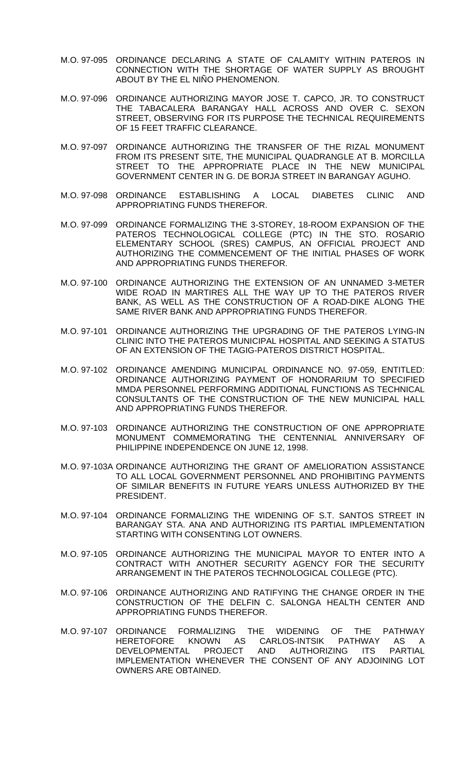- M.O. 97-095 ORDINANCE DECLARING A STATE OF CALAMITY WITHIN PATEROS IN CONNECTION WITH THE SHORTAGE OF WATER SUPPLY AS BROUGHT ABOUT BY THE EL NIÑO PHENOMENON.
- M.O. 97-096 ORDINANCE AUTHORIZING MAYOR JOSE T. CAPCO, JR. TO CONSTRUCT THE TABACALERA BARANGAY HALL ACROSS AND OVER C. SEXON STREET, OBSERVING FOR ITS PURPOSE THE TECHNICAL REQUIREMENTS OF 15 FEET TRAFFIC CLEARANCE.
- M.O. 97-097 ORDINANCE AUTHORIZING THE TRANSFER OF THE RIZAL MONUMENT FROM ITS PRESENT SITE, THE MUNICIPAL QUADRANGLE AT B. MORCILLA STREET TO THE APPROPRIATE PLACE IN THE NEW MUNICIPAL GOVERNMENT CENTER IN G. DE BORJA STREET IN BARANGAY AGUHO.
- M.O. 97-098 ORDINANCE ESTABLISHING A LOCAL DIABETES CLINIC AND APPROPRIATING FUNDS THEREFOR.
- M.O. 97-099 ORDINANCE FORMALIZING THE 3-STOREY, 18-ROOM EXPANSION OF THE PATEROS TECHNOLOGICAL COLLEGE (PTC) IN THE STO. ROSARIO ELEMENTARY SCHOOL (SRES) CAMPUS, AN OFFICIAL PROJECT AND AUTHORIZING THE COMMENCEMENT OF THE INITIAL PHASES OF WORK AND APPROPRIATING FUNDS THEREFOR.
- M.O. 97-100 ORDINANCE AUTHORIZING THE EXTENSION OF AN UNNAMED 3-METER WIDE ROAD IN MARTIRES ALL THE WAY UP TO THE PATEROS RIVER BANK, AS WELL AS THE CONSTRUCTION OF A ROAD-DIKE ALONG THE SAME RIVER BANK AND APPROPRIATING FUNDS THEREFOR.
- M.O. 97-101 ORDINANCE AUTHORIZING THE UPGRADING OF THE PATEROS LYING-IN CLINIC INTO THE PATEROS MUNICIPAL HOSPITAL AND SEEKING A STATUS OF AN EXTENSION OF THE TAGIG-PATEROS DISTRICT HOSPITAL.
- M.O. 97-102 ORDINANCE AMENDING MUNICIPAL ORDINANCE NO. 97-059, ENTITLED: ORDINANCE AUTHORIZING PAYMENT OF HONORARIUM TO SPECIFIED MMDA PERSONNEL PERFORMING ADDITIONAL FUNCTIONS AS TECHNICAL CONSULTANTS OF THE CONSTRUCTION OF THE NEW MUNICIPAL HALL AND APPROPRIATING FUNDS THEREFOR.
- M.O. 97-103 ORDINANCE AUTHORIZING THE CONSTRUCTION OF ONE APPROPRIATE MONUMENT COMMEMORATING THE CENTENNIAL ANNIVERSARY OF PHILIPPINE INDEPENDENCE ON JUNE 12, 1998.
- M.O. 97-103A ORDINANCE AUTHORIZING THE GRANT OF AMELIORATION ASSISTANCE TO ALL LOCAL GOVERNMENT PERSONNEL AND PROHIBITING PAYMENTS OF SIMILAR BENEFITS IN FUTURE YEARS UNLESS AUTHORIZED BY THE PRESIDENT.
- M.O. 97-104 ORDINANCE FORMALIZING THE WIDENING OF S.T. SANTOS STREET IN BARANGAY STA. ANA AND AUTHORIZING ITS PARTIAL IMPLEMENTATION STARTING WITH CONSENTING LOT OWNERS.
- M.O. 97-105 ORDINANCE AUTHORIZING THE MUNICIPAL MAYOR TO ENTER INTO A CONTRACT WITH ANOTHER SECURITY AGENCY FOR THE SECURITY ARRANGEMENT IN THE PATEROS TECHNOLOGICAL COLLEGE (PTC).
- M.O. 97-106 ORDINANCE AUTHORIZING AND RATIFYING THE CHANGE ORDER IN THE CONSTRUCTION OF THE DELFIN C. SALONGA HEALTH CENTER AND APPROPRIATING FUNDS THEREFOR.
- M.O. 97-107 ORDINANCE FORMALIZING THE WIDENING OF THE PATHWAY HERETOFORE KNOWN AS CARLOS-INTSIK PATHWAY AS A DEVELOPMENTAL PROJECT AND AUTHORIZING ITS PARTIAL IMPLEMENTATION WHENEVER THE CONSENT OF ANY ADJOINING LOT OWNERS ARE OBTAINED.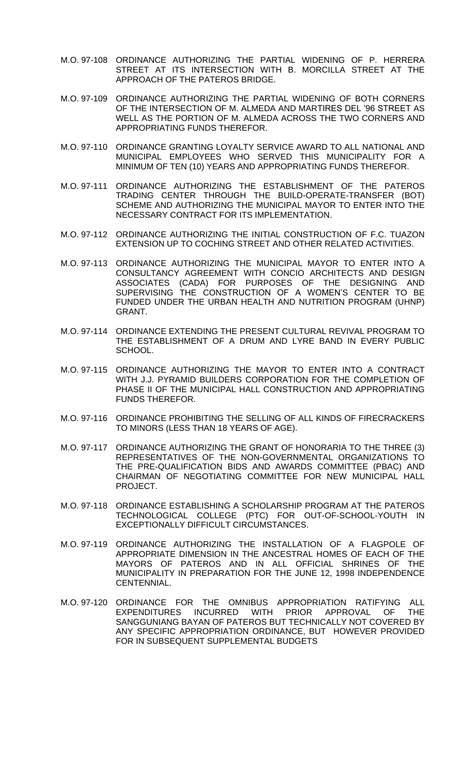- M.O. 97-108 ORDINANCE AUTHORIZING THE PARTIAL WIDENING OF P. HERRERA STREET AT ITS INTERSECTION WITH B. MORCILLA STREET AT THE APPROACH OF THE PATEROS BRIDGE.
- M.O. 97-109 ORDINANCE AUTHORIZING THE PARTIAL WIDENING OF BOTH CORNERS OF THE INTERSECTION OF M. ALMEDA AND MARTIRES DEL '96 STREET AS WELL AS THE PORTION OF M. ALMEDA ACROSS THE TWO CORNERS AND APPROPRIATING FUNDS THEREFOR.
- M.O. 97-110 ORDINANCE GRANTING LOYALTY SERVICE AWARD TO ALL NATIONAL AND MUNICIPAL EMPLOYEES WHO SERVED THIS MUNICIPALITY FOR A MINIMUM OF TEN (10) YEARS AND APPROPRIATING FUNDS THEREFOR.
- M.O. 97-111 ORDINANCE AUTHORIZING THE ESTABLISHMENT OF THE PATEROS TRADING CENTER THROUGH THE BUILD-OPERATE-TRANSFER (BOT) SCHEME AND AUTHORIZING THE MUNICIPAL MAYOR TO ENTER INTO THE NECESSARY CONTRACT FOR ITS IMPLEMENTATION.
- M.O. 97-112 ORDINANCE AUTHORIZING THE INITIAL CONSTRUCTION OF F.C. TUAZON EXTENSION UP TO COCHING STREET AND OTHER RELATED ACTIVITIES.
- M.O. 97-113 ORDINANCE AUTHORIZING THE MUNICIPAL MAYOR TO ENTER INTO A CONSULTANCY AGREEMENT WITH CONCIO ARCHITECTS AND DESIGN ASSOCIATES (CADA) FOR PURPOSES OF THE DESIGNING AND SUPERVISING THE CONSTRUCTION OF A WOMEN'S CENTER TO BE FUNDED UNDER THE URBAN HEALTH AND NUTRITION PROGRAM (UHNP) GRANT.
- M.O. 97-114 ORDINANCE EXTENDING THE PRESENT CULTURAL REVIVAL PROGRAM TO THE ESTABLISHMENT OF A DRUM AND LYRE BAND IN EVERY PUBLIC SCHOOL.
- M.O. 97-115 ORDINANCE AUTHORIZING THE MAYOR TO ENTER INTO A CONTRACT WITH J.J. PYRAMID BUILDERS CORPORATION FOR THE COMPLETION OF PHASE II OF THE MUNICIPAL HALL CONSTRUCTION AND APPROPRIATING FUNDS THEREFOR.
- M.O. 97-116 ORDINANCE PROHIBITING THE SELLING OF ALL KINDS OF FIRECRACKERS TO MINORS (LESS THAN 18 YEARS OF AGE).
- M.O. 97-117 ORDINANCE AUTHORIZING THE GRANT OF HONORARIA TO THE THREE (3) REPRESENTATIVES OF THE NON-GOVERNMENTAL ORGANIZATIONS TO THE PRE-QUALIFICATION BIDS AND AWARDS COMMITTEE (PBAC) AND CHAIRMAN OF NEGOTIATING COMMITTEE FOR NEW MUNICIPAL HALL PROJECT.
- M.O. 97-118 ORDINANCE ESTABLISHING A SCHOLARSHIP PROGRAM AT THE PATEROS TECHNOLOGICAL COLLEGE (PTC) FOR OUT-OF-SCHOOL-YOUTH IN EXCEPTIONALLY DIFFICULT CIRCUMSTANCES.
- M.O. 97-119 ORDINANCE AUTHORIZING THE INSTALLATION OF A FLAGPOLE OF APPROPRIATE DIMENSION IN THE ANCESTRAL HOMES OF EACH OF THE MAYORS OF PATEROS AND IN ALL OFFICIAL SHRINES OF THE MUNICIPALITY IN PREPARATION FOR THE JUNE 12, 1998 INDEPENDENCE CENTENNIAL.
- M.O. 97-120 ORDINANCE FOR THE OMNIBUS APPROPRIATION RATIFYING ALL EXPENDITURES INCURRED WITH PRIOR APPROVAL OF THE SANGGUNIANG BAYAN OF PATEROS BUT TECHNICALLY NOT COVERED BY ANY SPECIFIC APPROPRIATION ORDINANCE, BUT HOWEVER PROVIDED FOR IN SUBSEQUENT SUPPLEMENTAL BUDGETS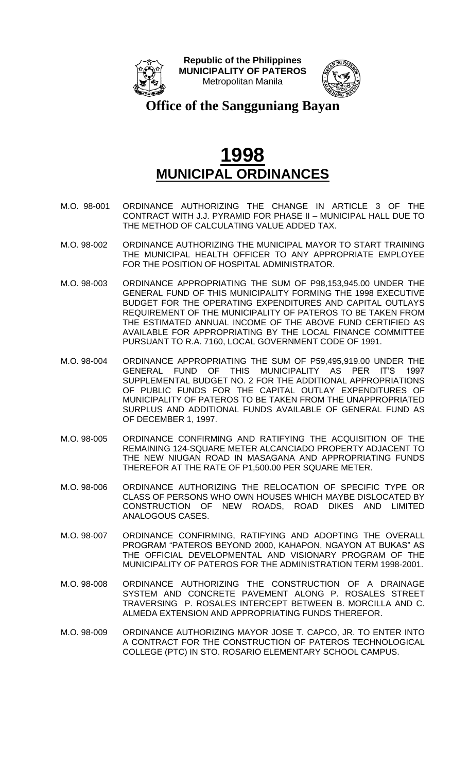



**Office of the Sangguniang Bayan**

- M.O. 98-001 ORDINANCE AUTHORIZING THE CHANGE IN ARTICLE 3 OF THE CONTRACT WITH J.J. PYRAMID FOR PHASE II – MUNICIPAL HALL DUE TO THE METHOD OF CALCULATING VALUE ADDED TAX.
- M.O. 98-002 ORDINANCE AUTHORIZING THE MUNICIPAL MAYOR TO START TRAINING THE MUNICIPAL HEALTH OFFICER TO ANY APPROPRIATE EMPLOYEE FOR THE POSITION OF HOSPITAL ADMINISTRATOR.
- M.O. 98-003 ORDINANCE APPROPRIATING THE SUM OF P98,153,945.00 UNDER THE GENERAL FUND OF THIS MUNICIPALITY FORMING THE 1998 EXECUTIVE BUDGET FOR THE OPERATING EXPENDITURES AND CAPITAL OUTLAYS REQUIREMENT OF THE MUNICIPALITY OF PATEROS TO BE TAKEN FROM THE ESTIMATED ANNUAL INCOME OF THE ABOVE FUND CERTIFIED AS AVAILABLE FOR APPROPRIATING BY THE LOCAL FINANCE COMMITTEE PURSUANT TO R.A. 7160, LOCAL GOVERNMENT CODE OF 1991.
- M.O. 98-004 ORDINANCE APPROPRIATING THE SUM OF P59,495,919.00 UNDER THE GENERAL FUND OF THIS MUNICIPALITY AS PER IT'S 1997 SUPPLEMENTAL BUDGET NO. 2 FOR THE ADDITIONAL APPROPRIATIONS OF PUBLIC FUNDS FOR THE CAPITAL OUTLAY EXPENDITURES OF MUNICIPALITY OF PATEROS TO BE TAKEN FROM THE UNAPPROPRIATED SURPLUS AND ADDITIONAL FUNDS AVAILABLE OF GENERAL FUND AS OF DECEMBER 1, 1997.
- M.O. 98-005 ORDINANCE CONFIRMING AND RATIFYING THE ACQUISITION OF THE REMAINING 124-SQUARE METER ALCANCIADO PROPERTY ADJACENT TO THE NEW NIUGAN ROAD IN MASAGANA AND APPROPRIATING FUNDS THEREFOR AT THE RATE OF P1,500.00 PER SQUARE METER.
- M.O. 98-006 ORDINANCE AUTHORIZING THE RELOCATION OF SPECIFIC TYPE OR CLASS OF PERSONS WHO OWN HOUSES WHICH MAYBE DISLOCATED BY CONSTRUCTION OF NEW ROADS, ROAD DIKES AND LIMITED ANALOGOUS CASES.
- M.O. 98-007 ORDINANCE CONFIRMING, RATIFYING AND ADOPTING THE OVERALL PROGRAM "PATEROS BEYOND 2000, KAHAPON, NGAYON AT BUKAS" AS THE OFFICIAL DEVELOPMENTAL AND VISIONARY PROGRAM OF THE MUNICIPALITY OF PATEROS FOR THE ADMINISTRATION TERM 1998-2001.
- M.O. 98-008 ORDINANCE AUTHORIZING THE CONSTRUCTION OF A DRAINAGE SYSTEM AND CONCRETE PAVEMENT ALONG P. ROSALES STREET TRAVERSING P. ROSALES INTERCEPT BETWEEN B. MORCILLA AND C. ALMEDA EXTENSION AND APPROPRIATING FUNDS THEREFOR.
- M.O. 98-009 ORDINANCE AUTHORIZING MAYOR JOSE T. CAPCO, JR. TO ENTER INTO A CONTRACT FOR THE CONSTRUCTION OF PATEROS TECHNOLOGICAL COLLEGE (PTC) IN STO. ROSARIO ELEMENTARY SCHOOL CAMPUS.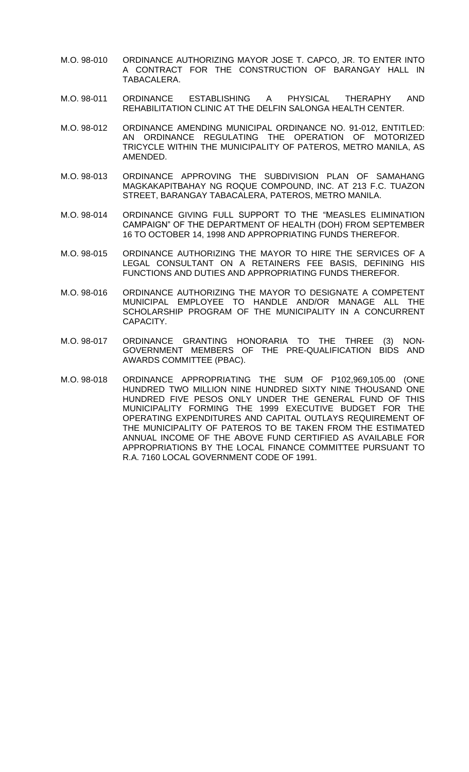- M.O. 98-010 ORDINANCE AUTHORIZING MAYOR JOSE T. CAPCO, JR. TO ENTER INTO A CONTRACT FOR THE CONSTRUCTION OF BARANGAY HALL IN TABACALERA.
- M.O. 98-011 ORDINANCE ESTABLISHING A PHYSICAL THERAPHY AND REHABILITATION CLINIC AT THE DELFIN SALONGA HEALTH CENTER.
- M.O. 98-012 ORDINANCE AMENDING MUNICIPAL ORDINANCE NO. 91-012, ENTITLED: AN ORDINANCE REGULATING THE OPERATION OF MOTORIZED TRICYCLE WITHIN THE MUNICIPALITY OF PATEROS, METRO MANILA, AS AMENDED.
- M.O. 98-013 ORDINANCE APPROVING THE SUBDIVISION PLAN OF SAMAHANG MAGKAKAPITBAHAY NG ROQUE COMPOUND, INC. AT 213 F.C. TUAZON STREET, BARANGAY TABACALERA, PATEROS, METRO MANILA.
- M.O. 98-014 ORDINANCE GIVING FULL SUPPORT TO THE "MEASLES ELIMINATION CAMPAIGN" OF THE DEPARTMENT OF HEALTH (DOH) FROM SEPTEMBER 16 TO OCTOBER 14, 1998 AND APPROPRIATING FUNDS THEREFOR.
- M.O. 98-015 ORDINANCE AUTHORIZING THE MAYOR TO HIRE THE SERVICES OF A LEGAL CONSULTANT ON A RETAINERS FEE BASIS, DEFINING HIS FUNCTIONS AND DUTIES AND APPROPRIATING FUNDS THEREFOR.
- M.O. 98-016 ORDINANCE AUTHORIZING THE MAYOR TO DESIGNATE A COMPETENT MUNICIPAL EMPLOYEE TO HANDLE AND/OR MANAGE ALL THE SCHOLARSHIP PROGRAM OF THE MUNICIPALITY IN A CONCURRENT CAPACITY.
- M.O. 98-017 ORDINANCE GRANTING HONORARIA TO THE THREE (3) NON-GOVERNMENT MEMBERS OF THE PRE-QUALIFICATION BIDS AND AWARDS COMMITTEE (PBAC).
- M.O. 98-018 ORDINANCE APPROPRIATING THE SUM OF P102,969,105.00 (ONE HUNDRED TWO MILLION NINE HUNDRED SIXTY NINE THOUSAND ONE HUNDRED FIVE PESOS ONLY UNDER THE GENERAL FUND OF THIS MUNICIPALITY FORMING THE 1999 EXECUTIVE BUDGET FOR THE OPERATING EXPENDITURES AND CAPITAL OUTLAYS REQUIREMENT OF THE MUNICIPALITY OF PATEROS TO BE TAKEN FROM THE ESTIMATED ANNUAL INCOME OF THE ABOVE FUND CERTIFIED AS AVAILABLE FOR APPROPRIATIONS BY THE LOCAL FINANCE COMMITTEE PURSUANT TO R.A. 7160 LOCAL GOVERNMENT CODE OF 1991.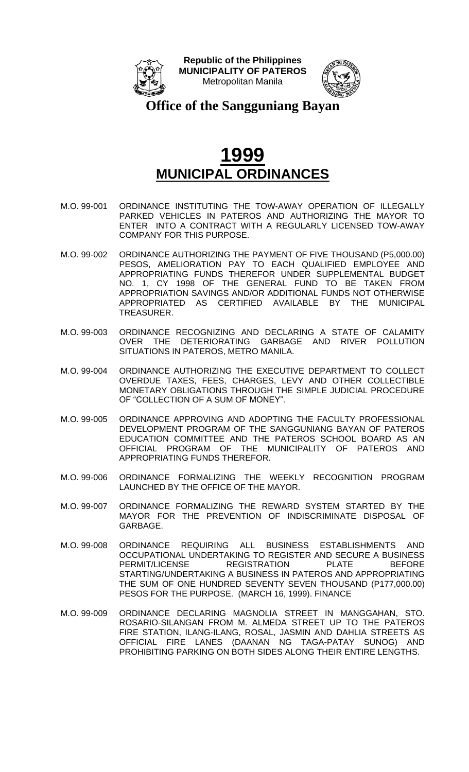



**Office of the Sangguniang Bayan**

- M.O. 99-001 ORDINANCE INSTITUTING THE TOW-AWAY OPERATION OF ILLEGALLY PARKED VEHICLES IN PATEROS AND AUTHORIZING THE MAYOR TO ENTER INTO A CONTRACT WITH A REGULARLY LICENSED TOW-AWAY COMPANY FOR THIS PURPOSE.
- M.O. 99-002 ORDINANCE AUTHORIZING THE PAYMENT OF FIVE THOUSAND (P5,000.00) PESOS, AMELIORATION PAY TO EACH QUALIFIED EMPLOYEE AND APPROPRIATING FUNDS THEREFOR UNDER SUPPLEMENTAL BUDGET NO. 1, CY 1998 OF THE GENERAL FUND TO BE TAKEN FROM APPROPRIATION SAVINGS AND/OR ADDITIONAL FUNDS NOT OTHERWISE APPROPRIATED AS CERTIFIED AVAILABLE BY THE MUNICIPAL TREASURER.
- M.O. 99-003 ORDINANCE RECOGNIZING AND DECLARING A STATE OF CALAMITY OVER THE DETERIORATING GARBAGE AND RIVER POLLUTION SITUATIONS IN PATEROS, METRO MANILA.
- M.O. 99-004 ORDINANCE AUTHORIZING THE EXECUTIVE DEPARTMENT TO COLLECT OVERDUE TAXES, FEES, CHARGES, LEVY AND OTHER COLLECTIBLE MONETARY OBLIGATIONS THROUGH THE SIMPLE JUDICIAL PROCEDURE OF "COLLECTION OF A SUM OF MONEY".
- M.O. 99-005 ORDINANCE APPROVING AND ADOPTING THE FACULTY PROFESSIONAL DEVELOPMENT PROGRAM OF THE SANGGUNIANG BAYAN OF PATEROS EDUCATION COMMITTEE AND THE PATEROS SCHOOL BOARD AS AN OFFICIAL PROGRAM OF THE MUNICIPALITY OF PATEROS AND APPROPRIATING FUNDS THEREFOR.
- M.O. 99-006 ORDINANCE FORMALIZING THE WEEKLY RECOGNITION PROGRAM LAUNCHED BY THE OFFICE OF THE MAYOR.
- M.O. 99-007 ORDINANCE FORMALIZING THE REWARD SYSTEM STARTED BY THE MAYOR FOR THE PREVENTION OF INDISCRIMINATE DISPOSAL OF GARBAGE.
- M.O. 99-008 ORDINANCE REQUIRING ALL BUSINESS ESTABLISHMENTS AND OCCUPATIONAL UNDERTAKING TO REGISTER AND SECURE A BUSINESS PERMIT/LICENSE REGISTRATION PLATE BEFORE STARTING/UNDERTAKING A BUSINESS IN PATEROS AND APPROPRIATING THE SUM OF ONE HUNDRED SEVENTY SEVEN THOUSAND (P177,000.00) PESOS FOR THE PURPOSE. (MARCH 16, 1999). FINANCE
- M.O. 99-009 ORDINANCE DECLARING MAGNOLIA STREET IN MANGGAHAN, STO. ROSARIO-SILANGAN FROM M. ALMEDA STREET UP TO THE PATEROS FIRE STATION, ILANG-ILANG, ROSAL, JASMIN AND DAHLIA STREETS AS OFFICIAL FIRE LANES (DAANAN NG TAGA-PATAY SUNOG) AND PROHIBITING PARKING ON BOTH SIDES ALONG THEIR ENTIRE LENGTHS.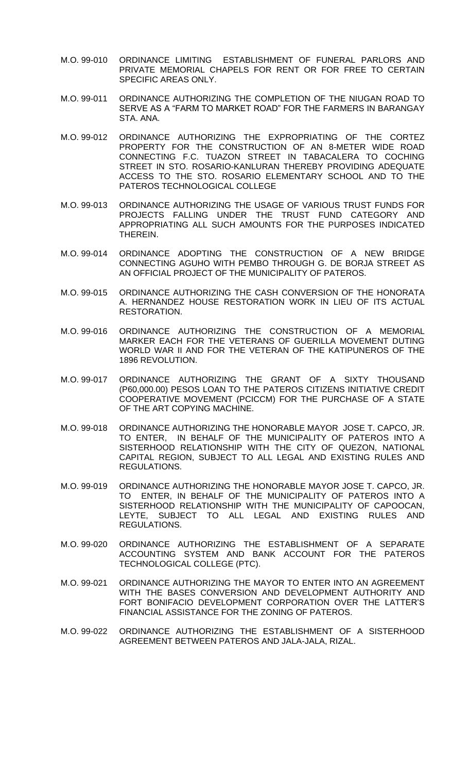- M.O. 99-010 ORDINANCE LIMITING ESTABLISHMENT OF FUNERAL PARLORS AND PRIVATE MEMORIAL CHAPELS FOR RENT OR FOR FREE TO CERTAIN SPECIFIC AREAS ONLY.
- M.O. 99-011 ORDINANCE AUTHORIZING THE COMPLETION OF THE NIUGAN ROAD TO SERVE AS A "FARM TO MARKET ROAD" FOR THE FARMERS IN BARANGAY STA. ANA.
- M.O. 99-012 ORDINANCE AUTHORIZING THE EXPROPRIATING OF THE CORTEZ PROPERTY FOR THE CONSTRUCTION OF AN 8-METER WIDE ROAD CONNECTING F.C. TUAZON STREET IN TABACALERA TO COCHING STREET IN STO. ROSARIO-KANLURAN THEREBY PROVIDING ADEQUATE ACCESS TO THE STO. ROSARIO ELEMENTARY SCHOOL AND TO THE PATEROS TECHNOLOGICAL COLLEGE
- M.O. 99-013 ORDINANCE AUTHORIZING THE USAGE OF VARIOUS TRUST FUNDS FOR PROJECTS FALLING UNDER THE TRUST FUND CATEGORY AND APPROPRIATING ALL SUCH AMOUNTS FOR THE PURPOSES INDICATED THEREIN.
- M.O. 99-014 ORDINANCE ADOPTING THE CONSTRUCTION OF A NEW BRIDGE CONNECTING AGUHO WITH PEMBO THROUGH G. DE BORJA STREET AS AN OFFICIAL PROJECT OF THE MUNICIPALITY OF PATEROS.
- M.O. 99-015 ORDINANCE AUTHORIZING THE CASH CONVERSION OF THE HONORATA A. HERNANDEZ HOUSE RESTORATION WORK IN LIEU OF ITS ACTUAL RESTORATION.
- M.O. 99-016 ORDINANCE AUTHORIZING THE CONSTRUCTION OF A MEMORIAL MARKER EACH FOR THE VETERANS OF GUERILLA MOVEMENT DUTING WORLD WAR II AND FOR THE VETERAN OF THE KATIPUNEROS OF THE 1896 REVOLUTION.
- M.O. 99-017 ORDINANCE AUTHORIZING THE GRANT OF A SIXTY THOUSAND (P60,000.00) PESOS LOAN TO THE PATEROS CITIZENS INITIATIVE CREDIT COOPERATIVE MOVEMENT (PCICCM) FOR THE PURCHASE OF A STATE OF THE ART COPYING MACHINE.
- M.O. 99-018 ORDINANCE AUTHORIZING THE HONORABLE MAYOR JOSE T. CAPCO, JR. TO ENTER, IN BEHALF OF THE MUNICIPALITY OF PATEROS INTO A SISTERHOOD RELATIONSHIP WITH THE CITY OF QUEZON, NATIONAL CAPITAL REGION, SUBJECT TO ALL LEGAL AND EXISTING RULES AND REGULATIONS.
- M.O. 99-019 ORDINANCE AUTHORIZING THE HONORABLE MAYOR JOSE T. CAPCO, JR. TO ENTER, IN BEHALF OF THE MUNICIPALITY OF PATEROS INTO A SISTERHOOD RELATIONSHIP WITH THE MUNICIPALITY OF CAPOOCAN, LEYTE, SUBJECT TO ALL LEGAL AND EXISTING RULES AND REGULATIONS.
- M.O. 99-020 ORDINANCE AUTHORIZING THE ESTABLISHMENT OF A SEPARATE ACCOUNTING SYSTEM AND BANK ACCOUNT FOR THE PATEROS TECHNOLOGICAL COLLEGE (PTC).
- M.O. 99-021 ORDINANCE AUTHORIZING THE MAYOR TO ENTER INTO AN AGREEMENT WITH THE BASES CONVERSION AND DEVELOPMENT AUTHORITY AND FORT BONIFACIO DEVELOPMENT CORPORATION OVER THE LATTER'S FINANCIAL ASSISTANCE FOR THE ZONING OF PATEROS.
- M.O. 99-022 ORDINANCE AUTHORIZING THE ESTABLISHMENT OF A SISTERHOOD AGREEMENT BETWEEN PATEROS AND JALA-JALA, RIZAL.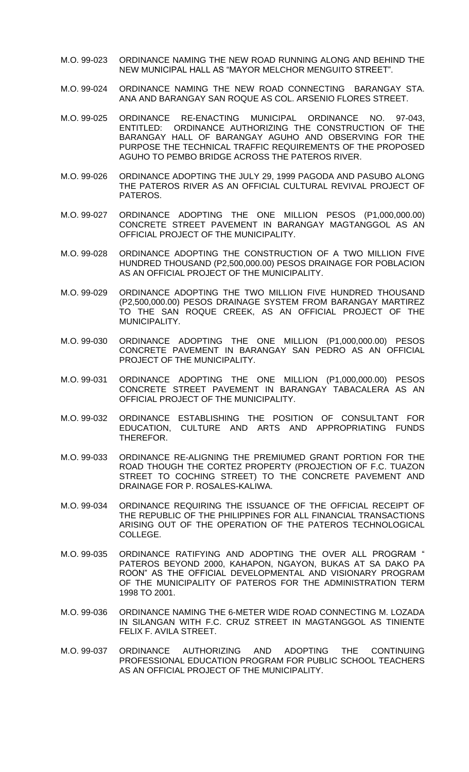- M.O. 99-023 ORDINANCE NAMING THE NEW ROAD RUNNING ALONG AND BEHIND THE NEW MUNICIPAL HALL AS "MAYOR MELCHOR MENGUITO STREET".
- M.O. 99-024 ORDINANCE NAMING THE NEW ROAD CONNECTING BARANGAY STA. ANA AND BARANGAY SAN ROQUE AS COL. ARSENIO FLORES STREET.
- M.O. 99-025 ORDINANCE RE-ENACTING MUNICIPAL ORDINANCE NO. 97-043, ENTITLED: ORDINANCE AUTHORIZING THE CONSTRUCTION OF THE BARANGAY HALL OF BARANGAY AGUHO AND OBSERVING FOR THE PURPOSE THE TECHNICAL TRAFFIC REQUIREMENTS OF THE PROPOSED AGUHO TO PEMBO BRIDGE ACROSS THE PATEROS RIVER.
- M.O. 99-026 ORDINANCE ADOPTING THE JULY 29, 1999 PAGODA AND PASUBO ALONG THE PATEROS RIVER AS AN OFFICIAL CULTURAL REVIVAL PROJECT OF PATEROS.
- M.O. 99-027 ORDINANCE ADOPTING THE ONE MILLION PESOS (P1,000,000.00) CONCRETE STREET PAVEMENT IN BARANGAY MAGTANGGOL AS AN OFFICIAL PROJECT OF THE MUNICIPALITY.
- M.O. 99-028 ORDINANCE ADOPTING THE CONSTRUCTION OF A TWO MILLION FIVE HUNDRED THOUSAND (P2,500,000.00) PESOS DRAINAGE FOR POBLACION AS AN OFFICIAL PROJECT OF THE MUNICIPALITY.
- M.O. 99-029 ORDINANCE ADOPTING THE TWO MILLION FIVE HUNDRED THOUSAND (P2,500,000.00) PESOS DRAINAGE SYSTEM FROM BARANGAY MARTIREZ TO THE SAN ROQUE CREEK, AS AN OFFICIAL PROJECT OF THE MUNICIPALITY.
- M.O. 99-030 ORDINANCE ADOPTING THE ONE MILLION (P1,000,000.00) PESOS CONCRETE PAVEMENT IN BARANGAY SAN PEDRO AS AN OFFICIAL PROJECT OF THE MUNICIPALITY.
- M.O. 99-031 ORDINANCE ADOPTING THE ONE MILLION (P1,000,000.00) PESOS CONCRETE STREET PAVEMENT IN BARANGAY TABACALERA AS AN OFFICIAL PROJECT OF THE MUNICIPALITY.
- M.O. 99-032 ORDINANCE ESTABLISHING THE POSITION OF CONSULTANT FOR EDUCATION, CULTURE AND ARTS AND APPROPRIATING FUNDS THEREFOR.
- M.O. 99-033 ORDINANCE RE-ALIGNING THE PREMIUMED GRANT PORTION FOR THE ROAD THOUGH THE CORTEZ PROPERTY (PROJECTION OF F.C. TUAZON STREET TO COCHING STREET) TO THE CONCRETE PAVEMENT AND DRAINAGE FOR P. ROSALES-KALIWA.
- M.O. 99-034 ORDINANCE REQUIRING THE ISSUANCE OF THE OFFICIAL RECEIPT OF THE REPUBLIC OF THE PHILIPPINES FOR ALL FINANCIAL TRANSACTIONS ARISING OUT OF THE OPERATION OF THE PATEROS TECHNOLOGICAL COLLEGE.
- M.O. 99-035 ORDINANCE RATIFYING AND ADOPTING THE OVER ALL PROGRAM " PATEROS BEYOND 2000, KAHAPON, NGAYON, BUKAS AT SA DAKO PA ROON" AS THE OFFICIAL DEVELOPMENTAL AND VISIONARY PROGRAM OF THE MUNICIPALITY OF PATEROS FOR THE ADMINISTRATION TERM 1998 TO 2001.
- M.O. 99-036 ORDINANCE NAMING THE 6-METER WIDE ROAD CONNECTING M. LOZADA IN SILANGAN WITH F.C. CRUZ STREET IN MAGTANGGOL AS TINIENTE FELIX F. AVILA STREET.
- M.O. 99-037 ORDINANCE AUTHORIZING AND ADOPTING THE CONTINUING PROFESSIONAL EDUCATION PROGRAM FOR PUBLIC SCHOOL TEACHERS AS AN OFFICIAL PROJECT OF THE MUNICIPALITY.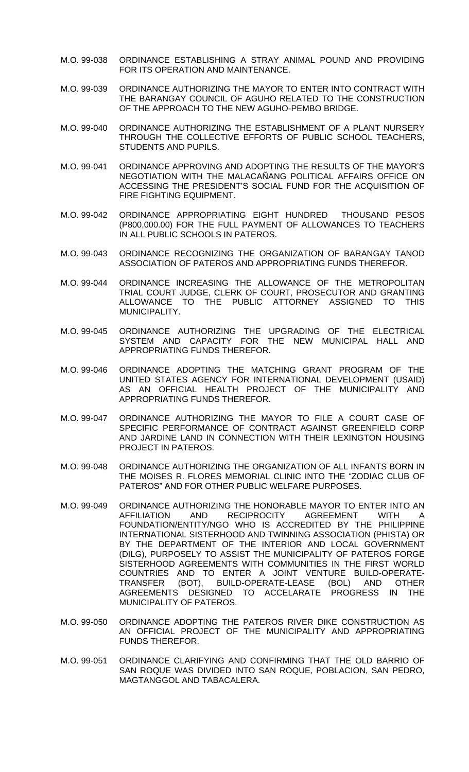- M.O. 99-038 ORDINANCE ESTABLISHING A STRAY ANIMAL POUND AND PROVIDING FOR ITS OPERATION AND MAINTENANCE.
- M.O. 99-039 ORDINANCE AUTHORIZING THE MAYOR TO ENTER INTO CONTRACT WITH THE BARANGAY COUNCIL OF AGUHO RELATED TO THE CONSTRUCTION OF THE APPROACH TO THE NEW AGUHO-PEMBO BRIDGE.
- M.O. 99-040 ORDINANCE AUTHORIZING THE ESTABLISHMENT OF A PLANT NURSERY THROUGH THE COLLECTIVE EFFORTS OF PUBLIC SCHOOL TEACHERS, STUDENTS AND PUPILS.
- M.O. 99-041 ORDINANCE APPROVING AND ADOPTING THE RESULTS OF THE MAYOR'S NEGOTIATION WITH THE MALACAÑANG POLITICAL AFFAIRS OFFICE ON ACCESSING THE PRESIDENT'S SOCIAL FUND FOR THE ACQUISITION OF FIRE FIGHTING EQUIPMENT.
- M.O. 99-042 ORDINANCE APPROPRIATING EIGHT HUNDRED THOUSAND PESOS (P800,000.00) FOR THE FULL PAYMENT OF ALLOWANCES TO TEACHERS IN ALL PUBLIC SCHOOLS IN PATEROS.
- M.O. 99-043 ORDINANCE RECOGNIZING THE ORGANIZATION OF BARANGAY TANOD ASSOCIATION OF PATEROS AND APPROPRIATING FUNDS THEREFOR.
- M.O. 99-044 ORDINANCE INCREASING THE ALLOWANCE OF THE METROPOLITAN TRIAL COURT JUDGE, CLERK OF COURT, PROSECUTOR AND GRANTING ALLOWANCE TO THE PUBLIC ATTORNEY ASSIGNED TO THIS MUNICIPALITY.
- M.O. 99-045 ORDINANCE AUTHORIZING THE UPGRADING OF THE ELECTRICAL SYSTEM AND CAPACITY FOR THE NEW MUNICIPAL HALL AND APPROPRIATING FUNDS THEREFOR.
- M.O. 99-046 ORDINANCE ADOPTING THE MATCHING GRANT PROGRAM OF THE UNITED STATES AGENCY FOR INTERNATIONAL DEVELOPMENT (USAID) AS AN OFFICIAL HEALTH PROJECT OF THE MUNICIPALITY AND APPROPRIATING FUNDS THEREFOR.
- M.O. 99-047 ORDINANCE AUTHORIZING THE MAYOR TO FILE A COURT CASE OF SPECIFIC PERFORMANCE OF CONTRACT AGAINST GREENFIELD CORP AND JARDINE LAND IN CONNECTION WITH THEIR LEXINGTON HOUSING PROJECT IN PATEROS.
- M.O. 99-048 ORDINANCE AUTHORIZING THE ORGANIZATION OF ALL INFANTS BORN IN THE MOISES R. FLORES MEMORIAL CLINIC INTO THE "ZODIAC CLUB OF PATEROS" AND FOR OTHER PUBLIC WELFARE PURPOSES.
- M.O. 99-049 ORDINANCE AUTHORIZING THE HONORABLE MAYOR TO ENTER INTO AN AFFILIATION AND RECIPROCITY AGREEMENT WITH A FOUNDATION/ENTITY/NGO WHO IS ACCREDITED BY THE PHILIPPINE INTERNATIONAL SISTERHOOD AND TWINNING ASSOCIATION (PHISTA) OR BY THE DEPARTMENT OF THE INTERIOR AND LOCAL GOVERNMENT (DILG), PURPOSELY TO ASSIST THE MUNICIPALITY OF PATEROS FORGE SISTERHOOD AGREEMENTS WITH COMMUNITIES IN THE FIRST WORLD COUNTRIES AND TO ENTER A JOINT VENTURE BUILD-OPERATE-TRANSFER (BOT), BUILD-OPERATE-LEASE (BOL) AND AGREEMENTS DESIGNED TO ACCELARATE PROGRESS IN THE MUNICIPALITY OF PATEROS.
- M.O. 99-050 ORDINANCE ADOPTING THE PATEROS RIVER DIKE CONSTRUCTION AS AN OFFICIAL PROJECT OF THE MUNICIPALITY AND APPROPRIATING FUNDS THEREFOR.
- M.O. 99-051 ORDINANCE CLARIFYING AND CONFIRMING THAT THE OLD BARRIO OF SAN ROQUE WAS DIVIDED INTO SAN ROQUE, POBLACION, SAN PEDRO, MAGTANGGOL AND TABACALERA.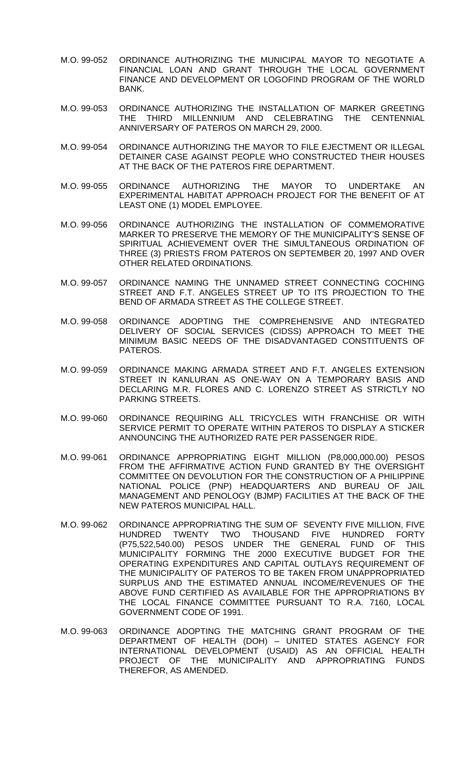- M.O. 99-052 ORDINANCE AUTHORIZING THE MUNICIPAL MAYOR TO NEGOTIATE A FINANCIAL LOAN AND GRANT THROUGH THE LOCAL GOVERNMENT FINANCE AND DEVELOPMENT OR LOGOFIND PROGRAM OF THE WORLD BANK.
- M.O. 99-053 ORDINANCE AUTHORIZING THE INSTALLATION OF MARKER GREETING THE THIRD MILLENNIUM AND CELEBRATING THE CENTENNIAL ANNIVERSARY OF PATEROS ON MARCH 29, 2000.
- M.O. 99-054 ORDINANCE AUTHORIZING THE MAYOR TO FILE EJECTMENT OR ILLEGAL DETAINER CASE AGAINST PEOPLE WHO CONSTRUCTED THEIR HOUSES AT THE BACK OF THE PATEROS FIRE DEPARTMENT.
- M.O. 99-055 ORDINANCE AUTHORIZING THE MAYOR TO UNDERTAKE AN EXPERIMENTAL HABITAT APPROACH PROJECT FOR THE BENEFIT OF AT LEAST ONE (1) MODEL EMPLOYEE.
- M.O. 99-056 ORDINANCE AUTHORIZING THE INSTALLATION OF COMMEMORATIVE MARKER TO PRESERVE THE MEMORY OF THE MUNICIPALITY'S SENSE OF SPIRITUAL ACHIEVEMENT OVER THE SIMULTANEOUS ORDINATION OF THREE (3) PRIESTS FROM PATEROS ON SEPTEMBER 20, 1997 AND OVER OTHER RELATED ORDINATIONS.
- M.O. 99-057 ORDINANCE NAMING THE UNNAMED STREET CONNECTING COCHING STREET AND F.T. ANGELES STREET UP TO ITS PROJECTION TO THE BEND OF ARMADA STREET AS THE COLLEGE STREET.
- M.O. 99-058 ORDINANCE ADOPTING THE COMPREHENSIVE AND INTEGRATED DELIVERY OF SOCIAL SERVICES (CIDSS) APPROACH TO MEET THE MINIMUM BASIC NEEDS OF THE DISADVANTAGED CONSTITUENTS OF PATEROS.
- M.O. 99-059 ORDINANCE MAKING ARMADA STREET AND F.T. ANGELES EXTENSION STREET IN KANLURAN AS ONE-WAY ON A TEMPORARY BASIS AND DECLARING M.R. FLORES AND C. LORENZO STREET AS STRICTLY NO PARKING STREETS.
- M.O. 99-060 ORDINANCE REQUIRING ALL TRICYCLES WITH FRANCHISE OR WITH SERVICE PERMIT TO OPERATE WITHIN PATEROS TO DISPLAY A STICKER ANNOUNCING THE AUTHORIZED RATE PER PASSENGER RIDE.
- M.O. 99-061 ORDINANCE APPROPRIATING EIGHT MILLION (P8,000,000.00) PESOS FROM THE AFFIRMATIVE ACTION FUND GRANTED BY THE OVERSIGHT COMMITTEE ON DEVOLUTION FOR THE CONSTRUCTION OF A PHILIPPINE NATIONAL POLICE (PNP) HEADQUARTERS AND BUREAU OF JAIL MANAGEMENT AND PENOLOGY (BJMP) FACILITIES AT THE BACK OF THE NEW PATEROS MUNICIPAL HALL.
- M.O. 99-062 ORDINANCE APPROPRIATING THE SUM OF SEVENTY FIVE MILLION, FIVE HUNDRED TWENTY TWO THOUSAND FIVE HUNDRED FORTY (P75,522,540.00) PESOS UNDER THE GENERAL FUND OF THIS MUNICIPALITY FORMING THE 2000 EXECUTIVE BUDGET FOR THE OPERATING EXPENDITURES AND CAPITAL OUTLAYS REQUIREMENT OF THE MUNICIPALITY OF PATEROS TO BE TAKEN FROM UNAPPROPRIATED SURPLUS AND THE ESTIMATED ANNUAL INCOME/REVENUES OF THE ABOVE FUND CERTIFIED AS AVAILABLE FOR THE APPROPRIATIONS BY THE LOCAL FINANCE COMMITTEE PURSUANT TO R.A. 7160, LOCAL GOVERNMENT CODE OF 1991.
- M.O. 99-063 ORDINANCE ADOPTING THE MATCHING GRANT PROGRAM OF THE DEPARTMENT OF HEALTH (DOH) – UNITED STATES AGENCY FOR INTERNATIONAL DEVELOPMENT (USAID) AS AN OFFICIAL HEALTH PROJECT OF THE MUNICIPALITY AND APPROPRIATING FUNDS THEREFOR, AS AMENDED.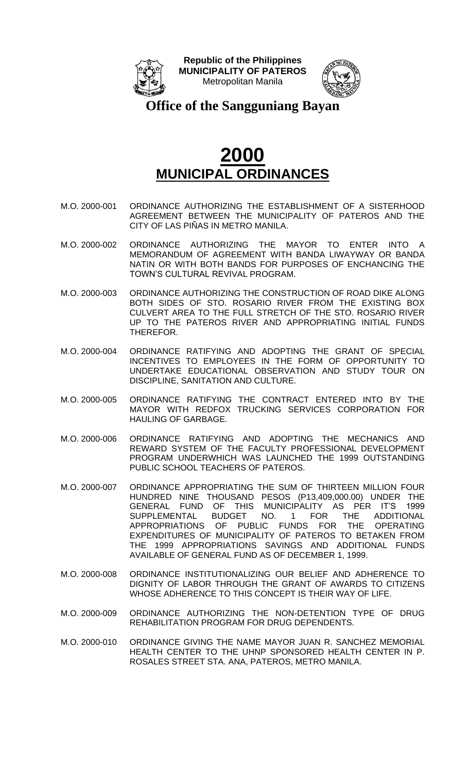



**Office of the Sangguniang Bayan**

- M.O. 2000-001 ORDINANCE AUTHORIZING THE ESTABLISHMENT OF A SISTERHOOD AGREEMENT BETWEEN THE MUNICIPALITY OF PATEROS AND THE CITY OF LAS PIÑAS IN METRO MANILA.
- M.O. 2000-002 ORDINANCE AUTHORIZING THE MAYOR TO ENTER INTO A MEMORANDUM OF AGREEMENT WITH BANDA LIWAYWAY OR BANDA NATIN OR WITH BOTH BANDS FOR PURPOSES OF ENCHANCING THE TOWN'S CULTURAL REVIVAL PROGRAM.
- M.O. 2000-003 ORDINANCE AUTHORIZING THE CONSTRUCTION OF ROAD DIKE ALONG BOTH SIDES OF STO. ROSARIO RIVER FROM THE EXISTING BOX CULVERT AREA TO THE FULL STRETCH OF THE STO. ROSARIO RIVER UP TO THE PATEROS RIVER AND APPROPRIATING INITIAL FUNDS THEREFOR.
- M.O. 2000-004 ORDINANCE RATIFYING AND ADOPTING THE GRANT OF SPECIAL INCENTIVES TO EMPLOYEES IN THE FORM OF OPPORTUNITY TO UNDERTAKE EDUCATIONAL OBSERVATION AND STUDY TOUR ON DISCIPLINE, SANITATION AND CULTURE.
- M.O. 2000-005 ORDINANCE RATIFYING THE CONTRACT ENTERED INTO BY THE MAYOR WITH REDFOX TRUCKING SERVICES CORPORATION FOR HAULING OF GARBAGE.
- M.O. 2000-006 ORDINANCE RATIFYING AND ADOPTING THE MECHANICS AND REWARD SYSTEM OF THE FACULTY PROFESSIONAL DEVELOPMENT PROGRAM UNDERWHICH WAS LAUNCHED THE 1999 OUTSTANDING PUBLIC SCHOOL TEACHERS OF PATEROS.
- M.O. 2000-007 ORDINANCE APPROPRIATING THE SUM OF THIRTEEN MILLION FOUR HUNDRED NINE THOUSAND PESOS (P13,409,000.00) UNDER THE GENERAL FUND OF THIS MUNICIPALITY AS PER IT'S 1999 SUPPLEMENTAL BUDGET NO. 1 FOR THE ADDITIONAL APPROPRIATIONS OF PUBLIC FUNDS FOR THE OPERATING EXPENDITURES OF MUNICIPALITY OF PATEROS TO BETAKEN FROM THE 1999 APPROPRIATIONS SAVINGS AND ADDITIONAL FUNDS AVAILABLE OF GENERAL FUND AS OF DECEMBER 1, 1999.
- M.O. 2000-008 ORDINANCE INSTITUTIONALIZING OUR BELIEF AND ADHERENCE TO DIGNITY OF LABOR THROUGH THE GRANT OF AWARDS TO CITIZENS WHOSE ADHERENCE TO THIS CONCEPT IS THEIR WAY OF LIFE.
- M.O. 2000-009 ORDINANCE AUTHORIZING THE NON-DETENTION TYPE OF DRUG REHABILITATION PROGRAM FOR DRUG DEPENDENTS.
- M.O. 2000-010 ORDINANCE GIVING THE NAME MAYOR JUAN R. SANCHEZ MEMORIAL HEALTH CENTER TO THE UHNP SPONSORED HEALTH CENTER IN P. ROSALES STREET STA. ANA, PATEROS, METRO MANILA.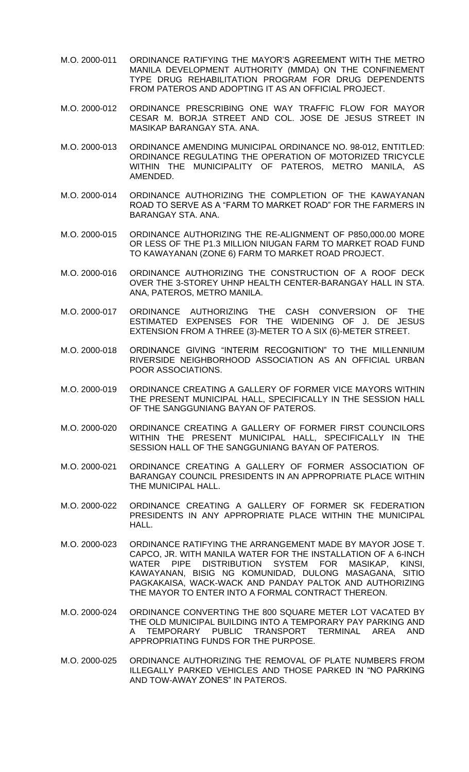- M.O. 2000-011 ORDINANCE RATIFYING THE MAYOR'S AGREEMENT WITH THE METRO MANILA DEVELOPMENT AUTHORITY (MMDA) ON THE CONFINEMENT TYPE DRUG REHABILITATION PROGRAM FOR DRUG DEPENDENTS FROM PATEROS AND ADOPTING IT AS AN OFFICIAL PROJECT.
- M.O. 2000-012 ORDINANCE PRESCRIBING ONE WAY TRAFFIC FLOW FOR MAYOR CESAR M. BORJA STREET AND COL. JOSE DE JESUS STREET IN MASIKAP BARANGAY STA. ANA.
- M.O. 2000-013 ORDINANCE AMENDING MUNICIPAL ORDINANCE NO. 98-012, ENTITLED: ORDINANCE REGULATING THE OPERATION OF MOTORIZED TRICYCLE WITHIN THE MUNICIPALITY OF PATEROS, METRO MANILA, AS AMENDED.
- M.O. 2000-014 ORDINANCE AUTHORIZING THE COMPLETION OF THE KAWAYANAN ROAD TO SERVE AS A "FARM TO MARKET ROAD" FOR THE FARMERS IN BARANGAY STA. ANA.
- M.O. 2000-015 ORDINANCE AUTHORIZING THE RE-ALIGNMENT OF P850,000.00 MORE OR LESS OF THE P1.3 MILLION NIUGAN FARM TO MARKET ROAD FUND TO KAWAYANAN (ZONE 6) FARM TO MARKET ROAD PROJECT.
- M.O. 2000-016 ORDINANCE AUTHORIZING THE CONSTRUCTION OF A ROOF DECK OVER THE 3-STOREY UHNP HEALTH CENTER-BARANGAY HALL IN STA. ANA, PATEROS, METRO MANILA.
- M.O. 2000-017 ORDINANCE AUTHORIZING THE CASH CONVERSION OF THE ESTIMATED EXPENSES FOR THE WIDENING OF J. DE JESUS EXTENSION FROM A THREE (3)-METER TO A SIX (6)-METER STREET.
- M.O. 2000-018 ORDINANCE GIVING "INTERIM RECOGNITION" TO THE MILLENNIUM RIVERSIDE NEIGHBORHOOD ASSOCIATION AS AN OFFICIAL URBAN POOR ASSOCIATIONS.
- M.O. 2000-019 ORDINANCE CREATING A GALLERY OF FORMER VICE MAYORS WITHIN THE PRESENT MUNICIPAL HALL, SPECIFICALLY IN THE SESSION HALL OF THE SANGGUNIANG BAYAN OF PATEROS.
- M.O. 2000-020 ORDINANCE CREATING A GALLERY OF FORMER FIRST COUNCILORS WITHIN THE PRESENT MUNICIPAL HALL, SPECIFICALLY IN THE SESSION HALL OF THE SANGGUNIANG BAYAN OF PATEROS.
- M.O. 2000-021 ORDINANCE CREATING A GALLERY OF FORMER ASSOCIATION OF BARANGAY COUNCIL PRESIDENTS IN AN APPROPRIATE PLACE WITHIN THE MUNICIPAL HALL.
- M.O. 2000-022 ORDINANCE CREATING A GALLERY OF FORMER SK FEDERATION PRESIDENTS IN ANY APPROPRIATE PLACE WITHIN THE MUNICIPAL HALL.
- M.O. 2000-023 ORDINANCE RATIFYING THE ARRANGEMENT MADE BY MAYOR JOSE T. CAPCO, JR. WITH MANILA WATER FOR THE INSTALLATION OF A 6-INCH WATER PIPE DISTRIBUTION SYSTEM FOR MASIKAP, KINSI, KAWAYANAN, BISIG NG KOMUNIDAD, DULONG MASAGANA, SITIO PAGKAKAISA, WACK-WACK AND PANDAY PALTOK AND AUTHORIZING THE MAYOR TO ENTER INTO A FORMAL CONTRACT THEREON.
- M.O. 2000-024 ORDINANCE CONVERTING THE 800 SQUARE METER LOT VACATED BY THE OLD MUNICIPAL BUILDING INTO A TEMPORARY PAY PARKING AND A TEMPORARY PUBLIC TRANSPORT TERMINAL AREA AND APPROPRIATING FUNDS FOR THE PURPOSE.
- M.O. 2000-025 ORDINANCE AUTHORIZING THE REMOVAL OF PLATE NUMBERS FROM ILLEGALLY PARKED VEHICLES AND THOSE PARKED IN "NO PARKING AND TOW-AWAY ZONES" IN PATEROS.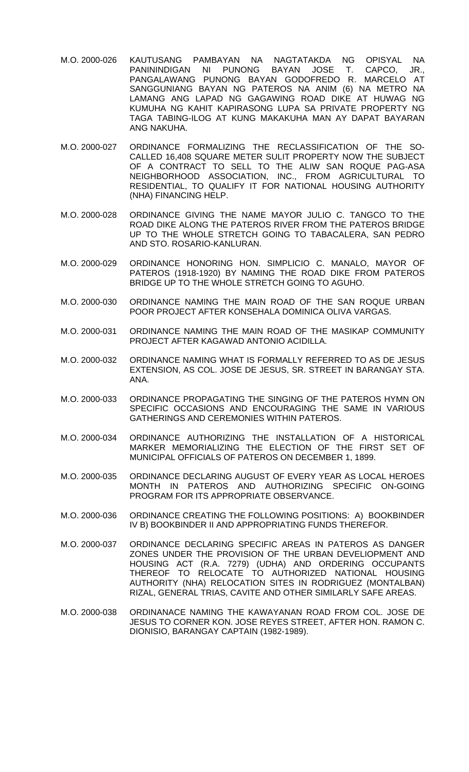- M.O. 2000-026 KAUTUSANG PAMBAYAN NA NAGTATAKDA NG OPISYAL NA PANININDIGAN NI PUNONG BAYAN JOSE T. CAPCO, JR., PANGALAWANG PUNONG BAYAN GODOFREDO R. MARCELO AT SANGGUNIANG BAYAN NG PATEROS NA ANIM (6) NA METRO NA LAMANG ANG LAPAD NG GAGAWING ROAD DIKE AT HUWAG NG KUMUHA NG KAHIT KAPIRASONG LUPA SA PRIVATE PROPERTY NG TAGA TABING-ILOG AT KUNG MAKAKUHA MAN AY DAPAT BAYARAN ANG NAKUHA.
- M.O. 2000-027 ORDINANCE FORMALIZING THE RECLASSIFICATION OF THE SO-CALLED 16,408 SQUARE METER SULIT PROPERTY NOW THE SUBJECT OF A CONTRACT TO SELL TO THE ALIW SAN ROQUE PAG-ASA NEIGHBORHOOD ASSOCIATION, INC., FROM AGRICULTURAL TO RESIDENTIAL, TO QUALIFY IT FOR NATIONAL HOUSING AUTHORITY (NHA) FINANCING HELP.
- M.O. 2000-028 ORDINANCE GIVING THE NAME MAYOR JULIO C. TANGCO TO THE ROAD DIKE ALONG THE PATEROS RIVER FROM THE PATEROS BRIDGE UP TO THE WHOLE STRETCH GOING TO TABACALERA, SAN PEDRO AND STO. ROSARIO-KANLURAN.
- M.O. 2000-029 ORDINANCE HONORING HON. SIMPLICIO C. MANALO, MAYOR OF PATEROS (1918-1920) BY NAMING THE ROAD DIKE FROM PATEROS BRIDGE UP TO THE WHOLE STRETCH GOING TO AGUHO.
- M.O. 2000-030 ORDINANCE NAMING THE MAIN ROAD OF THE SAN ROQUE URBAN POOR PROJECT AFTER KONSEHALA DOMINICA OLIVA VARGAS.
- M.O. 2000-031 ORDINANCE NAMING THE MAIN ROAD OF THE MASIKAP COMMUNITY PROJECT AFTER KAGAWAD ANTONIO ACIDILLA.
- M.O. 2000-032 ORDINANCE NAMING WHAT IS FORMALLY REFERRED TO AS DE JESUS EXTENSION, AS COL. JOSE DE JESUS, SR. STREET IN BARANGAY STA. ANA.
- M.O. 2000-033 ORDINANCE PROPAGATING THE SINGING OF THE PATEROS HYMN ON SPECIFIC OCCASIONS AND ENCOURAGING THE SAME IN VARIOUS GATHERINGS AND CEREMONIES WITHIN PATEROS.
- M.O. 2000-034 ORDINANCE AUTHORIZING THE INSTALLATION OF A HISTORICAL MARKER MEMORIALIZING THE ELECTION OF THE FIRST SET OF MUNICIPAL OFFICIALS OF PATEROS ON DECEMBER 1, 1899.
- M.O. 2000-035 ORDINANCE DECLARING AUGUST OF EVERY YEAR AS LOCAL HEROES MONTH IN PATEROS AND AUTHORIZING SPECIFIC ON-GOING PROGRAM FOR ITS APPROPRIATE OBSERVANCE.
- M.O. 2000-036 ORDINANCE CREATING THE FOLLOWING POSITIONS: A) BOOKBINDER IV B) BOOKBINDER II AND APPROPRIATING FUNDS THEREFOR.
- M.O. 2000-037 ORDINANCE DECLARING SPECIFIC AREAS IN PATEROS AS DANGER ZONES UNDER THE PROVISION OF THE URBAN DEVELIOPMENT AND HOUSING ACT (R.A. 7279) (UDHA) AND ORDERING OCCUPANTS THEREOF TO RELOCATE TO AUTHORIZED NATIONAL HOUSING AUTHORITY (NHA) RELOCATION SITES IN RODRIGUEZ (MONTALBAN) RIZAL, GENERAL TRIAS, CAVITE AND OTHER SIMILARLY SAFE AREAS.
- M.O. 2000-038 ORDINANACE NAMING THE KAWAYANAN ROAD FROM COL. JOSE DE JESUS TO CORNER KON. JOSE REYES STREET, AFTER HON. RAMON C. DIONISIO, BARANGAY CAPTAIN (1982-1989).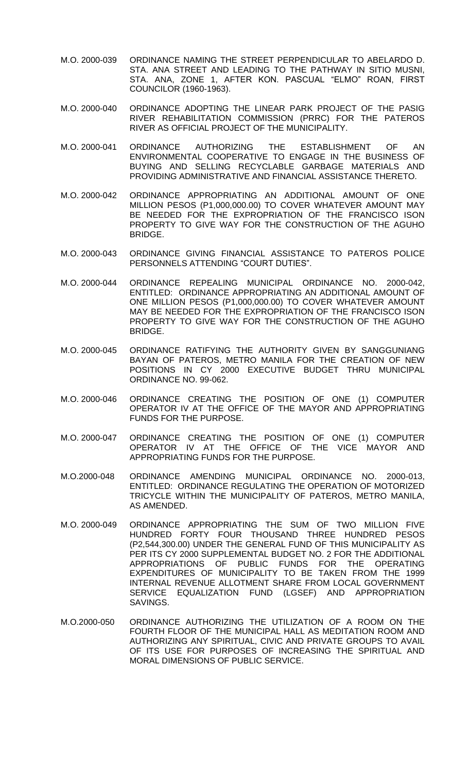- M.O. 2000-039 ORDINANCE NAMING THE STREET PERPENDICULAR TO ABELARDO D. STA. ANA STREET AND LEADING TO THE PATHWAY IN SITIO MUSNI, STA. ANA, ZONE 1, AFTER KON. PASCUAL "ELMO" ROAN, FIRST COUNCILOR (1960-1963).
- M.O. 2000-040 ORDINANCE ADOPTING THE LINEAR PARK PROJECT OF THE PASIG RIVER REHABILITATION COMMISSION (PRRC) FOR THE PATEROS RIVER AS OFFICIAL PROJECT OF THE MUNICIPALITY.
- M.O. 2000-041 ORDINANCE AUTHORIZING THE ESTABLISHMENT OF AN ENVIRONMENTAL COOPERATIVE TO ENGAGE IN THE BUSINESS OF BUYING AND SELLING RECYCLABLE GARBAGE MATERIALS AND PROVIDING ADMINISTRATIVE AND FINANCIAL ASSISTANCE THERETO.
- M.O. 2000-042 ORDINANCE APPROPRIATING AN ADDITIONAL AMOUNT OF ONE MILLION PESOS (P1,000,000.00) TO COVER WHATEVER AMOUNT MAY BE NEEDED FOR THE EXPROPRIATION OF THE FRANCISCO ISON PROPERTY TO GIVE WAY FOR THE CONSTRUCTION OF THE AGUHO BRIDGE.
- M.O. 2000-043 ORDINANCE GIVING FINANCIAL ASSISTANCE TO PATEROS POLICE PERSONNELS ATTENDING "COURT DUTIES".
- M.O. 2000-044 ORDINANCE REPEALING MUNICIPAL ORDINANCE NO. 2000-042, ENTITLED: ORDINANCE APPROPRIATING AN ADDITIONAL AMOUNT OF ONE MILLION PESOS (P1,000,000.00) TO COVER WHATEVER AMOUNT MAY BE NEEDED FOR THE EXPROPRIATION OF THE FRANCISCO ISON PROPERTY TO GIVE WAY FOR THE CONSTRUCTION OF THE AGUHO BRIDGE.
- M.O. 2000-045 ORDINANCE RATIFYING THE AUTHORITY GIVEN BY SANGGUNIANG BAYAN OF PATEROS, METRO MANILA FOR THE CREATION OF NEW POSITIONS IN CY 2000 EXECUTIVE BUDGET THRU MUNICIPAL ORDINANCE NO. 99-062.
- M.O. 2000-046 ORDINANCE CREATING THE POSITION OF ONE (1) COMPUTER OPERATOR IV AT THE OFFICE OF THE MAYOR AND APPROPRIATING FUNDS FOR THE PURPOSE.
- M.O. 2000-047 ORDINANCE CREATING THE POSITION OF ONE (1) COMPUTER OPERATOR IV AT THE OFFICE OF THE VICE MAYOR AND APPROPRIATING FUNDS FOR THE PURPOSE.
- M.O.2000-048 ORDINANCE AMENDING MUNICIPAL ORDINANCE NO. 2000-013, ENTITLED: ORDINANCE REGULATING THE OPERATION OF MOTORIZED TRICYCLE WITHIN THE MUNICIPALITY OF PATEROS, METRO MANILA, AS AMENDED.
- M.O. 2000-049 ORDINANCE APPROPRIATING THE SUM OF TWO MILLION FIVE HUNDRED FORTY FOUR THOUSAND THREE HUNDRED PESOS (P2,544,300.00) UNDER THE GENERAL FUND OF THIS MUNICIPALITY AS PER ITS CY 2000 SUPPLEMENTAL BUDGET NO. 2 FOR THE ADDITIONAL APPROPRIATIONS OF PUBLIC FUNDS FOR THE OPERATING EXPENDITURES OF MUNICIPALITY TO BE TAKEN FROM THE 1999 INTERNAL REVENUE ALLOTMENT SHARE FROM LOCAL GOVERNMENT SERVICE EQUALIZATION FUND (LGSEF) AND APPROPRIATION SAVINGS.
- M.O.2000-050 ORDINANCE AUTHORIZING THE UTILIZATION OF A ROOM ON THE FOURTH FLOOR OF THE MUNICIPAL HALL AS MEDITATION ROOM AND AUTHORIZING ANY SPIRITUAL, CIVIC AND PRIVATE GROUPS TO AVAIL OF ITS USE FOR PURPOSES OF INCREASING THE SPIRITUAL AND MORAL DIMENSIONS OF PUBLIC SERVICE.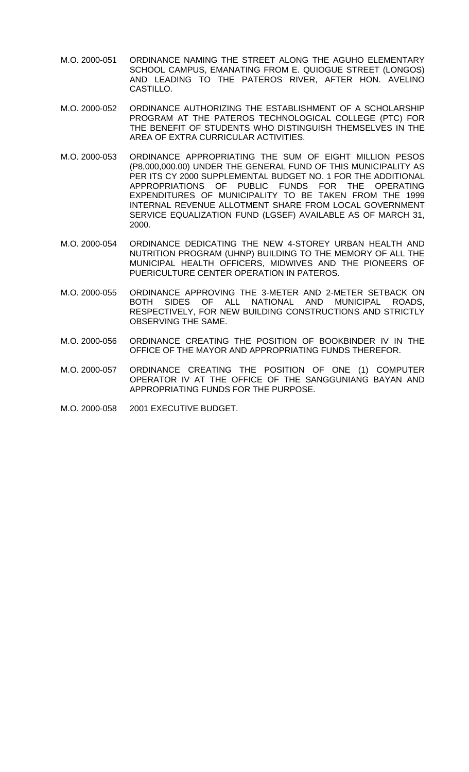- M.O. 2000-051 ORDINANCE NAMING THE STREET ALONG THE AGUHO ELEMENTARY SCHOOL CAMPUS, EMANATING FROM E. QUIOGUE STREET (LONGOS) AND LEADING TO THE PATEROS RIVER, AFTER HON. AVELINO CASTILLO.
- M.O. 2000-052 ORDINANCE AUTHORIZING THE ESTABLISHMENT OF A SCHOLARSHIP PROGRAM AT THE PATEROS TECHNOLOGICAL COLLEGE (PTC) FOR THE BENEFIT OF STUDENTS WHO DISTINGUISH THEMSELVES IN THE AREA OF EXTRA CURRICULAR ACTIVITIES.
- M.O. 2000-053 ORDINANCE APPROPRIATING THE SUM OF EIGHT MILLION PESOS (P8,000,000.00) UNDER THE GENERAL FUND OF THIS MUNICIPALITY AS PER ITS CY 2000 SUPPLEMENTAL BUDGET NO. 1 FOR THE ADDITIONAL APPROPRIATIONS OF PUBLIC FUNDS FOR THE OPERATING EXPENDITURES OF MUNICIPALITY TO BE TAKEN FROM THE 1999 INTERNAL REVENUE ALLOTMENT SHARE FROM LOCAL GOVERNMENT SERVICE EQUALIZATION FUND (LGSEF) AVAILABLE AS OF MARCH 31, 2000.
- M.O. 2000-054 ORDINANCE DEDICATING THE NEW 4-STOREY URBAN HEALTH AND NUTRITION PROGRAM (UHNP) BUILDING TO THE MEMORY OF ALL THE MUNICIPAL HEALTH OFFICERS, MIDWIVES AND THE PIONEERS OF PUERICULTURE CENTER OPERATION IN PATEROS.
- M.O. 2000-055 ORDINANCE APPROVING THE 3-METER AND 2-METER SETBACK ON BOTH SIDES OF ALL NATIONAL AND MUNICIPAL ROADS, RESPECTIVELY, FOR NEW BUILDING CONSTRUCTIONS AND STRICTLY OBSERVING THE SAME.
- M.O. 2000-056 ORDINANCE CREATING THE POSITION OF BOOKBINDER IV IN THE OFFICE OF THE MAYOR AND APPROPRIATING FUNDS THEREFOR.
- M.O. 2000-057 ORDINANCE CREATING THE POSITION OF ONE (1) COMPUTER OPERATOR IV AT THE OFFICE OF THE SANGGUNIANG BAYAN AND APPROPRIATING FUNDS FOR THE PURPOSE.
- M.O. 2000-058 2001 EXECUTIVE BUDGET.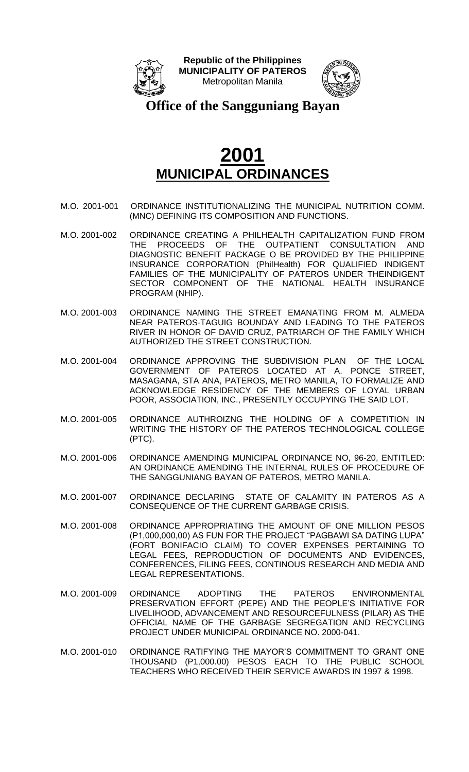



**Office of the Sangguniang Bayan**

- M.O. 2001-001 ORDINANCE INSTITUTIONALIZING THE MUNICIPAL NUTRITION COMM. (MNC) DEFINING ITS COMPOSITION AND FUNCTIONS.
- M.O. 2001-002 ORDINANCE CREATING A PHILHEALTH CAPITALIZATION FUND FROM THE PROCEEDS OF THE OUTPATIENT CONSULTATION AND DIAGNOSTIC BENEFIT PACKAGE O BE PROVIDED BY THE PHILIPPINE INSURANCE CORPORATION (PhilHealth) FOR QUALIFIED INDIGENT FAMILIES OF THE MUNICIPALITY OF PATEROS UNDER THEINDIGENT SECTOR COMPONENT OF THE NATIONAL HEALTH INSURANCE PROGRAM (NHIP).
- M.O. 2001-003 ORDINANCE NAMING THE STREET EMANATING FROM M. ALMEDA NEAR PATEROS-TAGUIG BOUNDAY AND LEADING TO THE PATEROS RIVER IN HONOR OF DAVID CRUZ, PATRIARCH OF THE FAMILY WHICH AUTHORIZED THE STREET CONSTRUCTION.
- M.O. 2001-004 ORDINANCE APPROVING THE SUBDIVISION PLAN OF THE LOCAL GOVERNMENT OF PATEROS LOCATED AT A. PONCE STREET, MASAGANA, STA ANA, PATEROS, METRO MANILA, TO FORMALIZE AND ACKNOWLEDGE RESIDENCY OF THE MEMBERS OF LOYAL URBAN POOR, ASSOCIATION, INC., PRESENTLY OCCUPYING THE SAID LOT.
- M.O. 2001-005 ORDINANCE AUTHROIZNG THE HOLDING OF A COMPETITION IN WRITING THE HISTORY OF THE PATEROS TECHNOLOGICAL COLLEGE (PTC).
- M.O. 2001-006 ORDINANCE AMENDING MUNICIPAL ORDINANCE NO, 96-20, ENTITLED: AN ORDINANCE AMENDING THE INTERNAL RULES OF PROCEDURE OF THE SANGGUNIANG BAYAN OF PATEROS, METRO MANILA.
- M.O. 2001-007 ORDINANCE DECLARING STATE OF CALAMITY IN PATEROS AS A CONSEQUENCE OF THE CURRENT GARBAGE CRISIS.
- M.O. 2001-008 ORDINANCE APPROPRIATING THE AMOUNT OF ONE MILLION PESOS (P1,000,000,00) AS FUN FOR THE PROJECT "PAGBAWI SA DATING LUPA" (FORT BONIFACIO CLAIM) TO COVER EXPENSES PERTAINING TO LEGAL FEES, REPRODUCTION OF DOCUMENTS AND EVIDENCES, CONFERENCES, FILING FEES, CONTINOUS RESEARCH AND MEDIA AND LEGAL REPRESENTATIONS.
- M.O. 2001-009 ORDINANCE ADOPTING THE PATEROS ENVIRONMENTAL PRESERVATION EFFORT (PEPE) AND THE PEOPLE'S INITIATIVE FOR LIVELIHOOD, ADVANCEMENT AND RESOURCEFULNESS (PILAR) AS THE OFFICIAL NAME OF THE GARBAGE SEGREGATION AND RECYCLING PROJECT UNDER MUNICIPAL ORDINANCE NO. 2000-041.
- M.O. 2001-010 ORDINANCE RATIFYING THE MAYOR'S COMMITMENT TO GRANT ONE THOUSAND (P1,000.00) PESOS EACH TO THE PUBLIC SCHOOL TEACHERS WHO RECEIVED THEIR SERVICE AWARDS IN 1997 & 1998.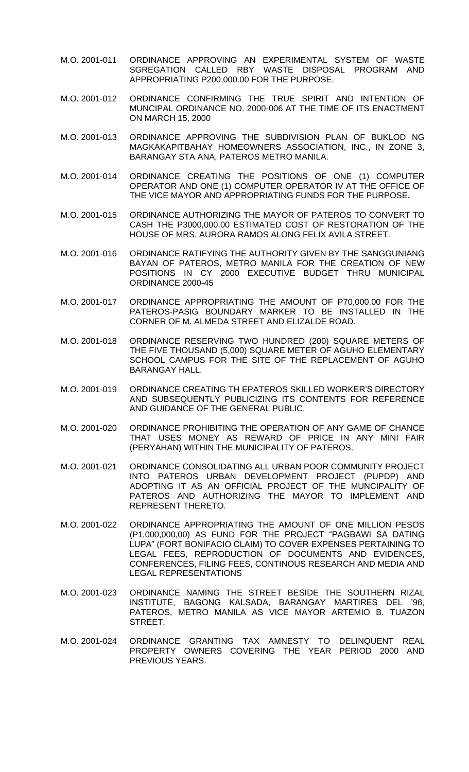- M.O. 2001-011 ORDINANCE APPROVING AN EXPERIMENTAL SYSTEM OF WASTE SGREGATION CALLED RBY WASTE DISPOSAL PROGRAM AND APPROPRIATING P200,000.00 FOR THE PURPOSE.
- M.O. 2001-012 ORDINANCE CONFIRMING THE TRUE SPIRIT AND INTENTION OF MUNCIPAL ORDINANCE NO. 2000-006 AT THE TIME OF ITS ENACTMENT ON MARCH 15, 2000
- M.O. 2001-013 ORDINANCE APPROVING THE SUBDIVISION PLAN OF BUKLOD NG MAGKAKAPITBAHAY HOMEOWNERS ASSOCIATION, INC., IN ZONE 3, BARANGAY STA ANA, PATEROS METRO MANILA.
- M.O. 2001-014 ORDINANCE CREATING THE POSITIONS OF ONE (1) COMPUTER OPERATOR AND ONE (1) COMPUTER OPERATOR IV AT THE OFFICE OF THE VICE MAYOR AND APPROPRIATING FUNDS FOR THE PURPOSE.
- M.O. 2001-015 ORDINANCE AUTHORIZING THE MAYOR OF PATEROS TO CONVERT TO CASH THE P3000,000.00 ESTIMATED COST OF RESTORATION OF THE HOUSE OF MRS. AURORA RAMOS ALONG FELIX AVILA STREET.
- M.O. 2001-016 ORDINANCE RATIFYING THE AUTHORITY GIVEN BY THE SANGGUNIANG BAYAN OF PATEROS, METRO MANILA FOR THE CREATION OF NEW POSITIONS IN CY 2000 EXECUTIVE BUDGET THRU MUNICIPAL ORDINANCE 2000-45
- M.O. 2001-017 ORDINANCE APPROPRIATING THE AMOUNT OF P70,000.00 FOR THE PATEROS-PASIG BOUNDARY MARKER TO BE INSTALLED IN THE CORNER OF M. ALMEDA STREET AND ELIZALDE ROAD.
- M.O. 2001-018 ORDINANCE RESERVING TWO HUNDRED (200) SQUARE METERS OF THE FIVE THOUSAND (5,000) SQUARE METER OF AGUHO ELEMENTARY SCHOOL CAMPUS FOR THE SITE OF THE REPLACEMENT OF AGUHO BARANGAY HALL.
- M.O. 2001-019 ORDINANCE CREATING TH EPATEROS SKILLED WORKER'S DIRECTORY AND SUBSEQUENTLY PUBLICIZING ITS CONTENTS FOR REFERENCE AND GUIDANCE OF THE GENERAL PUBLIC.
- M.O. 2001-020 ORDINANCE PROHIBITING THE OPERATION OF ANY GAME OF CHANCE THAT USES MONEY AS REWARD OF PRICE IN ANY MINI FAIR (PERYAHAN) WITHIN THE MUNICIPALITY OF PATEROS.
- M.O. 2001-021 ORDINANCE CONSOLIDATING ALL URBAN POOR COMMUNITY PROJECT INTO PATEROS URBAN DEVELOPMENT PROJECT (PUPDP) AND ADOPTING IT AS AN OFFICIAL PROJECT OF THE MUNCIPALITY OF PATEROS AND AUTHORIZING THE MAYOR TO IMPLEMENT AND REPRESENT THERETO.
- M.O. 2001-022 ORDINANCE APPROPRIATING THE AMOUNT OF ONE MILLION PESOS (P1,000,000,00) AS FUND FOR THE PROJECT "PAGBAWI SA DATING LUPA" (FORT BONIFACIO CLAIM) TO COVER EXPENSES PERTAINING TO LEGAL FEES, REPRODUCTION OF DOCUMENTS AND EVIDENCES, CONFERENCES, FILING FEES, CONTINOUS RESEARCH AND MEDIA AND LEGAL REPRESENTATIONS
- M.O. 2001-023 ORDINANCE NAMING THE STREET BESIDE THE SOUTHERN RIZAL INSTITUTE, BAGONG KALSADA, BARANGAY MARTIRES DEL '96, PATEROS, METRO MANILA AS VICE MAYOR ARTEMIO B. TUAZON STREET.
- M.O. 2001-024 ORDINANCE GRANTING TAX AMNESTY TO DELINQUENT REAL PROPERTY OWNERS COVERING THE YEAR PERIOD 2000 AND PREVIOUS YEARS.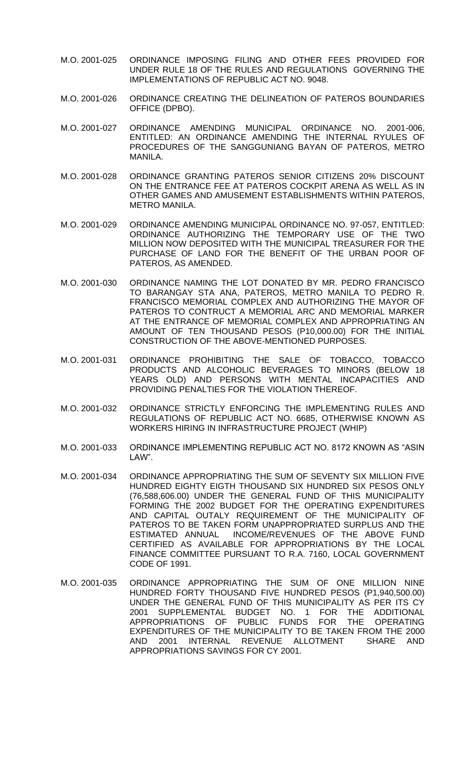- M.O. 2001-025 ORDINANCE IMPOSING FILING AND OTHER FEES PROVIDED FOR UNDER RULE 18 OF THE RULES AND REGULATIONS GOVERNING THE IMPLEMENTATIONS OF REPUBLIC ACT NO. 9048.
- M.O. 2001-026 ORDINANCE CREATING THE DELINEATION OF PATEROS BOUNDARIES OFFICE (DPBO).
- M.O. 2001-027 ORDINANCE AMENDING MUNICIPAL ORDINANCE NO. 2001-006, ENTITLED: AN ORDINANCE AMENDING THE INTERNAL RYULES OF PROCEDURES OF THE SANGGUNIANG BAYAN OF PATEROS, METRO MANILA.
- M.O. 2001-028 ORDINANCE GRANTING PATEROS SENIOR CITIZENS 20% DISCOUNT ON THE ENTRANCE FEE AT PATEROS COCKPIT ARENA AS WELL AS IN OTHER GAMES AND AMUSEMENT ESTABLISHMENTS WITHIN PATEROS, METRO MANILA.
- M.O. 2001-029 ORDINANCE AMENDING MUNICIPAL ORDINANCE NO. 97-057, ENTITLED: ORDINANCE AUTHORIZING THE TEMPORARY USE OF THE TWO MILLION NOW DEPOSITED WITH THE MUNICIPAL TREASURER FOR THE PURCHASE OF LAND FOR THE BENEFIT OF THE URBAN POOR OF PATEROS, AS AMENDED.
- M.O. 2001-030 ORDINANCE NAMING THE LOT DONATED BY MR. PEDRO FRANCISCO TO BARANGAY STA ANA, PATEROS, METRO MANILA TO PEDRO R. FRANCISCO MEMORIAL COMPLEX AND AUTHORIZING THE MAYOR OF PATEROS TO CONTRUCT A MEMORIAL ARC AND MEMORIAL MARKER AT THE ENTRANCE OF MEMORIAL COMPLEX AND APPROPRIATING AN AMOUNT OF TEN THOUSAND PESOS (P10,000.00) FOR THE INITIAL CONSTRUCTION OF THE ABOVE-MENTIONED PURPOSES.
- M.O. 2001-031 ORDINANCE PROHIBITING THE SALE OF TOBACCO, TOBACCO PRODUCTS AND ALCOHOLIC BEVERAGES TO MINORS (BELOW 18 YEARS OLD) AND PERSONS WITH MENTAL INCAPACITIES AND PROVIDING PENALTIES FOR THE VIOLATION THEREOF.
- M.O. 2001-032 ORDINANCE STRICTLY ENFORCING THE IMPLEMENTING RULES AND REGULATIONS OF REPUBLIC ACT NO. 6685, OTHERWISE KNOWN AS WORKERS HIRING IN INFRASTRUCTURE PROJECT (WHIP)
- M.O. 2001-033 ORDINANCE IMPLEMENTING REPUBLIC ACT NO. 8172 KNOWN AS "ASIN LAW".
- M.O. 2001-034 ORDINANCE APPROPRIATING THE SUM OF SEVENTY SIX MILLION FIVE HUNDRED EIGHTY EIGTH THOUSAND SIX HUNDRED SIX PESOS ONLY (76,588,606.00) UNDER THE GENERAL FUND OF THIS MUNICIPALITY FORMING THE 2002 BUDGET FOR THE OPERATING EXPENDITURES AND CAPITAL OUTALY REQUIREMENT OF THE MUNICIPALITY OF PATEROS TO BE TAKEN FORM UNAPPROPRIATED SURPLUS AND THE ESTIMATED ANNUAL INCOME/REVENUES OF THE ABOVE FUND CERTIFIED AS AVAILABLE FOR APPROPRIATIONS BY THE LOCAL FINANCE COMMITTEE PURSUANT TO R.A. 7160, LOCAL GOVERNMENT CODE OF 1991.
- M.O. 2001-035 ORDINANCE APPROPRIATING THE SUM OF ONE MILLION NINE HUNDRED FORTY THOUSAND FIVE HUNDRED PESOS (P1,940,500.00) UNDER THE GENERAL FUND OF THIS MUNICIPALITY AS PER ITS CY 2001 SUPPLEMENTAL BUDGET NO. 1 FOR THE ADDITIONAL APPROPRIATIONS OF PUBLIC FUNDS FOR THE OPERATING EXPENDITURES OF THE MUNICIPALITY TO BE TAKEN FROM THE 2000 AND 2001 INTERNAL REVENUE ALLOTMENT SHARE AND APPROPRIATIONS SAVINGS FOR CY 2001.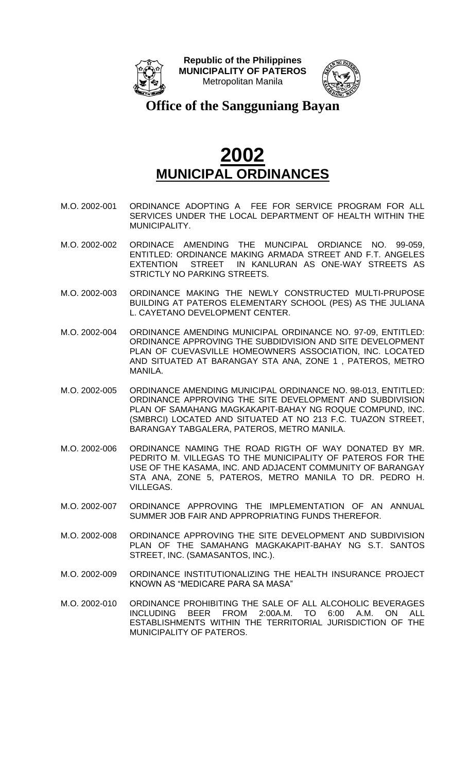



**Office of the Sangguniang Bayan**

- M.O. 2002-001 ORDINANCE ADOPTING A FEE FOR SERVICE PROGRAM FOR ALL SERVICES UNDER THE LOCAL DEPARTMENT OF HEALTH WITHIN THE MUNICIPALITY.
- M.O. 2002-002 ORDINACE AMENDING THE MUNCIPAL ORDIANCE NO. 99-059, ENTITLED: ORDINANCE MAKING ARMADA STREET AND F.T. ANGELES EXTENTION STREET IN KANLURAN AS ONE-WAY STREETS AS STRICTLY NO PARKING STREETS.
- M.O. 2002-003 ORDINANCE MAKING THE NEWLY CONSTRUCTED MULTI-PRUPOSE BUILDING AT PATEROS ELEMENTARY SCHOOL (PES) AS THE JULIANA L. CAYETANO DEVELOPMENT CENTER.
- M.O. 2002-004 ORDINANCE AMENDING MUNICIPAL ORDINANCE NO. 97-09, ENTITLED: ORDINANCE APPROVING THE SUBDIDVISION AND SITE DEVELOPMENT PLAN OF CUEVASVILLE HOMEOWNERS ASSOCIATION, INC. LOCATED AND SITUATED AT BARANGAY STA ANA, ZONE 1 , PATEROS, METRO MANILA.
- M.O. 2002-005 ORDINANCE AMENDING MUNICIPAL ORDINANCE NO. 98-013, ENTITLED: ORDINANCE APPROVING THE SITE DEVELOPMENT AND SUBDIVISION PLAN OF SAMAHANG MAGKAKAPIT-BAHAY NG ROQUE COMPUND, INC. (SMBRCI) LOCATED AND SITUATED AT NO 213 F.C. TUAZON STREET, BARANGAY TABGALERA, PATEROS, METRO MANILA.
- M.O. 2002-006 ORDINANCE NAMING THE ROAD RIGTH OF WAY DONATED BY MR. PEDRITO M. VILLEGAS TO THE MUNICIPALITY OF PATEROS FOR THE USE OF THE KASAMA, INC. AND ADJACENT COMMUNITY OF BARANGAY STA ANA, ZONE 5, PATEROS, METRO MANILA TO DR. PEDRO H. VILLEGAS.
- M.O. 2002-007 ORDINANCE APPROVING THE IMPLEMENTATION OF AN ANNUAL SUMMER JOB FAIR AND APPROPRIATING FUNDS THEREFOR.
- M.O. 2002-008 ORDINANCE APPROVING THE SITE DEVELOPMENT AND SUBDIVISION PLAN OF THE SAMAHANG MAGKAKAPIT-BAHAY NG S.T. SANTOS STREET, INC. (SAMASANTOS, INC.).
- M.O. 2002-009 ORDINANCE INSTITUTIONALIZING THE HEALTH INSURANCE PROJECT KNOWN AS "MEDICARE PARA SA MASA"
- M.O. 2002-010 ORDINANCE PROHIBITING THE SALE OF ALL ALCOHOLIC BEVERAGES INCLUDING BEER FROM 2:00A.M. TO 6:00 A.M. ON ALL ESTABLISHMENTS WITHIN THE TERRITORIAL JURISDICTION OF THE MUNICIPALITY OF PATEROS.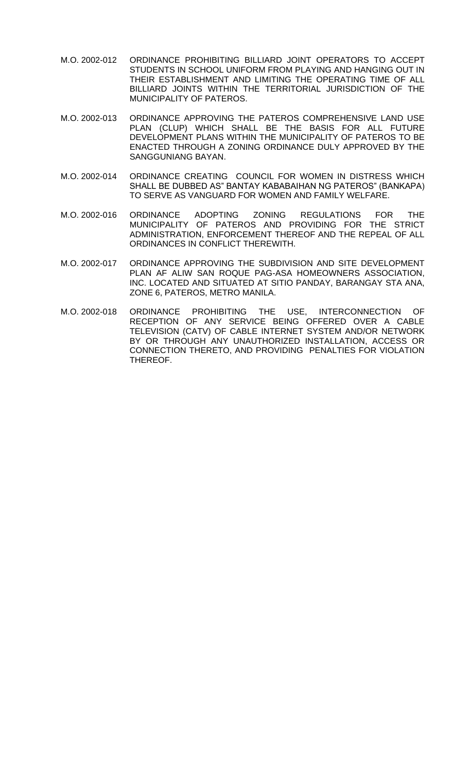- M.O. 2002-012 ORDINANCE PROHIBITING BILLIARD JOINT OPERATORS TO ACCEPT STUDENTS IN SCHOOL UNIFORM FROM PLAYING AND HANGING OUT IN THEIR ESTABLISHMENT AND LIMITING THE OPERATING TIME OF ALL BILLIARD JOINTS WITHIN THE TERRITORIAL JURISDICTION OF THE MUNICIPALITY OF PATEROS.
- M.O. 2002-013 ORDINANCE APPROVING THE PATEROS COMPREHENSIVE LAND USE PLAN (CLUP) WHICH SHALL BE THE BASIS FOR ALL FUTURE DEVELOPMENT PLANS WITHIN THE MUNICIPALITY OF PATEROS TO BE ENACTED THROUGH A ZONING ORDINANCE DULY APPROVED BY THE SANGGUNIANG BAYAN.
- M.O. 2002-014 ORDINANCE CREATING COUNCIL FOR WOMEN IN DISTRESS WHICH SHALL BE DUBBED AS" BANTAY KABABAIHAN NG PATEROS" (BANKAPA) TO SERVE AS VANGUARD FOR WOMEN AND FAMILY WELFARE.
- M.O. 2002-016 ORDINANCE ADOPTING ZONING REGULATIONS FOR THE MUNICIPALITY OF PATEROS AND PROVIDING FOR THE STRICT ADMINISTRATION, ENFORCEMENT THEREOF AND THE REPEAL OF ALL ORDINANCES IN CONFLICT THEREWITH.
- M.O. 2002-017 ORDINANCE APPROVING THE SUBDIVISION AND SITE DEVELOPMENT PLAN AF ALIW SAN ROQUE PAG-ASA HOMEOWNERS ASSOCIATION, INC. LOCATED AND SITUATED AT SITIO PANDAY, BARANGAY STA ANA, ZONE 6, PATEROS, METRO MANILA.
- M.O. 2002-018 ORDINANCE PROHIBITING THE USE, INTERCONNECTION OF RECEPTION OF ANY SERVICE BEING OFFERED OVER A CABLE TELEVISION (CATV) OF CABLE INTERNET SYSTEM AND/OR NETWORK BY OR THROUGH ANY UNAUTHORIZED INSTALLATION, ACCESS OR CONNECTION THERETO, AND PROVIDING PENALTIES FOR VIOLATION THEREOF.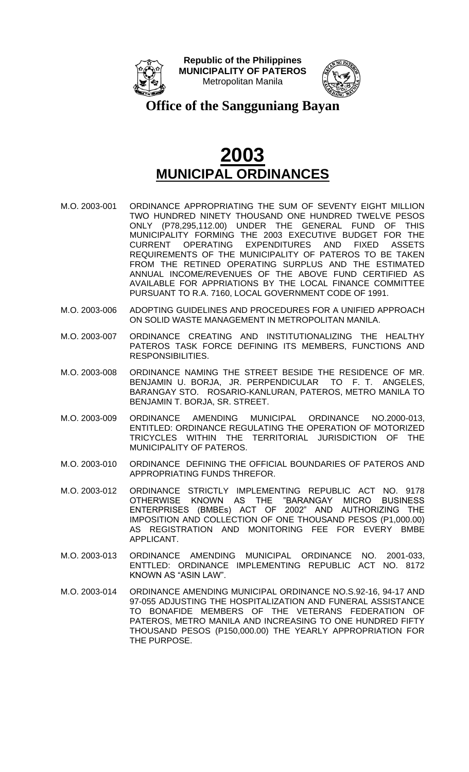



**Office of the Sangguniang Bayan**

- M.O. 2003-001 ORDINANCE APPROPRIATING THE SUM OF SEVENTY EIGHT MILLION TWO HUNDRED NINETY THOUSAND ONE HUNDRED TWELVE PESOS ONLY (P78,295,112.00) UNDER THE GENERAL FUND OF THIS MUNICIPALITY FORMING THE 2003 EXECUTIVE BUDGET FOR THE CURRENT OPERATING EXPENDITURES AND FIXED ASSETS REQUIREMENTS OF THE MUNICIPALITY OF PATEROS TO BE TAKEN FROM THE RETINED OPERATING SURPLUS AND THE ESTIMATED ANNUAL INCOME/REVENUES OF THE ABOVE FUND CERTIFIED AS AVAILABLE FOR APPRIATIONS BY THE LOCAL FINANCE COMMITTEE PURSUANT TO R.A. 7160, LOCAL GOVERNMENT CODE OF 1991.
- M.O. 2003-006 ADOPTING GUIDELINES AND PROCEDURES FOR A UNIFIED APPROACH ON SOLID WASTE MANAGEMENT IN METROPOLITAN MANILA.
- M.O. 2003-007 ORDINANCE CREATING AND INSTITUTIONALIZING THE HEALTHY PATEROS TASK FORCE DEFINING ITS MEMBERS, FUNCTIONS AND RESPONSIBILITIES.
- M.O. 2003-008 ORDINANCE NAMING THE STREET BESIDE THE RESIDENCE OF MR. BENJAMIN U. BORJA, JR. PERPENDICULAR TO F. T. ANGELES, BARANGAY STO. ROSARIO-KANLURAN, PATEROS, METRO MANILA TO BENJAMIN T. BORJA, SR. STREET.
- M.O. 2003-009 ORDINANCE AMENDING MUNICIPAL ORDINANCE NO.2000-013, ENTITLED: ORDINANCE REGULATING THE OPERATION OF MOTORIZED TRICYCLES WITHIN THE TERRITORIAL JURISDICTION OF THE MUNICIPALITY OF PATEROS.
- M.O. 2003-010 ORDINANCE DEFINING THE OFFICIAL BOUNDARIES OF PATEROS AND APPROPRIATING FUNDS THREFOR.
- M.O. 2003-012 ORDINANCE STRICTLY IMPLEMENTING REPUBLIC ACT NO. 9178 OTHERWISE KNOWN AS THE "BARANGAY MICRO BUSINESS ENTERPRISES (BMBEs) ACT OF 2002" AND AUTHORIZING THE IMPOSITION AND COLLECTION OF ONE THOUSAND PESOS (P1,000.00) AS REGISTRATION AND MONITORING FEE FOR EVERY BMBE APPLICANT.
- M.O. 2003-013 ORDINANCE AMENDING MUNICIPAL ORDINANCE NO. 2001-033, ENTTLED: ORDINANCE IMPLEMENTING REPUBLIC ACT NO. 8172 KNOWN AS "ASIN LAW".
- M.O. 2003-014 ORDINANCE AMENDING MUNICIPAL ORDINANCE NO.S.92-16, 94-17 AND 97-055 ADJUSTING THE HOSPITALIZATION AND FUNERAL ASSISTANCE TO BONAFIDE MEMBERS OF THE VETERANS FEDERATION OF PATEROS, METRO MANILA AND INCREASING TO ONE HUNDRED FIFTY THOUSAND PESOS (P150,000.00) THE YEARLY APPROPRIATION FOR THE PURPOSE.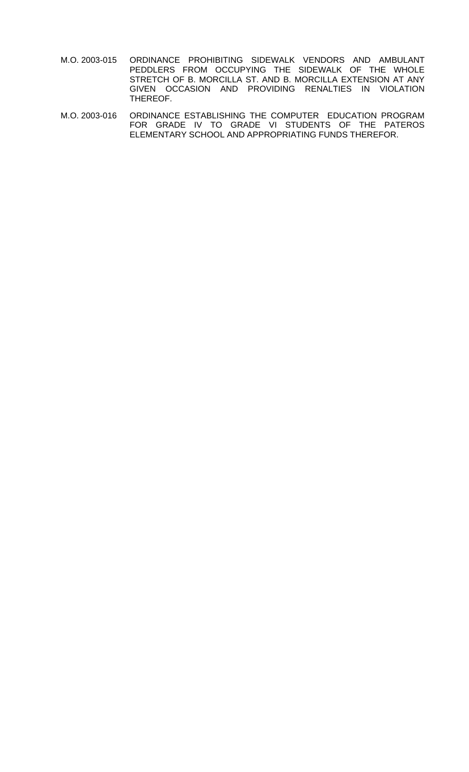- M.O. 2003-015 ORDINANCE PROHIBITING SIDEWALK VENDORS AND AMBULANT PEDDLERS FROM OCCUPYING THE SIDEWALK OF THE WHOLE STRETCH OF B. MORCILLA ST. AND B. MORCILLA EXTENSION AT ANY GIVEN OCCASION AND PROVIDING RENALTIES IN VIOLATION THEREOF.
- M.O. 2003-016 ORDINANCE ESTABLISHING THE COMPUTER EDUCATION PROGRAM FOR GRADE IV TO GRADE VI STUDENTS OF THE PATEROS ELEMENTARY SCHOOL AND APPROPRIATING FUNDS THEREFOR.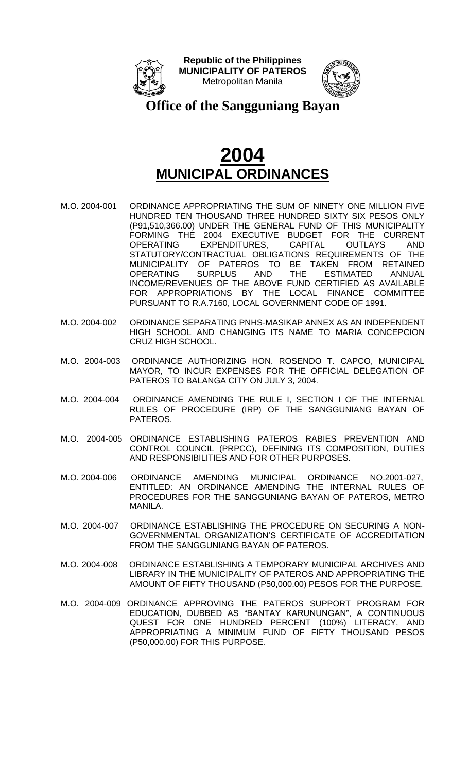



**Office of the Sangguniang Bayan**

- M.O. 2004-001 ORDINANCE APPROPRIATING THE SUM OF NINETY ONE MILLION FIVE HUNDRED TEN THOUSAND THREE HUNDRED SIXTY SIX PESOS ONLY (P91,510,366.00) UNDER THE GENERAL FUND OF THIS MUNICIPALITY FORMING THE 2004 EXECUTIVE BUDGET FOR THE CURRENT OPERATING EXPENDITURES, CAPITAL OUTLAYS AND STATUTORY/CONTRACTUAL OBLIGATIONS REQUIREMENTS OF THE MUNICIPALITY OF PATEROS TO BE TAKEN FROM RETAINED<br>OPERATING SURPLUS AND THE ESTIMATED ANNUAL OPERATING SURPLUS AND THE ESTIMATED ANNUAL INCOME/REVENUES OF THE ABOVE FUND CERTIFIED AS AVAILABLE FOR APPROPRIATIONS BY THE LOCAL FINANCE COMMITTEE PURSUANT TO R.A.7160, LOCAL GOVERNMENT CODE OF 1991.
- M.O. 2004-002 ORDINANCE SEPARATING PNHS-MASIKAP ANNEX AS AN INDEPENDENT HIGH SCHOOL AND CHANGING ITS NAME TO MARIA CONCEPCION CRUZ HIGH SCHOOL.
- M.O. 2004-003 ORDINANCE AUTHORIZING HON. ROSENDO T. CAPCO, MUNICIPAL MAYOR, TO INCUR EXPENSES FOR THE OFFICIAL DELEGATION OF PATEROS TO BALANGA CITY ON JULY 3, 2004.
- M.O. 2004-004 ORDINANCE AMENDING THE RULE I, SECTION I OF THE INTERNAL RULES OF PROCEDURE (IRP) OF THE SANGGUNIANG BAYAN OF PATEROS.
- M.O. 2004-005 ORDINANCE ESTABLISHING PATEROS RABIES PREVENTION AND CONTROL COUNCIL (PRPCC), DEFINING ITS COMPOSITION, DUTIES AND RESPONSIBILITIES AND FOR OTHER PURPOSES.
- M.O. 2004-006 ORDINANCE AMENDING MUNICIPAL ORDINANCE NO.2001-027, ENTITLED: AN ORDINANCE AMENDING THE INTERNAL RULES OF PROCEDURES FOR THE SANGGUNIANG BAYAN OF PATEROS, METRO MANILA.
- M.O. 2004-007 ORDINANCE ESTABLISHING THE PROCEDURE ON SECURING A NON-GOVERNMENTAL ORGANIZATION'S CERTIFICATE OF ACCREDITATION FROM THE SANGGUNIANG BAYAN OF PATEROS.
- M.O. 2004-008 ORDINANCE ESTABLISHING A TEMPORARY MUNICIPAL ARCHIVES AND LIBRARY IN THE MUNICIPALITY OF PATEROS AND APPROPRIATING THE AMOUNT OF FIFTY THOUSAND (P50,000.00) PESOS FOR THE PURPOSE.
- M.O. 2004-009 ORDINANCE APPROVING THE PATEROS SUPPORT PROGRAM FOR EDUCATION, DUBBED AS "BANTAY KARUNUNGAN", A CONTINUOUS QUEST FOR ONE HUNDRED PERCENT (100%) LITERACY, AND APPROPRIATING A MINIMUM FUND OF FIFTY THOUSAND PESOS (P50,000.00) FOR THIS PURPOSE.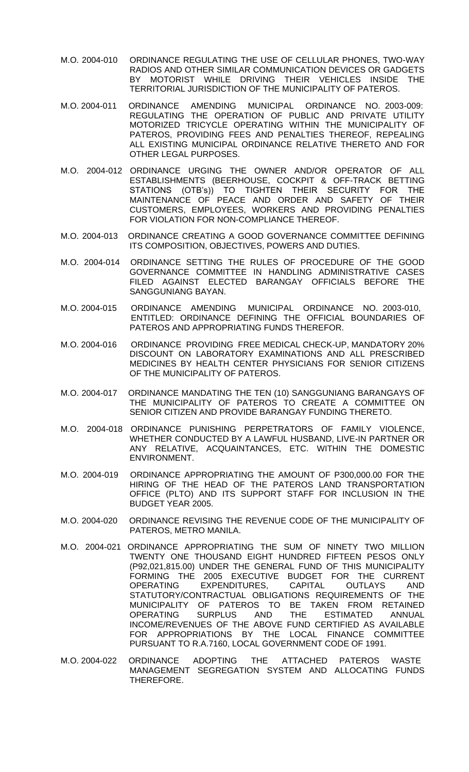- M.O. 2004-010 ORDINANCE REGULATING THE USE OF CELLULAR PHONES, TWO-WAY RADIOS AND OTHER SIMILAR COMMUNICATION DEVICES OR GADGETS BY MOTORIST WHILE DRIVING THEIR VEHICLES INSIDE THE TERRITORIAL JURISDICTION OF THE MUNICIPALITY OF PATEROS.
- M.O. 2004-011 ORDINANCE AMENDING MUNICIPAL ORDINANCE NO. 2003-009: REGULATING THE OPERATION OF PUBLIC AND PRIVATE UTILITY MOTORIZED TRICYCLE OPERATING WITHIN THE MUNICIPALITY OF PATEROS, PROVIDING FEES AND PENALTIES THEREOF, REPEALING ALL EXISTING MUNICIPAL ORDINANCE RELATIVE THERETO AND FOR OTHER LEGAL PURPOSES.
- M.O. 2004-012 ORDINANCE URGING THE OWNER AND/OR OPERATOR OF ALL ESTABLISHMENTS (BEERHOUSE, COCKPIT & OFF-TRACK BETTING STATIONS (OTB's)) TO TIGHTEN THEIR SECURITY FOR THE MAINTENANCE OF PEACE AND ORDER AND SAFETY OF THEIR CUSTOMERS, EMPLOYEES, WORKERS AND PROVIDING PENALTIES FOR VIOLATION FOR NON-COMPLIANCE THEREOF.
- M.O. 2004-013 ORDINANCE CREATING A GOOD GOVERNANCE COMMITTEE DEFINING ITS COMPOSITION, OBJECTIVES, POWERS AND DUTIES.
- M.O. 2004-014 ORDINANCE SETTING THE RULES OF PROCEDURE OF THE GOOD GOVERNANCE COMMITTEE IN HANDLING ADMINISTRATIVE CASES FILED AGAINST ELECTED BARANGAY OFFICIALS BEFORE THE SANGGUNIANG BAYAN.
- M.O. 2004-015 ORDINANCE AMENDING MUNICIPAL ORDINANCE NO. 2003-010, ENTITLED: ORDINANCE DEFINING THE OFFICIAL BOUNDARIES OF PATEROS AND APPROPRIATING FUNDS THEREFOR.
- M.O. 2004-016 ORDINANCE PROVIDING FREE MEDICAL CHECK-UP, MANDATORY 20% DISCOUNT ON LABORATORY EXAMINATIONS AND ALL PRESCRIBED MEDICINES BY HEALTH CENTER PHYSICIANS FOR SENIOR CITIZENS OF THE MUNICIPALITY OF PATEROS.
- M.O. 2004-017 ORDINANCE MANDATING THE TEN (10) SANGGUNIANG BARANGAYS OF THE MUNICIPALITY OF PATEROS TO CREATE A COMMITTEE ON SENIOR CITIZEN AND PROVIDE BARANGAY FUNDING THERETO.
- M.O. 2004-018 ORDINANCE PUNISHING PERPETRATORS OF FAMILY VIOLENCE, WHETHER CONDUCTED BY A LAWFUL HUSBAND, LIVE-IN PARTNER OR ANY RELATIVE, ACQUAINTANCES, ETC. WITHIN THE DOMESTIC ENVIRONMENT.
- M.O. 2004-019 ORDINANCE APPROPRIATING THE AMOUNT OF P300,000.00 FOR THE HIRING OF THE HEAD OF THE PATEROS LAND TRANSPORTATION OFFICE (PLTO) AND ITS SUPPORT STAFF FOR INCLUSION IN THE BUDGET YEAR 2005.
- M.O. 2004-020 ORDINANCE REVISING THE REVENUE CODE OF THE MUNICIPALITY OF PATEROS, METRO MANILA.
- M.O. 2004-021 ORDINANCE APPROPRIATING THE SUM OF NINETY TWO MILLION TWENTY ONE THOUSAND EIGHT HUNDRED FIFTEEN PESOS ONLY (P92,021,815.00) UNDER THE GENERAL FUND OF THIS MUNICIPALITY FORMING THE 2005 EXECUTIVE BUDGET FOR THE CURRENT OPERATING EXPENDITURES, CAPITAL OUTLAYS AND STATUTORY/CONTRACTUAL OBLIGATIONS REQUIREMENTS OF THE MUNICIPALITY OF PATEROS TO BE TAKEN FROM RETAINED OPERATING SURPLUS AND THE ESTIMATED ANNUAL INCOME/REVENUES OF THE ABOVE FUND CERTIFIED AS AVAILABLE FOR APPROPRIATIONS BY THE LOCAL FINANCE COMMITTEE PURSUANT TO R.A.7160, LOCAL GOVERNMENT CODE OF 1991.
- M.O. 2004-022 ORDINANCE ADOPTING THE ATTACHED PATEROS WASTE MANAGEMENT SEGREGATION SYSTEM AND ALLOCATING FUNDS THEREFORE.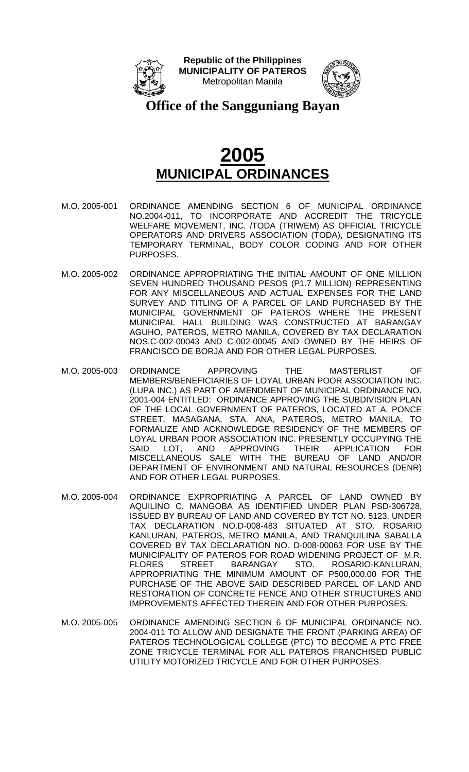



**Office of the Sangguniang Bayan**

- M.O. 2005-001 ORDINANCE AMENDING SECTION 6 OF MUNICIPAL ORDINANCE NO.2004-011, TO INCORPORATE AND ACCREDIT THE TRICYCLE WELFARE MOVEMENT, INC. /TODA (TRIWEM) AS OFFICIAL TRICYCLE OPERATORS AND DRIVERS ASSOCIATION (TODA), DESIGNATING ITS TEMPORARY TERMINAL, BODY COLOR CODING AND FOR OTHER PURPOSES.
- M.O. 2005-002 ORDINANCE APPROPRIATING THE INITIAL AMOUNT OF ONE MILLION SEVEN HUNDRED THOUSAND PESOS (P1.7 MILLION) REPRESENTING FOR ANY MISCELLANEOUS AND ACTUAL EXPENSES FOR THE LAND SURVEY AND TITLING OF A PARCEL OF LAND PURCHASED BY THE MUNICIPAL GOVERNMENT OF PATEROS WHERE THE PRESENT MUNICIPAL HALL BUILDING WAS CONSTRUCTED AT BARANGAY AGUHO, PATEROS, METRO MANILA, COVERED BY TAX DECLARATION NOS.C-002-00043 AND C-002-00045 AND OWNED BY THE HEIRS OF FRANCISCO DE BORJA AND FOR OTHER LEGAL PURPOSES.
- M.O. 2005-003 ORDINANCE APPROVING THE MASTERLIST OF MEMBERS/BENEFICIARIES OF LOYAL URBAN POOR ASSOCIATION INC. (LUPA INC.) AS PART OF AMENDMENT OF MUNICIPAL ORDINANCE NO. 2001-004 ENTITLED: ORDINANCE APPROVING THE SUBDIVISION PLAN OF THE LOCAL GOVERNMENT OF PATEROS, LOCATED AT A. PONCE STREET, MASAGANA, STA. ANA, PATEROS, METRO MANILA, TO FORMALIZE AND ACKNOWLEDGE RESIDENCY OF THE MEMBERS OF LOYAL URBAN POOR ASSOCIATION INC. PRESENTLY OCCUPYING THE SAID LOT, AND APPROVING THEIR APPLICATION FOR MISCELLANEOUS SALE WITH THE BUREAU OF LAND AND/OR DEPARTMENT OF ENVIRONMENT AND NATURAL RESOURCES (DENR) AND FOR OTHER LEGAL PURPOSES.
- M.O. 2005-004 ORDINANCE EXPROPRIATING A PARCEL OF LAND OWNED BY AQUILINO C. MANGOBA AS IDENTIFIED UNDER PLAN PSD-306728, ISSUED BY BUREAU OF LAND AND COVERED BY TCT NO. 5123, UNDER TAX DECLARATION NO.D-008-483 SITUATED AT STO. ROSARIO KANLURAN, PATEROS, METRO MANILA, AND TRANQUILINA SABALLA COVERED BY TAX DECLARATION NO. D-008-00063 FOR USE BY THE MUNICIPALITY OF PATEROS FOR ROAD WIDENING PROJECT OF M.R.<br>FLORES STREET BARANGAY STO. ROSARIO-KANLURAN. FLORES STREET BARANGAY STO. ROSARIO-KANLURAN, APPROPRIATING THE MINIMUM AMOUNT OF P500,000.00 FOR THE PURCHASE OF THE ABOVE SAID DESCRIBED PARCEL OF LAND AND RESTORATION OF CONCRETE FENCE AND OTHER STRUCTURES AND IMPROVEMENTS AFFECTED THEREIN AND FOR OTHER PURPOSES.
- M.O. 2005-005 ORDINANCE AMENDING SECTION 6 OF MUNICIPAL ORDINANCE NO. 2004-011 TO ALLOW AND DESIGNATE THE FRONT (PARKING AREA) OF PATEROS TECHNOLOGICAL COLLEGE (PTC) TO BECOME A PTC FREE ZONE TRICYCLE TERMINAL FOR ALL PATEROS FRANCHISED PUBLIC UTILITY MOTORIZED TRICYCLE AND FOR OTHER PURPOSES.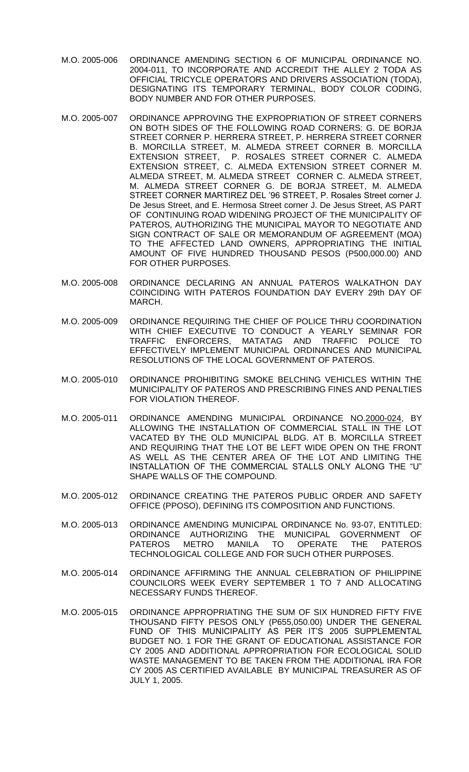- M.O. 2005-006 ORDINANCE AMENDING SECTION 6 OF MUNICIPAL ORDINANCE NO. 2004-011, TO INCORPORATE AND ACCREDIT THE ALLEY 2 TODA AS OFFICIAL TRICYCLE OPERATORS AND DRIVERS ASSOCIATION (TODA), DESIGNATING ITS TEMPORARY TERMINAL, BODY COLOR CODING, BODY NUMBER AND FOR OTHER PURPOSES.
- M.O. 2005-007 ORDINANCE APPROVING THE EXPROPRIATION OF STREET CORNERS ON BOTH SIDES OF THE FOLLOWING ROAD CORNERS: G. DE BORJA STREET CORNER P. HERRERA STREET, P. HERRERA STREET CORNER B. MORCILLA STREET, M. ALMEDA STREET CORNER B. MORCILLA EXTENSION STREET, P. ROSALES STREET CORNER C. ALMEDA EXTENSION STREET, C. ALMEDA EXTENSION STREET CORNER M. ALMEDA STREET, M. ALMEDA STREET CORNER C. ALMEDA STREET, M. ALMEDA STREET CORNER G. DE BORJA STREET, M. ALMEDA STREET CORNER MARTIREZ DEL '96 STREET, P. Rosales Street corner J. De Jesus Street, and E. Hermosa Street corner J. De Jesus Street, AS PART OF CONTINUING ROAD WIDENING PROJECT OF THE MUNICIPALITY OF PATEROS, AUTHORIZING THE MUNICIPAL MAYOR TO NEGOTIATE AND SIGN CONTRACT OF SALE OR MEMORANDUM OF AGREEMENT (MOA) TO THE AFFECTED LAND OWNERS, APPROPRIATING THE INITIAL AMOUNT OF FIVE HUNDRED THOUSAND PESOS (P500,000.00) AND FOR OTHER PURPOSES.
- M.O. 2005-008 ORDINANCE DECLARING AN ANNUAL PATEROS WALKATHON DAY COINCIDING WITH PATEROS FOUNDATION DAY EVERY 29th DAY OF MARCH.
- M.O. 2005-009 ORDINANCE REQUIRING THE CHIEF OF POLICE THRU COORDINATION WITH CHIEF EXECUTIVE TO CONDUCT A YEARLY SEMINAR FOR TRAFFIC ENFORCERS, MATATAG AND TRAFFIC POLICE TO EFFECTIVELY IMPLEMENT MUNICIPAL ORDINANCES AND MUNICIPAL RESOLUTIONS OF THE LOCAL GOVERNMENT OF PATEROS.
- M.O. 2005-010 ORDINANCE PROHIBITING SMOKE BELCHING VEHICLES WITHIN THE MUNICIPALITY OF PATEROS AND PRESCRIBING FINES AND PENALTIES FOR VIOLATION THEREOF.
- M.O. 2005-011 ORDINANCE AMENDING MUNICIPAL ORDINANCE NO.2000-024, BY ALLOWING THE INSTALLATION OF COMMERCIAL STALL IN THE LOT VACATED BY THE OLD MUNICIPAL BLDG. AT B. MORCILLA STREET AND REQUIRING THAT THE LOT BE LEFT WIDE OPEN ON THE FRONT AS WELL AS THE CENTER AREA OF THE LOT AND LIMITING THE INSTALLATION OF THE COMMERCIAL STALLS ONLY ALONG THE "U" SHAPE WALLS OF THE COMPOUND.
- M.O. 2005-012 ORDINANCE CREATING THE PATEROS PUBLIC ORDER AND SAFETY OFFICE (PPOSO), DEFINING ITS COMPOSITION AND FUNCTIONS.
- M.O. 2005-013 ORDINANCE AMENDING MUNICIPAL ORDINANCE No. 93-07, ENTITLED: ORDINANCE AUTHORIZING THE MUNICIPAL GOVERNMENT OF PATEROS METRO MANILA TO OPERATE THE PATEROS TECHNOLOGICAL COLLEGE AND FOR SUCH OTHER PURPOSES.
- M.O. 2005-014 ORDINANCE AFFIRMING THE ANNUAL CELEBRATION OF PHILIPPINE COUNCILORS WEEK EVERY SEPTEMBER 1 TO 7 AND ALLOCATING NECESSARY FUNDS THEREOF.
- M.O. 2005-015 ORDINANCE APPROPRIATING THE SUM OF SIX HUNDRED FIFTY FIVE THOUSAND FIFTY PESOS ONLY (P655,050.00) UNDER THE GENERAL FUND OF THIS MUNICIPALITY AS PER IT'S 2005 SUPPLEMENTAL BUDGET NO. 1 FOR THE GRANT OF EDUCATIONAL ASSISTANCE FOR CY 2005 AND ADDITIONAL APPROPRIATION FOR ECOLOGICAL SOLID WASTE MANAGEMENT TO BE TAKEN FROM THE ADDITIONAL IRA FOR CY 2005 AS CERTIFIED AVAILABLE BY MUNICIPAL TREASURER AS OF JULY 1, 2005.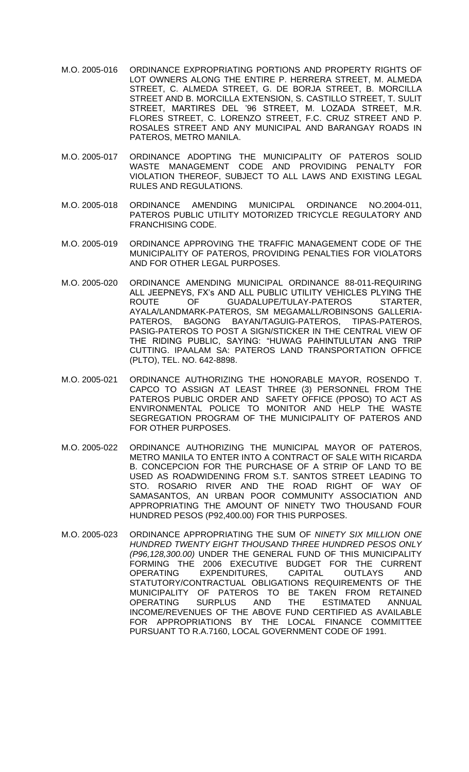- M.O. 2005-016 ORDINANCE EXPROPRIATING PORTIONS AND PROPERTY RIGHTS OF LOT OWNERS ALONG THE ENTIRE P. HERRERA STREET, M. ALMEDA STREET, C. ALMEDA STREET, G. DE BORJA STREET, B. MORCILLA STREET AND B. MORCILLA EXTENSION, S. CASTILLO STREET, T. SULIT STREET, MARTIRES DEL '96 STREET, M. LOZADA STREET, M.R. FLORES STREET, C. LORENZO STREET, F.C. CRUZ STREET AND P. ROSALES STREET AND ANY MUNICIPAL AND BARANGAY ROADS IN PATEROS, METRO MANILA.
- M.O. 2005-017 ORDINANCE ADOPTING THE MUNICIPALITY OF PATEROS SOLID WASTE MANAGEMENT CODE AND PROVIDING PENALTY FOR VIOLATION THEREOF, SUBJECT TO ALL LAWS AND EXISTING LEGAL RULES AND REGULATIONS.
- M.O. 2005-018 ORDINANCE AMENDING MUNICIPAL ORDINANCE NO.2004-011, PATEROS PUBLIC UTILITY MOTORIZED TRICYCLE REGULATORY AND FRANCHISING CODE.
- M.O. 2005-019 ORDINANCE APPROVING THE TRAFFIC MANAGEMENT CODE OF THE MUNICIPALITY OF PATEROS, PROVIDING PENALTIES FOR VIOLATORS AND FOR OTHER LEGAL PURPOSES.
- M.O. 2005-020 ORDINANCE AMENDING MUNICIPAL ORDINANCE 88-011-REQUIRING ALL JEEPNEYS, FX's AND ALL PUBLIC UTILITY VEHICLES PLYING THE<br>ROUTE OF GUADALUPE/TULAY-PATEROS STARTER. ROUTE OF GUADALUPE/TULAY-PATEROS STARTER, AYALA/LANDMARK-PATEROS, SM MEGAMALL/ROBINSONS GALLERIA-PATEROS, BAGONG BAYAN/TAGUIG-PATEROS, TIPAS-PATEROS, PASIG-PATEROS TO POST A SIGN/STICKER IN THE CENTRAL VIEW OF THE RIDING PUBLIC, SAYING: "HUWAG PAHINTULUTAN ANG TRIP CUTTING. IPAALAM SA: PATEROS LAND TRANSPORTATION OFFICE (PLTO), TEL. NO. 642-8898.
- M.O. 2005-021 ORDINANCE AUTHORIZING THE HONORABLE MAYOR, ROSENDO T. CAPCO TO ASSIGN AT LEAST THREE (3) PERSONNEL FROM THE PATEROS PUBLIC ORDER AND SAFETY OFFICE (PPOSO) TO ACT AS ENVIRONMENTAL POLICE TO MONITOR AND HELP THE WASTE SEGREGATION PROGRAM OF THE MUNICIPALITY OF PATEROS AND FOR OTHER PURPOSES.
- M.O. 2005-022 ORDINANCE AUTHORIZING THE MUNICIPAL MAYOR OF PATEROS, METRO MANILA TO ENTER INTO A CONTRACT OF SALE WITH RICARDA B. CONCEPCION FOR THE PURCHASE OF A STRIP OF LAND TO BE USED AS ROADWIDENING FROM S.T. SANTOS STREET LEADING TO STO. ROSARIO RIVER AND THE ROAD RIGHT OF WAY OF SAMASANTOS, AN URBAN POOR COMMUNITY ASSOCIATION AND APPROPRIATING THE AMOUNT OF NINETY TWO THOUSAND FOUR HUNDRED PESOS (P92,400.00) FOR THIS PURPOSES.
- M.O. 2005-023 ORDINANCE APPROPRIATING THE SUM OF *NINETY SIX MILLION ONE HUNDRED TWENTY EIGHT THOUSAND THREE HUNDRED PESOS ONLY (P96,128,300.00)* UNDER THE GENERAL FUND OF THIS MUNICIPALITY FORMING THE 2006 EXECUTIVE BUDGET FOR THE CURRENT OPERATING EXPENDITURES, CAPITAL OUTLAYS AND STATUTORY/CONTRACTUAL OBLIGATIONS REQUIREMENTS OF THE MUNICIPALITY OF PATEROS TO BE TAKEN FROM RETAINED OPERATING SURPLUS AND THE ESTIMATED ANNUAL INCOME/REVENUES OF THE ABOVE FUND CERTIFIED AS AVAILABLE FOR APPROPRIATIONS BY THE LOCAL FINANCE COMMITTEE PURSUANT TO R.A.7160, LOCAL GOVERNMENT CODE OF 1991.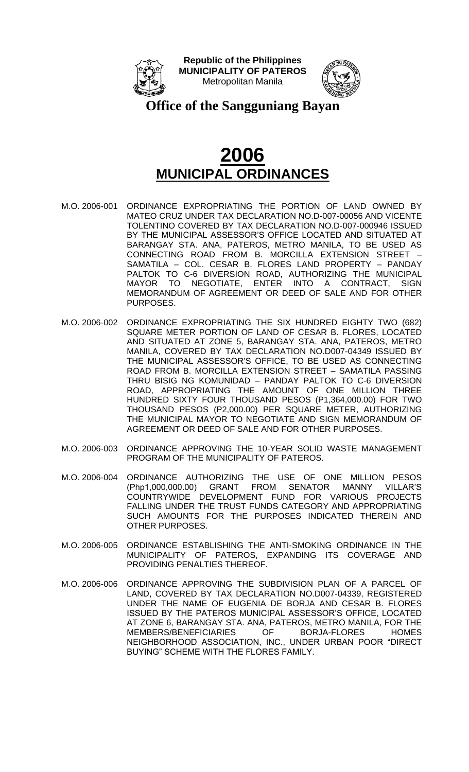



**Office of the Sangguniang Bayan**

- M.O. 2006-001 ORDINANCE EXPROPRIATING THE PORTION OF LAND OWNED BY MATEO CRUZ UNDER TAX DECLARATION NO.D-007-00056 AND VICENTE TOLENTINO COVERED BY TAX DECLARATION NO.D-007-000946 ISSUED BY THE MUNICIPAL ASSESSOR'S OFFICE LOCATED AND SITUATED AT BARANGAY STA. ANA, PATEROS, METRO MANILA, TO BE USED AS CONNECTING ROAD FROM B. MORCILLA EXTENSION STREET – SAMATILA – COL. CESAR B. FLORES LAND PROPERTY – PANDAY PALTOK TO C-6 DIVERSION ROAD, AUTHORIZING THE MUNICIPAL MAYOR TO NEGOTIATE, ENTER INTO A CONTRACT, SIGN MEMORANDUM OF AGREEMENT OR DEED OF SALE AND FOR OTHER PURPOSES.
- M.O. 2006-002 ORDINANCE EXPROPRIATING THE SIX HUNDRED EIGHTY TWO (682) SQUARE METER PORTION OF LAND OF CESAR B. FLORES, LOCATED AND SITUATED AT ZONE 5, BARANGAY STA. ANA, PATEROS, METRO MANILA, COVERED BY TAX DECLARATION NO.D007-04349 ISSUED BY THE MUNICIPAL ASSESSOR'S OFFICE, TO BE USED AS CONNECTING ROAD FROM B. MORCILLA EXTENSION STREET – SAMATILA PASSING THRU BISIG NG KOMUNIDAD – PANDAY PALTOK TO C-6 DIVERSION ROAD, APPROPRIATING THE AMOUNT OF ONE MILLION THREE HUNDRED SIXTY FOUR THOUSAND PESOS (P1,364,000.00) FOR TWO THOUSAND PESOS (P2,000.00) PER SQUARE METER, AUTHORIZING THE MUNICIPAL MAYOR TO NEGOTIATE AND SIGN MEMORANDUM OF AGREEMENT OR DEED OF SALE AND FOR OTHER PURPOSES.
- M.O. 2006-003 ORDINANCE APPROVING THE 10-YEAR SOLID WASTE MANAGEMENT PROGRAM OF THE MUNICIPALITY OF PATEROS.
- M.O. 2006-004 ORDINANCE AUTHORIZING THE USE OF ONE MILLION PESOS GRANT FROM SENATOR MANNY VILLAR'S COUNTRYWIDE DEVELOPMENT FUND FOR VARIOUS PROJECTS FALLING UNDER THE TRUST FUNDS CATEGORY AND APPROPRIATING SUCH AMOUNTS FOR THE PURPOSES INDICATED THEREIN AND OTHER PURPOSES.
- M.O. 2006-005 ORDINANCE ESTABLISHING THE ANTI-SMOKING ORDINANCE IN THE MUNICIPALITY OF PATEROS, EXPANDING ITS COVERAGE AND PROVIDING PENALTIES THEREOF.
- M.O. 2006-006 ORDINANCE APPROVING THE SUBDIVISION PLAN OF A PARCEL OF LAND, COVERED BY TAX DECLARATION NO.D007-04339, REGISTERED UNDER THE NAME OF EUGENIA DE BORJA AND CESAR B. FLORES ISSUED BY THE PATEROS MUNICIPAL ASSESSOR'S OFFICE, LOCATED AT ZONE 6, BARANGAY STA. ANA, PATEROS, METRO MANILA, FOR THE MEMBERS/BENEFICIARIES OF BORJA-FLORES HOMES NEIGHBORHOOD ASSOCIATION, INC., UNDER URBAN POOR "DIRECT BUYING" SCHEME WITH THE FLORES FAMILY.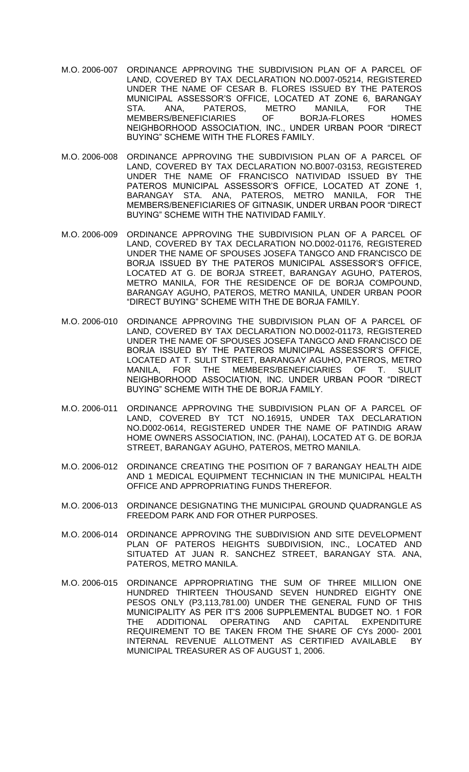- M.O. 2006-007 ORDINANCE APPROVING THE SUBDIVISION PLAN OF A PARCEL OF LAND, COVERED BY TAX DECLARATION NO.D007-05214, REGISTERED UNDER THE NAME OF CESAR B. FLORES ISSUED BY THE PATEROS MUNICIPAL ASSESSOR'S OFFICE, LOCATED AT ZONE 6, BARANGAY STA. ANA, PATEROS, METRO MANILA, FOR THE MEMBERS/BENEFICIARIES OF BORJA-FLORES HOMES NEIGHBORHOOD ASSOCIATION, INC., UNDER URBAN POOR "DIRECT BUYING" SCHEME WITH THE FLORES FAMILY.
- M.O. 2006-008 ORDINANCE APPROVING THE SUBDIVISION PLAN OF A PARCEL OF LAND, COVERED BY TAX DECLARATION NO.B007-03153, REGISTERED UNDER THE NAME OF FRANCISCO NATIVIDAD ISSUED BY THE PATEROS MUNICIPAL ASSESSOR'S OFFICE, LOCATED AT ZONE 1, BARANGAY STA. ANA, PATEROS, METRO MANILA, FOR THE MEMBERS/BENEFICIARIES OF GITNASIK, UNDER URBAN POOR "DIRECT BUYING" SCHEME WITH THE NATIVIDAD FAMILY.
- M.O. 2006-009 ORDINANCE APPROVING THE SUBDIVISION PLAN OF A PARCEL OF LAND, COVERED BY TAX DECLARATION NO.D002-01176, REGISTERED UNDER THE NAME OF SPOUSES JOSEFA TANGCO AND FRANCISCO DE BORJA ISSUED BY THE PATEROS MUNICIPAL ASSESSOR'S OFFICE, LOCATED AT G. DE BORJA STREET, BARANGAY AGUHO, PATEROS, METRO MANILA, FOR THE RESIDENCE OF DE BORJA COMPOUND, BARANGAY AGUHO, PATEROS, METRO MANILA, UNDER URBAN POOR "DIRECT BUYING" SCHEME WITH THE DE BORJA FAMILY.
- M.O. 2006-010 ORDINANCE APPROVING THE SUBDIVISION PLAN OF A PARCEL OF LAND, COVERED BY TAX DECLARATION NO.D002-01173, REGISTERED UNDER THE NAME OF SPOUSES JOSEFA TANGCO AND FRANCISCO DE BORJA ISSUED BY THE PATEROS MUNICIPAL ASSESSOR'S OFFICE, LOCATED AT T. SULIT STREET, BARANGAY AGUHO, PATEROS, METRO MANILA, FOR THE MEMBERS/BENEFICIARIES OF T. SULIT NEIGHBORHOOD ASSOCIATION, INC. UNDER URBAN POOR "DIRECT BUYING" SCHEME WITH THE DE BORJA FAMILY.
- M.O. 2006-011 ORDINANCE APPROVING THE SUBDIVISION PLAN OF A PARCEL OF LAND, COVERED BY TCT NO.16915, UNDER TAX DECLARATION NO.D002-0614, REGISTERED UNDER THE NAME OF PATINDIG ARAW HOME OWNERS ASSOCIATION, INC. (PAHAI), LOCATED AT G. DE BORJA STREET, BARANGAY AGUHO, PATEROS, METRO MANILA.
- M.O. 2006-012 ORDINANCE CREATING THE POSITION OF 7 BARANGAY HEALTH AIDE AND 1 MEDICAL EQUIPMENT TECHNICIAN IN THE MUNICIPAL HEALTH OFFICE AND APPROPRIATING FUNDS THEREFOR.
- M.O. 2006-013 ORDINANCE DESIGNATING THE MUNICIPAL GROUND QUADRANGLE AS FREEDOM PARK AND FOR OTHER PURPOSES.
- M.O. 2006-014 ORDINANCE APPROVING THE SUBDIVISION AND SITE DEVELOPMENT PLAN OF PATEROS HEIGHTS SUBDIVISION, INC., LOCATED AND SITUATED AT JUAN R. SANCHEZ STREET, BARANGAY STA. ANA, PATEROS, METRO MANILA.
- M.O. 2006-015 ORDINANCE APPROPRIATING THE SUM OF THREE MILLION ONE HUNDRED THIRTEEN THOUSAND SEVEN HUNDRED EIGHTY ONE PESOS ONLY (P3,113,781.00) UNDER THE GENERAL FUND OF THIS MUNICIPALITY AS PER IT'S 2006 SUPPLEMENTAL BUDGET NO. 1 FOR THE ADDITIONAL OPERATING AND CAPITAL EXPENDITURE REQUIREMENT TO BE TAKEN FROM THE SHARE OF CYs 2000- 2001 INTERNAL REVENUE ALLOTMENT AS CERTIFIED AVAILABLE BY MUNICIPAL TREASURER AS OF AUGUST 1, 2006.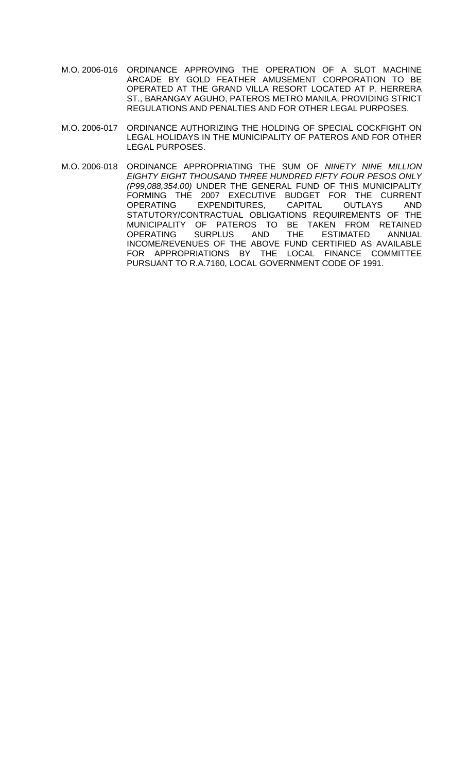- M.O. 2006-016 ORDINANCE APPROVING THE OPERATION OF A SLOT MACHINE ARCADE BY GOLD FEATHER AMUSEMENT CORPORATION TO BE OPERATED AT THE GRAND VILLA RESORT LOCATED AT P. HERRERA ST., BARANGAY AGUHO, PATEROS METRO MANILA, PROVIDING STRICT REGULATIONS AND PENALTIES AND FOR OTHER LEGAL PURPOSES.
- M.O. 2006-017 ORDINANCE AUTHORIZING THE HOLDING OF SPECIAL COCKFIGHT ON LEGAL HOLIDAYS IN THE MUNICIPALITY OF PATEROS AND FOR OTHER LEGAL PURPOSES.
- M.O. 2006-018 ORDINANCE APPROPRIATING THE SUM OF *NINETY NINE MILLION EIGHTY EIGHT THOUSAND THREE HUNDRED FIFTY FOUR PESOS ONLY (P99,088,354.00)* UNDER THE GENERAL FUND OF THIS MUNICIPALITY FORMING THE 2007 EXECUTIVE BUDGET FOR THE CURRENT OPERATING EXPENDITURES, CAPITAL OUTLAYS AND STATUTORY/CONTRACTUAL OBLIGATIONS REQUIREMENTS OF THE MUNICIPALITY OF PATEROS TO BE TAKEN FROM RETAINED<br>OPERATING SURPLUS AND THE ESTIMATED ANNUAL ESTIMATED ANNUAL INCOME/REVENUES OF THE ABOVE FUND CERTIFIED AS AVAILABLE FOR APPROPRIATIONS BY THE LOCAL FINANCE COMMITTEE PURSUANT TO R.A.7160, LOCAL GOVERNMENT CODE OF 1991.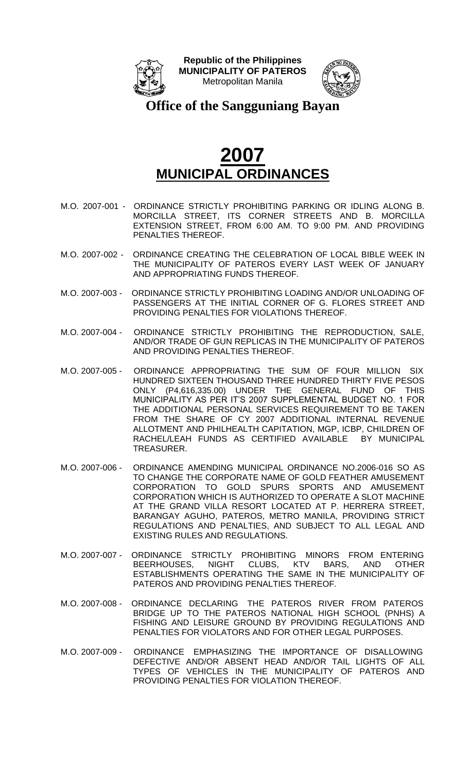



**Office of the Sangguniang Bayan**

- M.O. 2007-001 ORDINANCE STRICTLY PROHIBITING PARKING OR IDLING ALONG B. MORCILLA STREET, ITS CORNER STREETS AND B. MORCILLA EXTENSION STREET, FROM 6:00 AM. TO 9:00 PM. AND PROVIDING PENALTIES THEREOF.
- M.O. 2007-002 ORDINANCE CREATING THE CELEBRATION OF LOCAL BIBLE WEEK IN THE MUNICIPALITY OF PATEROS EVERY LAST WEEK OF JANUARY AND APPROPRIATING FUNDS THEREOF.
- M.O. 2007-003 ORDINANCE STRICTLY PROHIBITING LOADING AND/OR UNLOADING OF PASSENGERS AT THE INITIAL CORNER OF G. FLORES STREET AND PROVIDING PENALTIES FOR VIOLATIONS THEREOF.
- M.O. 2007-004 ORDINANCE STRICTLY PROHIBITING THE REPRODUCTION, SALE, AND/OR TRADE OF GUN REPLICAS IN THE MUNICIPALITY OF PATEROS AND PROVIDING PENALTIES THEREOF.
- M.O. 2007-005 ORDINANCE APPROPRIATING THE SUM OF FOUR MILLION SIX HUNDRED SIXTEEN THOUSAND THREE HUNDRED THIRTY FIVE PESOS ONLY (P4,616,335.00) UNDER THE GENERAL FUND OF THIS MUNICIPALITY AS PER IT'S 2007 SUPPLEMENTAL BUDGET NO. 1 FOR THE ADDITIONAL PERSONAL SERVICES REQUIREMENT TO BE TAKEN FROM THE SHARE OF CY 2007 ADDITIONAL INTERNAL REVENUE ALLOTMENT AND PHILHEALTH CAPITATION, MGP, ICBP, CHILDREN OF RACHEL/LEAH FUNDS AS CERTIFIED AVAILABLE BY MUNICIPAL TREASURER.
- M.O. 2007-006 ORDINANCE AMENDING MUNICIPAL ORDINANCE NO.2006-016 SO AS TO CHANGE THE CORPORATE NAME OF GOLD FEATHER AMUSEMENT CORPORATION TO GOLD SPURS SPORTS AND AMUSEMENT CORPORATION WHICH IS AUTHORIZED TO OPERATE A SLOT MACHINE AT THE GRAND VILLA RESORT LOCATED AT P. HERRERA STREET, BARANGAY AGUHO, PATEROS, METRO MANILA, PROVIDING STRICT REGULATIONS AND PENALTIES, AND SUBJECT TO ALL LEGAL AND EXISTING RULES AND REGULATIONS.
- M.O. 2007-007 ORDINANCE STRICTLY PROHIBITING MINORS FROM ENTERING<br>BEERHOUSES. NIGHT CLUBS. KTV BARS. AND OTHER CLUBS, KTV BARS, AND OTHER ESTABLISHMENTS OPERATING THE SAME IN THE MUNICIPALITY OF PATEROS AND PROVIDING PENALTIES THEREOF.
- M.O. 2007-008 ORDINANCE DECLARING THE PATEROS RIVER FROM PATEROS BRIDGE UP TO THE PATEROS NATIONAL HIGH SCHOOL (PNHS) A FISHING AND LEISURE GROUND BY PROVIDING REGULATIONS AND PENALTIES FOR VIOLATORS AND FOR OTHER LEGAL PURPOSES.
- M.O. 2007-009 ORDINANCE EMPHASIZING THE IMPORTANCE OF DISALLOWING DEFECTIVE AND/OR ABSENT HEAD AND/OR TAIL LIGHTS OF ALL TYPES OF VEHICLES IN THE MUNICIPALITY OF PATEROS AND PROVIDING PENALTIES FOR VIOLATION THEREOF.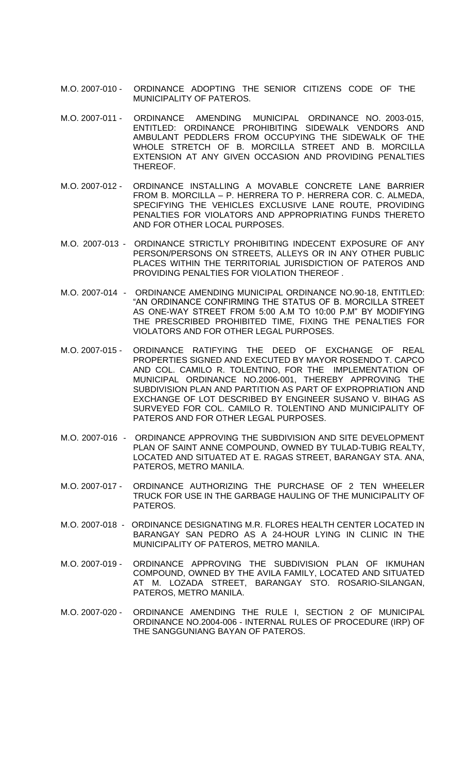- M.O. 2007-010 ORDINANCE ADOPTING THE SENIOR CITIZENS CODE OF THE MUNICIPALITY OF PATEROS.
- M.O. 2007-011 ORDINANCE AMENDING MUNICIPAL ORDINANCE NO. 2003-015, ENTITLED: ORDINANCE PROHIBITING SIDEWALK VENDORS AND AMBULANT PEDDLERS FROM OCCUPYING THE SIDEWALK OF THE WHOLE STRETCH OF B. MORCILLA STREET AND B. MORCILLA EXTENSION AT ANY GIVEN OCCASION AND PROVIDING PENALTIES THEREOF.
- M.O. 2007-012 ORDINANCE INSTALLING A MOVABLE CONCRETE LANE BARRIER FROM B. MORCILLA – P. HERRERA TO P. HERRERA COR. C. ALMEDA, SPECIFYING THE VEHICLES EXCLUSIVE LANE ROUTE, PROVIDING PENALTIES FOR VIOLATORS AND APPROPRIATING FUNDS THERETO AND FOR OTHER LOCAL PURPOSES.
- M.O. 2007-013 ORDINANCE STRICTLY PROHIBITING INDECENT EXPOSURE OF ANY PERSON/PERSONS ON STREETS, ALLEYS OR IN ANY OTHER PUBLIC PLACES WITHIN THE TERRITORIAL JURISDICTION OF PATEROS AND PROVIDING PENALTIES FOR VIOLATION THEREOF .
- M.O. 2007-014 ORDINANCE AMENDING MUNICIPAL ORDINANCE NO.90-18, ENTITLED: "AN ORDINANCE CONFIRMING THE STATUS OF B. MORCILLA STREET AS ONE-WAY STREET FROM 5:00 A.M TO 10:00 P.M" BY MODIFYING THE PRESCRIBED PROHIBITED TIME, FIXING THE PENALTIES FOR VIOLATORS AND FOR OTHER LEGAL PURPOSES.
- M.O. 2007-015 ORDINANCE RATIFYING THE DEED OF EXCHANGE OF REAL PROPERTIES SIGNED AND EXECUTED BY MAYOR ROSENDO T. CAPCO AND COL. CAMILO R. TOLENTINO, FOR THE IMPLEMENTATION OF MUNICIPAL ORDINANCE NO.2006-001, THEREBY APPROVING THE SUBDIVISION PLAN AND PARTITION AS PART OF EXPROPRIATION AND EXCHANGE OF LOT DESCRIBED BY ENGINEER SUSANO V. BIHAG AS SURVEYED FOR COL. CAMILO R. TOLENTINO AND MUNICIPALITY OF PATEROS AND FOR OTHER LEGAL PURPOSES.
- M.O. 2007-016 ORDINANCE APPROVING THE SUBDIVISION AND SITE DEVELOPMENT PLAN OF SAINT ANNE COMPOUND, OWNED BY TULAD-TUBIG REALTY, LOCATED AND SITUATED AT E. RAGAS STREET, BARANGAY STA. ANA, PATEROS, METRO MANILA.
- M.O. 2007-017 ORDINANCE AUTHORIZING THE PURCHASE OF 2 TEN WHEELER TRUCK FOR USE IN THE GARBAGE HAULING OF THE MUNICIPALITY OF PATEROS.
- M.O. 2007-018 ORDINANCE DESIGNATING M.R. FLORES HEALTH CENTER LOCATED IN BARANGAY SAN PEDRO AS A 24-HOUR LYING IN CLINIC IN THE MUNICIPALITY OF PATEROS, METRO MANILA.
- M.O. 2007-019 ORDINANCE APPROVING THE SUBDIVISION PLAN OF IKMUHAN COMPOUND, OWNED BY THE AVILA FAMILY, LOCATED AND SITUATED AT M. LOZADA STREET, BARANGAY STO. ROSARIO-SILANGAN, PATEROS, METRO MANILA.
- M.O. 2007-020 ORDINANCE AMENDING THE RULE I, SECTION 2 OF MUNICIPAL ORDINANCE NO.2004-006 - INTERNAL RULES OF PROCEDURE (IRP) OF THE SANGGUNIANG BAYAN OF PATEROS.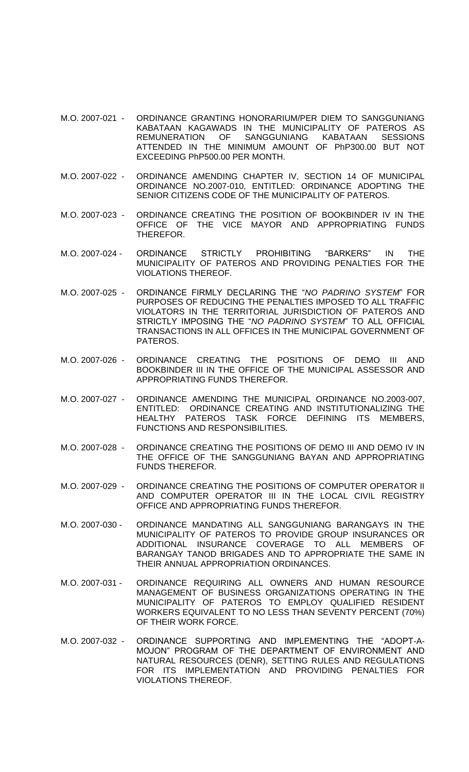- M.O. 2007-021 ORDINANCE GRANTING HONORARIUM/PER DIEM TO SANGGUNIANG KABATAAN KAGAWADS IN THE MUNICIPALITY OF PATEROS AS REMUNERATION OF SANGGUNIANG KABATAAN SESSIONS ATTENDED IN THE MINIMUM AMOUNT OF PhP300.00 BUT NOT EXCEEDING PhP500.00 PER MONTH.
- M.O. 2007-022 ORDINANCE AMENDING CHAPTER IV, SECTION 14 OF MUNICIPAL ORDINANCE NO.2007-010, ENTITLED: ORDINANCE ADOPTING THE SENIOR CITIZENS CODE OF THE MUNICIPALITY OF PATEROS.
- M.O. 2007-023 ORDINANCE CREATING THE POSITION OF BOOKBINDER IV IN THE OFFICE OF THE VICE MAYOR AND APPROPRIATING FUNDS THEREFOR.
- M.O. 2007-024 ORDINANCE STRICTLY PROHIBITING "BARKERS" IN THE MUNICIPALITY OF PATEROS AND PROVIDING PENALTIES FOR THE VIOLATIONS THEREOF.
- M.O. 2007-025 ORDINANCE FIRMLY DECLARING THE "*NO PADRINO SYSTEM*" FOR PURPOSES OF REDUCING THE PENALTIES IMPOSED TO ALL TRAFFIC VIOLATORS IN THE TERRITORIAL JURISDICTION OF PATEROS AND STRICTLY IMPOSING THE "*NO PADRINO SYSTEM*" TO ALL OFFICIAL TRANSACTIONS IN ALL OFFICES IN THE MUNICIPAL GOVERNMENT OF PATEROS.
- M.O. 2007-026 ORDINANCE CREATING THE POSITIONS OF DEMO III AND BOOKBINDER III IN THE OFFICE OF THE MUNICIPAL ASSESSOR AND APPROPRIATING FUNDS THEREFOR.
- M.O. 2007-027 ORDINANCE AMENDING THE MUNICIPAL ORDINANCE NO.2003-007, ENTITLED: ORDINANCE CREATING AND INSTITUTIONALIZING THE HEALTHY PATEROS TASK FORCE DEFINING ITS MEMBERS, FUNCTIONS AND RESPONSIBILITIES.
- M.O. 2007-028 ORDINANCE CREATING THE POSITIONS OF DEMO III AND DEMO IV IN THE OFFICE OF THE SANGGUNIANG BAYAN AND APPROPRIATING FUNDS THEREFOR.
- M.O. 2007-029 ORDINANCE CREATING THE POSITIONS OF COMPUTER OPERATOR II AND COMPUTER OPERATOR III IN THE LOCAL CIVIL REGISTRY OFFICE AND APPROPRIATING FUNDS THEREFOR.
- M.O. 2007-030 ORDINANCE MANDATING ALL SANGGUNIANG BARANGAYS IN THE MUNICIPALITY OF PATEROS TO PROVIDE GROUP INSURANCES OR ADDITIONAL INSURANCE COVERAGE TO ALL MEMBERS OF BARANGAY TANOD BRIGADES AND TO APPROPRIATE THE SAME IN THEIR ANNUAL APPROPRIATION ORDINANCES.
- M.O. 2007-031 ORDINANCE REQUIRING ALL OWNERS AND HUMAN RESOURCE MANAGEMENT OF BUSINESS ORGANIZATIONS OPERATING IN THE MUNICIPALITY OF PATEROS TO EMPLOY QUALIFIED RESIDENT WORKERS EQUIVALENT TO NO LESS THAN SEVENTY PERCENT (70%) OF THEIR WORK FORCE.
- M.O. 2007-032 ORDINANCE SUPPORTING AND IMPLEMENTING THE "ADOPT-A-MOJON" PROGRAM OF THE DEPARTMENT OF ENVIRONMENT AND NATURAL RESOURCES (DENR), SETTING RULES AND REGULATIONS FOR ITS IMPLEMENTATION AND PROVIDING PENALTIES FOR VIOLATIONS THEREOF.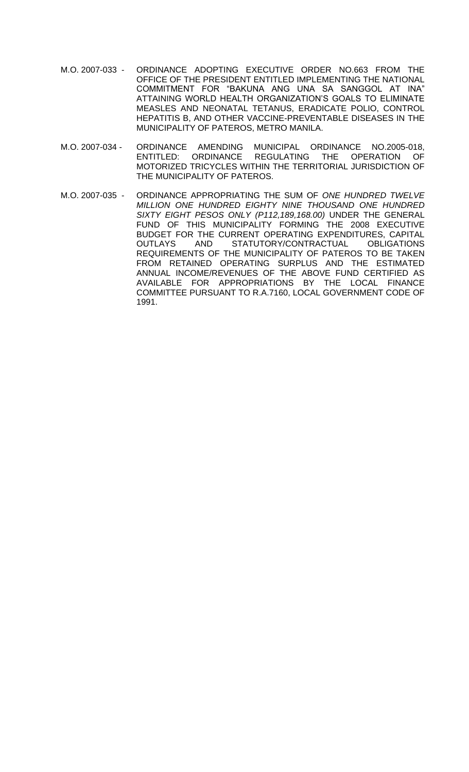- M.O. 2007-033 ORDINANCE ADOPTING EXECUTIVE ORDER NO.663 FROM THE OFFICE OF THE PRESIDENT ENTITLED IMPLEMENTING THE NATIONAL COMMITMENT FOR "BAKUNA ANG UNA SA SANGGOL AT INA" ATTAINING WORLD HEALTH ORGANIZATION'S GOALS TO ELIMINATE MEASLES AND NEONATAL TETANUS, ERADICATE POLIO, CONTROL HEPATITIS B, AND OTHER VACCINE-PREVENTABLE DISEASES IN THE MUNICIPALITY OF PATEROS, METRO MANILA.
- M.O. 2007-034 ORDINANCE AMENDING MUNICIPAL ORDINANCE NO.2005-018, ENTITLED: ORDINANCE REGULATING THE OPERATION OF MOTORIZED TRICYCLES WITHIN THE TERRITORIAL JURISDICTION OF THE MUNICIPALITY OF PATEROS.
- M.O. 2007-035 ORDINANCE APPROPRIATING THE SUM OF *ONE HUNDRED TWELVE MILLION ONE HUNDRED EIGHTY NINE THOUSAND ONE HUNDRED SIXTY EIGHT PESOS ONLY (P112,189,168.00)* UNDER THE GENERAL FUND OF THIS MUNICIPALITY FORMING THE 2008 EXECUTIVE BUDGET FOR THE CURRENT OPERATING EXPENDITURES, CAPITAL OUTLAYS AND STATUTORY/CONTRACTUAL OBLIGATIONS REQUIREMENTS OF THE MUNICIPALITY OF PATEROS TO BE TAKEN FROM RETAINED OPERATING SURPLUS AND THE ESTIMATED ANNUAL INCOME/REVENUES OF THE ABOVE FUND CERTIFIED AS AVAILABLE FOR APPROPRIATIONS BY THE LOCAL FINANCE COMMITTEE PURSUANT TO R.A.7160, LOCAL GOVERNMENT CODE OF 1991.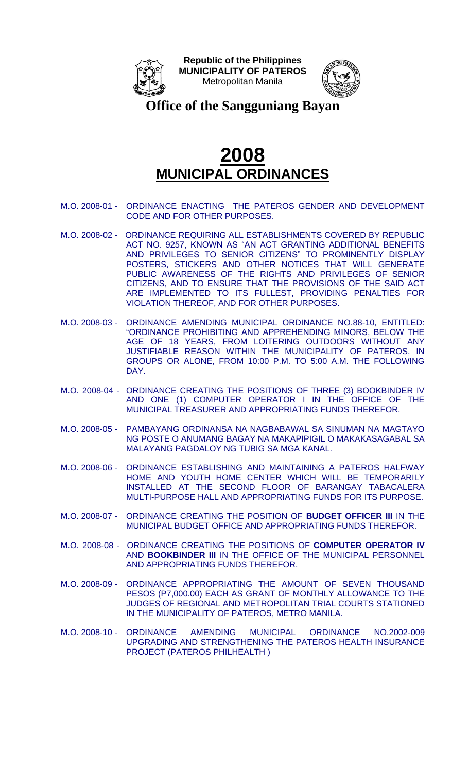



**Office of the Sangguniang Bayan**

- M.O. 2008-01 ORDINANCE ENACTING THE PATEROS GENDER AND DEVELOPMENT CODE AND FOR OTHER PURPOSES.
- M.O. 2008-02 ORDINANCE REQUIRING ALL ESTABLISHMENTS COVERED BY REPUBLIC ACT NO. 9257, KNOWN AS "AN ACT GRANTING ADDITIONAL BENEFITS AND PRIVILEGES TO SENIOR CITIZENS" TO PROMINENTLY DISPLAY POSTERS, STICKERS AND OTHER NOTICES THAT WILL GENERATE PUBLIC AWARENESS OF THE RIGHTS AND PRIVILEGES OF SENIOR CITIZENS, AND TO ENSURE THAT THE PROVISIONS OF THE SAID ACT ARE IMPLEMENTED TO ITS FULLEST, PROVIDING PENALTIES FOR VIOLATION THEREOF, AND FOR OTHER PURPOSES.
- M.O. 2008-03 ORDINANCE AMENDING MUNICIPAL ORDINANCE NO.88-10, ENTITLED: "ORDINANCE PROHIBITING AND APPREHENDING MINORS, BELOW THE AGE OF 18 YEARS, FROM LOITERING OUTDOORS WITHOUT ANY JUSTIFIABLE REASON WITHIN THE MUNICIPALITY OF PATEROS, IN GROUPS OR ALONE, FROM 10:00 P.M. TO 5:00 A.M. THE FOLLOWING DAY.
- M.O. 2008-04 ORDINANCE CREATING THE POSITIONS OF THREE (3) BOOKBINDER IV AND ONE (1) COMPUTER OPERATOR I IN THE OFFICE OF THE MUNICIPAL TREASURER AND APPROPRIATING FUNDS THEREFOR.
- M.O. 2008-05 PAMBAYANG ORDINANSA NA NAGBABAWAL SA SINUMAN NA MAGTAYO NG POSTE O ANUMANG BAGAY NA MAKAPIPIGIL O MAKAKASAGABAL SA MALAYANG PAGDALOY NG TUBIG SA MGA KANAL.
- M.O. 2008-06 ORDINANCE ESTABLISHING AND MAINTAINING A PATEROS HALFWAY HOME AND YOUTH HOME CENTER WHICH WILL BE TEMPORARILY INSTALLED AT THE SECOND FLOOR OF BARANGAY TABACALERA MULTI-PURPOSE HALL AND APPROPRIATING FUNDS FOR ITS PURPOSE.
- M.O. 2008-07 ORDINANCE CREATING THE POSITION OF **BUDGET OFFICER III** IN THE MUNICIPAL BUDGET OFFICE AND APPROPRIATING FUNDS THEREFOR.
- M.O. 2008-08 ORDINANCE CREATING THE POSITIONS OF **COMPUTER OPERATOR IV** AND **BOOKBINDER III** IN THE OFFICE OF THE MUNICIPAL PERSONNEL AND APPROPRIATING FUNDS THEREFOR.
- M.O. 2008-09 ORDINANCE APPROPRIATING THE AMOUNT OF SEVEN THOUSAND PESOS (P7,000.00) EACH AS GRANT OF MONTHLY ALLOWANCE TO THE JUDGES OF REGIONAL AND METROPOLITAN TRIAL COURTS STATIONED IN THE MUNICIPALITY OF PATEROS, METRO MANILA.
- M.O. 2008-10 ORDINANCE AMENDING MUNICIPAL ORDINANCE NO.2002-009 UPGRADING AND STRENGTHENING THE PATEROS HEALTH INSURANCE PROJECT (PATEROS PHILHEALTH )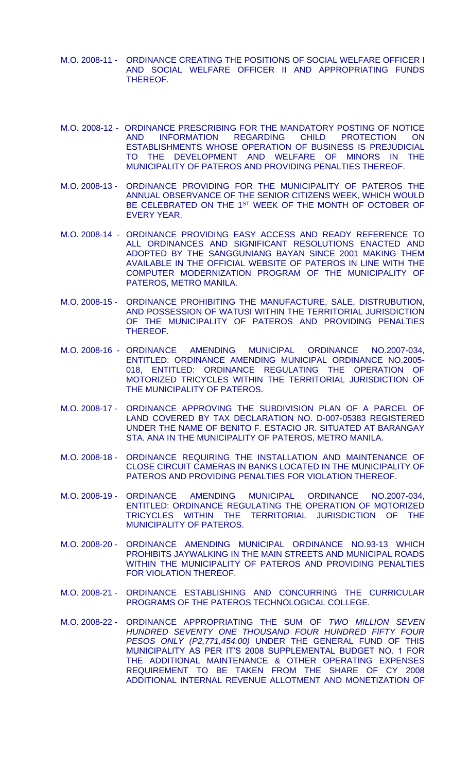- M.O. 2008-11 ORDINANCE CREATING THE POSITIONS OF SOCIAL WELFARE OFFICER I AND SOCIAL WELFARE OFFICER II AND APPROPRIATING FUNDS THEREOF.
- M.O. 2008-12 ORDINANCE PRESCRIBING FOR THE MANDATORY POSTING OF NOTICE AND INFORMATION REGARDING CHILD PROTECTION ON ESTABLISHMENTS WHOSE OPERATION OF BUSINESS IS PREJUDICIAL TO THE DEVELOPMENT AND WELFARE OF MINORS IN THE MUNICIPALITY OF PATEROS AND PROVIDING PENALTIES THEREOF.
- M.O. 2008-13 ORDINANCE PROVIDING FOR THE MUNICIPALITY OF PATEROS THE ANNUAL OBSERVANCE OF THE SENIOR CITIZENS WEEK, WHICH WOULD BE CELEBRATED ON THE 1ST WEEK OF THE MONTH OF OCTOBER OF EVERY YEAR.
- M.O. 2008-14 ORDINANCE PROVIDING EASY ACCESS AND READY REFERENCE TO ALL ORDINANCES AND SIGNIFICANT RESOLUTIONS ENACTED AND ADOPTED BY THE SANGGUNIANG BAYAN SINCE 2001 MAKING THEM AVAILABLE IN THE OFFICIAL WEBSITE OF PATEROS IN LINE WITH THE COMPUTER MODERNIZATION PROGRAM OF THE MUNICIPALITY OF PATEROS, METRO MANILA.
- M.O. 2008-15 ORDINANCE PROHIBITING THE MANUFACTURE, SALE, DISTRUBUTION, AND POSSESSION OF WATUSI WITHIN THE TERRITORIAL JURISDICTION OF THE MUNICIPALITY OF PATEROS AND PROVIDING PENALTIES THEREOF.
- M.O. 2008-16 ORDINANCE AMENDING MUNICIPAL ORDINANCE NO.2007-034, ENTITLED: ORDINANCE AMENDING MUNICIPAL ORDINANCE NO.2005- 018, ENTITLED: ORDINANCE REGULATING THE OPERATION OF MOTORIZED TRICYCLES WITHIN THE TERRITORIAL JURISDICTION OF THE MUNICIPALITY OF PATEROS.
- M.O. 2008-17 ORDINANCE APPROVING THE SUBDIVISION PLAN OF A PARCEL OF LAND COVERED BY TAX DECLARATION NO. D-007-05383 REGISTERED UNDER THE NAME OF BENITO F. ESTACIO JR. SITUATED AT BARANGAY STA. ANA IN THE MUNICIPALITY OF PATEROS, METRO MANILA.
- M.O. 2008-18 ORDINANCE REQUIRING THE INSTALLATION AND MAINTENANCE OF CLOSE CIRCUIT CAMERAS IN BANKS LOCATED IN THE MUNICIPALITY OF PATEROS AND PROVIDING PENALTIES FOR VIOLATION THEREOF.
- M.O. 2008-19 ORDINANCE AMENDING MUNICIPAL ORDINANCE NO.2007-034, ENTITLED: ORDINANCE REGULATING THE OPERATION OF MOTORIZED TRICYCLES WITHIN THE TERRITORIAL JURISDICTION OF THE MUNICIPALITY OF PATEROS.
- M.O. 2008-20 ORDINANCE AMENDING MUNICIPAL ORDINANCE NO.93-13 WHICH PROHIBITS JAYWALKING IN THE MAIN STREETS AND MUNICIPAL ROADS WITHIN THE MUNICIPALITY OF PATEROS AND PROVIDING PENALTIES FOR VIOLATION THEREOF.
- M.O. 2008-21 ORDINANCE ESTABLISHING AND CONCURRING THE CURRICULAR PROGRAMS OF THE PATEROS TECHNOLOGICAL COLLEGE.
- M.O. 2008-22 ORDINANCE APPROPRIATING THE SUM OF *TWO MILLION SEVEN HUNDRED SEVENTY ONE THOUSAND FOUR HUNDRED FIFTY FOUR PESOS ONLY (P2,771,454.00)* UNDER THE GENERAL FUND OF THIS MUNICIPALITY AS PER IT'S 2008 SUPPLEMENTAL BUDGET NO. 1 FOR THE ADDITIONAL MAINTENANCE & OTHER OPERATING EXPENSES REQUIREMENT TO BE TAKEN FROM THE SHARE OF CY 2008 ADDITIONAL INTERNAL REVENUE ALLOTMENT AND MONETIZATION OF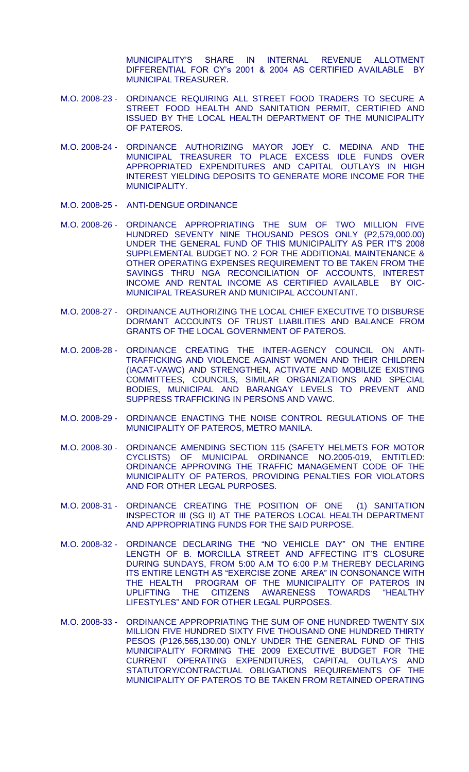MUNICIPALITY'S SHARE IN INTERNAL REVENUE ALLOTMENT DIFFERENTIAL FOR CY's 2001 & 2004 AS CERTIFIED AVAILABLE BY MUNICIPAL TREASURER.

- M.O. 2008-23 ORDINANCE REQUIRING ALL STREET FOOD TRADERS TO SECURE A STREET FOOD HEALTH AND SANITATION PERMIT, CERTIFIED AND ISSUED BY THE LOCAL HEALTH DEPARTMENT OF THE MUNICIPALITY OF PATEROS.
- M.O. 2008-24 ORDINANCE AUTHORIZING MAYOR JOEY C. MEDINA AND THE MUNICIPAL TREASURER TO PLACE EXCESS IDLE FUNDS OVER APPROPRIATED EXPENDITURES AND CAPITAL OUTLAYS IN HIGH INTEREST YIELDING DEPOSITS TO GENERATE MORE INCOME FOR THE MUNICIPALITY.
- M.O. 2008-25 ANTI-DENGUE ORDINANCE
- M.O. 2008-26 ORDINANCE APPROPRIATING THE SUM OF TWO MILLION FIVE HUNDRED SEVENTY NINE THOUSAND PESOS ONLY (P2,579,000.00) UNDER THE GENERAL FUND OF THIS MUNICIPALITY AS PER IT'S 2008 SUPPLEMENTAL BUDGET NO. 2 FOR THE ADDITIONAL MAINTENANCE & OTHER OPERATING EXPENSES REQUIREMENT TO BE TAKEN FROM THE SAVINGS THRU NGA RECONCILIATION OF ACCOUNTS, INTEREST INCOME AND RENTAL INCOME AS CERTIFIED AVAILABLE BY OIC-MUNICIPAL TREASURER AND MUNICIPAL ACCOUNTANT.
- M.O. 2008-27 ORDINANCE AUTHORIZING THE LOCAL CHIEF EXECUTIVE TO DISBURSE DORMANT ACCOUNTS OF TRUST LIABILITIES AND BALANCE FROM GRANTS OF THE LOCAL GOVERNMENT OF PATEROS.
- M.O. 2008-28 ORDINANCE CREATING THE INTER-AGENCY COUNCIL ON ANTI-TRAFFICKING AND VIOLENCE AGAINST WOMEN AND THEIR CHILDREN (IACAT-VAWC) AND STRENGTHEN, ACTIVATE AND MOBILIZE EXISTING COMMITTEES, COUNCILS, SIMILAR ORGANIZATIONS AND SPECIAL BODIES, MUNICIPAL AND BARANGAY LEVELS TO PREVENT AND SUPPRESS TRAFFICKING IN PERSONS AND VAWC.
- M.O. 2008-29 ORDINANCE ENACTING THE NOISE CONTROL REGULATIONS OF THE MUNICIPALITY OF PATEROS, METRO MANILA.
- M.O. 2008-30 ORDINANCE AMENDING SECTION 115 (SAFETY HELMETS FOR MOTOR CYCLISTS) OF MUNICIPAL ORDINANCE NO.2005-019, ENTITLED: ORDINANCE APPROVING THE TRAFFIC MANAGEMENT CODE OF THE MUNICIPALITY OF PATEROS, PROVIDING PENALTIES FOR VIOLATORS AND FOR OTHER LEGAL PURPOSES.
- M.O. 2008-31 ORDINANCE CREATING THE POSITION OF ONE (1) SANITATION INSPECTOR III (SG II) AT THE PATEROS LOCAL HEALTH DEPARTMENT AND APPROPRIATING FUNDS FOR THE SAID PURPOSE.
- M.O. 2008-32 ORDINANCE DECLARING THE "NO VEHICLE DAY" ON THE ENTIRE LENGTH OF B. MORCILLA STREET AND AFFECTING IT'S CLOSURE DURING SUNDAYS, FROM 5:00 A.M TO 6:00 P.M THEREBY DECLARING ITS ENTIRE LENGTH AS "EXERCISE ZONE AREA" IN CONSONANCE WITH THE HEALTH PROGRAM OF THE MUNICIPALITY OF PATEROS IN UPLIFTING THE CITIZENS AWARENESS TOWARDS "HEALTHY LIFESTYLES" AND FOR OTHER LEGAL PURPOSES.
- M.O. 2008-33 ORDINANCE APPROPRIATING THE SUM OF ONE HUNDRED TWENTY SIX MILLION FIVE HUNDRED SIXTY FIVE THOUSAND ONE HUNDRED THIRTY PESOS (P126,565,130.00) ONLY UNDER THE GENERAL FUND OF THIS MUNICIPALITY FORMING THE 2009 EXECUTIVE BUDGET FOR THE CURRENT OPERATING EXPENDITURES, CAPITAL OUTLAYS AND STATUTORY/CONTRACTUAL OBLIGATIONS REQUIREMENTS OF THE MUNICIPALITY OF PATEROS TO BE TAKEN FROM RETAINED OPERATING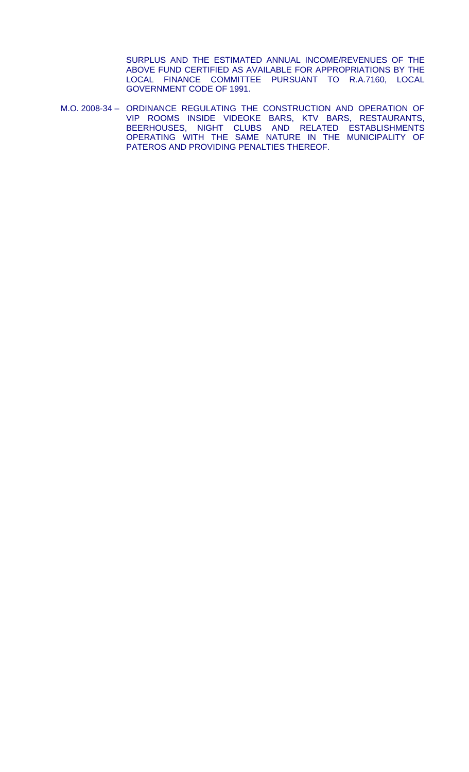SURPLUS AND THE ESTIMATED ANNUAL INCOME/REVENUES OF THE ABOVE FUND CERTIFIED AS AVAILABLE FOR APPROPRIATIONS BY THE LOCAL FINANCE COMMITTEE PURSUANT TO R.A.7160, LOCAL GOVERNMENT CODE OF 1991.

M.O. 2008-34 – ORDINANCE REGULATING THE CONSTRUCTION AND OPERATION OF VIP ROOMS INSIDE VIDEOKE BARS, KTV BARS, RESTAURANTS, BEERHOUSES, NIGHT CLUBS AND RELATED ESTABLISHMENTS OPERATING WITH THE SAME NATURE IN THE MUNICIPALITY OF PATEROS AND PROVIDING PENALTIES THEREOF.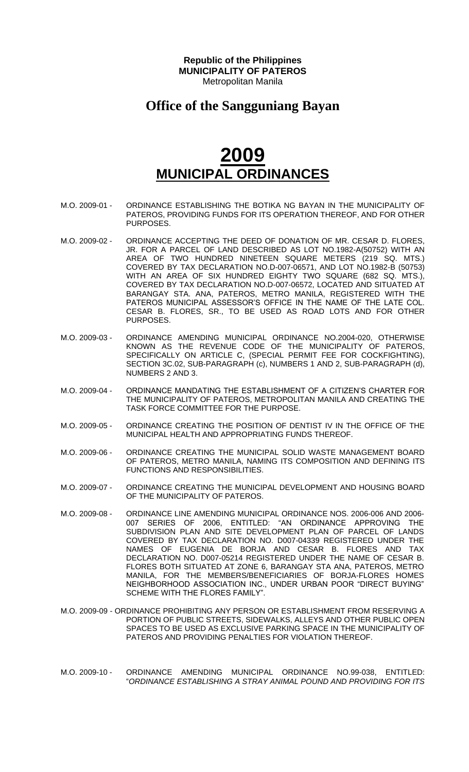#### **Office of the Sangguniang Bayan**

- M.O. 2009-01 ORDINANCE ESTABLISHING THE BOTIKA NG BAYAN IN THE MUNICIPALITY OF PATEROS, PROVIDING FUNDS FOR ITS OPERATION THEREOF, AND FOR OTHER PURPOSES.
- M.O. 2009-02 ORDINANCE ACCEPTING THE DEED OF DONATION OF MR. CESAR D. FLORES, JR. FOR A PARCEL OF LAND DESCRIBED AS LOT NO.1982-A(50752) WITH AN AREA OF TWO HUNDRED NINETEEN SQUARE METERS (219 SQ. MTS.) COVERED BY TAX DECLARATION NO.D-007-06571, AND LOT NO.1982-B (50753) WITH AN AREA OF SIX HUNDRED EIGHTY TWO SQUARE (682 SQ. MTS.), COVERED BY TAX DECLARATION NO.D-007-06572, LOCATED AND SITUATED AT BARANGAY STA. ANA, PATEROS, METRO MANILA, REGISTERED WITH THE PATEROS MUNICIPAL ASSESSOR'S OFFICE IN THE NAME OF THE LATE COL. CESAR B. FLORES, SR., TO BE USED AS ROAD LOTS AND FOR OTHER PURPOSES.
- M.O. 2009-03 ORDINANCE AMENDING MUNICIPAL ORDINANCE NO.2004-020, OTHERWISE KNOWN AS THE REVENUE CODE OF THE MUNICIPALITY OF PATEROS, SPECIFICALLY ON ARTICLE C, (SPECIAL PERMIT FEE FOR COCKFIGHTING), SECTION 3C.02, SUB-PARAGRAPH (c), NUMBERS 1 AND 2, SUB-PARAGRAPH (d), NUMBERS 2 AND 3.
- M.O. 2009-04 ORDINANCE MANDATING THE ESTABLISHMENT OF A CITIZEN'S CHARTER FOR THE MUNICIPALITY OF PATEROS, METROPOLITAN MANILA AND CREATING THE TASK FORCE COMMITTEE FOR THE PURPOSE.
- M.O. 2009-05 ORDINANCE CREATING THE POSITION OF DENTIST IV IN THE OFFICE OF THE MUNICIPAL HEALTH AND APPROPRIATING FUNDS THEREOF.
- M.O. 2009-06 ORDINANCE CREATING THE MUNICIPAL SOLID WASTE MANAGEMENT BOARD OF PATEROS, METRO MANILA, NAMING ITS COMPOSITION AND DEFINING ITS FUNCTIONS AND RESPONSIBILITIES.
- M.O. 2009-07 ORDINANCE CREATING THE MUNICIPAL DEVELOPMENT AND HOUSING BOARD OF THE MUNICIPALITY OF PATEROS.
- M.O. 2009-08 ORDINANCE LINE AMENDING MUNICIPAL ORDINANCE NOS. 2006-006 AND 2006- 007 SERIES OF 2006, ENTITLED: "AN ORDINANCE APPROVING THE SUBDIVISION PLAN AND SITE DEVELOPMENT PLAN OF PARCEL OF LANDS COVERED BY TAX DECLARATION NO. D007-04339 REGISTERED UNDER THE NAMES OF EUGENIA DE BORJA AND CESAR B. FLORES AND TAX DECLARATION NO. D007-05214 REGISTERED UNDER THE NAME OF CESAR B. FLORES BOTH SITUATED AT ZONE 6, BARANGAY STA ANA, PATEROS, METRO MANILA, FOR THE MEMBERS/BENEFICIARIES OF BORJA-FLORES HOMES NEIGHBORHOOD ASSOCIATION INC., UNDER URBAN POOR "DIRECT BUYING" SCHEME WITH THE FLORES FAMILY".
- M.O. 2009-09 ORDINANCE PROHIBITING ANY PERSON OR ESTABLISHMENT FROM RESERVING A PORTION OF PUBLIC STREETS, SIDEWALKS, ALLEYS AND OTHER PUBLIC OPEN SPACES TO BE USED AS EXCLUSIVE PARKING SPACE IN THE MUNICIPALITY OF PATEROS AND PROVIDING PENALTIES FOR VIOLATION THEREOF.
- M.O. 2009-10 ORDINANCE AMENDING MUNICIPAL ORDINANCE NO.99-038, ENTITLED: "*ORDINANCE ESTABLISHING A STRAY ANIMAL POUND AND PROVIDING FOR ITS*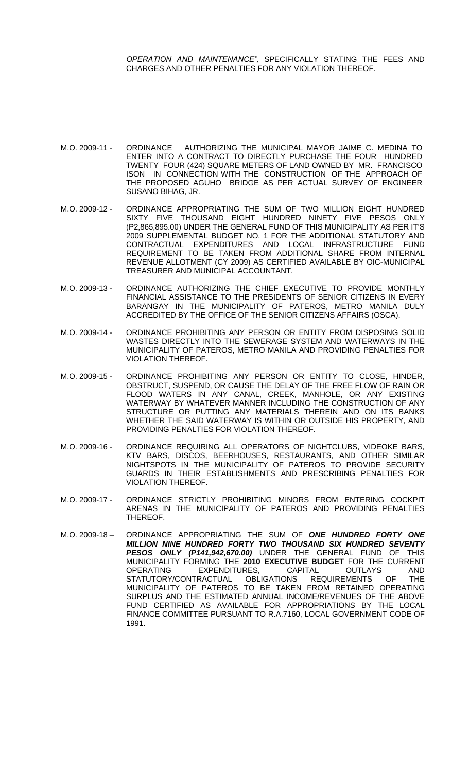*OPERATION AND MAINTENANCE",* SPECIFICALLY STATING THE FEES AND CHARGES AND OTHER PENALTIES FOR ANY VIOLATION THEREOF.

- M.O. 2009-11 ORDINANCE AUTHORIZING THE MUNICIPAL MAYOR JAIME C. MEDINA TO ENTER INTO A CONTRACT TO DIRECTLY PURCHASE THE FOUR HUNDRED TWENTY FOUR (424) SQUARE METERS OF LAND OWNED BY MR. FRANCISCO ISON IN CONNECTION WITH THE CONSTRUCTION OF THE APPROACH OF THE PROPOSED AGUHO BRIDGE AS PER ACTUAL SURVEY OF ENGINEER SUSANO BIHAG, JR.
- M.O. 2009-12 ORDINANCE APPROPRIATING THE SUM OF TWO MILLION EIGHT HUNDRED SIXTY FIVE THOUSAND EIGHT HUNDRED NINETY FIVE PESOS ONLY (P2,865,895.00) UNDER THE GENERAL FUND OF THIS MUNICIPALITY AS PER IT'S 2009 SUPPLEMENTAL BUDGET NO. 1 FOR THE ADDITIONAL STATUTORY AND CONTRACTUAL EXPENDITURES AND LOCAL INFRASTRUCTURE FUND REQUIREMENT TO BE TAKEN FROM ADDITIONAL SHARE FROM INTERNAL REVENUE ALLOTMENT (CY 2009) AS CERTIFIED AVAILABLE BY OIC-MUNICIPAL TREASURER AND MUNICIPAL ACCOUNTANT.
- M.O. 2009-13 ORDINANCE AUTHORIZING THE CHIEF EXECUTIVE TO PROVIDE MONTHLY FINANCIAL ASSISTANCE TO THE PRESIDENTS OF SENIOR CITIZENS IN EVERY BARANGAY IN THE MUNICIPALITY OF PATEROS, METRO MANILA DULY ACCREDITED BY THE OFFICE OF THE SENIOR CITIZENS AFFAIRS (OSCA).
- M.O. 2009-14 ORDINANCE PROHIBITING ANY PERSON OR ENTITY FROM DISPOSING SOLID WASTES DIRECTLY INTO THE SEWERAGE SYSTEM AND WATERWAYS IN THE MUNICIPALITY OF PATEROS, METRO MANILA AND PROVIDING PENALTIES FOR VIOLATION THEREOF.
- M.O. 2009-15 ORDINANCE PROHIBITING ANY PERSON OR ENTITY TO CLOSE, HINDER, OBSTRUCT, SUSPEND, OR CAUSE THE DELAY OF THE FREE FLOW OF RAIN OR FLOOD WATERS IN ANY CANAL, CREEK, MANHOLE, OR ANY EXISTING WATERWAY BY WHATEVER MANNER INCLUDING THE CONSTRUCTION OF ANY STRUCTURE OR PUTTING ANY MATERIALS THEREIN AND ON ITS BANKS WHETHER THE SAID WATERWAY IS WITHIN OR OUTSIDE HIS PROPERTY, AND PROVIDING PENALTIES FOR VIOLATION THEREOF.
- M.O. 2009-16 ORDINANCE REQUIRING ALL OPERATORS OF NIGHTCLUBS, VIDEOKE BARS, KTV BARS, DISCOS, BEERHOUSES, RESTAURANTS, AND OTHER SIMILAR NIGHTSPOTS IN THE MUNICIPALITY OF PATEROS TO PROVIDE SECURITY GUARDS IN THEIR ESTABLISHMENTS AND PRESCRIBING PENALTIES FOR VIOLATION THEREOF.
- M.O. 2009-17 ORDINANCE STRICTLY PROHIBITING MINORS FROM ENTERING COCKPIT ARENAS IN THE MUNICIPALITY OF PATEROS AND PROVIDING PENALTIES THEREOF.
- M.O. 2009-18 ORDINANCE APPROPRIATING THE SUM OF *ONE HUNDRED FORTY ONE MILLION NINE HUNDRED FORTY TWO THOUSAND SIX HUNDRED SEVENTY PESOS ONLY (P141,942,670.00)* UNDER THE GENERAL FUND OF THIS MUNICIPALITY FORMING THE **2010 EXECUTIVE BUDGET** FOR THE CURRENT OPERATING EXPENDITURES, CAPITAL OUTLAYS AND<br>STATUTORY/CONTRACTUAL OBLIGATIONS REQUIREMENTS OF THE STATUTORY/CONTRACTUAL OBLIGATIONS REQUIREMENTS OF THE MUNICIPALITY OF PATEROS TO BE TAKEN FROM RETAINED OPERATING SURPLUS AND THE ESTIMATED ANNUAL INCOME/REVENUES OF THE ABOVE FUND CERTIFIED AS AVAILABLE FOR APPROPRIATIONS BY THE LOCAL FINANCE COMMITTEE PURSUANT TO R.A.7160, LOCAL GOVERNMENT CODE OF 1991.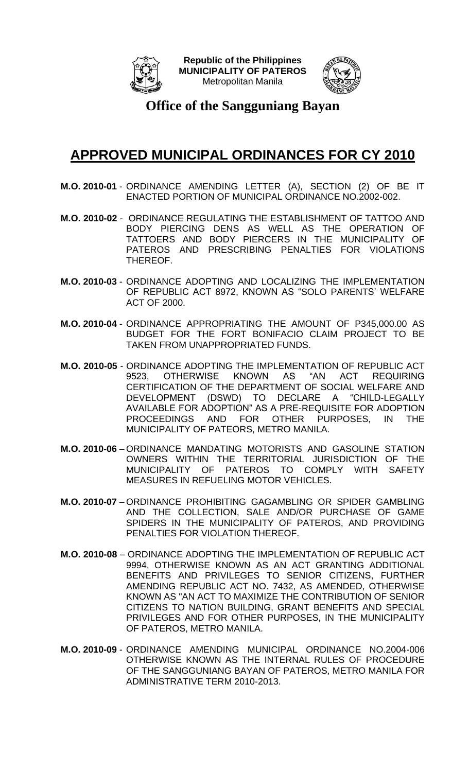



**Office of the Sangguniang Bayan**

#### **APPROVED MUNICIPAL ORDINANCES FOR CY 2010**

- **M.O. 2010-01** ORDINANCE AMENDING LETTER (A), SECTION (2) OF BE IT ENACTED PORTION OF MUNICIPAL ORDINANCE NO.2002-002.
- **M.O. 2010-02** ORDINANCE REGULATING THE ESTABLISHMENT OF TATTOO AND BODY PIERCING DENS AS WELL AS THE OPERATION OF TATTOERS AND BODY PIERCERS IN THE MUNICIPALITY OF PATEROS AND PRESCRIBING PENALTIES FOR VIOLATIONS THEREOF.
- **M.O. 2010-03** ORDINANCE ADOPTING AND LOCALIZING THE IMPLEMENTATION OF REPUBLIC ACT 8972, KNOWN AS "SOLO PARENTS' WELFARE ACT OF 2000.
- **M.O. 2010-04** ORDINANCE APPROPRIATING THE AMOUNT OF P345,000.00 AS BUDGET FOR THE FORT BONIFACIO CLAIM PROJECT TO BE TAKEN FROM UNAPPROPRIATED FUNDS.
- **M.O. 2010-05** ORDINANCE ADOPTING THE IMPLEMENTATION OF REPUBLIC ACT 9523, OTHERWISE KNOWN AS "AN ACT REQUIRING CERTIFICATION OF THE DEPARTMENT OF SOCIAL WELFARE AND DEVELOPMENT (DSWD) TO DECLARE A "CHILD-LEGALLY AVAILABLE FOR ADOPTION" AS A PRE-REQUISITE FOR ADOPTION PROCEEDINGS AND FOR OTHER PURPOSES, IN THE MUNICIPALITY OF PATEORS, METRO MANILA.
- **M.O. 2010-06** ORDINANCE MANDATING MOTORISTS AND GASOLINE STATION OWNERS WITHIN THE TERRITORIAL JURISDICTION OF THE MUNICIPALITY OF PATEROS TO COMPLY WITH SAFETY MEASURES IN REFUELING MOTOR VEHICLES.
- **M.O. 2010-07** ORDINANCE PROHIBITING GAGAMBLING OR SPIDER GAMBLING AND THE COLLECTION, SALE AND/OR PURCHASE OF GAME SPIDERS IN THE MUNICIPALITY OF PATEROS, AND PROVIDING PENALTIES FOR VIOLATION THEREOF.
- **M.O. 2010-08** ORDINANCE ADOPTING THE IMPLEMENTATION OF REPUBLIC ACT 9994, OTHERWISE KNOWN AS AN ACT GRANTING ADDITIONAL BENEFITS AND PRIVILEGES TO SENIOR CITIZENS, FURTHER AMENDING REPUBLIC ACT NO. 7432, AS AMENDED, OTHERWISE KNOWN AS "AN ACT TO MAXIMIZE THE CONTRIBUTION OF SENIOR CITIZENS TO NATION BUILDING, GRANT BENEFITS AND SPECIAL PRIVILEGES AND FOR OTHER PURPOSES, IN THE MUNICIPALITY OF PATEROS, METRO MANILA.
- **M.O. 2010-09** ORDINANCE AMENDING MUNICIPAL ORDINANCE NO.2004-006 OTHERWISE KNOWN AS THE INTERNAL RULES OF PROCEDURE OF THE SANGGUNIANG BAYAN OF PATEROS, METRO MANILA FOR ADMINISTRATIVE TERM 2010-2013.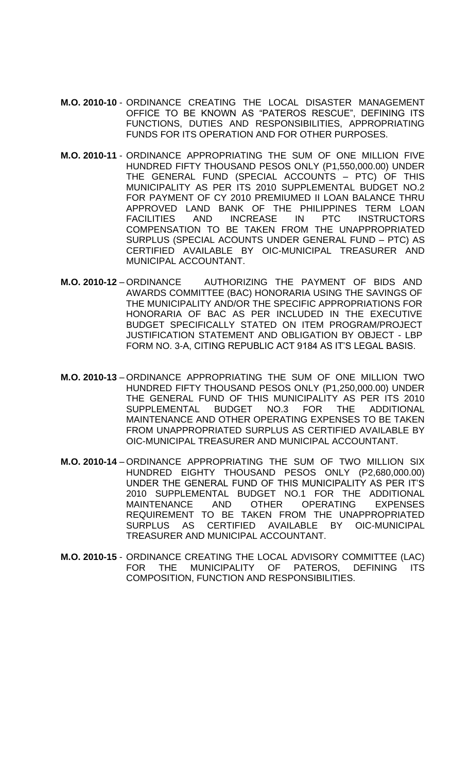- **M.O. 2010-10** ORDINANCE CREATING THE LOCAL DISASTER MANAGEMENT OFFICE TO BE KNOWN AS "PATEROS RESCUE", DEFINING ITS FUNCTIONS, DUTIES AND RESPONSIBILITIES, APPROPRIATING FUNDS FOR ITS OPERATION AND FOR OTHER PURPOSES.
- **M.O. 2010-11** ORDINANCE APPROPRIATING THE SUM OF ONE MILLION FIVE HUNDRED FIFTY THOUSAND PESOS ONLY (P1,550,000.00) UNDER THE GENERAL FUND (SPECIAL ACCOUNTS – PTC) OF THIS MUNICIPALITY AS PER ITS 2010 SUPPLEMENTAL BUDGET NO.2 FOR PAYMENT OF CY 2010 PREMIUMED II LOAN BALANCE THRU APPROVED LAND BANK OF THE PHILIPPINES TERM LOAN FACILITIES AND INCREASE IN PTC INSTRUCTORS COMPENSATION TO BE TAKEN FROM THE UNAPPROPRIATED SURPLUS (SPECIAL ACOUNTS UNDER GENERAL FUND – PTC) AS CERTIFIED AVAILABLE BY OIC-MUNICIPAL TREASURER AND MUNICIPAL ACCOUNTANT.
- **M.O. 2010-12** ORDINANCE AUTHORIZING THE PAYMENT OF BIDS AND AWARDS COMMITTEE (BAC) HONORARIA USING THE SAVINGS OF THE MUNICIPALITY AND/OR THE SPECIFIC APPROPRIATIONS FOR HONORARIA OF BAC AS PER INCLUDED IN THE EXECUTIVE BUDGET SPECIFICALLY STATED ON ITEM PROGRAM/PROJECT JUSTIFICATION STATEMENT AND OBLIGATION BY OBJECT - LBP FORM NO. 3-A, CITING REPUBLIC ACT 9184 AS IT'S LEGAL BASIS.
- **M.O. 2010-13** ORDINANCE APPROPRIATING THE SUM OF ONE MILLION TWO HUNDRED FIFTY THOUSAND PESOS ONLY (P1,250,000.00) UNDER THE GENERAL FUND OF THIS MUNICIPALITY AS PER ITS 2010 SUPPLEMENTAL BUDGET NO.3 FOR THE ADDITIONAL MAINTENANCE AND OTHER OPERATING EXPENSES TO BE TAKEN FROM UNAPPROPRIATED SURPLUS AS CERTIFIED AVAILABLE BY OIC-MUNICIPAL TREASURER AND MUNICIPAL ACCOUNTANT.
- **M.O. 2010-14** ORDINANCE APPROPRIATING THE SUM OF TWO MILLION SIX HUNDRED EIGHTY THOUSAND PESOS ONLY (P2,680,000.00) UNDER THE GENERAL FUND OF THIS MUNICIPALITY AS PER IT'S 2010 SUPPLEMENTAL BUDGET NO.1 FOR THE ADDITIONAL MAINTENANCE AND OTHER OPERATING EXPENSES REQUIREMENT TO BE TAKEN FROM THE UNAPPROPRIATED SURPLUS AS CERTIFIED AVAILABLE BY OIC-MUNICIPAL TREASURER AND MUNICIPAL ACCOUNTANT.
- **M.O. 2010-15** ORDINANCE CREATING THE LOCAL ADVISORY COMMITTEE (LAC) FOR THE MUNICIPALITY OF PATEROS, DEFINING ITS COMPOSITION, FUNCTION AND RESPONSIBILITIES.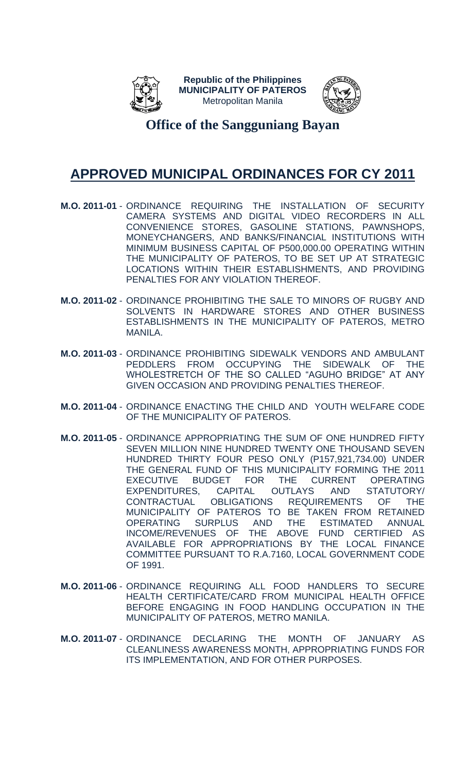



**Office of the Sangguniang Bayan**

#### **APPROVED MUNICIPAL ORDINANCES FOR CY 2011**

- **M.O. 2011-01** ORDINANCE REQUIRING THE INSTALLATION OF SECURITY CAMERA SYSTEMS AND DIGITAL VIDEO RECORDERS IN ALL CONVENIENCE STORES, GASOLINE STATIONS, PAWNSHOPS, MONEYCHANGERS, AND BANKS/FINANCIAL INSTITUTIONS WITH MINIMUM BUSINESS CAPITAL OF P500,000.00 OPERATING WITHIN THE MUNICIPALITY OF PATEROS, TO BE SET UP AT STRATEGIC LOCATIONS WITHIN THEIR ESTABLISHMENTS, AND PROVIDING PENALTIES FOR ANY VIOLATION THEREOF.
- **M.O. 2011-02** ORDINANCE PROHIBITING THE SALE TO MINORS OF RUGBY AND SOLVENTS IN HARDWARE STORES AND OTHER BUSINESS ESTABLISHMENTS IN THE MUNICIPALITY OF PATEROS, METRO MANILA.
- **M.O. 2011-03** ORDINANCE PROHIBITING SIDEWALK VENDORS AND AMBULANT PEDDLERS FROM OCCUPYING THE SIDEWALK OF THE WHOLESTRETCH OF THE SO CALLED "AGUHO BRIDGE" AT ANY GIVEN OCCASION AND PROVIDING PENALTIES THEREOF.
- **M.O. 2011-04** ORDINANCE ENACTING THE CHILD AND YOUTH WELFARE CODE OF THE MUNICIPALITY OF PATEROS.
- **M.O. 2011-05** ORDINANCE APPROPRIATING THE SUM OF ONE HUNDRED FIFTY SEVEN MILLION NINE HUNDRED TWENTY ONE THOUSAND SEVEN HUNDRED THIRTY FOUR PESO ONLY (P157,921,734.00) UNDER THE GENERAL FUND OF THIS MUNICIPALITY FORMING THE 2011 EXECUTIVE BUDGET FOR THE CURRENT OPERATING EXPENDITURES, CAPITAL OUTLAYS AND STATUTORY/ CONTRACTUAL OBLIGATIONS REQUIREMENTS OF THE MUNICIPALITY OF PATEROS TO BE TAKEN FROM RETAINED OPERATING SURPLUS AND THE ESTIMATED ANNUAL INCOME/REVENUES OF THE ABOVE FUND CERTIFIED AS AVAILABLE FOR APPROPRIATIONS BY THE LOCAL FINANCE COMMITTEE PURSUANT TO R.A.7160, LOCAL GOVERNMENT CODE OF 1991.
- **M.O. 2011-06** ORDINANCE REQUIRING ALL FOOD HANDLERS TO SECURE HEALTH CERTIFICATE/CARD FROM MUNICIPAL HEALTH OFFICE BEFORE ENGAGING IN FOOD HANDLING OCCUPATION IN THE MUNICIPALITY OF PATEROS, METRO MANILA.
- **M.O. 2011-07** ORDINANCE DECLARING THE MONTH OF JANUARY AS CLEANLINESS AWARENESS MONTH, APPROPRIATING FUNDS FOR ITS IMPLEMENTATION, AND FOR OTHER PURPOSES.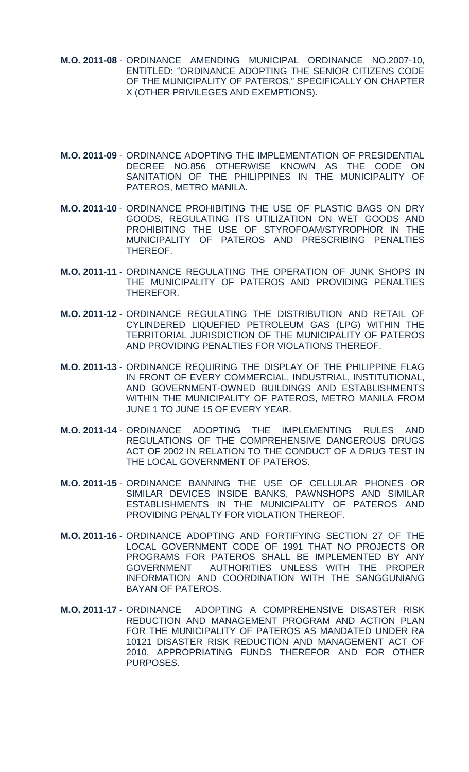- **M.O. 2011-08** ORDINANCE AMENDING MUNICIPAL ORDINANCE NO.2007-10, ENTITLED: "ORDINANCE ADOPTING THE SENIOR CITIZENS CODE OF THE MUNICIPALITY OF PATEROS." SPECIFICALLY ON CHAPTER X (OTHER PRIVILEGES AND EXEMPTIONS).
- **M.O. 2011-09** ORDINANCE ADOPTING THE IMPLEMENTATION OF PRESIDENTIAL DECREE NO.856 OTHERWISE KNOWN AS THE CODE ON SANITATION OF THE PHILIPPINES IN THE MUNICIPALITY OF PATEROS, METRO MANILA.
- **M.O. 2011-10** ORDINANCE PROHIBITING THE USE OF PLASTIC BAGS ON DRY GOODS, REGULATING ITS UTILIZATION ON WET GOODS AND PROHIBITING THE USE OF STYROFOAM/STYROPHOR IN THE MUNICIPALITY OF PATEROS AND PRESCRIBING PENALTIES THEREOF.
- **M.O. 2011-11** ORDINANCE REGULATING THE OPERATION OF JUNK SHOPS IN THE MUNICIPALITY OF PATEROS AND PROVIDING PENALTIES THEREFOR.
- **M.O. 2011-12** ORDINANCE REGULATING THE DISTRIBUTION AND RETAIL OF CYLINDERED LIQUEFIED PETROLEUM GAS (LPG) WITHIN THE TERRITORIAL JURISDICTION OF THE MUNICIPALITY OF PATEROS AND PROVIDING PENALTIES FOR VIOLATIONS THEREOF.
- **M.O. 2011-13** ORDINANCE REQUIRING THE DISPLAY OF THE PHILIPPINE FLAG IN FRONT OF EVERY COMMERCIAL, INDUSTRIAL, INSTITUTIONAL, AND GOVERNMENT-OWNED BUILDINGS AND ESTABLISHMENTS WITHIN THE MUNICIPALITY OF PATEROS, METRO MANILA FROM JUNE 1 TO JUNE 15 OF EVERY YEAR.
- **M.O. 2011-14** ORDINANCE ADOPTING THE IMPLEMENTING RULES AND REGULATIONS OF THE COMPREHENSIVE DANGEROUS DRUGS ACT OF 2002 IN RELATION TO THE CONDUCT OF A DRUG TEST IN THE LOCAL GOVERNMENT OF PATEROS.
- **M.O. 2011-15** ORDINANCE BANNING THE USE OF CELLULAR PHONES OR SIMILAR DEVICES INSIDE BANKS, PAWNSHOPS AND SIMILAR ESTABLISHMENTS IN THE MUNICIPALITY OF PATEROS AND PROVIDING PENALTY FOR VIOLATION THEREOF.
- **M.O. 2011-16** ORDINANCE ADOPTING AND FORTIFYING SECTION 27 OF THE LOCAL GOVERNMENT CODE OF 1991 THAT NO PROJECTS OR PROGRAMS FOR PATEROS SHALL BE IMPLEMENTED BY ANY GOVERNMENT AUTHORITIES UNLESS WITH THE PROPER INFORMATION AND COORDINATION WITH THE SANGGUNIANG BAYAN OF PATEROS.
- **M.O. 2011-17** ORDINANCE ADOPTING A COMPREHENSIVE DISASTER RISK REDUCTION AND MANAGEMENT PROGRAM AND ACTION PLAN FOR THE MUNICIPALITY OF PATEROS AS MANDATED UNDER RA 10121 DISASTER RISK REDUCTION AND MANAGEMENT ACT OF 2010, APPROPRIATING FUNDS THEREFOR AND FOR OTHER PURPOSES.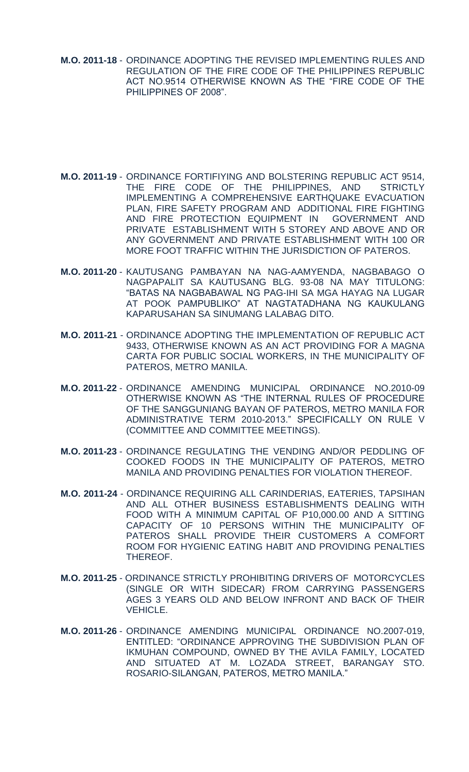- **M.O. 2011-18** ORDINANCE ADOPTING THE REVISED IMPLEMENTING RULES AND REGULATION OF THE FIRE CODE OF THE PHILIPPINES REPUBLIC ACT NO.9514 OTHERWISE KNOWN AS THE "FIRE CODE OF THE PHILIPPINES OF 2008".
- **M.O. 2011-19** ORDINANCE FORTIFIYING AND BOLSTERING REPUBLIC ACT 9514, THE FIRE CODE OF THE PHILIPPINES, AND STRICTLY IMPLEMENTING A COMPREHENSIVE EARTHQUAKE EVACUATION PLAN, FIRE SAFETY PROGRAM AND ADDITIONAL FIRE FIGHTING AND FIRE PROTECTION EQUIPMENT IN GOVERNMENT AND PRIVATE ESTABLISHMENT WITH 5 STOREY AND ABOVE AND OR ANY GOVERNMENT AND PRIVATE ESTABLISHMENT WITH 100 OR MORE FOOT TRAFFIC WITHIN THE JURISDICTION OF PATEROS.
- **M.O. 2011-20** KAUTUSANG PAMBAYAN NA NAG-AAMYENDA, NAGBABAGO O NAGPAPALIT SA KAUTUSANG BLG. 93-08 NA MAY TITULONG: "BATAS NA NAGBABAWAL NG PAG-IHI SA MGA HAYAG NA LUGAR AT POOK PAMPUBLIKO" AT NAGTATADHANA NG KAUKULANG KAPARUSAHAN SA SINUMANG LALABAG DITO.
- **M.O. 2011-21** ORDINANCE ADOPTING THE IMPLEMENTATION OF REPUBLIC ACT 9433, OTHERWISE KNOWN AS AN ACT PROVIDING FOR A MAGNA CARTA FOR PUBLIC SOCIAL WORKERS, IN THE MUNICIPALITY OF PATEROS, METRO MANILA.
- **M.O. 2011-22** ORDINANCE AMENDING MUNICIPAL ORDINANCE NO.2010-09 OTHERWISE KNOWN AS "THE INTERNAL RULES OF PROCEDURE OF THE SANGGUNIANG BAYAN OF PATEROS, METRO MANILA FOR ADMINISTRATIVE TERM 2010-2013." SPECIFICALLY ON RULE V (COMMITTEE AND COMMITTEE MEETINGS).
- **M.O. 2011-23** ORDINANCE REGULATING THE VENDING AND/OR PEDDLING OF COOKED FOODS IN THE MUNICIPALITY OF PATEROS, METRO MANILA AND PROVIDING PENALTIES FOR VIOLATION THEREOF.
- **M.O. 2011-24** ORDINANCE REQUIRING ALL CARINDERIAS, EATERIES, TAPSIHAN AND ALL OTHER BUSINESS ESTABLISHMENTS DEALING WITH FOOD WITH A MINIMUM CAPITAL OF P10,000.00 AND A SITTING CAPACITY OF 10 PERSONS WITHIN THE MUNICIPALITY OF PATEROS SHALL PROVIDE THEIR CUSTOMERS A COMFORT ROOM FOR HYGIENIC EATING HABIT AND PROVIDING PENALTIES THEREOF.
- **M.O. 2011-25** ORDINANCE STRICTLY PROHIBITING DRIVERS OF MOTORCYCLES (SINGLE OR WITH SIDECAR) FROM CARRYING PASSENGERS AGES 3 YEARS OLD AND BELOW INFRONT AND BACK OF THEIR VEHICLE.
- **M.O. 2011-26** ORDINANCE AMENDING MUNICIPAL ORDINANCE NO.2007-019, ENTITLED: "ORDINANCE APPROVING THE SUBDIVISION PLAN OF IKMUHAN COMPOUND, OWNED BY THE AVILA FAMILY, LOCATED AND SITUATED AT M. LOZADA STREET, BARANGAY STO. ROSARIO-SILANGAN, PATEROS, METRO MANILA."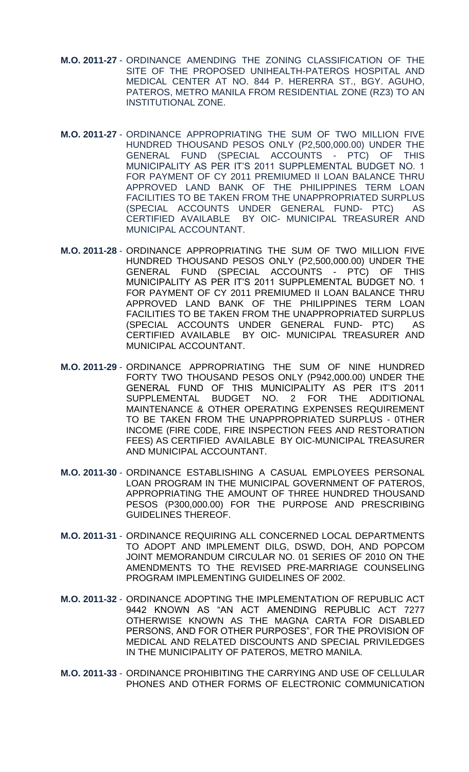- **M.O. 2011-27** ORDINANCE AMENDING THE ZONING CLASSIFICATION OF THE SITE OF THE PROPOSED UNIHEALTH-PATEROS HOSPITAL AND MEDICAL CENTER AT NO. 844 P. HERERRA ST., BGY. AGUHO, PATEROS, METRO MANILA FROM RESIDENTIAL ZONE (RZ3) TO AN INSTITUTIONAL ZONE.
- **M.O. 2011-27** ORDINANCE APPROPRIATING THE SUM OF TWO MILLION FIVE HUNDRED THOUSAND PESOS ONLY (P2,500,000.00) UNDER THE GENERAL FUND (SPECIAL ACCOUNTS - PTC) OF THIS MUNICIPALITY AS PER IT'S 2011 SUPPLEMENTAL BUDGET NO. 1 FOR PAYMENT OF CY 2011 PREMIUMED II LOAN BALANCE THRU APPROVED LAND BANK OF THE PHILIPPINES TERM LOAN FACILITIES TO BE TAKEN FROM THE UNAPPROPRIATED SURPLUS (SPECIAL ACCOUNTS UNDER GENERAL FUND- PTC) AS CERTIFIED AVAILABLE BY OIC- MUNICIPAL TREASURER AND MUNICIPAL ACCOUNTANT.
- **M.O. 2011-28** ORDINANCE APPROPRIATING THE SUM OF TWO MILLION FIVE HUNDRED THOUSAND PESOS ONLY (P2,500,000.00) UNDER THE GENERAL FUND (SPECIAL ACCOUNTS - PTC) OF THIS MUNICIPALITY AS PER IT'S 2011 SUPPLEMENTAL BUDGET NO. 1 FOR PAYMENT OF CY 2011 PREMIUMED II LOAN BALANCE THRU APPROVED LAND BANK OF THE PHILIPPINES TERM LOAN FACILITIES TO BE TAKEN FROM THE UNAPPROPRIATED SURPLUS (SPECIAL ACCOUNTS UNDER GENERAL FUND- PTC) AS CERTIFIED AVAILABLE BY OIC- MUNICIPAL TREASURER AND MUNICIPAL ACCOUNTANT.
- **M.O. 2011-29** ORDINANCE APPROPRIATING THE SUM OF NINE HUNDRED FORTY TWO THOUSAND PESOS ONLY (P942,000.00) UNDER THE GENERAL FUND OF THIS MUNICIPALITY AS PER IT'S 2011 SUPPLEMENTAL BUDGET NO. 2 FOR THE ADDITIONAL MAINTENANCE & OTHER OPERATING EXPENSES REQUIREMENT TO BE TAKEN FROM THE UNAPPROPRIATED SURPLUS - 0THER INCOME (FIRE C0DE, FIRE INSPECTION FEES AND RESTORATION FEES) AS CERTIFIED AVAILABLE BY OIC-MUNICIPAL TREASURER AND MUNICIPAL ACCOUNTANT.
- **M.O. 2011-30**  ORDINANCE ESTABLISHING A CASUAL EMPLOYEES PERSONAL LOAN PROGRAM IN THE MUNICIPAL GOVERNMENT OF PATEROS, APPROPRIATING THE AMOUNT OF THREE HUNDRED THOUSAND PESOS (P300,000.00) FOR THE PURPOSE AND PRESCRIBING GUIDELINES THEREOF.
- **M.O. 2011-31** ORDINANCE REQUIRING ALL CONCERNED LOCAL DEPARTMENTS TO ADOPT AND IMPLEMENT DILG, DSWD, DOH, AND POPCOM JOINT MEMORANDUM CIRCULAR NO. 01 SERIES OF 2010 ON THE AMENDMENTS TO THE REVISED PRE-MARRIAGE COUNSELING PROGRAM IMPLEMENTING GUIDELINES OF 2002.
- **M.O. 2011-32** ORDINANCE ADOPTING THE IMPLEMENTATION OF REPUBLIC ACT 9442 KNOWN AS "AN ACT AMENDING REPUBLIC ACT 7277 OTHERWISE KNOWN AS THE MAGNA CARTA FOR DISABLED PERSONS, AND FOR OTHER PURPOSES", FOR THE PROVISION OF MEDICAL AND RELATED DISCOUNTS AND SPECIAL PRIVILEDGES IN THE MUNICIPALITY OF PATEROS, METRO MANILA.
- **M.O. 2011-33** ORDINANCE PROHIBITING THE CARRYING AND USE OF CELLULAR PHONES AND OTHER FORMS OF ELECTRONIC COMMUNICATION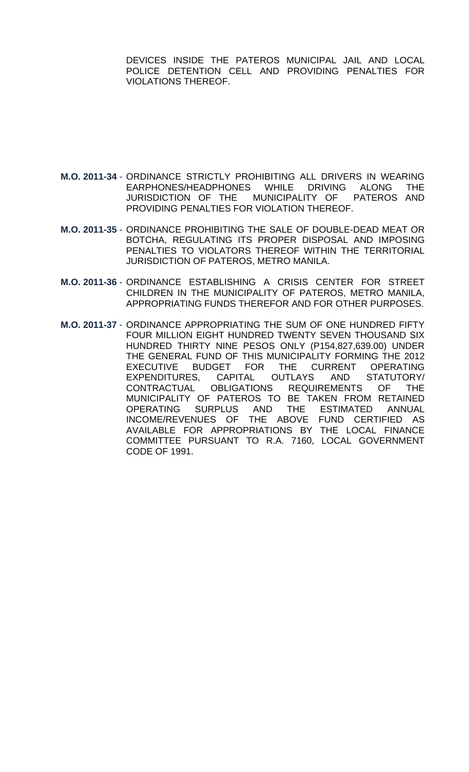DEVICES INSIDE THE PATEROS MUNICIPAL JAIL AND LOCAL POLICE DETENTION CELL AND PROVIDING PENALTIES FOR VIOLATIONS THEREOF.

- **M.O. 2011-34**  ORDINANCE STRICTLY PROHIBITING ALL DRIVERS IN WEARING EARPHONES/HEADPHONES WHILE DRIVING ALONG THE JURISDICTION OF THE MUNICIPALITY OF PATEROS AND PROVIDING PENALTIES FOR VIOLATION THEREOF.
- **M.O. 2011-35**  ORDINANCE PROHIBITING THE SALE OF DOUBLE-DEAD MEAT OR BOTCHA, REGULATING ITS PROPER DISPOSAL AND IMPOSING PENALTIES TO VIOLATORS THEREOF WITHIN THE TERRITORIAL JURISDICTION OF PATEROS, METRO MANILA.
- **M.O. 2011-36** ORDINANCE ESTABLISHING A CRISIS CENTER FOR STREET CHILDREN IN THE MUNICIPALITY OF PATEROS, METRO MANILA, APPROPRIATING FUNDS THEREFOR AND FOR OTHER PURPOSES.
- **M.O. 2011-37**  ORDINANCE APPROPRIATING THE SUM OF ONE HUNDRED FIFTY FOUR MILLION EIGHT HUNDRED TWENTY SEVEN THOUSAND SIX HUNDRED THIRTY NINE PESOS ONLY (P154,827,639.00) UNDER THE GENERAL FUND OF THIS MUNICIPALITY FORMING THE 2012 EXECUTIVE BUDGET FOR THE CURRENT OPERATING EXPENDITURES, CAPITAL OUTLAYS AND STATUTORY/ CONTRACTUAL OBLIGATIONS REQUIREMENTS OF THE MUNICIPALITY OF PATEROS TO BE TAKEN FROM RETAINED OPERATING SURPLUS AND THE ESTIMATED ANNUAL INCOME/REVENUES OF THE ABOVE FUND CERTIFIED AS AVAILABLE FOR APPROPRIATIONS BY THE LOCAL FINANCE COMMITTEE PURSUANT TO R.A. 7160, LOCAL GOVERNMENT CODE OF 1991.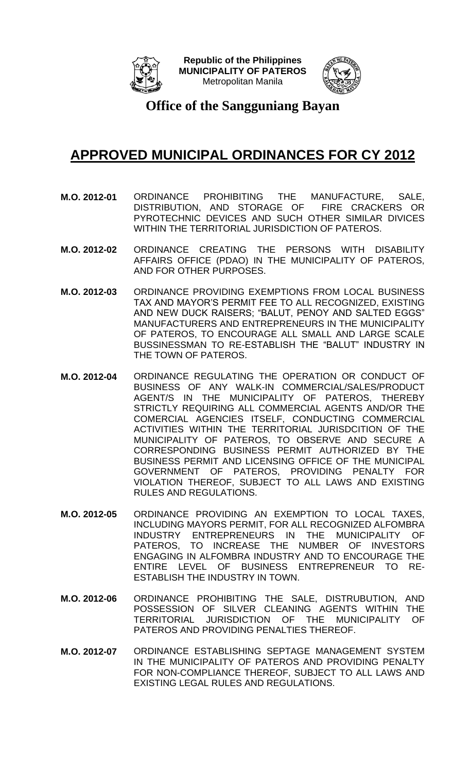



**Office of the Sangguniang Bayan**

- **M.O. 2012-01** ORDINANCE PROHIBITING THE MANUFACTURE, SALE, DISTRIBUTION, AND STORAGE OF FIRE CRACKERS OR PYROTECHNIC DEVICES AND SUCH OTHER SIMILAR DIVICES WITHIN THE TERRITORIAL JURISDICTION OF PATEROS.
- **M.O. 2012-02** ORDINANCE CREATING THE PERSONS WITH DISABILITY AFFAIRS OFFICE (PDAO) IN THE MUNICIPALITY OF PATEROS, AND FOR OTHER PURPOSES.
- **M.O. 2012-03** ORDINANCE PROVIDING EXEMPTIONS FROM LOCAL BUSINESS TAX AND MAYOR'S PERMIT FEE TO ALL RECOGNIZED, EXISTING AND NEW DUCK RAISERS; "BALUT, PENOY AND SALTED EGGS" MANUFACTURERS AND ENTREPRENEURS IN THE MUNICIPALITY OF PATEROS, TO ENCOURAGE ALL SMALL AND LARGE SCALE BUSSINESSMAN TO RE-ESTABLISH THE "BALUT" INDUSTRY IN THE TOWN OF PATEROS.
- **M.O. 2012-04** ORDINANCE REGULATING THE OPERATION OR CONDUCT OF BUSINESS OF ANY WALK-IN COMMERCIAL/SALES/PRODUCT AGENT/S IN THE MUNICIPALITY OF PATEROS, THEREBY STRICTLY REQUIRING ALL COMMERCIAL AGENTS AND/OR THE COMERCIAL AGENCIES ITSELF, CONDUCTING COMMERCIAL ACTIVITIES WITHIN THE TERRITORIAL JURISDCITION OF THE MUNICIPALITY OF PATEROS, TO OBSERVE AND SECURE A CORRESPONDING BUSINESS PERMIT AUTHORIZED BY THE BUSINESS PERMIT AND LICENSING OFFICE OF THE MUNICIPAL GOVERNMENT OF PATEROS, PROVIDING PENALTY FOR VIOLATION THEREOF, SUBJECT TO ALL LAWS AND EXISTING RULES AND REGULATIONS.
- **M.O. 2012-05** ORDINANCE PROVIDING AN EXEMPTION TO LOCAL TAXES, INCLUDING MAYORS PERMIT, FOR ALL RECOGNIZED ALFOMBRA INDUSTRY ENTREPRENEURS IN THE MUNICIPALITY OF PATEROS, TO INCREASE THE NUMBER OF INVESTORS ENGAGING IN ALFOMBRA INDUSTRY AND TO ENCOURAGE THE ENTIRE LEVEL OF BUSINESS ENTREPRENEUR TO RE-ESTABLISH THE INDUSTRY IN TOWN.
- **M.O. 2012-06** ORDINANCE PROHIBITING THE SALE, DISTRUBUTION, AND POSSESSION OF SILVER CLEANING AGENTS WITHIN THE TERRITORIAL JURISDICTION OF THE MUNICIPALITY OF PATEROS AND PROVIDING PENALTIES THEREOF.
- **M.O. 2012-07** ORDINANCE ESTABLISHING SEPTAGE MANAGEMENT SYSTEM IN THE MUNICIPALITY OF PATEROS AND PROVIDING PENALTY FOR NON-COMPLIANCE THEREOF, SUBJECT TO ALL LAWS AND EXISTING LEGAL RULES AND REGULATIONS.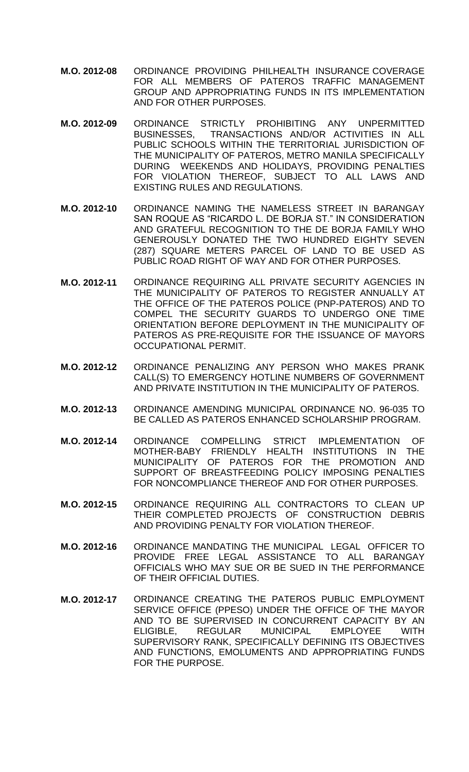- **M.O. 2012-08** ORDINANCE PROVIDING PHILHEALTH INSURANCE COVERAGE FOR ALL MEMBERS OF PATEROS TRAFFIC MANAGEMENT GROUP AND APPROPRIATING FUNDS IN ITS IMPLEMENTATION AND FOR OTHER PURPOSES.
- **M.O. 2012-09** ORDINANCE STRICTLY PROHIBITING ANY UNPERMITTED BUSINESSES, TRANSACTIONS AND/OR ACTIVITIES IN ALL PUBLIC SCHOOLS WITHIN THE TERRITORIAL JURISDICTION OF THE MUNICIPALITY OF PATEROS, METRO MANILA SPECIFICALLY DURING WEEKENDS AND HOLIDAYS, PROVIDING PENALTIES FOR VIOLATION THEREOF, SUBJECT TO ALL LAWS AND EXISTING RULES AND REGULATIONS.
- **M.O. 2012-10** ORDINANCE NAMING THE NAMELESS STREET IN BARANGAY SAN ROQUE AS "RICARDO L. DE BORJA ST." IN CONSIDERATION AND GRATEFUL RECOGNITION TO THE DE BORJA FAMILY WHO GENEROUSLY DONATED THE TWO HUNDRED EIGHTY SEVEN (287) SQUARE METERS PARCEL OF LAND TO BE USED AS PUBLIC ROAD RIGHT OF WAY AND FOR OTHER PURPOSES.
- **M.O. 2012-11** ORDINANCE REQUIRING ALL PRIVATE SECURITY AGENCIES IN THE MUNICIPALITY OF PATEROS TO REGISTER ANNUALLY AT THE OFFICE OF THE PATEROS POLICE (PNP-PATEROS) AND TO COMPEL THE SECURITY GUARDS TO UNDERGO ONE TIME ORIENTATION BEFORE DEPLOYMENT IN THE MUNICIPALITY OF PATEROS AS PRE-REQUISITE FOR THE ISSUANCE OF MAYORS OCCUPATIONAL PERMIT.
- **M.O. 2012-12** ORDINANCE PENALIZING ANY PERSON WHO MAKES PRANK CALL(S) TO EMERGENCY HOTLINE NUMBERS OF GOVERNMENT AND PRIVATE INSTITUTION IN THE MUNICIPALITY OF PATEROS.
- **M.O. 2012-13** ORDINANCE AMENDING MUNICIPAL ORDINANCE NO. 96-035 TO BE CALLED AS PATEROS ENHANCED SCHOLARSHIP PROGRAM.
- **M.O. 2012-14** ORDINANCE COMPELLING STRICT IMPLEMENTATION OF MOTHER-BABY FRIENDLY HEALTH INSTITUTIONS IN THE MUNICIPALITY OF PATEROS FOR THE PROMOTION AND SUPPORT OF BREASTFEEDING POLICY IMPOSING PENALTIES FOR NONCOMPLIANCE THEREOF AND FOR OTHER PURPOSES.
- **M.O. 2012-15** ORDINANCE REQUIRING ALL CONTRACTORS TO CLEAN UP THEIR COMPLETED PROJECTS OF CONSTRUCTION DEBRIS AND PROVIDING PENALTY FOR VIOLATION THEREOF.
- **M.O. 2012-16** ORDINANCE MANDATING THE MUNICIPAL LEGAL OFFICER TO PROVIDE FREE LEGAL ASSISTANCE TO ALL BARANGAY OFFICIALS WHO MAY SUE OR BE SUED IN THE PERFORMANCE OF THEIR OFFICIAL DUTIES.
- **M.O. 2012-17** ORDINANCE CREATING THE PATEROS PUBLIC EMPLOYMENT SERVICE OFFICE (PPESO) UNDER THE OFFICE OF THE MAYOR AND TO BE SUPERVISED IN CONCURRENT CAPACITY BY AN ELIGIBLE, REGULAR MUNICIPAL EMPLOYEE WITH SUPERVISORY RANK, SPECIFICALLY DEFINING ITS OBJECTIVES AND FUNCTIONS, EMOLUMENTS AND APPROPRIATING FUNDS FOR THE PURPOSE.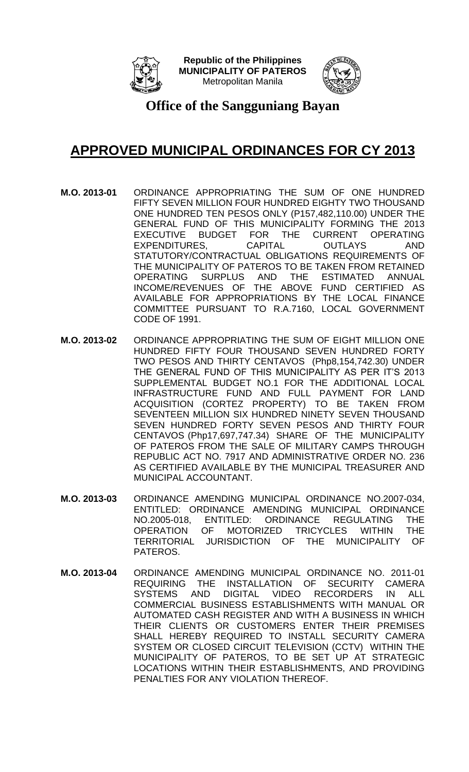



**Office of the Sangguniang Bayan**

- **M.O. 2013-01** ORDINANCE APPROPRIATING THE SUM OF ONE HUNDRED FIFTY SEVEN MILLION FOUR HUNDRED EIGHTY TWO THOUSAND ONE HUNDRED TEN PESOS ONLY (P157,482,110.00) UNDER THE GENERAL FUND OF THIS MUNICIPALITY FORMING THE 2013 EXECUTIVE BUDGET FOR THE CURRENT OPERATING EXPENDITURES, CAPITAL OUTLAYS AND STATUTORY/CONTRACTUAL OBLIGATIONS REQUIREMENTS OF THE MUNICIPALITY OF PATEROS TO BE TAKEN FROM RETAINED OPERATING SURPLUS AND THE ESTIMATED ANNUAL INCOME/REVENUES OF THE ABOVE FUND CERTIFIED AS AVAILABLE FOR APPROPRIATIONS BY THE LOCAL FINANCE COMMITTEE PURSUANT TO R.A.7160, LOCAL GOVERNMENT CODE OF 1991.
- **M.O. 2013-02** ORDINANCE APPROPRIATING THE SUM OF EIGHT MILLION ONE HUNDRED FIFTY FOUR THOUSAND SEVEN HUNDRED FORTY TWO PESOS AND THIRTY CENTAVOS (Php8,154,742.30) UNDER THE GENERAL FUND OF THIS MUNICIPALITY AS PER IT'S 2013 SUPPLEMENTAL BUDGET NO.1 FOR THE ADDITIONAL LOCAL INFRASTRUCTURE FUND AND FULL PAYMENT FOR LAND ACQUISITION (CORTEZ PROPERTY) TO BE TAKEN FROM SEVENTEEN MILLION SIX HUNDRED NINETY SEVEN THOUSAND SEVEN HUNDRED FORTY SEVEN PESOS AND THIRTY FOUR CENTAVOS (Php17,697,747.34) SHARE OF THE MUNICIPALITY OF PATEROS FROM THE SALE OF MILITARY CAMPS THROUGH REPUBLIC ACT NO. 7917 AND ADMINISTRATIVE ORDER NO. 236 AS CERTIFIED AVAILABLE BY THE MUNICIPAL TREASURER AND MUNICIPAL ACCOUNTANT.
- **M.O. 2013-03** ORDINANCE AMENDING MUNICIPAL ORDINANCE NO.2007-034, ENTITLED: ORDINANCE AMENDING MUNICIPAL ORDINANCE NO.2005-018, ENTITLED: ORDINANCE REGULATING THE OPERATION OF MOTORIZED TRICYCLES WITHIN THE TERRITORIAL JURISDICTION OF THE MUNICIPALITY OF PATEROS.
- **M.O. 2013-04** ORDINANCE AMENDING MUNICIPAL ORDINANCE NO. 2011-01 REQUIRING THE INSTALLATION OF SECURITY CAMERA SYSTEMS AND DIGITAL VIDEO RECORDERS IN ALL COMMERCIAL BUSINESS ESTABLISHMENTS WITH MANUAL OR AUTOMATED CASH REGISTER AND WITH A BUSINESS IN WHICH THEIR CLIENTS OR CUSTOMERS ENTER THEIR PREMISES SHALL HEREBY REQUIRED TO INSTALL SECURITY CAMERA SYSTEM OR CLOSED CIRCUIT TELEVISION (CCTV) WITHIN THE MUNICIPALITY OF PATEROS, TO BE SET UP AT STRATEGIC LOCATIONS WITHIN THEIR ESTABLISHMENTS, AND PROVIDING PENALTIES FOR ANY VIOLATION THEREOF.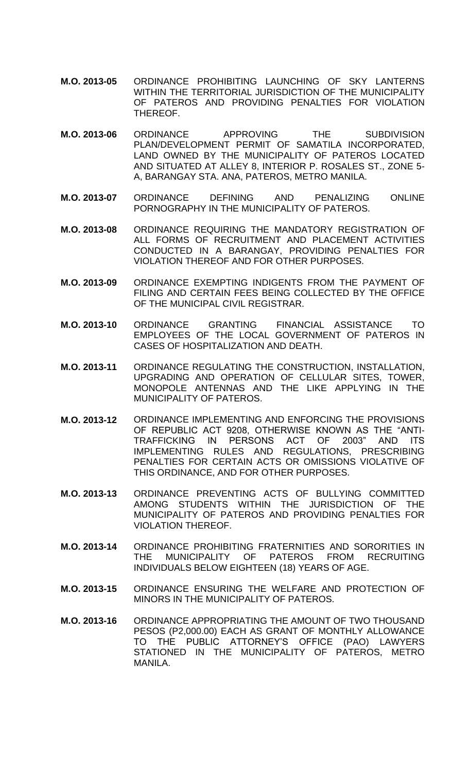- **M.O. 2013-05** ORDINANCE PROHIBITING LAUNCHING OF SKY LANTERNS WITHIN THE TERRITORIAL JURISDICTION OF THE MUNICIPALITY OF PATEROS AND PROVIDING PENALTIES FOR VIOLATION THEREOF.
- **M.O. 2013-06** ORDINANCE APPROVING THE SUBDIVISION PLAN/DEVELOPMENT PERMIT OF SAMATILA INCORPORATED, LAND OWNED BY THE MUNICIPALITY OF PATEROS LOCATED AND SITUATED AT ALLEY 8, INTERIOR P. ROSALES ST., ZONE 5- A, BARANGAY STA. ANA, PATEROS, METRO MANILA.
- **M.O. 2013-07** ORDINANCE DEFINING AND PENALIZING ONLINE PORNOGRAPHY IN THE MUNICIPALITY OF PATEROS.
- **M.O. 2013-08** ORDINANCE REQUIRING THE MANDATORY REGISTRATION OF ALL FORMS OF RECRUITMENT AND PLACEMENT ACTIVITIES CONDUCTED IN A BARANGAY, PROVIDING PENALTIES FOR VIOLATION THEREOF AND FOR OTHER PURPOSES.
- **M.O. 2013-09** ORDINANCE EXEMPTING INDIGENTS FROM THE PAYMENT OF FILING AND CERTAIN FEES BEING COLLECTED BY THE OFFICE OF THE MUNICIPAL CIVIL REGISTRAR.
- **M.O. 2013-10** ORDINANCE GRANTING FINANCIAL ASSISTANCE TO EMPLOYEES OF THE LOCAL GOVERNMENT OF PATEROS IN CASES OF HOSPITALIZATION AND DEATH.
- **M.O. 2013-11** ORDINANCE REGULATING THE CONSTRUCTION, INSTALLATION, UPGRADING AND OPERATION OF CELLULAR SITES, TOWER, MONOPOLE ANTENNAS AND THE LIKE APPLYING IN THE MUNICIPALITY OF PATEROS.
- **M.O. 2013-12** ORDINANCE IMPLEMENTING AND ENFORCING THE PROVISIONS OF REPUBLIC ACT 9208, OTHERWISE KNOWN AS THE "ANTI-TRAFFICKING IN PERSONS ACT OF 2003" AND ITS IMPLEMENTING RULES AND REGULATIONS, PRESCRIBING PENALTIES FOR CERTAIN ACTS OR OMISSIONS VIOLATIVE OF THIS ORDINANCE, AND FOR OTHER PURPOSES.
- **M.O. 2013-13** ORDINANCE PREVENTING ACTS OF BULLYING COMMITTED AMONG STUDENTS WITHIN THE JURISDICTION OF THE MUNICIPALITY OF PATEROS AND PROVIDING PENALTIES FOR VIOLATION THEREOF.
- **M.O. 2013-14** ORDINANCE PROHIBITING FRATERNITIES AND SORORITIES IN THE MUNICIPALITY OF PATEROS FROM RECRUITING INDIVIDUALS BELOW EIGHTEEN (18) YEARS OF AGE.
- **M.O. 2013-15** ORDINANCE ENSURING THE WELFARE AND PROTECTION OF MINORS IN THE MUNICIPALITY OF PATEROS.
- **M.O. 2013-16** ORDINANCE APPROPRIATING THE AMOUNT OF TWO THOUSAND PESOS (P2,000.00) EACH AS GRANT OF MONTHLY ALLOWANCE TO THE PUBLIC ATTORNEY'S OFFICE (PAO) LAWYERS STATIONED IN THE MUNICIPALITY OF PATEROS, METRO MANILA.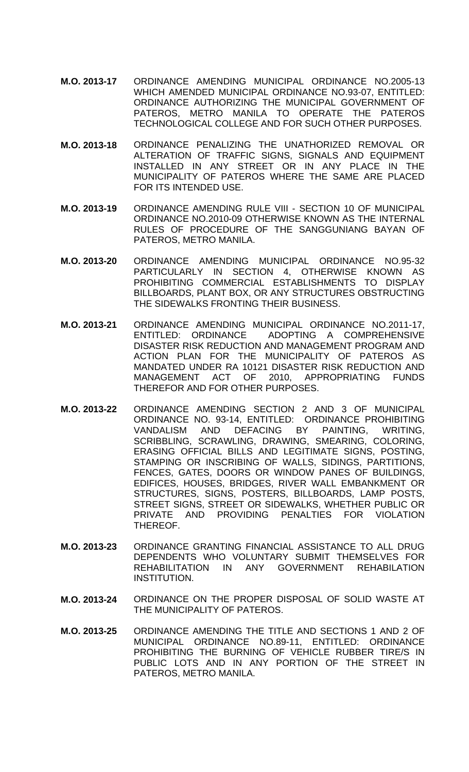- **M.O. 2013-17** ORDINANCE AMENDING MUNICIPAL ORDINANCE NO.2005-13 WHICH AMENDED MUNICIPAL ORDINANCE NO.93-07, ENTITLED: ORDINANCE AUTHORIZING THE MUNICIPAL GOVERNMENT OF PATEROS, METRO MANILA TO OPERATE THE PATEROS TECHNOLOGICAL COLLEGE AND FOR SUCH OTHER PURPOSES.
- **M.O. 2013-18** ORDINANCE PENALIZING THE UNATHORIZED REMOVAL OR ALTERATION OF TRAFFIC SIGNS, SIGNALS AND EQUIPMENT INSTALLED IN ANY STREET OR IN ANY PLACE IN THE MUNICIPALITY OF PATEROS WHERE THE SAME ARE PLACED FOR ITS INTENDED USE.
- **M.O. 2013-19** ORDINANCE AMENDING RULE VIII SECTION 10 OF MUNICIPAL ORDINANCE NO.2010-09 OTHERWISE KNOWN AS THE INTERNAL RULES OF PROCEDURE OF THE SANGGUNIANG BAYAN OF PATEROS, METRO MANILA.
- **M.O. 2013-20** ORDINANCE AMENDING MUNICIPAL ORDINANCE NO.95-32 PARTICULARLY IN SECTION 4, OTHERWISE KNOWN AS PROHIBITING COMMERCIAL ESTABLISHMENTS TO DISPLAY BILLBOARDS, PLANT BOX, OR ANY STRUCTURES OBSTRUCTING THE SIDEWALKS FRONTING THEIR BUSINESS.
- **M.O. 2013-21** ORDINANCE AMENDING MUNICIPAL ORDINANCE NO.2011-17, ENTITLED: ORDINANCE ADOPTING A COMPREHENSIVE DISASTER RISK REDUCTION AND MANAGEMENT PROGRAM AND ACTION PLAN FOR THE MUNICIPALITY OF PATEROS AS MANDATED UNDER RA 10121 DISASTER RISK REDUCTION AND MANAGEMENT ACT OF 2010, APPROPRIATING FUNDS THEREFOR AND FOR OTHER PURPOSES.
- **M.O. 2013-22** ORDINANCE AMENDING SECTION 2 AND 3 OF MUNICIPAL ORDINANCE NO. 93-14, ENTITLED: ORDINANCE PROHIBITING VANDALISM AND DEFACING BY PAINTING, WRITING, SCRIBBLING, SCRAWLING, DRAWING, SMEARING, COLORING, ERASING OFFICIAL BILLS AND LEGITIMATE SIGNS, POSTING, STAMPING OR INSCRIBING OF WALLS, SIDINGS, PARTITIONS, FENCES, GATES, DOORS OR WINDOW PANES OF BUILDINGS, EDIFICES, HOUSES, BRIDGES, RIVER WALL EMBANKMENT OR STRUCTURES, SIGNS, POSTERS, BILLBOARDS, LAMP POSTS, STREET SIGNS, STREET OR SIDEWALKS, WHETHER PUBLIC OR PRIVATE AND PROVIDING PENALTIES FOR VIOLATION THEREOF.
- **M.O. 2013-23** ORDINANCE GRANTING FINANCIAL ASSISTANCE TO ALL DRUG DEPENDENTS WHO VOLUNTARY SUBMIT THEMSELVES FOR REHABILITATION IN ANY GOVERNMENT REHABILATION INSTITUTION.
- **M.O. 2013-24** ORDINANCE ON THE PROPER DISPOSAL OF SOLID WASTE AT THE MUNICIPALITY OF PATEROS.
- **M.O. 2013-25** ORDINANCE AMENDING THE TITLE AND SECTIONS 1 AND 2 OF MUNICIPAL ORDINANCE NO.89-11, ENTITLED: ORDINANCE PROHIBITING THE BURNING OF VEHICLE RUBBER TIRE/S IN PUBLIC LOTS AND IN ANY PORTION OF THE STREET IN PATEROS, METRO MANILA.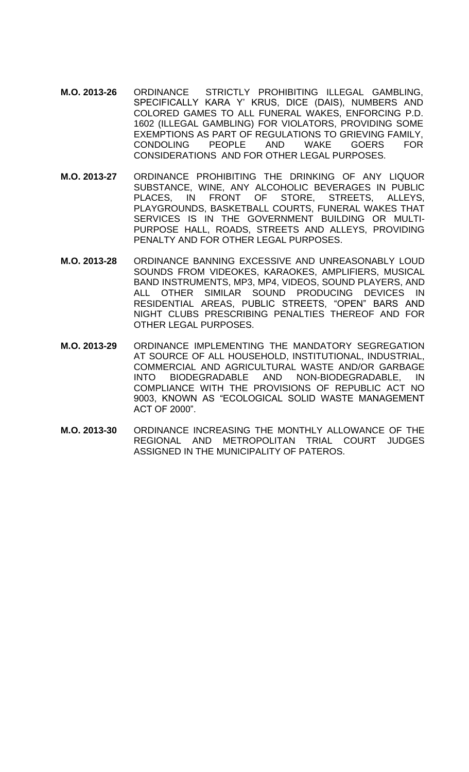- **M.O. 2013-26** ORDINANCE STRICTLY PROHIBITING ILLEGAL GAMBLING, SPECIFICALLY KARA Y' KRUS, DICE (DAIS), NUMBERS AND COLORED GAMES TO ALL FUNERAL WAKES, ENFORCING P.D. 1602 (ILLEGAL GAMBLING) FOR VIOLATORS, PROVIDING SOME EXEMPTIONS AS PART OF REGULATIONS TO GRIEVING FAMILY, CONDOLING PEOPLE AND WAKE GOERS FOR CONSIDERATIONS AND FOR OTHER LEGAL PURPOSES.
- **M.O. 2013-27** ORDINANCE PROHIBITING THE DRINKING OF ANY LIQUOR SUBSTANCE, WINE, ANY ALCOHOLIC BEVERAGES IN PUBLIC PLACES, IN FRONT OF STORE, STREETS, ALLEYS, PLAYGROUNDS, BASKETBALL COURTS, FUNERAL WAKES THAT SERVICES IS IN THE GOVERNMENT BUILDING OR MULTI-PURPOSE HALL, ROADS, STREETS AND ALLEYS, PROVIDING PENALTY AND FOR OTHER LEGAL PURPOSES.
- **M.O. 2013-28** ORDINANCE BANNING EXCESSIVE AND UNREASONABLY LOUD SOUNDS FROM VIDEOKES, KARAOKES, AMPLIFIERS, MUSICAL BAND INSTRUMENTS, MP3, MP4, VIDEOS, SOUND PLAYERS, AND ALL OTHER SIMILAR SOUND PRODUCING DEVICES IN RESIDENTIAL AREAS, PUBLIC STREETS, "OPEN" BARS AND NIGHT CLUBS PRESCRIBING PENALTIES THEREOF AND FOR OTHER LEGAL PURPOSES.
- **M.O. 2013-29** ORDINANCE IMPLEMENTING THE MANDATORY SEGREGATION AT SOURCE OF ALL HOUSEHOLD, INSTITUTIONAL, INDUSTRIAL, COMMERCIAL AND AGRICULTURAL WASTE AND/OR GARBAGE INTO BIODEGRADABLE AND NON-BIODEGRADABLE, IN COMPLIANCE WITH THE PROVISIONS OF REPUBLIC ACT NO 9003, KNOWN AS "ECOLOGICAL SOLID WASTE MANAGEMENT ACT OF 2000".
- **M.O. 2013-30** ORDINANCE INCREASING THE MONTHLY ALLOWANCE OF THE REGIONAL AND METROPOLITAN TRIAL COURT JUDGES ASSIGNED IN THE MUNICIPALITY OF PATEROS.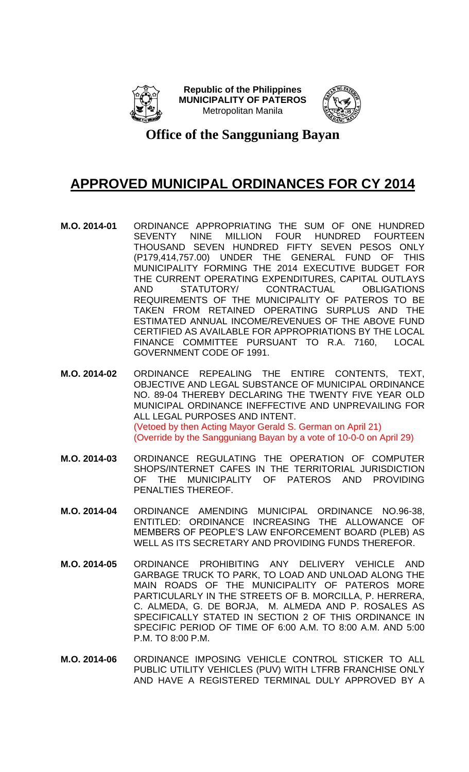



#### **Office of the Sangguniang Bayan**

- **M.O. 2014-01** ORDINANCE APPROPRIATING THE SUM OF ONE HUNDRED SEVENTY NINE MILLION FOUR HUNDRED FOURTEEN THOUSAND SEVEN HUNDRED FIFTY SEVEN PESOS ONLY (P179,414,757.00) UNDER THE GENERAL FUND OF THIS MUNICIPALITY FORMING THE 2014 EXECUTIVE BUDGET FOR THE CURRENT OPERATING EXPENDITURES, CAPITAL OUTLAYS<br>AND STATUTORY/ CONTRACTUAL OBLIGATIONS AND STATUTORY/ CONTRACTUAL OBLIGATIONS REQUIREMENTS OF THE MUNICIPALITY OF PATEROS TO BE TAKEN FROM RETAINED OPERATING SURPLUS AND THE ESTIMATED ANNUAL INCOME/REVENUES OF THE ABOVE FUND CERTIFIED AS AVAILABLE FOR APPROPRIATIONS BY THE LOCAL FINANCE COMMITTEE PURSUANT TO R.A. 7160, LOCAL GOVERNMENT CODE OF 1991.
- **M.O. 2014-02** ORDINANCE REPEALING THE ENTIRE CONTENTS, TEXT, OBJECTIVE AND LEGAL SUBSTANCE OF MUNICIPAL ORDINANCE NO. 89-04 THEREBY DECLARING THE TWENTY FIVE YEAR OLD MUNICIPAL ORDINANCE INEFFECTIVE AND UNPREVAILING FOR ALL LEGAL PURPOSES AND INTENT. (Vetoed by then Acting Mayor Gerald S. German on April 21) (Override by the Sangguniang Bayan by a vote of 10-0-0 on April 29)
- **M.O. 2014-03** ORDINANCE REGULATING THE OPERATION OF COMPUTER SHOPS/INTERNET CAFES IN THE TERRITORIAL JURISDICTION OF THE MUNICIPALITY OF PATEROS AND PROVIDING PENALTIES THEREOF.
- **M.O. 2014-04** ORDINANCE AMENDING MUNICIPAL ORDINANCE NO.96-38, ENTITLED: ORDINANCE INCREASING THE ALLOWANCE OF MEMBERS OF PEOPLE'S LAW ENFORCEMENT BOARD (PLEB) AS WELL AS ITS SECRETARY AND PROVIDING FUNDS THEREFOR.
- **M.O. 2014-05** ORDINANCE PROHIBITING ANY DELIVERY VEHICLE AND GARBAGE TRUCK TO PARK, TO LOAD AND UNLOAD ALONG THE MAIN ROADS OF THE MUNICIPALITY OF PATEROS MORE PARTICULARLY IN THE STREETS OF B. MORCILLA, P. HERRERA, C. ALMEDA, G. DE BORJA, M. ALMEDA AND P. ROSALES AS SPECIFICALLY STATED IN SECTION 2 OF THIS ORDINANCE IN SPECIFIC PERIOD OF TIME OF 6:00 A.M. TO 8:00 A.M. AND 5:00 P.M. TO 8:00 P.M.
- **M.O. 2014-06** ORDINANCE IMPOSING VEHICLE CONTROL STICKER TO ALL PUBLIC UTILITY VEHICLES (PUV) WITH LTFRB FRANCHISE ONLY AND HAVE A REGISTERED TERMINAL DULY APPROVED BY A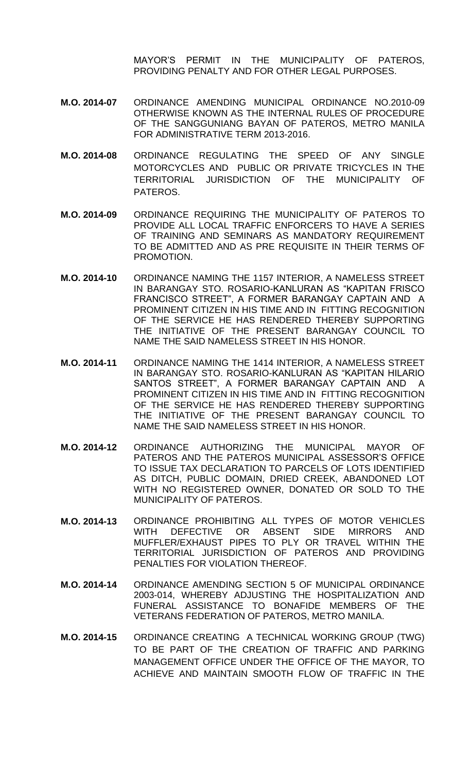MAYOR'S PERMIT IN THE MUNICIPALITY OF PATEROS, PROVIDING PENALTY AND FOR OTHER LEGAL PURPOSES.

- **M.O. 2014-07** ORDINANCE AMENDING MUNICIPAL ORDINANCE NO.2010-09 OTHERWISE KNOWN AS THE INTERNAL RULES OF PROCEDURE OF THE SANGGUNIANG BAYAN OF PATEROS, METRO MANILA FOR ADMINISTRATIVE TERM 2013-2016.
- **M.O. 2014-08** ORDINANCE REGULATING THE SPEED OF ANY SINGLE MOTORCYCLES AND PUBLIC OR PRIVATE TRICYCLES IN THE TERRITORIAL JURISDICTION OF THE MUNICIPALITY OF PATEROS.
- **M.O. 2014-09** ORDINANCE REQUIRING THE MUNICIPALITY OF PATEROS TO PROVIDE ALL LOCAL TRAFFIC ENFORCERS TO HAVE A SERIES OF TRAINING AND SEMINARS AS MANDATORY REQUIREMENT TO BE ADMITTED AND AS PRE REQUISITE IN THEIR TERMS OF PROMOTION.
- **M.O. 2014-10** ORDINANCE NAMING THE 1157 INTERIOR, A NAMELESS STREET IN BARANGAY STO. ROSARIO-KANLURAN AS "KAPITAN FRISCO FRANCISCO STREET", A FORMER BARANGAY CAPTAIN AND A PROMINENT CITIZEN IN HIS TIME AND IN FITTING RECOGNITION OF THE SERVICE HE HAS RENDERED THEREBY SUPPORTING THE INITIATIVE OF THE PRESENT BARANGAY COUNCIL TO NAME THE SAID NAMELESS STREET IN HIS HONOR.
- **M.O. 2014-11** ORDINANCE NAMING THE 1414 INTERIOR, A NAMELESS STREET IN BARANGAY STO. ROSARIO-KANLURAN AS "KAPITAN HILARIO SANTOS STREET", A FORMER BARANGAY CAPTAIN AND A PROMINENT CITIZEN IN HIS TIME AND IN FITTING RECOGNITION OF THE SERVICE HE HAS RENDERED THEREBY SUPPORTING THE INITIATIVE OF THE PRESENT BARANGAY COUNCIL TO NAME THE SAID NAMELESS STREET IN HIS HONOR.
- **M.O. 2014-12** ORDINANCE AUTHORIZING THE MUNICIPAL MAYOR OF PATEROS AND THE PATEROS MUNICIPAL ASSESSOR'S OFFICE TO ISSUE TAX DECLARATION TO PARCELS OF LOTS IDENTIFIED AS DITCH, PUBLIC DOMAIN, DRIED CREEK, ABANDONED LOT WITH NO REGISTERED OWNER, DONATED OR SOLD TO THE MUNICIPALITY OF PATEROS.
- **M.O. 2014-13** ORDINANCE PROHIBITING ALL TYPES OF MOTOR VEHICLES WITH DEFECTIVE OR ABSENT SIDE MIRRORS AND MUFFLER/EXHAUST PIPES TO PLY OR TRAVEL WITHIN THE TERRITORIAL JURISDICTION OF PATEROS AND PROVIDING PENALTIES FOR VIOLATION THEREOF.
- **M.O. 2014-14** ORDINANCE AMENDING SECTION 5 OF MUNICIPAL ORDINANCE 2003-014, WHEREBY ADJUSTING THE HOSPITALIZATION AND FUNERAL ASSISTANCE TO BONAFIDE MEMBERS OF THE VETERANS FEDERATION OF PATEROS, METRO MANILA.
- **M.O. 2014-15** ORDINANCE CREATING A TECHNICAL WORKING GROUP (TWG) TO BE PART OF THE CREATION OF TRAFFIC AND PARKING MANAGEMENT OFFICE UNDER THE OFFICE OF THE MAYOR, TO ACHIEVE AND MAINTAIN SMOOTH FLOW OF TRAFFIC IN THE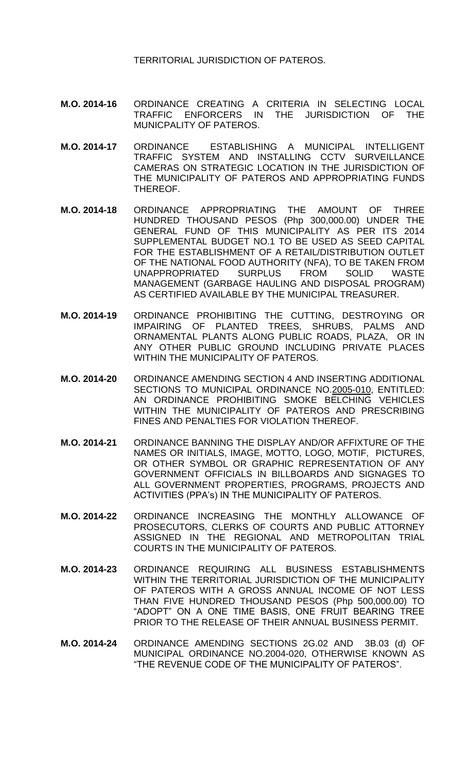TERRITORIAL JURISDICTION OF PATEROS.

- **M.O. 2014-16** ORDINANCE CREATING A CRITERIA IN SELECTING LOCAL TRAFFIC ENFORCERS IN THE JURISDICTION OF THE MUNICPALITY OF PATEROS.
- **M.O. 2014-17** ORDINANCE ESTABLISHING A MUNICIPAL INTELLIGENT TRAFFIC SYSTEM AND INSTALLING CCTV SURVEILLANCE CAMERAS ON STRATEGIC LOCATION IN THE JURISDICTION OF THE MUNICIPALITY OF PATEROS AND APPROPRIATING FUNDS THEREOF.
- **M.O. 2014-18** ORDINANCE APPROPRIATING THE AMOUNT OF THREE HUNDRED THOUSAND PESOS (Php 300,000.00) UNDER THE GENERAL FUND OF THIS MUNICIPALITY AS PER ITS 2014 SUPPLEMENTAL BUDGET NO.1 TO BE USED AS SEED CAPITAL FOR THE ESTABLISHMENT OF A RETAIL/DISTRIBUTION OUTLET OF THE NATIONAL FOOD AUTHORITY (NFA), TO BE TAKEN FROM UNAPPROPRIATED SURPLUS FROM SOLID WASTE MANAGEMENT (GARBAGE HAULING AND DISPOSAL PROGRAM) AS CERTIFIED AVAILABLE BY THE MUNICIPAL TREASURER.
- **M.O. 2014-19** ORDINANCE PROHIBITING THE CUTTING, DESTROYING OR IMPAIRING OF PLANTED TREES, SHRUBS, PALMS AND ORNAMENTAL PLANTS ALONG PUBLIC ROADS, PLAZA, OR IN ANY OTHER PUBLIC GROUND INCLUDING PRIVATE PLACES WITHIN THE MUNICIPALITY OF PATEROS.
- **M.O. 2014-20** ORDINANCE AMENDING SECTION 4 AND INSERTING ADDITIONAL SECTIONS TO MUNICIPAL ORDINANCE NO.2005-010, ENTITLED: AN ORDINANCE PROHIBITING SMOKE BELCHING VEHICLES WITHIN THE MUNICIPALITY OF PATEROS AND PRESCRIBING FINES AND PENALTIES FOR VIOLATION THEREOF.
- **M.O. 2014-21** ORDINANCE BANNING THE DISPLAY AND/OR AFFIXTURE OF THE NAMES OR INITIALS, IMAGE, MOTTO, LOGO, MOTIF, PICTURES, OR OTHER SYMBOL OR GRAPHIC REPRESENTATION OF ANY GOVERNMENT OFFICIALS IN BILLBOARDS AND SIGNAGES TO ALL GOVERNMENT PROPERTIES, PROGRAMS, PROJECTS AND ACTIVITIES (PPA's) IN THE MUNICIPALITY OF PATEROS.
- **M.O. 2014-22** ORDINANCE INCREASING THE MONTHLY ALLOWANCE OF PROSECUTORS, CLERKS OF COURTS AND PUBLIC ATTORNEY ASSIGNED IN THE REGIONAL AND METROPOLITAN TRIAL COURTS IN THE MUNICIPALITY OF PATEROS.
- **M.O. 2014-23** ORDINANCE REQUIRING ALL BUSINESS ESTABLISHMENTS WITHIN THE TERRITORIAL JURISDICTION OF THE MUNICIPALITY OF PATEROS WITH A GROSS ANNUAL INCOME OF NOT LESS THAN FIVE HUNDRED THOUSAND PESOS (Php 500,000.00) TO "ADOPT" ON A ONE TIME BASIS, ONE FRUIT BEARING TREE PRIOR TO THE RELEASE OF THEIR ANNUAL BUSINESS PERMIT.
- **M.O. 2014-24** ORDINANCE AMENDING SECTIONS 2G.02 AND 3B.03 (d) OF MUNICIPAL ORDINANCE NO.2004-020, OTHERWISE KNOWN AS "THE REVENUE CODE OF THE MUNICIPALITY OF PATEROS".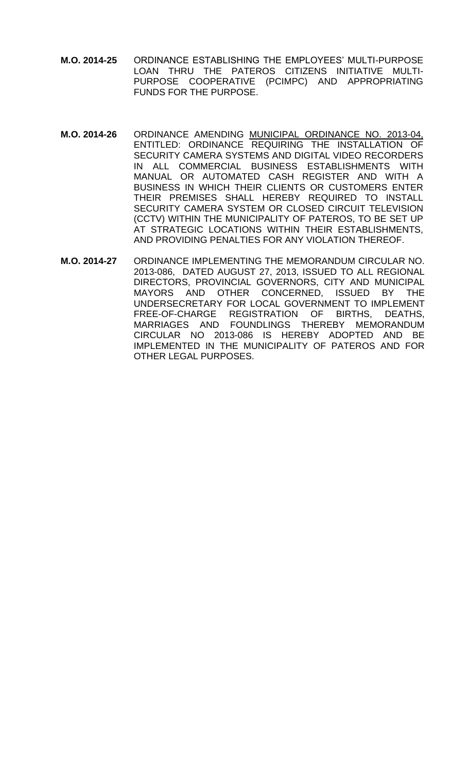- **M.O. 2014-25** ORDINANCE ESTABLISHING THE EMPLOYEES' MULTI-PURPOSE LOAN THRU THE PATEROS CITIZENS INITIATIVE MULTI-PURPOSE COOPERATIVE (PCIMPC) AND APPROPRIATING FUNDS FOR THE PURPOSE.
- **M.O. 2014-26** ORDINANCE AMENDING MUNICIPAL ORDINANCE NO. 2013-04, ENTITLED: ORDINANCE REQUIRING THE INSTALLATION OF SECURITY CAMERA SYSTEMS AND DIGITAL VIDEO RECORDERS IN ALL COMMERCIAL BUSINESS ESTABLISHMENTS WITH MANUAL OR AUTOMATED CASH REGISTER AND WITH A BUSINESS IN WHICH THEIR CLIENTS OR CUSTOMERS ENTER THEIR PREMISES SHALL HEREBY REQUIRED TO INSTALL SECURITY CAMERA SYSTEM OR CLOSED CIRCUIT TELEVISION (CCTV) WITHIN THE MUNICIPALITY OF PATEROS, TO BE SET UP AT STRATEGIC LOCATIONS WITHIN THEIR ESTABLISHMENTS, AND PROVIDING PENALTIES FOR ANY VIOLATION THEREOF.
- **M.O. 2014-27** ORDINANCE IMPLEMENTING THE MEMORANDUM CIRCULAR NO. 2013-086, DATED AUGUST 27, 2013, ISSUED TO ALL REGIONAL DIRECTORS, PROVINCIAL GOVERNORS, CITY AND MUNICIPAL MAYORS AND OTHER CONCERNED, ISSUED BY THE UNDERSECRETARY FOR LOCAL GOVERNMENT TO IMPLEMENT FREE-OF-CHARGE REGISTRATION OF BIRTHS, DEATHS, MARRIAGES AND FOUNDLINGS THEREBY MEMORANDUM CIRCULAR NO 2013-086 IS HEREBY ADOPTED AND BE IMPLEMENTED IN THE MUNICIPALITY OF PATEROS AND FOR OTHER LEGAL PURPOSES.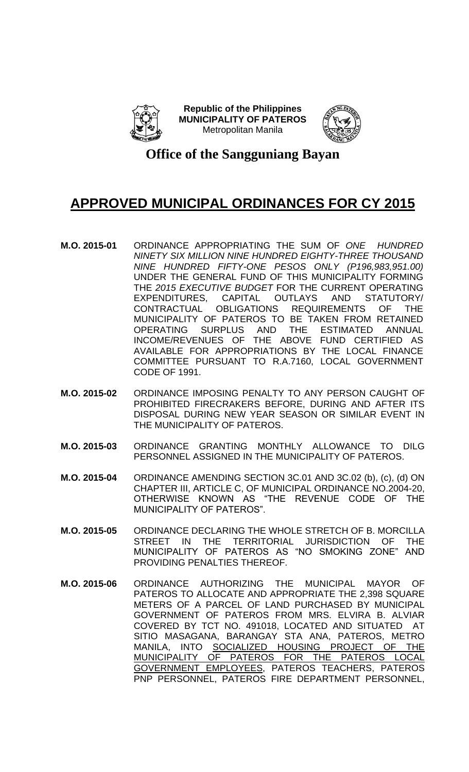



**Office of the Sangguniang Bayan**

- **M.O. 2015-01** ORDINANCE APPROPRIATING THE SUM OF *ONE HUNDRED NINETY SIX MILLION NINE HUNDRED EIGHTY-THREE THOUSAND NINE HUNDRED FIFTY-ONE PESOS ONLY (P196,983,951.00)* UNDER THE GENERAL FUND OF THIS MUNICIPALITY FORMING THE *2015 EXECUTIVE BUDGET* FOR THE CURRENT OPERATING EXPENDITURES, CAPITAL OUTLAYS AND STATUTORY/ CONTRACTUAL OBLIGATIONS REQUIREMENTS OF THE MUNICIPALITY OF PATEROS TO BE TAKEN FROM RETAINED OPERATING SURPLUS AND THE ESTIMATED ANNUAL INCOME/REVENUES OF THE ABOVE FUND CERTIFIED AS AVAILABLE FOR APPROPRIATIONS BY THE LOCAL FINANCE COMMITTEE PURSUANT TO R.A.7160, LOCAL GOVERNMENT CODE OF 1991.
- **M.O. 2015-02** ORDINANCE IMPOSING PENALTY TO ANY PERSON CAUGHT OF PROHIBITED FIRECRAKERS BEFORE, DURING AND AFTER ITS DISPOSAL DURING NEW YEAR SEASON OR SIMILAR EVENT IN THE MUNICIPALITY OF PATEROS.
- **M.O. 2015-03** ORDINANCE GRANTING MONTHLY ALLOWANCE TO DILG PERSONNEL ASSIGNED IN THE MUNICIPALITY OF PATEROS.
- **M.O. 2015-04** ORDINANCE AMENDING SECTION 3C.01 AND 3C.02 (b), (c), (d) ON CHAPTER III, ARTICLE C, OF MUNICIPAL ORDINANCE NO.2004-20, OTHERWISE KNOWN AS "THE REVENUE CODE OF THE MUNICIPALITY OF PATEROS".
- **M.O. 2015-05** ORDINANCE DECLARING THE WHOLE STRETCH OF B. MORCILLA STREET IN THE TERRITORIAL JURISDICTION OF THE MUNICIPALITY OF PATEROS AS "NO SMOKING ZONE" AND PROVIDING PENALTIES THEREOF.
- **M.O. 2015-06** ORDINANCE AUTHORIZING THE MUNICIPAL MAYOR OF PATEROS TO ALLOCATE AND APPROPRIATE THE 2,398 SQUARE METERS OF A PARCEL OF LAND PURCHASED BY MUNICIPAL GOVERNMENT OF PATEROS FROM MRS. ELVIRA B. ALVIAR COVERED BY TCT NO. 491018, LOCATED AND SITUATED AT SITIO MASAGANA, BARANGAY STA ANA, PATEROS, METRO MANILA, INTO SOCIALIZED HOUSING PROJECT OF THE MUNICIPALITY OF PATEROS FOR THE PATEROS LOCAL GOVERNMENT EMPLOYEES, PATEROS TEACHERS, PATEROS PNP PERSONNEL, PATEROS FIRE DEPARTMENT PERSONNEL,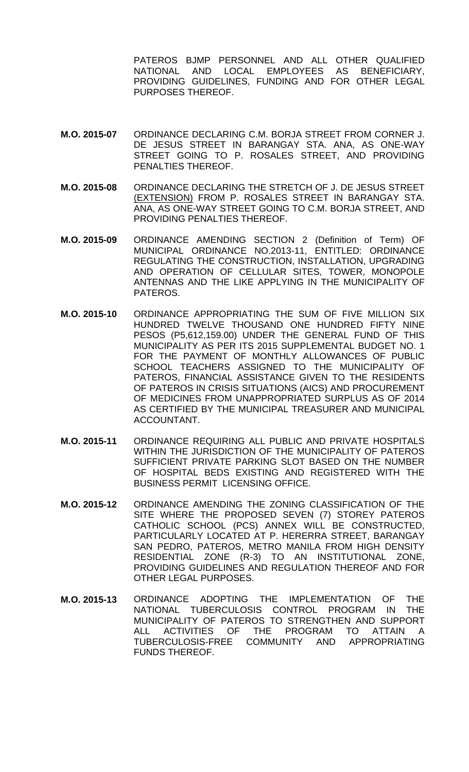PATEROS BJMP PERSONNEL AND ALL OTHER QUALIFIED NATIONAL AND LOCAL EMPLOYEES AS BENEFICIARY, PROVIDING GUIDELINES, FUNDING AND FOR OTHER LEGAL PURPOSES THEREOF.

- **M.O. 2015-07** ORDINANCE DECLARING C.M. BORJA STREET FROM CORNER J. DE JESUS STREET IN BARANGAY STA. ANA, AS ONE-WAY STREET GOING TO P. ROSALES STREET, AND PROVIDING PENALTIES THEREOF.
- **M.O. 2015-08** ORDINANCE DECLARING THE STRETCH OF J. DE JESUS STREET (EXTENSION) FROM P. ROSALES STREET IN BARANGAY STA. ANA, AS ONE-WAY STREET GOING TO C.M. BORJA STREET, AND PROVIDING PENALTIES THEREOF.
- **M.O. 2015-09** ORDINANCE AMENDING SECTION 2 (Definition of Term) OF MUNICIPAL ORDINANCE NO.2013-11, ENTITLED: ORDINANCE REGULATING THE CONSTRUCTION, INSTALLATION, UPGRADING AND OPERATION OF CELLULAR SITES, TOWER, MONOPOLE ANTENNAS AND THE LIKE APPLYING IN THE MUNICIPALITY OF PATEROS.
- **M.O. 2015-10** ORDINANCE APPROPRIATING THE SUM OF FIVE MILLION SIX HUNDRED TWELVE THOUSAND ONE HUNDRED FIFTY NINE PESOS (P5,612,159.00) UNDER THE GENERAL FUND OF THIS MUNICIPALITY AS PER ITS 2015 SUPPLEMENTAL BUDGET NO. 1 FOR THE PAYMENT OF MONTHLY ALLOWANCES OF PUBLIC SCHOOL TEACHERS ASSIGNED TO THE MUNICIPALITY OF PATEROS, FINANCIAL ASSISTANCE GIVEN TO THE RESIDENTS OF PATEROS IN CRISIS SITUATIONS (AICS) AND PROCUREMENT OF MEDICINES FROM UNAPPROPRIATED SURPLUS AS OF 2014 AS CERTIFIED BY THE MUNICIPAL TREASURER AND MUNICIPAL ACCOUNTANT.
- **M.O. 2015-11** ORDINANCE REQUIRING ALL PUBLIC AND PRIVATE HOSPITALS WITHIN THE JURISDICTION OF THE MUNICIPALITY OF PATEROS SUFFICIENT PRIVATE PARKING SLOT BASED ON THE NUMBER OF HOSPITAL BEDS EXISTING AND REGISTERED WITH THE BUSINESS PERMIT LICENSING OFFICE.
- **M.O. 2015-12** ORDINANCE AMENDING THE ZONING CLASSIFICATION OF THE SITE WHERE THE PROPOSED SEVEN (7) STOREY PATEROS CATHOLIC SCHOOL (PCS) ANNEX WILL BE CONSTRUCTED, PARTICULARLY LOCATED AT P. HERERRA STREET, BARANGAY SAN PEDRO, PATEROS, METRO MANILA FROM HIGH DENSITY RESIDENTIAL ZONE (R-3) TO AN INSTITUTIONAL ZONE, PROVIDING GUIDELINES AND REGULATION THEREOF AND FOR OTHER LEGAL PURPOSES.
- **M.O. 2015-13** ORDINANCE ADOPTING THE IMPLEMENTATION OF THE NATIONAL TUBERCULOSIS CONTROL PROGRAM IN THE MUNICIPALITY OF PATEROS TO STRENGTHEN AND SUPPORT ALL ACTIVITIES OF THE PROGRAM TO ATTAIN A TUBERCULOSIS-FREE COMMUNITY AND APPROPRIATING FUNDS THEREOF.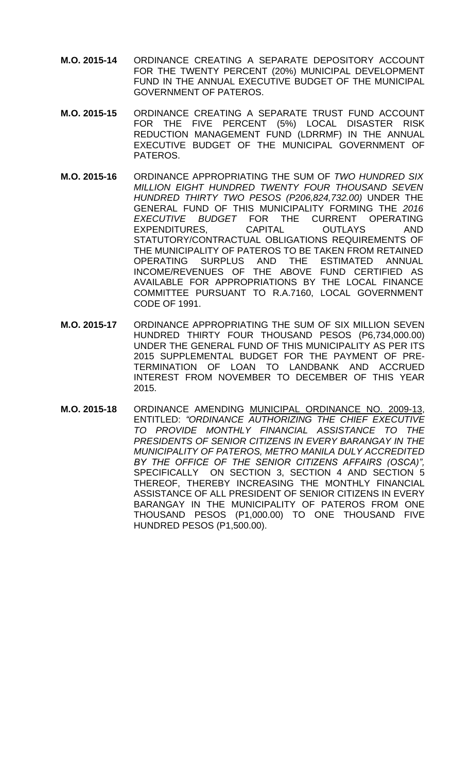- **M.O. 2015-14** ORDINANCE CREATING A SEPARATE DEPOSITORY ACCOUNT FOR THE TWENTY PERCENT (20%) MUNICIPAL DEVELOPMENT FUND IN THE ANNUAL EXECUTIVE BUDGET OF THE MUNICIPAL GOVERNMENT OF PATEROS.
- **M.O. 2015-15** ORDINANCE CREATING A SEPARATE TRUST FUND ACCOUNT FOR THE FIVE PERCENT (5%) LOCAL DISASTER RISK REDUCTION MANAGEMENT FUND (LDRRMF) IN THE ANNUAL EXECUTIVE BUDGET OF THE MUNICIPAL GOVERNMENT OF PATEROS.
- **M.O. 2015-16** ORDINANCE APPROPRIATING THE SUM OF *TWO HUNDRED SIX MILLION EIGHT HUNDRED TWENTY FOUR THOUSAND SEVEN HUNDRED THIRTY TWO PESOS (P206,824,732.00)* UNDER THE GENERAL FUND OF THIS MUNICIPALITY FORMING THE *2016 EXECUTIVE BUDGET* FOR THE CURRENT OPERATING EXPENDITURES, CAPITAL OUTLAYS AND STATUTORY/CONTRACTUAL OBLIGATIONS REQUIREMENTS OF THE MUNICIPALITY OF PATEROS TO BE TAKEN FROM RETAINED OPERATING SURPLUS AND THE ESTIMATED ANNUAL INCOME/REVENUES OF THE ABOVE FUND CERTIFIED AS AVAILABLE FOR APPROPRIATIONS BY THE LOCAL FINANCE COMMITTEE PURSUANT TO R.A.7160, LOCAL GOVERNMENT CODE OF 1991.
- **M.O. 2015-17** ORDINANCE APPROPRIATING THE SUM OF SIX MILLION SEVEN HUNDRED THIRTY FOUR THOUSAND PESOS (P6,734,000.00) UNDER THE GENERAL FUND OF THIS MUNICIPALITY AS PER ITS 2015 SUPPLEMENTAL BUDGET FOR THE PAYMENT OF PRE-TERMINATION OF LOAN TO LANDBANK AND ACCRUED INTEREST FROM NOVEMBER TO DECEMBER OF THIS YEAR 2015.
- **M.O. 2015-18** ORDINANCE AMENDING MUNICIPAL ORDINANCE NO. 2009-13, ENTITLED: *"ORDINANCE AUTHORIZING THE CHIEF EXECUTIVE TO PROVIDE MONTHLY FINANCIAL ASSISTANCE TO THE PRESIDENTS OF SENIOR CITIZENS IN EVERY BARANGAY IN THE MUNICIPALITY OF PATEROS, METRO MANILA DULY ACCREDITED BY THE OFFICE OF THE SENIOR CITIZENS AFFAIRS (OSCA)",* SPECIFICALLY ON SECTION 3, SECTION 4 AND SECTION 5 THEREOF, THEREBY INCREASING THE MONTHLY FINANCIAL ASSISTANCE OF ALL PRESIDENT OF SENIOR CITIZENS IN EVERY BARANGAY IN THE MUNICIPALITY OF PATEROS FROM ONE THOUSAND PESOS (P1,000.00) TO ONE THOUSAND FIVE HUNDRED PESOS (P1,500.00).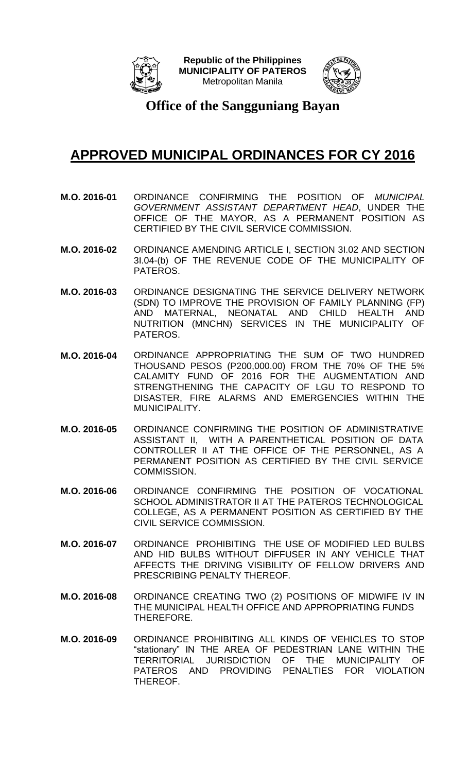



**Office of the Sangguniang Bayan**

- **M.O. 2016-01** ORDINANCE CONFIRMING THE POSITION OF *MUNICIPAL GOVERNMENT ASSISTANT DEPARTMENT HEAD*, UNDER THE OFFICE OF THE MAYOR, AS A PERMANENT POSITION AS CERTIFIED BY THE CIVIL SERVICE COMMISSION.
- **M.O. 2016-02** ORDINANCE AMENDING ARTICLE I, SECTION 3I.02 AND SECTION 3I.04-(b) OF THE REVENUE CODE OF THE MUNICIPALITY OF PATEROS.
- **M.O. 2016-03** ORDINANCE DESIGNATING THE SERVICE DELIVERY NETWORK (SDN) TO IMPROVE THE PROVISION OF FAMILY PLANNING (FP) AND MATERNAL, NEONATAL AND CHILD HEALTH AND NUTRITION (MNCHN) SERVICES IN THE MUNICIPALITY OF PATEROS.
- **M.O. 2016-04** ORDINANCE APPROPRIATING THE SUM OF TWO HUNDRED THOUSAND PESOS (P200,000.00) FROM THE 70% OF THE 5% CALAMITY FUND OF 2016 FOR THE AUGMENTATION AND STRENGTHENING THE CAPACITY OF LGU TO RESPOND TO DISASTER, FIRE ALARMS AND EMERGENCIES WITHIN THE MUNICIPALITY.
- **M.O. 2016-05** ORDINANCE CONFIRMING THE POSITION OF ADMINISTRATIVE ASSISTANT II, WITH A PARENTHETICAL POSITION OF DATA CONTROLLER II AT THE OFFICE OF THE PERSONNEL, AS A PERMANENT POSITION AS CERTIFIED BY THE CIVIL SERVICE COMMISSION.
- **M.O. 2016-06** ORDINANCE CONFIRMING THE POSITION OF VOCATIONAL SCHOOL ADMINISTRATOR II AT THE PATEROS TECHNOLOGICAL COLLEGE, AS A PERMANENT POSITION AS CERTIFIED BY THE CIVIL SERVICE COMMISSION.
- **M.O. 2016-07** ORDINANCE PROHIBITING THE USE OF MODIFIED LED BULBS AND HID BULBS WITHOUT DIFFUSER IN ANY VEHICLE THAT AFFECTS THE DRIVING VISIBILITY OF FELLOW DRIVERS AND PRESCRIBING PENALTY THEREOF.
- **M.O. 2016-08** ORDINANCE CREATING TWO (2) POSITIONS OF MIDWIFE IV IN THE MUNICIPAL HEALTH OFFICE AND APPROPRIATING FUNDS THEREFORE.
- **M.O. 2016-09** ORDINANCE PROHIBITING ALL KINDS OF VEHICLES TO STOP "stationary" IN THE AREA OF PEDESTRIAN LANE WITHIN THE TERRITORIAL JURISDICTION OF THE MUNICIPALITY OF PATEROS AND PROVIDING PENALTIES FOR VIOLATION THEREOF.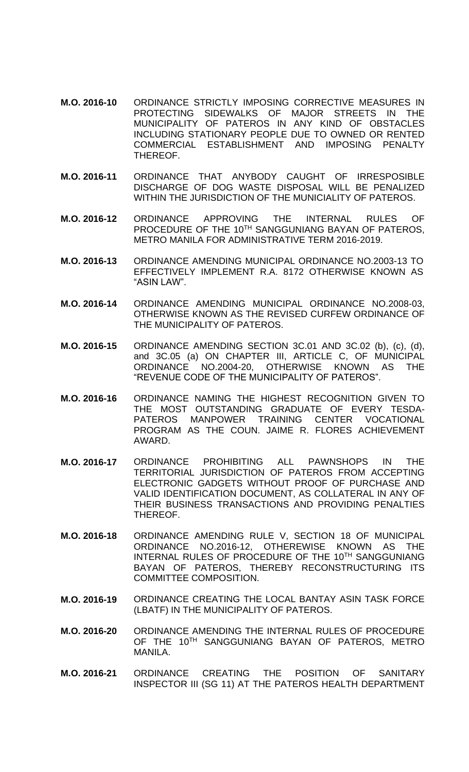- **M.O. 2016-10** ORDINANCE STRICTLY IMPOSING CORRECTIVE MEASURES IN PROTECTING SIDEWALKS OF MAJOR STREETS IN THE MUNICIPALITY OF PATEROS IN ANY KIND OF OBSTACLES INCLUDING STATIONARY PEOPLE DUE TO OWNED OR RENTED COMMERCIAL ESTABLISHMENT AND IMPOSING PENALTY THEREOF.
- **M.O. 2016-11** ORDINANCE THAT ANYBODY CAUGHT OF IRRESPOSIBLE DISCHARGE OF DOG WASTE DISPOSAL WILL BE PENALIZED WITHIN THE JURISDICTION OF THE MUNICIALITY OF PATEROS.
- **M.O. 2016-12** ORDINANCE APPROVING THE INTERNAL RULES OF PROCEDURE OF THE 10<sup>TH</sup> SANGGUNIANG BAYAN OF PATEROS. METRO MANILA FOR ADMINISTRATIVE TERM 2016-2019.
- **M.O. 2016-13** ORDINANCE AMENDING MUNICIPAL ORDINANCE NO.2003-13 TO EFFECTIVELY IMPLEMENT R.A. 8172 OTHERWISE KNOWN AS "ASIN LAW".
- **M.O. 2016-14** ORDINANCE AMENDING MUNICIPAL ORDINANCE NO.2008-03, OTHERWISE KNOWN AS THE REVISED CURFEW ORDINANCE OF THE MUNICIPALITY OF PATEROS.
- **M.O. 2016-15** ORDINANCE AMENDING SECTION 3C.01 AND 3C.02 (b), (c), (d), and 3C.05 (a) ON CHAPTER III, ARTICLE C, OF MUNICIPAL ORDINANCE NO.2004-20, OTHERWISE KNOWN AS THE "REVENUE CODE OF THE MUNICIPALITY OF PATEROS".
- **M.O. 2016-16** ORDINANCE NAMING THE HIGHEST RECOGNITION GIVEN TO THE MOST OUTSTANDING GRADUATE OF EVERY TESDA-PATEROS MANPOWER TRAINING CENTER VOCATIONAL PROGRAM AS THE COUN. JAIME R. FLORES ACHIEVEMENT AWARD.
- **M.O. 2016-17** ORDINANCE PROHIBITING ALL PAWNSHOPS IN THE TERRITORIAL JURISDICTION OF PATEROS FROM ACCEPTING ELECTRONIC GADGETS WITHOUT PROOF OF PURCHASE AND VALID IDENTIFICATION DOCUMENT, AS COLLATERAL IN ANY OF THEIR BUSINESS TRANSACTIONS AND PROVIDING PENALTIES THEREOF.
- **M.O. 2016-18** ORDINANCE AMENDING RULE V, SECTION 18 OF MUNICIPAL ORDINANCE NO.2016-12, OTHEREWISE KNOWN AS THE INTERNAL RULES OF PROCEDURE OF THE 10TH SANGGUNIANG BAYAN OF PATEROS, THEREBY RECONSTRUCTURING ITS COMMITTEE COMPOSITION.
- **M.O. 2016-19** ORDINANCE CREATING THE LOCAL BANTAY ASIN TASK FORCE (LBATF) IN THE MUNICIPALITY OF PATEROS.
- **M.O. 2016-20** ORDINANCE AMENDING THE INTERNAL RULES OF PROCEDURE OF THE 10<sup>TH</sup> SANGGUNIANG BAYAN OF PATEROS, METRO MANILA.
- **M.O. 2016-21** ORDINANCE CREATING THE POSITION OF SANITARY INSPECTOR III (SG 11) AT THE PATEROS HEALTH DEPARTMENT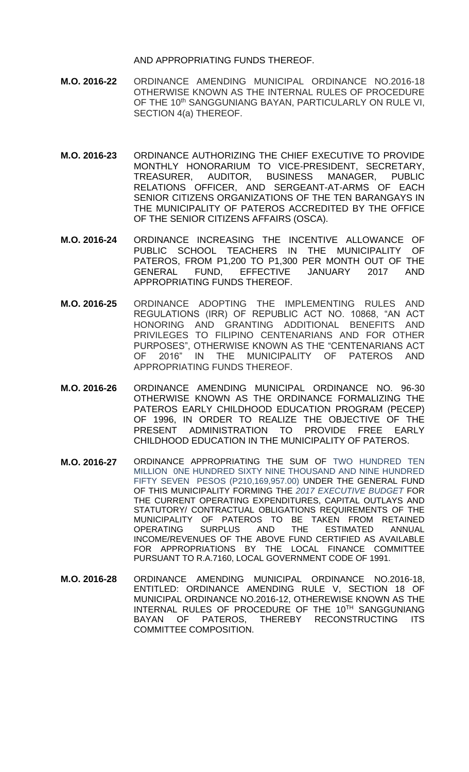AND APPROPRIATING FUNDS THEREOF.

- **M.O. 2016-22** ORDINANCE AMENDING MUNICIPAL ORDINANCE NO.2016-18 OTHERWISE KNOWN AS THE INTERNAL RULES OF PROCEDURE OF THE 10<sup>th</sup> SANGGUNIANG BAYAN, PARTICULARLY ON RULE VI, SECTION 4(a) THEREOF.
- **M.O. 2016-23** ORDINANCE AUTHORIZING THE CHIEF EXECUTIVE TO PROVIDE MONTHLY HONORARIUM TO VICE-PRESIDENT, SECRETARY, TREASURER, AUDITOR, BUSINESS MANAGER, PUBLIC RELATIONS OFFICER, AND SERGEANT-AT-ARMS OF EACH SENIOR CITIZENS ORGANIZATIONS OF THE TEN BARANGAYS IN THE MUNICIPALITY OF PATEROS ACCREDITED BY THE OFFICE OF THE SENIOR CITIZENS AFFAIRS (OSCA).
- **M.O. 2016-24** ORDINANCE INCREASING THE INCENTIVE ALLOWANCE OF PUBLIC SCHOOL TEACHERS IN THE MUNICIPALITY OF PATEROS, FROM P1,200 TO P1,300 PER MONTH OUT OF THE GENERAL FUND, EFFECTIVE JANUARY 2017 AND APPROPRIATING FUNDS THEREOF.
- **M.O. 2016-25** ORDINANCE ADOPTING THE IMPLEMENTING RULES AND REGULATIONS (IRR) OF REPUBLIC ACT NO. 10868, "AN ACT HONORING AND GRANTING ADDITIONAL BENEFITS AND PRIVILEGES TO FILIPINO CENTENARIANS AND FOR OTHER PURPOSES", OTHERWISE KNOWN AS THE "CENTENARIANS ACT OF 2016" IN THE MUNICIPALITY OF PATEROS AND APPROPRIATING FUNDS THEREOF.
- **M.O. 2016-26** ORDINANCE AMENDING MUNICIPAL ORDINANCE NO. 96-30 OTHERWISE KNOWN AS THE ORDINANCE FORMALIZING THE PATEROS EARLY CHILDHOOD EDUCATION PROGRAM (PECEP) OF 1996, IN ORDER TO REALIZE THE OBJECTIVE OF THE PRESENT ADMINISTRATION TO PROVIDE FREE EARLY CHILDHOOD EDUCATION IN THE MUNICIPALITY OF PATEROS.
- **M.O. 2016-27** ORDINANCE APPROPRIATING THE SUM OF TWO HUNDRED TEN MILLION 0NE HUNDRED SIXTY NINE THOUSAND AND NINE HUNDRED FIFTY SEVEN PESOS (P210,169,957.00) UNDER THE GENERAL FUND OF THIS MUNICIPALITY FORMING THE *2017 EXECUTIVE BUDGET* FOR THE CURRENT OPERATING EXPENDITURES, CAPITAL OUTLAYS AND STATUTORY/ CONTRACTUAL OBLIGATIONS REQUIREMENTS OF THE MUNICIPALITY OF PATEROS TO BE TAKEN FROM RETAINED OPERATING SURPLUS AND THE ESTIMATED ANNUAL INCOME/REVENUES OF THE ABOVE FUND CERTIFIED AS AVAILABLE FOR APPROPRIATIONS BY THE LOCAL FINANCE COMMITTEE PURSUANT TO R.A.7160, LOCAL GOVERNMENT CODE OF 1991.
- **M.O. 2016-28** ORDINANCE AMENDING MUNICIPAL ORDINANCE NO.2016-18, ENTITLED: ORDINANCE AMENDING RULE V, SECTION 18 OF MUNICIPAL ORDINANCE NO.2016-12, OTHEREWISE KNOWN AS THE INTERNAL RULES OF PROCEDURE OF THE 10TH SANGGUNIANG BAYAN OF PATEROS, THEREBY RECONSTRUCTING ITS COMMITTEE COMPOSITION.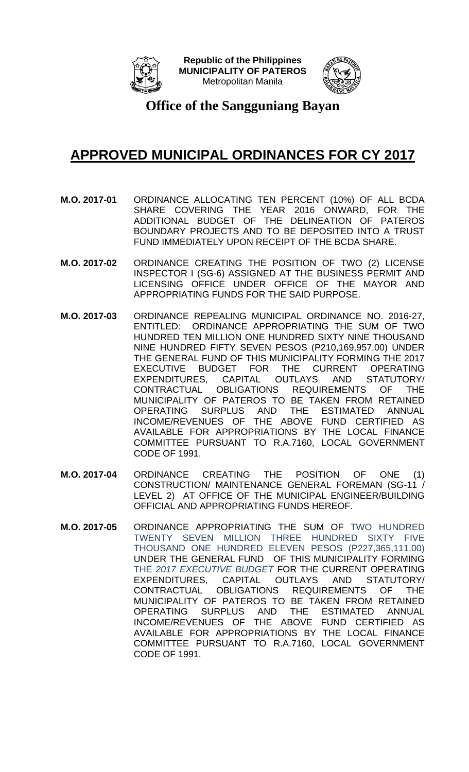



**Office of the Sangguniang Bayan**

- **M.O. 2017-01** ORDINANCE ALLOCATING TEN PERCENT (10%) OF ALL BCDA SHARE COVERING THE YEAR 2016 ONWARD, FOR THE ADDITIONAL BUDGET OF THE DELINEATION OF PATEROS BOUNDARY PROJECTS AND TO BE DEPOSITED INTO A TRUST FUND IMMEDIATELY UPON RECEIPT OF THE BCDA SHARE.
- **M.O. 2017-02** ORDINANCE CREATING THE POSITION OF TWO (2) LICENSE INSPECTOR I (SG-6) ASSIGNED AT THE BUSINESS PERMIT AND LICENSING OFFICE UNDER OFFICE OF THE MAYOR AND APPROPRIATING FUNDS FOR THE SAID PURPOSE.
- **M.O. 2017-03** ORDINANCE REPEALING MUNICIPAL ORDINANCE NO. 2016-27, ENTITLED: ORDINANCE APPROPRIATING THE SUM OF TWO HUNDRED TEN MILLION ONE HUNDRED SIXTY NINE THOUSAND NINE HUNDRED FIFTY SEVEN PESOS (P210,169,957.00) UNDER THE GENERAL FUND OF THIS MUNICIPALITY FORMING THE 2017 EXECUTIVE BUDGET FOR THE CURRENT OPERATING EXPENDITURES, CAPITAL OUTLAYS AND STATUTORY/ CONTRACTUAL OBLIGATIONS REQUIREMENTS OF THE MUNICIPALITY OF PATEROS TO BE TAKEN FROM RETAINED OPERATING SURPLUS AND THE ESTIMATED ANNUAL INCOME/REVENUES OF THE ABOVE FUND CERTIFIED AS AVAILABLE FOR APPROPRIATIONS BY THE LOCAL FINANCE COMMITTEE PURSUANT TO R.A.7160, LOCAL GOVERNMENT CODE OF 1991.
- **M.O. 2017-04** ORDINANCE CREATING THE POSITION OF ONE (1) CONSTRUCTION/ MAINTENANCE GENERAL FOREMAN (SG-11 / LEVEL 2) AT OFFICE OF THE MUNICIPAL ENGINEER/BUILDING OFFICIAL AND APPROPRIATING FUNDS HEREOF.
- **M.O. 2017-05** ORDINANCE APPROPRIATING THE SUM OF TWO HUNDRED TWENTY SEVEN MILLION THREE HUNDRED SIXTY FIVE THOUSAND ONE HUNDRED ELEVEN PESOS (P227,365,111.00) UNDER THE GENERAL FUND OF THIS MUNICIPALITY FORMING THE *2017 EXECUTIVE BUDGET* FOR THE CURRENT OPERATING EXPENDITURES, CAPITAL OUTLAYS AND STATUTORY/ CONTRACTUAL OBLIGATIONS REQUIREMENTS OF THE MUNICIPALITY OF PATEROS TO BE TAKEN FROM RETAINED OPERATING SURPLUS AND THE ESTIMATED ANNUAL INCOME/REVENUES OF THE ABOVE FUND CERTIFIED AS AVAILABLE FOR APPROPRIATIONS BY THE LOCAL FINANCE COMMITTEE PURSUANT TO R.A.7160, LOCAL GOVERNMENT CODE OF 1991.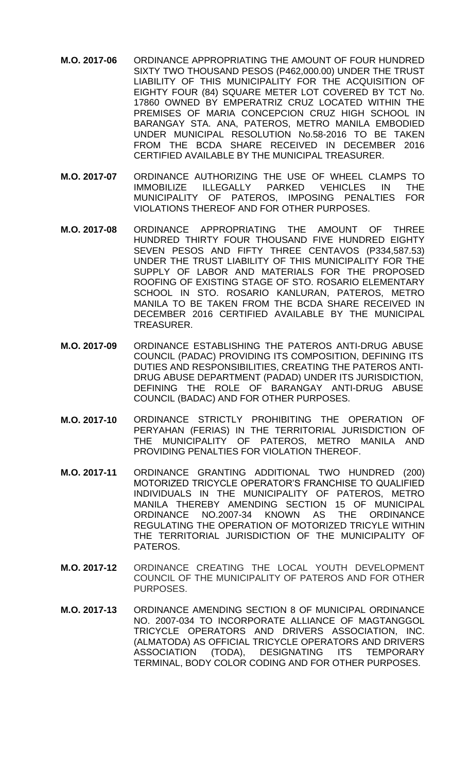- **M.O. 2017-06** ORDINANCE APPROPRIATING THE AMOUNT OF FOUR HUNDRED SIXTY TWO THOUSAND PESOS (P462,000.00) UNDER THE TRUST LIABILITY OF THIS MUNICIPALITY FOR THE ACQUISITION OF EIGHTY FOUR (84) SQUARE METER LOT COVERED BY TCT No. 17860 OWNED BY EMPERATRIZ CRUZ LOCATED WITHIN THE PREMISES OF MARIA CONCEPCION CRUZ HIGH SCHOOL IN BARANGAY STA. ANA, PATEROS, METRO MANILA EMBODIED UNDER MUNICIPAL RESOLUTION No.58-2016 TO BE TAKEN FROM THE BCDA SHARE RECEIVED IN DECEMBER 2016 CERTIFIED AVAILABLE BY THE MUNICIPAL TREASURER.
- **M.O. 2017-07** ORDINANCE AUTHORIZING THE USE OF WHEEL CLAMPS TO IMMOBILIZE ILLEGALLY PARKED VEHICLES IN THE MUNICIPALITY OF PATEROS, IMPOSING PENALTIES FOR VIOLATIONS THEREOF AND FOR OTHER PURPOSES.
- **M.O. 2017-08** ORDINANCE APPROPRIATING THE AMOUNT OF THREE HUNDRED THIRTY FOUR THOUSAND FIVE HUNDRED EIGHTY SEVEN PESOS AND FIFTY THREE CENTAVOS (P334,587.53) UNDER THE TRUST LIABILITY OF THIS MUNICIPALITY FOR THE SUPPLY OF LABOR AND MATERIALS FOR THE PROPOSED ROOFING OF EXISTING STAGE OF STO. ROSARIO ELEMENTARY SCHOOL IN STO. ROSARIO KANLURAN, PATEROS, METRO MANILA TO BE TAKEN FROM THE BCDA SHARE RECEIVED IN DECEMBER 2016 CERTIFIED AVAILABLE BY THE MUNICIPAL TREASURER.
- **M.O. 2017-09** ORDINANCE ESTABLISHING THE PATEROS ANTI-DRUG ABUSE COUNCIL (PADAC) PROVIDING ITS COMPOSITION, DEFINING ITS DUTIES AND RESPONSIBILITIES, CREATING THE PATEROS ANTI-DRUG ABUSE DEPARTMENT (PADAD) UNDER ITS JURISDICTION, DEFINING THE ROLE OF BARANGAY ANTI-DRUG ABUSE COUNCIL (BADAC) AND FOR OTHER PURPOSES.
- **M.O. 2017-10** ORDINANCE STRICTLY PROHIBITING THE OPERATION OF PERYAHAN (FERIAS) IN THE TERRITORIAL JURISDICTION OF THE MUNICIPALITY OF PATEROS, METRO MANILA AND PROVIDING PENALTIES FOR VIOLATION THEREOF.
- **M.O. 2017-11** ORDINANCE GRANTING ADDITIONAL TWO HUNDRED (200) MOTORIZED TRICYCLE OPERATOR'S FRANCHISE TO QUALIFIED INDIVIDUALS IN THE MUNICIPALITY OF PATEROS, METRO MANILA THEREBY AMENDING SECTION 15 OF MUNICIPAL ORDINANCE NO.2007-34 KNOWN AS THE ORDINANCE REGULATING THE OPERATION OF MOTORIZED TRICYLE WITHIN THE TERRITORIAL JURISDICTION OF THE MUNICIPALITY OF PATEROS.
- **M.O. 2017-12** ORDINANCE CREATING THE LOCAL YOUTH DEVELOPMENT COUNCIL OF THE MUNICIPALITY OF PATEROS AND FOR OTHER PURPOSES.
- **M.O. 2017-13** ORDINANCE AMENDING SECTION 8 OF MUNICIPAL ORDINANCE NO. 2007-034 TO INCORPORATE ALLIANCE OF MAGTANGGOL TRICYCLE OPERATORS AND DRIVERS ASSOCIATION, INC. (ALMATODA) AS OFFICIAL TRICYCLE OPERATORS AND DRIVERS ASSOCIATION (TODA), DESIGNATING ITS TEMPORARY TERMINAL, BODY COLOR CODING AND FOR OTHER PURPOSES.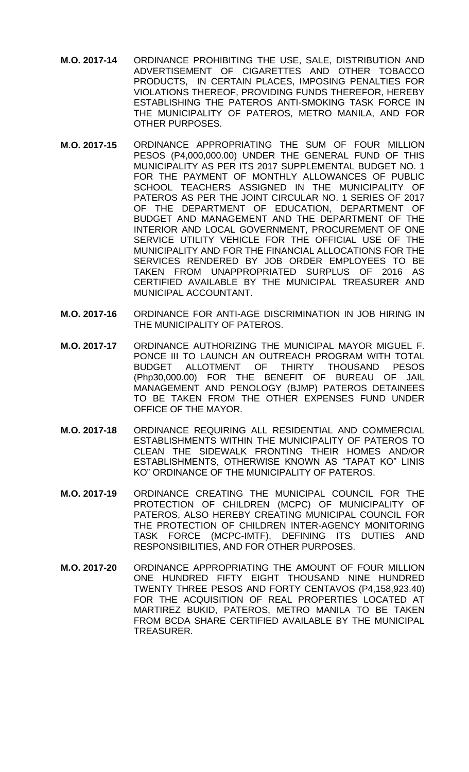- **M.O. 2017-14** ORDINANCE PROHIBITING THE USE, SALE, DISTRIBUTION AND ADVERTISEMENT OF CIGARETTES AND OTHER TOBACCO PRODUCTS, IN CERTAIN PLACES, IMPOSING PENALTIES FOR VIOLATIONS THEREOF, PROVIDING FUNDS THEREFOR, HEREBY ESTABLISHING THE PATEROS ANTI-SMOKING TASK FORCE IN THE MUNICIPALITY OF PATEROS, METRO MANILA, AND FOR OTHER PURPOSES.
- **M.O. 2017-15** ORDINANCE APPROPRIATING THE SUM OF FOUR MILLION PESOS (P4,000,000.00) UNDER THE GENERAL FUND OF THIS MUNICIPALITY AS PER ITS 2017 SUPPLEMENTAL BUDGET NO. 1 FOR THE PAYMENT OF MONTHLY ALLOWANCES OF PUBLIC SCHOOL TEACHERS ASSIGNED IN THE MUNICIPALITY OF PATEROS AS PER THE JOINT CIRCULAR NO. 1 SERIES OF 2017 OF THE DEPARTMENT OF EDUCATION, DEPARTMENT OF BUDGET AND MANAGEMENT AND THE DEPARTMENT OF THE INTERIOR AND LOCAL GOVERNMENT, PROCUREMENT OF ONE SERVICE UTILITY VEHICLE FOR THE OFFICIAL USE OF THE MUNICIPALITY AND FOR THE FINANCIAL ALLOCATIONS FOR THE SERVICES RENDERED BY JOB ORDER EMPLOYEES TO BE TAKEN FROM UNAPPROPRIATED SURPLUS OF 2016 AS CERTIFIED AVAILABLE BY THE MUNICIPAL TREASURER AND MUNICIPAL ACCOUNTANT.
- **M.O. 2017-16** ORDINANCE FOR ANTI-AGE DISCRIMINATION IN JOB HIRING IN THE MUNICIPALITY OF PATEROS.
- **M.O. 2017-17** ORDINANCE AUTHORIZING THE MUNICIPAL MAYOR MIGUEL F. PONCE III TO LAUNCH AN OUTREACH PROGRAM WITH TOTAL BUDGET ALLOTMENT OF THIRTY THOUSAND PESOS (Php30,000.00) FOR THE BENEFIT OF BUREAU OF JAIL MANAGEMENT AND PENOLOGY (BJMP) PATEROS DETAINEES TO BE TAKEN FROM THE OTHER EXPENSES FUND UNDER OFFICE OF THE MAYOR.
- **M.O. 2017-18** ORDINANCE REQUIRING ALL RESIDENTIAL AND COMMERCIAL ESTABLISHMENTS WITHIN THE MUNICIPALITY OF PATEROS TO CLEAN THE SIDEWALK FRONTING THEIR HOMES AND/OR ESTABLISHMENTS, OTHERWISE KNOWN AS "TAPAT KO" LINIS KO" ORDINANCE OF THE MUNICIPALITY OF PATEROS.
- **M.O. 2017-19** ORDINANCE CREATING THE MUNICIPAL COUNCIL FOR THE PROTECTION OF CHILDREN (MCPC) OF MUNICIPALITY OF PATEROS, ALSO HEREBY CREATING MUNICIPAL COUNCIL FOR THE PROTECTION OF CHILDREN INTER-AGENCY MONITORING TASK FORCE (MCPC-IMTF), DEFINING ITS DUTIES AND RESPONSIBILITIES, AND FOR OTHER PURPOSES.
- **M.O. 2017-20** ORDINANCE APPROPRIATING THE AMOUNT OF FOUR MILLION ONE HUNDRED FIFTY EIGHT THOUSAND NINE HUNDRED TWENTY THREE PESOS AND FORTY CENTAVOS (P4,158,923.40) FOR THE ACQUISITION OF REAL PROPERTIES LOCATED AT MARTIREZ BUKID, PATEROS, METRO MANILA TO BE TAKEN FROM BCDA SHARE CERTIFIED AVAILABLE BY THE MUNICIPAL TREASURER.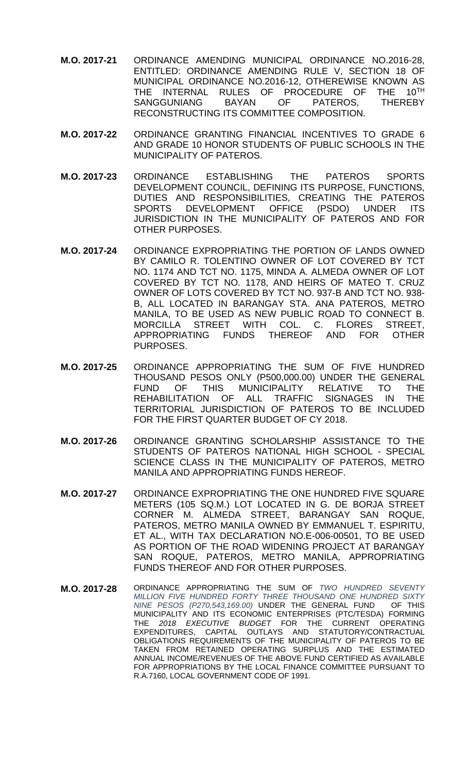- **M.O. 2017-21** ORDINANCE AMENDING MUNICIPAL ORDINANCE NO.2016-28, ENTITLED: ORDINANCE AMENDING RULE V, SECTION 18 OF MUNICIPAL ORDINANCE NO.2016-12, OTHEREWISE KNOWN AS THE INTERNAL RULES OF PROCEDURE OF THE 10<sup>TH</sup><br>SANGGUNIANG BAYAN OF PATEROS. THEREBY SANGGUNIANG BAYAN OF PATEROS, THEREBY RECONSTRUCTING ITS COMMITTEE COMPOSITION.
- **M.O. 2017-22** ORDINANCE GRANTING FINANCIAL INCENTIVES TO GRADE 6 AND GRADE 10 HONOR STUDENTS OF PUBLIC SCHOOLS IN THE MUNICIPALITY OF PATEROS.
- **M.O. 2017-23** ORDINANCE ESTABLISHING THE PATEROS SPORTS DEVELOPMENT COUNCIL, DEFINING ITS PURPOSE, FUNCTIONS, DUTIES AND RESPONSIBILITIES, CREATING THE PATEROS SPORTS DEVELOPMENT OFFICE (PSDO) UNDER ITS JURISDICTION IN THE MUNICIPALITY OF PATEROS AND FOR OTHER PURPOSES.
- **M.O. 2017-24** ORDINANCE EXPROPRIATING THE PORTION OF LANDS OWNED BY CAMILO R. TOLENTINO OWNER OF LOT COVERED BY TCT NO. 1174 AND TCT NO. 1175, MINDA A. ALMEDA OWNER OF LOT COVERED BY TCT NO. 1178, AND HEIRS OF MATEO T. CRUZ OWNER OF LOTS COVERED BY TCT NO. 937-B AND TCT NO. 938- B, ALL LOCATED IN BARANGAY STA. ANA PATEROS, METRO MANILA, TO BE USED AS NEW PUBLIC ROAD TO CONNECT B.<br>MORCILLA STREET WITH COL. C. FLORES STREET, MORCILLA STREET WITH COL. C. FLORES STREET, APPROPRIATING FUNDS THEREOF AND FOR OTHER PURPOSES.
- **M.O. 2017-25** ORDINANCE APPROPRIATING THE SUM OF FIVE HUNDRED THOUSAND PESOS ONLY (P500,000.00) UNDER THE GENERAL FUND OF THIS MUNICIPALITY RELATIVE TO THE REHABILITATION OF ALL TRAFFIC SIGNAGES IN THE TERRITORIAL JURISDICTION OF PATEROS TO BE INCLUDED FOR THE FIRST QUARTER BUDGET OF CY 2018.
- **M.O. 2017-26** ORDINANCE GRANTING SCHOLARSHIP ASSISTANCE TO THE STUDENTS OF PATEROS NATIONAL HIGH SCHOOL - SPECIAL SCIENCE CLASS IN THE MUNICIPALITY OF PATEROS, METRO MANILA AND APPROPRIATING FUNDS HEREOF.
- **M.O. 2017-27** ORDINANCE EXPROPRIATING THE ONE HUNDRED FIVE SQUARE METERS (105 SQ.M.) LOT LOCATED IN G. DE BORJA STREET CORNER M. ALMEDA STREET, BARANGAY SAN ROQUE, PATEROS, METRO MANILA OWNED BY EMMANUEL T. ESPIRITU, ET AL., WITH TAX DECLARATION NO.E-006-00501, TO BE USED AS PORTION OF THE ROAD WIDENING PROJECT AT BARANGAY SAN ROQUE, PATEROS, METRO MANILA, APPROPRIATING FUNDS THEREOF AND FOR OTHER PURPOSES.
- **M.O. 2017-28** ORDINANCE APPROPRIATING THE SUM OF *TWO HUNDRED SEVENTY MILLION FIVE HUNDRED FORTY THREE THOUSAND ONE HUNDRED SIXTY NINE PESOS (P270,543,169.00)* UNDER THE GENERAL FUND MUNICIPALITY AND ITS ECONOMIC ENTERPRISES (PTC/TESDA) FORMING THE *2018 EXECUTIVE BUDGET* FOR THE CURRENT OPERATING CAPITAL OUTLAYS AND STATUTORY/CONTRACTUAL OBLIGATIONS REQUIREMENTS OF THE MUNICIPALITY OF PATEROS TO BE TAKEN FROM RETAINED OPERATING SURPLUS AND THE ESTIMATED ANNUAL INCOME/REVENUES OF THE ABOVE FUND CERTIFIED AS AVAILABLE FOR APPROPRIATIONS BY THE LOCAL FINANCE COMMITTEE PURSUANT TO R.A.7160, LOCAL GOVERNMENT CODE OF 1991.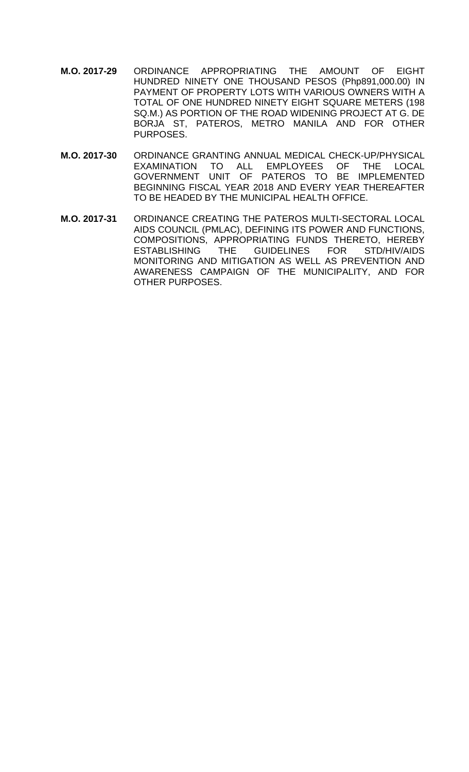- **M.O. 2017-29** ORDINANCE APPROPRIATING THE AMOUNT OF EIGHT HUNDRED NINETY ONE THOUSAND PESOS (Php891,000.00) IN PAYMENT OF PROPERTY LOTS WITH VARIOUS OWNERS WITH A TOTAL OF ONE HUNDRED NINETY EIGHT SQUARE METERS (198 SQ.M.) AS PORTION OF THE ROAD WIDENING PROJECT AT G. DE BORJA ST, PATEROS, METRO MANILA AND FOR OTHER PURPOSES.
- **M.O. 2017-30** ORDINANCE GRANTING ANNUAL MEDICAL CHECK-UP/PHYSICAL EXAMINATION TO ALL EMPLOYEES OF THE LOCAL GOVERNMENT UNIT OF PATEROS TO BE IMPLEMENTED BEGINNING FISCAL YEAR 2018 AND EVERY YEAR THEREAFTER TO BE HEADED BY THE MUNICIPAL HEALTH OFFICE.
- **M.O. 2017-31** ORDINANCE CREATING THE PATEROS MULTI-SECTORAL LOCAL AIDS COUNCIL (PMLAC), DEFINING ITS POWER AND FUNCTIONS, COMPOSITIONS, APPROPRIATING FUNDS THERETO, HEREBY ESTABLISHING THE GUIDELINES FOR STD/HIV/AIDS MONITORING AND MITIGATION AS WELL AS PREVENTION AND AWARENESS CAMPAIGN OF THE MUNICIPALITY, AND FOR OTHER PURPOSES.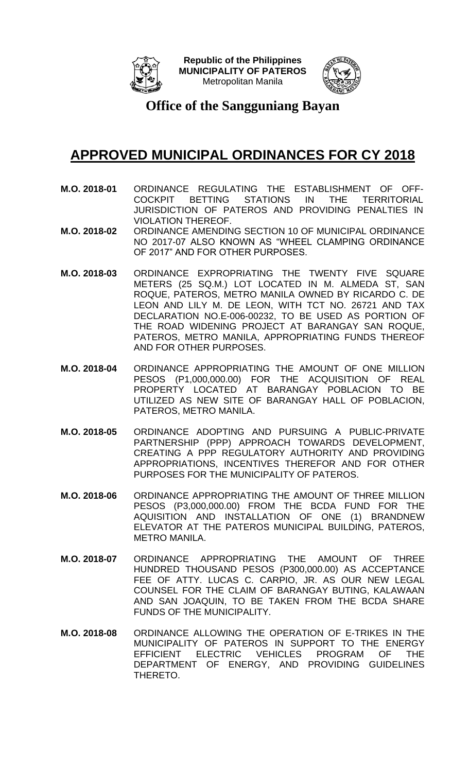



**Office of the Sangguniang Bayan**

- **M.O. 2018-01** ORDINANCE REGULATING THE ESTABLISHMENT OF OFF-COCKPIT BETTING STATIONS IN THE TERRITORIAL JURISDICTION OF PATEROS AND PROVIDING PENALTIES IN VIOLATION THEREOF.
- **M.O. 2018-02** ORDINANCE AMENDING SECTION 10 OF MUNICIPAL ORDINANCE NO 2017-07 ALSO KNOWN AS "WHEEL CLAMPING ORDINANCE OF 2017" AND FOR OTHER PURPOSES.
- **M.O. 2018-03** ORDINANCE EXPROPRIATING THE TWENTY FIVE SQUARE METERS (25 SQ.M.) LOT LOCATED IN M. ALMEDA ST, SAN ROQUE, PATEROS, METRO MANILA OWNED BY RICARDO C. DE LEON AND LILY M. DE LEON, WITH TCT NO. 26721 AND TAX DECLARATION NO.E-006-00232, TO BE USED AS PORTION OF THE ROAD WIDENING PROJECT AT BARANGAY SAN ROQUE, PATEROS, METRO MANILA, APPROPRIATING FUNDS THEREOF AND FOR OTHER PURPOSES.
- **M.O. 2018-04** ORDINANCE APPROPRIATING THE AMOUNT OF ONE MILLION PESOS (P1,000,000.00) FOR THE ACQUISITION OF REAL PROPERTY LOCATED AT BARANGAY POBLACION TO BE UTILIZED AS NEW SITE OF BARANGAY HALL OF POBLACION, PATEROS, METRO MANILA.
- **M.O. 2018-05** ORDINANCE ADOPTING AND PURSUING A PUBLIC-PRIVATE PARTNERSHIP (PPP) APPROACH TOWARDS DEVELOPMENT, CREATING A PPP REGULATORY AUTHORITY AND PROVIDING APPROPRIATIONS, INCENTIVES THEREFOR AND FOR OTHER PURPOSES FOR THE MUNICIPALITY OF PATEROS.
- **M.O. 2018-06** ORDINANCE APPROPRIATING THE AMOUNT OF THREE MILLION PESOS (P3,000,000.00) FROM THE BCDA FUND FOR THE AQUISITION AND INSTALLATION OF ONE (1) BRANDNEW ELEVATOR AT THE PATEROS MUNICIPAL BUILDING, PATEROS, METRO MANILA.
- **M.O. 2018-07** ORDINANCE APPROPRIATING THE AMOUNT OF THREE HUNDRED THOUSAND PESOS (P300,000.00) AS ACCEPTANCE FEE OF ATTY. LUCAS C. CARPIO, JR. AS OUR NEW LEGAL COUNSEL FOR THE CLAIM OF BARANGAY BUTING, KALAWAAN AND SAN JOAQUIN, TO BE TAKEN FROM THE BCDA SHARE FUNDS OF THE MUNICIPALITY.
- **M.O. 2018-08** ORDINANCE ALLOWING THE OPERATION OF E-TRIKES IN THE MUNICIPALITY OF PATEROS IN SUPPORT TO THE ENERGY EFFICIENT ELECTRIC VEHICLES PROGRAM OF THE DEPARTMENT OF ENERGY, AND PROVIDING GUIDELINES THERETO.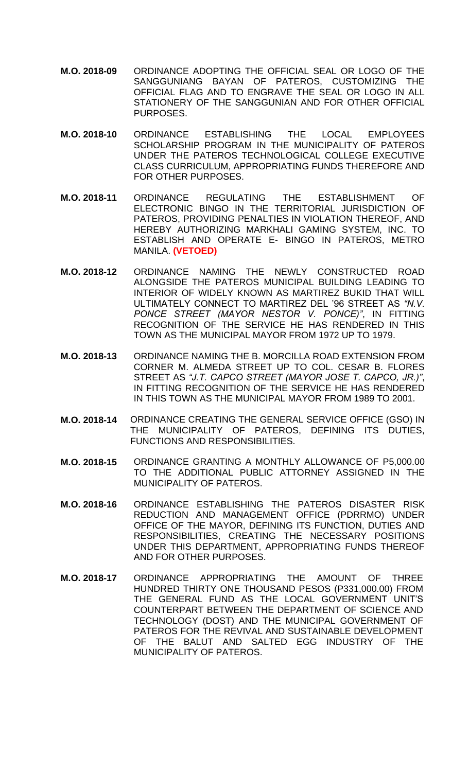- **M.O. 2018-09** ORDINANCE ADOPTING THE OFFICIAL SEAL OR LOGO OF THE SANGGUNIANG BAYAN OF PATEROS, CUSTOMIZING THE OFFICIAL FLAG AND TO ENGRAVE THE SEAL OR LOGO IN ALL STATIONERY OF THE SANGGUNIAN AND FOR OTHER OFFICIAL PURPOSES.
- **M.O. 2018-10** ORDINANCE ESTABLISHING THE LOCAL EMPLOYEES SCHOLARSHIP PROGRAM IN THE MUNICIPALITY OF PATEROS UNDER THE PATEROS TECHNOLOGICAL COLLEGE EXECUTIVE CLASS CURRICULUM, APPROPRIATING FUNDS THEREFORE AND FOR OTHER PURPOSES.
- **M.O. 2018-11** ORDINANCE REGULATING THE ESTABLISHMENT OF ELECTRONIC BINGO IN THE TERRITORIAL JURISDICTION OF PATEROS, PROVIDING PENALTIES IN VIOLATION THEREOF, AND HEREBY AUTHORIZING MARKHALI GAMING SYSTEM, INC. TO ESTABLISH AND OPERATE E- BINGO IN PATEROS, METRO MANILA. **(VETOED)**
- **M.O. 2018-12** ORDINANCE NAMING THE NEWLY CONSTRUCTED ROAD ALONGSIDE THE PATEROS MUNICIPAL BUILDING LEADING TO INTERIOR OF WIDELY KNOWN AS MARTIREZ BUKID THAT WILL ULTIMATELY CONNECT TO MARTIREZ DEL '96 STREET AS *"N.V. PONCE STREET (MAYOR NESTOR V. PONCE)"*, IN FITTING RECOGNITION OF THE SERVICE HE HAS RENDERED IN THIS TOWN AS THE MUNICIPAL MAYOR FROM 1972 UP TO 1979.
- **M.O. 2018-13** ORDINANCE NAMING THE B. MORCILLA ROAD EXTENSION FROM CORNER M. ALMEDA STREET UP TO COL. CESAR B. FLORES STREET AS *"J.T. CAPCO STREET (MAYOR JOSE T. CAPCO, JR.)"*, IN FITTING RECOGNITION OF THE SERVICE HE HAS RENDERED IN THIS TOWN AS THE MUNICIPAL MAYOR FROM 1989 TO 2001.
- **M.O. 2018-14** ORDINANCE CREATING THE GENERAL SERVICE OFFICE (GSO) IN THE MUNICIPALITY OF PATEROS, DEFINING ITS DUTIES, FUNCTIONS AND RESPONSIBILITIES.
- **M.O. 2018-15** ORDINANCE GRANTING A MONTHLY ALLOWANCE OF P5,000.00 TO THE ADDITIONAL PUBLIC ATTORNEY ASSIGNED IN THE MUNICIPALITY OF PATEROS.
- **M.O. 2018-16** ORDINANCE ESTABLISHING THE PATEROS DISASTER RISK REDUCTION AND MANAGEMENT OFFICE (PDRRMO) UNDER OFFICE OF THE MAYOR, DEFINING ITS FUNCTION, DUTIES AND RESPONSIBILITIES, CREATING THE NECESSARY POSITIONS UNDER THIS DEPARTMENT, APPROPRIATING FUNDS THEREOF AND FOR OTHER PURPOSES.
- **M.O. 2018-17** ORDINANCE APPROPRIATING THE AMOUNT OF THREE HUNDRED THIRTY ONE THOUSAND PESOS (P331,000.00) FROM THE GENERAL FUND AS THE LOCAL GOVERNMENT UNIT'S COUNTERPART BETWEEN THE DEPARTMENT OF SCIENCE AND TECHNOLOGY (DOST) AND THE MUNICIPAL GOVERNMENT OF PATEROS FOR THE REVIVAL AND SUSTAINABLE DEVELOPMENT OF THE BALUT AND SALTED EGG INDUSTRY OF THE MUNICIPALITY OF PATEROS.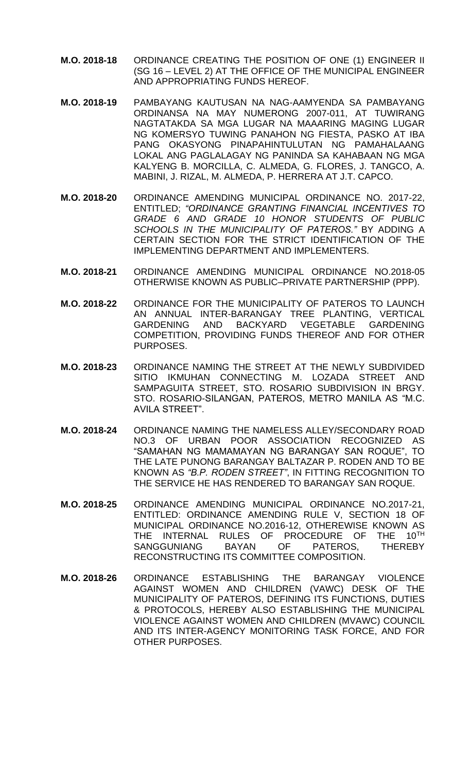- **M.O. 2018-18** ORDINANCE CREATING THE POSITION OF ONE (1) ENGINEER II (SG 16 – LEVEL 2) AT THE OFFICE OF THE MUNICIPAL ENGINEER AND APPROPRIATING FUNDS HEREOF.
- **M.O. 2018-19** PAMBAYANG KAUTUSAN NA NAG-AAMYENDA SA PAMBAYANG ORDINANSA NA MAY NUMERONG 2007-011, AT TUWIRANG NAGTATAKDA SA MGA LUGAR NA MAAARING MAGING LUGAR NG KOMERSYO TUWING PANAHON NG FIESTA, PASKO AT IBA PANG OKASYONG PINAPAHINTULUTAN NG PAMAHALAANG LOKAL ANG PAGLALAGAY NG PANINDA SA KAHABAAN NG MGA KALYENG B. MORCILLA, C. ALMEDA, G. FLORES, J. TANGCO, A. MABINI, J. RIZAL, M. ALMEDA, P. HERRERA AT J.T. CAPCO.
- **M.O. 2018-20** ORDINANCE AMENDING MUNICIPAL ORDINANCE NO. 2017-22, ENTITLED; *"ORDINANCE GRANTING FINANCIAL INCENTIVES TO GRADE 6 AND GRADE 10 HONOR STUDENTS OF PUBLIC SCHOOLS IN THE MUNICIPALITY OF PATEROS."* BY ADDING A CERTAIN SECTION FOR THE STRICT IDENTIFICATION OF THE IMPLEMENTING DEPARTMENT AND IMPLEMENTERS.
- **M.O. 2018-21** ORDINANCE AMENDING MUNICIPAL ORDINANCE NO.2018-05 OTHERWISE KNOWN AS PUBLIC–PRIVATE PARTNERSHIP (PPP).
- **M.O. 2018-22** ORDINANCE FOR THE MUNICIPALITY OF PATEROS TO LAUNCH AN ANNUAL INTER-BARANGAY TREE PLANTING, VERTICAL GARDENING AND BACKYARD VEGETABLE GARDENING COMPETITION, PROVIDING FUNDS THEREOF AND FOR OTHER PURPOSES.
- **M.O. 2018-23** ORDINANCE NAMING THE STREET AT THE NEWLY SUBDIVIDED SITIO IKMUHAN CONNECTING M. LOZADA STREET AND SAMPAGUITA STREET, STO. ROSARIO SUBDIVISION IN BRGY. STO. ROSARIO-SILANGAN, PATEROS, METRO MANILA AS "M.C. AVILA STREET".
- **M.O. 2018-24** ORDINANCE NAMING THE NAMELESS ALLEY/SECONDARY ROAD NO.3 OF URBAN POOR ASSOCIATION RECOGNIZED AS "SAMAHAN NG MAMAMAYAN NG BARANGAY SAN ROQUE", TO THE LATE PUNONG BARANGAY BALTAZAR P. RODEN AND TO BE KNOWN AS *"B.P. RODEN STREET"*, IN FITTING RECOGNITION TO THE SERVICE HE HAS RENDERED TO BARANGAY SAN ROQUE.
- **M.O. 2018-25** ORDINANCE AMENDING MUNICIPAL ORDINANCE NO.2017-21, ENTITLED: ORDINANCE AMENDING RULE V, SECTION 18 OF MUNICIPAL ORDINANCE NO.2016-12, OTHEREWISE KNOWN AS<br>THE INTERNAL RULES OF PROCEDURE OF THE 10<sup>TH</sup> THE INTERNAL RULES OF PROCEDURE OF THE SANGGUNIANG BAYAN OF PATEROS, THEREBY RECONSTRUCTING ITS COMMITTEE COMPOSITION.
- **M.O. 2018-26** ORDINANCE ESTABLISHING THE BARANGAY VIOLENCE AGAINST WOMEN AND CHILDREN (VAWC) DESK OF THE MUNICIPALITY OF PATEROS, DEFINING ITS FUNCTIONS, DUTIES & PROTOCOLS, HEREBY ALSO ESTABLISHING THE MUNICIPAL VIOLENCE AGAINST WOMEN AND CHILDREN (MVAWC) COUNCIL AND ITS INTER-AGENCY MONITORING TASK FORCE, AND FOR OTHER PURPOSES.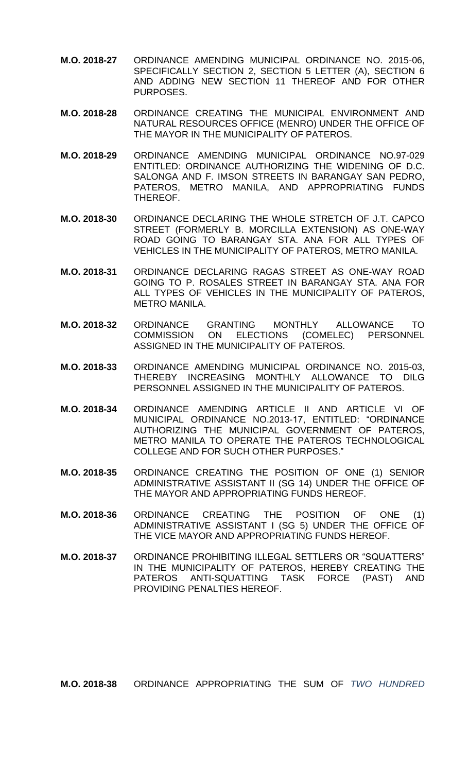- **M.O. 2018-27** ORDINANCE AMENDING MUNICIPAL ORDINANCE NO. 2015-06, SPECIFICALLY SECTION 2, SECTION 5 LETTER (A), SECTION 6 AND ADDING NEW SECTION 11 THEREOF AND FOR OTHER PURPOSES.
- **M.O. 2018-28** ORDINANCE CREATING THE MUNICIPAL ENVIRONMENT AND NATURAL RESOURCES OFFICE (MENRO) UNDER THE OFFICE OF THE MAYOR IN THE MUNICIPALITY OF PATEROS.
- **M.O. 2018-29** ORDINANCE AMENDING MUNICIPAL ORDINANCE NO.97-029 ENTITLED: ORDINANCE AUTHORIZING THE WIDENING OF D.C. SALONGA AND F. IMSON STREETS IN BARANGAY SAN PEDRO, PATEROS, METRO MANILA, AND APPROPRIATING FUNDS THEREOF.
- **M.O. 2018-30** ORDINANCE DECLARING THE WHOLE STRETCH OF J.T. CAPCO STREET (FORMERLY B. MORCILLA EXTENSION) AS ONE-WAY ROAD GOING TO BARANGAY STA. ANA FOR ALL TYPES OF VEHICLES IN THE MUNICIPALITY OF PATEROS, METRO MANILA.
- **M.O. 2018-31** ORDINANCE DECLARING RAGAS STREET AS ONE-WAY ROAD GOING TO P. ROSALES STREET IN BARANGAY STA. ANA FOR ALL TYPES OF VEHICLES IN THE MUNICIPALITY OF PATEROS, METRO MANILA.
- **M.O. 2018-32** ORDINANCE GRANTING MONTHLY ALLOWANCE TO ELECTIONS (COMELEC) PERSONNEL ASSIGNED IN THE MUNICIPALITY OF PATEROS.
- **M.O. 2018-33** ORDINANCE AMENDING MUNICIPAL ORDINANCE NO. 2015-03, THEREBY INCREASING MONTHLY ALLOWANCE TO DILG PERSONNEL ASSIGNED IN THE MUNICIPALITY OF PATEROS.
- **M.O. 2018-34** ORDINANCE AMENDING ARTICLE II AND ARTICLE VI OF MUNICIPAL ORDINANCE NO.2013-17, ENTITLED: "ORDINANCE AUTHORIZING THE MUNICIPAL GOVERNMENT OF PATEROS, METRO MANILA TO OPERATE THE PATEROS TECHNOLOGICAL COLLEGE AND FOR SUCH OTHER PURPOSES."
- **M.O. 2018-35** ORDINANCE CREATING THE POSITION OF ONE (1) SENIOR ADMINISTRATIVE ASSISTANT II (SG 14) UNDER THE OFFICE OF THE MAYOR AND APPROPRIATING FUNDS HEREOF.
- **M.O. 2018-36** ORDINANCE CREATING THE POSITION OF ONE (1) ADMINISTRATIVE ASSISTANT I (SG 5) UNDER THE OFFICE OF THE VICE MAYOR AND APPROPRIATING FUNDS HEREOF.
- **M.O. 2018-37** ORDINANCE PROHIBITING ILLEGAL SETTLERS OR "SQUATTERS" IN THE MUNICIPALITY OF PATEROS, HEREBY CREATING THE PATEROS ANTI-SQUATTING TASK FORCE (PAST) AND PROVIDING PENALTIES HEREOF.

**M.O. 2018-38** ORDINANCE APPROPRIATING THE SUM OF *TWO HUNDRED*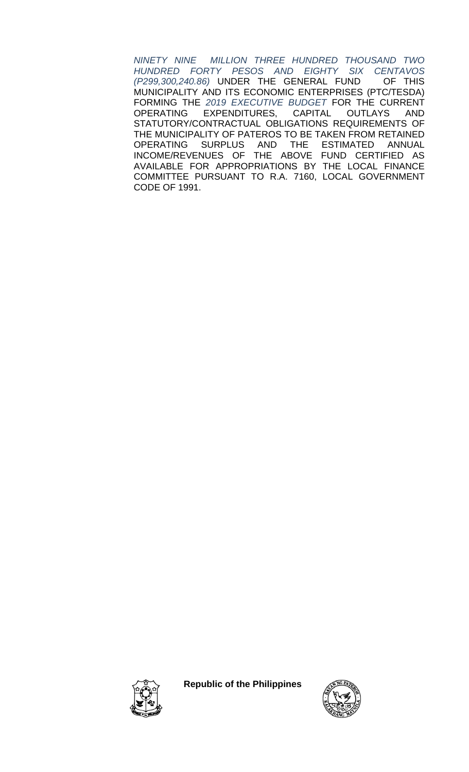*NINETY NINE MILLION THREE HUNDRED THOUSAND TWO HUNDRED FORTY PESOS AND EIGHTY SIX CENTAVOS (P299,300,240.86)* UNDER THE GENERAL FUND MUNICIPALITY AND ITS ECONOMIC ENTERPRISES (PTC/TESDA) FORMING THE *2019 EXECUTIVE BUDGET* FOR THE CURRENT OPERATING EXPENDITURES, CAPITAL OUTLAYS AND STATUTORY/CONTRACTUAL OBLIGATIONS REQUIREMENTS OF THE MUNICIPALITY OF PATEROS TO BE TAKEN FROM RETAINED OPERATING SURPLUS AND THE ESTIMATED ANNUAL INCOME/REVENUES OF THE ABOVE FUND CERTIFIED AS AVAILABLE FOR APPROPRIATIONS BY THE LOCAL FINANCE COMMITTEE PURSUANT TO R.A. 7160, LOCAL GOVERNMENT CODE OF 1991.



**Republic of the Philippines**

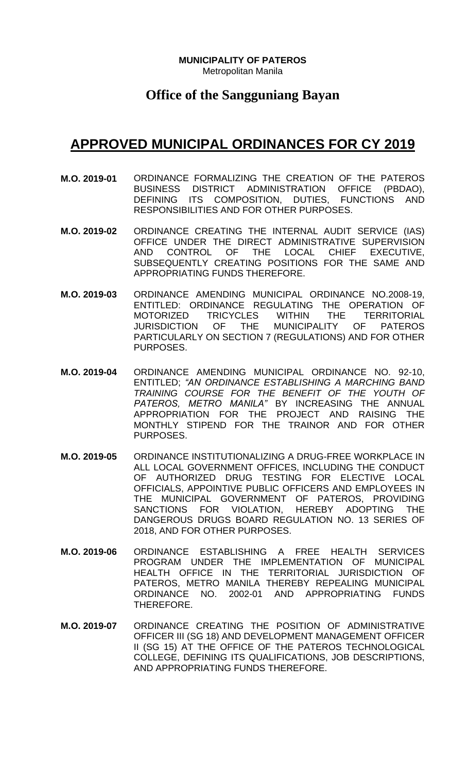**MUNICIPALITY OF PATEROS** Metropolitan Manila

#### **Office of the Sangguniang Bayan**

- **M.O. 2019-01** ORDINANCE FORMALIZING THE CREATION OF THE PATEROS BUSINESS DISTRICT ADMINISTRATION OFFICE (PBDAO), DEFINING ITS COMPOSITION, DUTIES, FUNCTIONS AND RESPONSIBILITIES AND FOR OTHER PURPOSES.
- **M.O. 2019-02** ORDINANCE CREATING THE INTERNAL AUDIT SERVICE (IAS) OFFICE UNDER THE DIRECT ADMINISTRATIVE SUPERVISION AND CONTROL OF THE LOCAL CHIEF EXECUTIVE, SUBSEQUENTLY CREATING POSITIONS FOR THE SAME AND APPROPRIATING FUNDS THEREFORE.
- **M.O. 2019-03** ORDINANCE AMENDING MUNICIPAL ORDINANCE NO.2008-19, ENTITLED: ORDINANCE REGULATING THE OPERATION OF MOTORIZED TRICYCLES WITHIN THE TERRITORIAL JURISDICTION OF THE MUNICIPALITY OF PATEROS PARTICULARLY ON SECTION 7 (REGULATIONS) AND FOR OTHER PURPOSES.
- **M.O. 2019-04** ORDINANCE AMENDING MUNICIPAL ORDINANCE NO. 92-10, ENTITLED; *"AN ORDINANCE ESTABLISHING A MARCHING BAND TRAINING COURSE FOR THE BENEFIT OF THE YOUTH OF PATEROS, METRO MANILA"* BY INCREASING THE ANNUAL APPROPRIATION FOR THE PROJECT AND RAISING THE MONTHLY STIPEND FOR THE TRAINOR AND FOR OTHER PURPOSES.
- **M.O. 2019-05** ORDINANCE INSTITUTIONALIZING A DRUG-FREE WORKPLACE IN ALL LOCAL GOVERNMENT OFFICES, INCLUDING THE CONDUCT OF AUTHORIZED DRUG TESTING FOR ELECTIVE LOCAL OFFICIALS, APPOINTIVE PUBLIC OFFICERS AND EMPLOYEES IN THE MUNICIPAL GOVERNMENT OF PATEROS, PROVIDING SANCTIONS FOR VIOLATION, HEREBY ADOPTING THE DANGEROUS DRUGS BOARD REGULATION NO. 13 SERIES OF 2018, AND FOR OTHER PURPOSES.
- **M.O. 2019-06** ORDINANCE ESTABLISHING A FREE HEALTH SERVICES PROGRAM UNDER THE IMPLEMENTATION OF MUNICIPAL HEALTH OFFICE IN THE TERRITORIAL JURISDICTION OF PATEROS, METRO MANILA THEREBY REPEALING MUNICIPAL ORDINANCE NO. 2002-01 AND APPROPRIATING FUNDS THEREFORE.
- **M.O. 2019-07** ORDINANCE CREATING THE POSITION OF ADMINISTRATIVE OFFICER III (SG 18) AND DEVELOPMENT MANAGEMENT OFFICER II (SG 15) AT THE OFFICE OF THE PATEROS TECHNOLOGICAL COLLEGE, DEFINING ITS QUALIFICATIONS, JOB DESCRIPTIONS, AND APPROPRIATING FUNDS THEREFORE.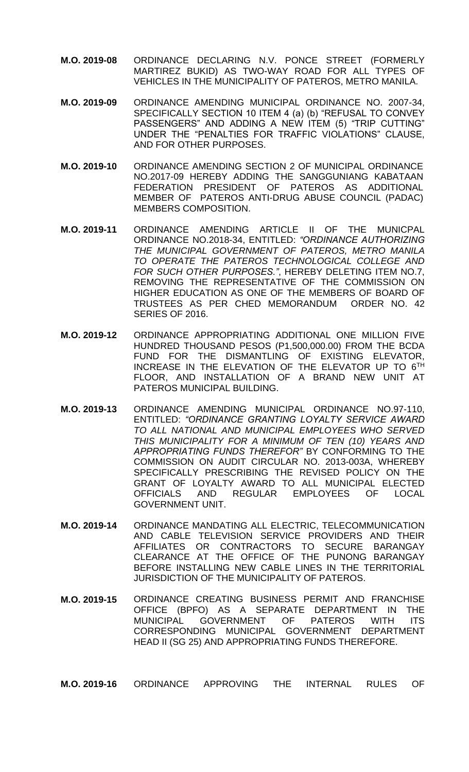- **M.O. 2019-08** ORDINANCE DECLARING N.V. PONCE STREET (FORMERLY MARTIREZ BUKID) AS TWO-WAY ROAD FOR ALL TYPES OF VEHICLES IN THE MUNICIPALITY OF PATEROS, METRO MANILA.
- **M.O. 2019-09** ORDINANCE AMENDING MUNICIPAL ORDINANCE NO. 2007-34, SPECIFICALLY SECTION 10 ITEM 4 (a) (b) "REFUSAL TO CONVEY PASSENGERS" AND ADDING A NEW ITEM (5) "TRIP CUTTING" UNDER THE "PENALTIES FOR TRAFFIC VIOLATIONS" CLAUSE, AND FOR OTHER PURPOSES.
- **M.O. 2019-10** ORDINANCE AMENDING SECTION 2 OF MUNICIPAL ORDINANCE NO.2017-09 HEREBY ADDING THE SANGGUNIANG KABATAAN FEDERATION PRESIDENT OF PATEROS AS ADDITIONAL MEMBER OF PATEROS ANTI-DRUG ABUSE COUNCIL (PADAC) MEMBERS COMPOSITION.
- **M.O. 2019-11** ORDINANCE AMENDING ARTICLE II OF THE MUNICPAL ORDINANCE NO.2018-34, ENTITLED: *"ORDINANCE AUTHORIZING THE MUNICIPAL GOVERNMENT OF PATEROS, METRO MANILA TO OPERATE THE PATEROS TECHNOLOGICAL COLLEGE AND FOR SUCH OTHER PURPOSES."*, HEREBY DELETING ITEM NO.7, REMOVING THE REPRESENTATIVE OF THE COMMISSION ON HIGHER EDUCATION AS ONE OF THE MEMBERS OF BOARD OF TRUSTEES AS PER CHED MEMORANDUM ORDER NO. 42 SERIES OF 2016.
- **M.O. 2019-12** ORDINANCE APPROPRIATING ADDITIONAL ONE MILLION FIVE HUNDRED THOUSAND PESOS (P1,500,000.00) FROM THE BCDA FUND FOR THE DISMANTLING OF EXISTING ELEVATOR, INCREASE IN THE ELEVATION OF THE ELEVATOR UP TO 6TH FLOOR, AND INSTALLATION OF A BRAND NEW UNIT AT PATEROS MUNICIPAL BUILDING.
- **M.O. 2019-13** ORDINANCE AMENDING MUNICIPAL ORDINANCE NO.97-110, ENTITLED: *"ORDINANCE GRANTING LOYALTY SERVICE AWARD TO ALL NATIONAL AND MUNICIPAL EMPLOYEES WHO SERVED THIS MUNICIPALITY FOR A MINIMUM OF TEN (10) YEARS AND APPROPRIATING FUNDS THEREFOR"* BY CONFORMING TO THE COMMISSION ON AUDIT CIRCULAR NO. 2013-003A, WHEREBY SPECIFICALLY PRESCRIBING THE REVISED POLICY ON THE GRANT OF LOYALTY AWARD TO ALL MUNICIPAL ELECTED OFFICIALS AND REGULAR EMPLOYEES OF LOCAL GOVERNMENT UNIT.
- **M.O. 2019-14** ORDINANCE MANDATING ALL ELECTRIC, TELECOMMUNICATION AND CABLE TELEVISION SERVICE PROVIDERS AND THEIR AFFILIATES OR CONTRACTORS TO SECURE BARANGAY CLEARANCE AT THE OFFICE OF THE PUNONG BARANGAY BEFORE INSTALLING NEW CABLE LINES IN THE TERRITORIAL JURISDICTION OF THE MUNICIPALITY OF PATEROS.
- **M.O. 2019-15** ORDINANCE CREATING BUSINESS PERMIT AND FRANCHISE OFFICE (BPFO) AS A SEPARATE DEPARTMENT IN THE MUNICIPAL GOVERNMENT OF PATEROS WITH ITS CORRESPONDING MUNICIPAL GOVERNMENT DEPARTMENT HEAD II (SG 25) AND APPROPRIATING FUNDS THEREFORE.

**M.O. 2019-16** ORDINANCE APPROVING THE INTERNAL RULES OF